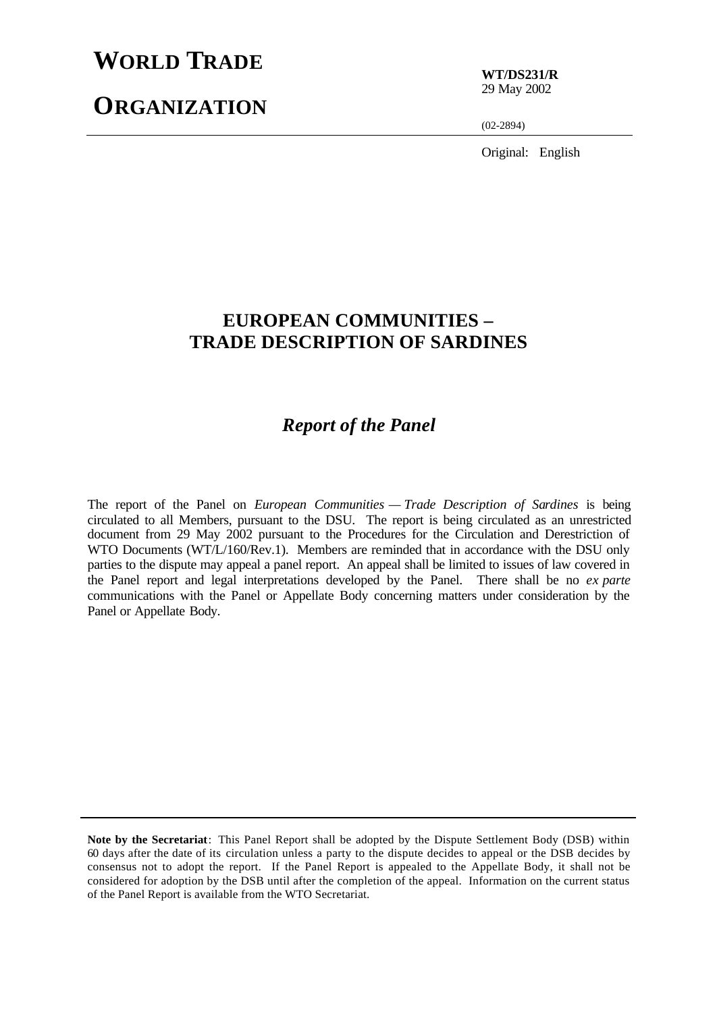# **WORLD TRADE**

## **ORGANIZATION**

**WT/DS231/R** 29 May 2002

(02-2894)

Original: English

## **EUROPEAN COMMUNITIES – TRADE DESCRIPTION OF SARDINES**

### *Report of the Panel*

The report of the Panel on *European Communities — Trade Description of Sardines* is being circulated to all Members, pursuant to the DSU. The report is being circulated as an unrestricted document from 29 May 2002 pursuant to the Procedures for the Circulation and Derestriction of WTO Documents (WT/L/160/Rev.1). Members are reminded that in accordance with the DSU only parties to the dispute may appeal a panel report. An appeal shall be limited to issues of law covered in the Panel report and legal interpretations developed by the Panel. There shall be no *ex parte* communications with the Panel or Appellate Body concerning matters under consideration by the Panel or Appellate Body.

**Note by the Secretariat**: This Panel Report shall be adopted by the Dispute Settlement Body (DSB) within 60 days after the date of its circulation unless a party to the dispute decides to appeal or the DSB decides by consensus not to adopt the report. If the Panel Report is appealed to the Appellate Body, it shall not be considered for adoption by the DSB until after the completion of the appeal. Information on the current status of the Panel Report is available from the WTO Secretariat.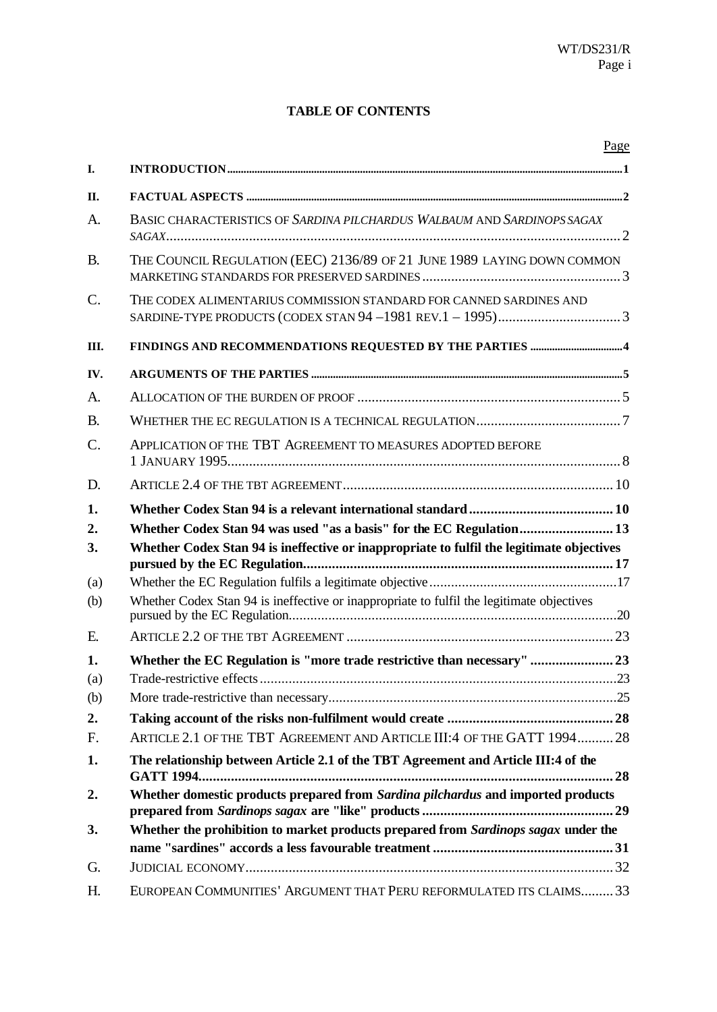#### **TABLE OF CONTENTS**

|           |                                                                                           | Page |
|-----------|-------------------------------------------------------------------------------------------|------|
| I.        |                                                                                           |      |
| П.        |                                                                                           |      |
| A.        | BASIC CHARACTERISTICS OF SARDINA PILCHARDUS WALBAUM AND SARDINOPS SAGAX                   |      |
| <b>B.</b> | THE COUNCIL REGULATION (EEC) 2136/89 OF 21 JUNE 1989 LAYING DOWN COMMON                   |      |
| $C$ .     | THE CODEX ALIMENTARIUS COMMISSION STANDARD FOR CANNED SARDINES AND                        |      |
| Ш.        |                                                                                           |      |
| IV.       |                                                                                           |      |
| A.        |                                                                                           |      |
| <b>B.</b> |                                                                                           |      |
| C.        | APPLICATION OF THE TBT AGREEMENT TO MEASURES ADOPTED BEFORE                               |      |
| D.        |                                                                                           |      |
| 1.        |                                                                                           |      |
| 2.        | Whether Codex Stan 94 was used "as a basis" for the EC Regulation 13                      |      |
| 3.        | Whether Codex Stan 94 is ineffective or inappropriate to fulfil the legitimate objectives |      |
| (a)       |                                                                                           |      |
| (b)       | Whether Codex Stan 94 is ineffective or inappropriate to fulfil the legitimate objectives |      |
| E.        |                                                                                           |      |
| 1.        | Whether the EC Regulation is "more trade restrictive than necessary"  23                  |      |
| (a)       |                                                                                           |      |
| (b)       |                                                                                           |      |
| 2.        |                                                                                           |      |
| F.        | ARTICLE 2.1 OF THE TBT AGREEMENT AND ARTICLE III: 4 OF THE GATT 1994 28                   |      |
| 1.        | The relationship between Article 2.1 of the TBT Agreement and Article III:4 of the<br>28  |      |
| 2.        | Whether domestic products prepared from Sardina pilchardus and imported products          |      |
| 3.        | Whether the prohibition to market products prepared from Sardinops sagax under the        |      |
|           |                                                                                           |      |
| G.        |                                                                                           |      |
| H.        | EUROPEAN COMMUNITIES' ARGUMENT THAT PERU REFORMULATED ITS CLAIMS 33                       |      |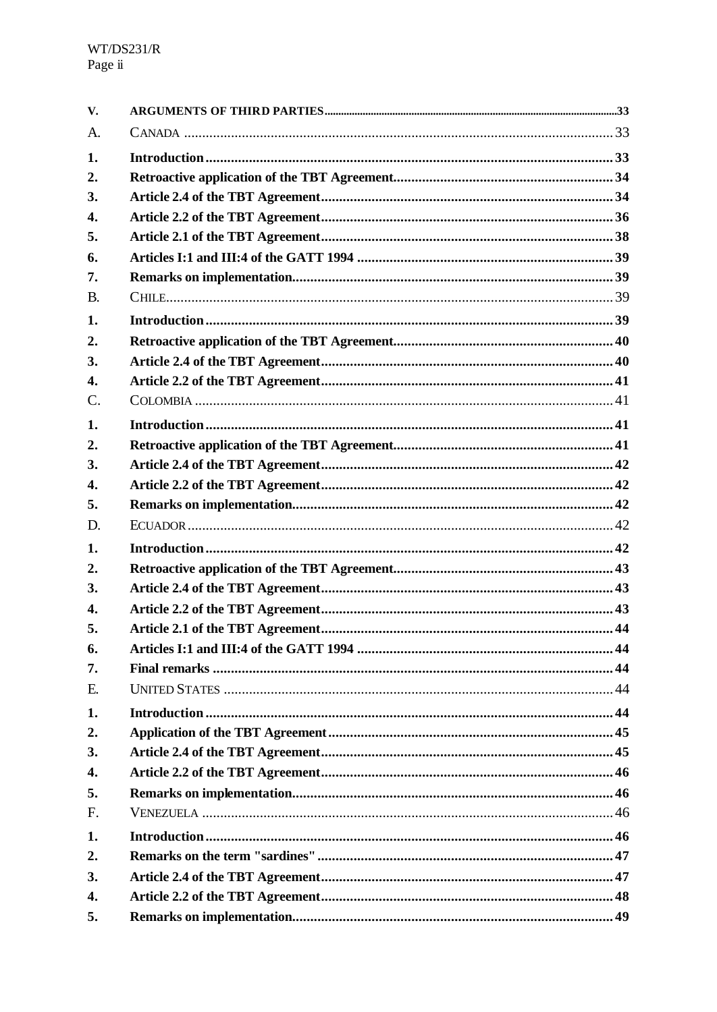| V.               |  |
|------------------|--|
| A.               |  |
| 1.               |  |
| 2.               |  |
| 3.               |  |
| 4.               |  |
| 5.               |  |
| 6.               |  |
| 7.               |  |
| <b>B.</b>        |  |
| 1.               |  |
| 2.               |  |
| 3.               |  |
| 4.               |  |
| $C$ .            |  |
| 1.               |  |
| 2.               |  |
| 3.               |  |
| $\overline{4}$ . |  |
| 5.               |  |
| D.               |  |
| 1.               |  |
| 2.               |  |
| 3.               |  |
| 4.               |  |
| 5.               |  |
| 6.               |  |
| 7.               |  |
| Ε.               |  |
| 1.               |  |
| 2.               |  |
| 3.               |  |
| 4.               |  |
| 5.               |  |
| F.               |  |
| 1.               |  |
| 2.               |  |
| 3.               |  |
| 4.               |  |
| 5.               |  |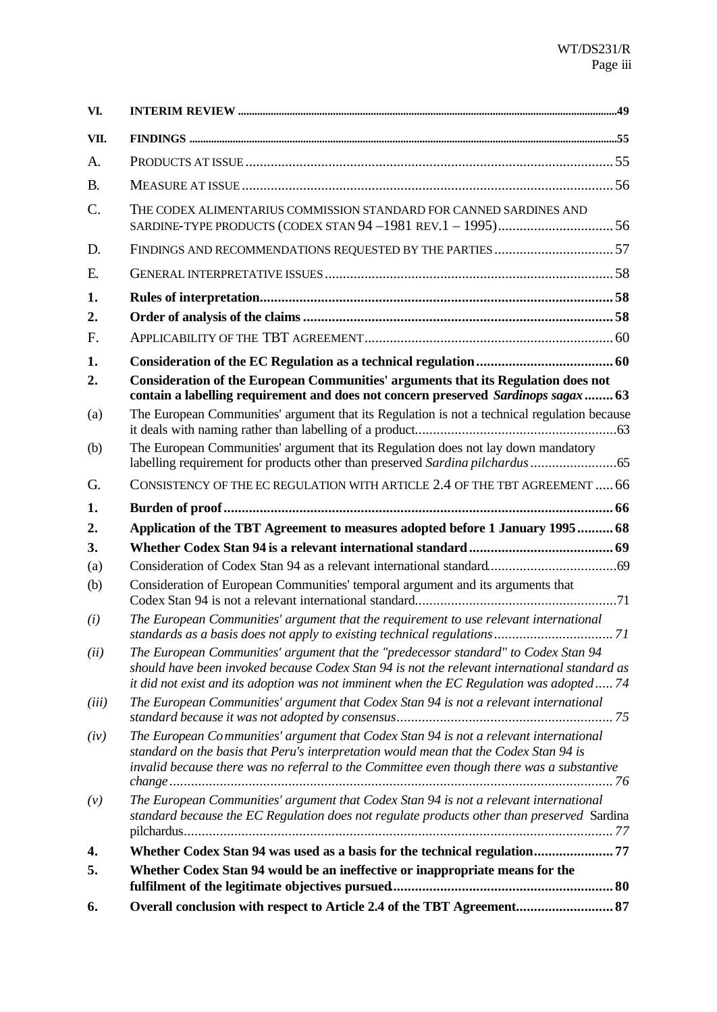| VI.       |                                                                                                                                                                                                                                                                                 |  |
|-----------|---------------------------------------------------------------------------------------------------------------------------------------------------------------------------------------------------------------------------------------------------------------------------------|--|
| VII.      |                                                                                                                                                                                                                                                                                 |  |
| A.        |                                                                                                                                                                                                                                                                                 |  |
| <b>B.</b> |                                                                                                                                                                                                                                                                                 |  |
| C.        | THE CODEX ALIMENTARIUS COMMISSION STANDARD FOR CANNED SARDINES AND                                                                                                                                                                                                              |  |
| D.        |                                                                                                                                                                                                                                                                                 |  |
| E.        |                                                                                                                                                                                                                                                                                 |  |
| 1.        |                                                                                                                                                                                                                                                                                 |  |
| 2.        |                                                                                                                                                                                                                                                                                 |  |
| F.        |                                                                                                                                                                                                                                                                                 |  |
| 1.        |                                                                                                                                                                                                                                                                                 |  |
| 2.        | Consideration of the European Communities' arguments that its Regulation does not<br>contain a labelling requirement and does not concern preserved Sardinops sagax  63                                                                                                         |  |
| (a)       | The European Communities' argument that its Regulation is not a technical regulation because                                                                                                                                                                                    |  |
| (b)       | The European Communities' argument that its Regulation does not lay down mandatory<br>labelling requirement for products other than preserved Sardina pilchardus                                                                                                                |  |
| G.        | CONSISTENCY OF THE EC REGULATION WITH ARTICLE 2.4 OF THE TBT AGREEMENT  66                                                                                                                                                                                                      |  |
| 1.        |                                                                                                                                                                                                                                                                                 |  |
| 2.        | Application of the TBT Agreement to measures adopted before 1 January 1995 68                                                                                                                                                                                                   |  |
| 3.        |                                                                                                                                                                                                                                                                                 |  |
| (a)       |                                                                                                                                                                                                                                                                                 |  |
| (b)       | Consideration of European Communities' temporal argument and its arguments that                                                                                                                                                                                                 |  |
| (i)       | The European Communities' argument that the requirement to use relevant international                                                                                                                                                                                           |  |
| (ii)      | The European Communities' argument that the "predecessor standard" to Codex Stan 94<br>should have been invoked because Codex Stan 94 is not the relevant international standard as<br>it did not exist and its adoption was not imminent when the EC Regulation was adopted 74 |  |
| (iii)     | The European Communities' argument that Codex Stan 94 is not a relevant international                                                                                                                                                                                           |  |
| (iv)      | The European Communities' argument that Codex Stan 94 is not a relevant international<br>standard on the basis that Peru's interpretation would mean that the Codex Stan 94 is<br>invalid because there was no referral to the Committee even though there was a substantive    |  |
| (v)       | The European Communities' argument that Codex Stan 94 is not a relevant international<br>standard because the EC Regulation does not regulate products other than preserved Sardina                                                                                             |  |
| 4.        | Whether Codex Stan 94 was used as a basis for the technical regulation77                                                                                                                                                                                                        |  |
| 5.        | Whether Codex Stan 94 would be an ineffective or inappropriate means for the                                                                                                                                                                                                    |  |
|           |                                                                                                                                                                                                                                                                                 |  |
| 6.        | Overall conclusion with respect to Article 2.4 of the TBT Agreement 87                                                                                                                                                                                                          |  |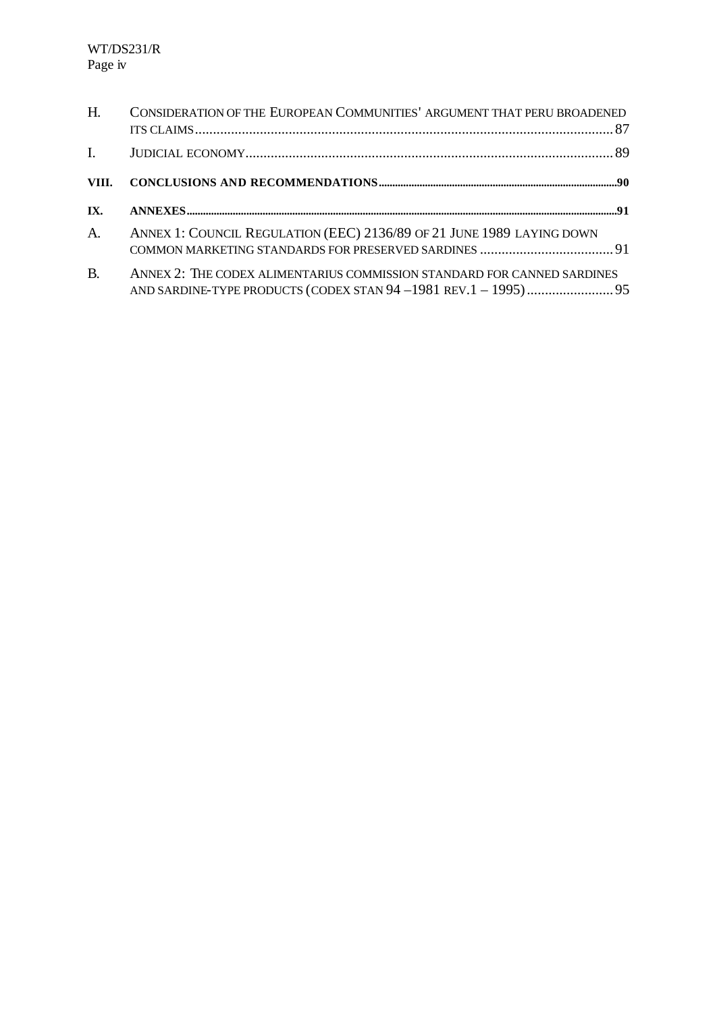| H <sub>r</sub> | CONSIDERATION OF THE EUROPEAN COMMUNITIES' ARGUMENT THAT PERU BROADENED |
|----------------|-------------------------------------------------------------------------|
| $\mathbf{I}$   |                                                                         |
|                |                                                                         |
| IX.            |                                                                         |
| A.             | ANNEX 1: COUNCIL REGULATION (EEC) 2136/89 OF 21 JUNE 1989 LAYING DOWN   |
| <b>B.</b>      | ANNEX 2: THE CODEX ALIMENTARIUS COMMISSION STANDARD FOR CANNED SARDINES |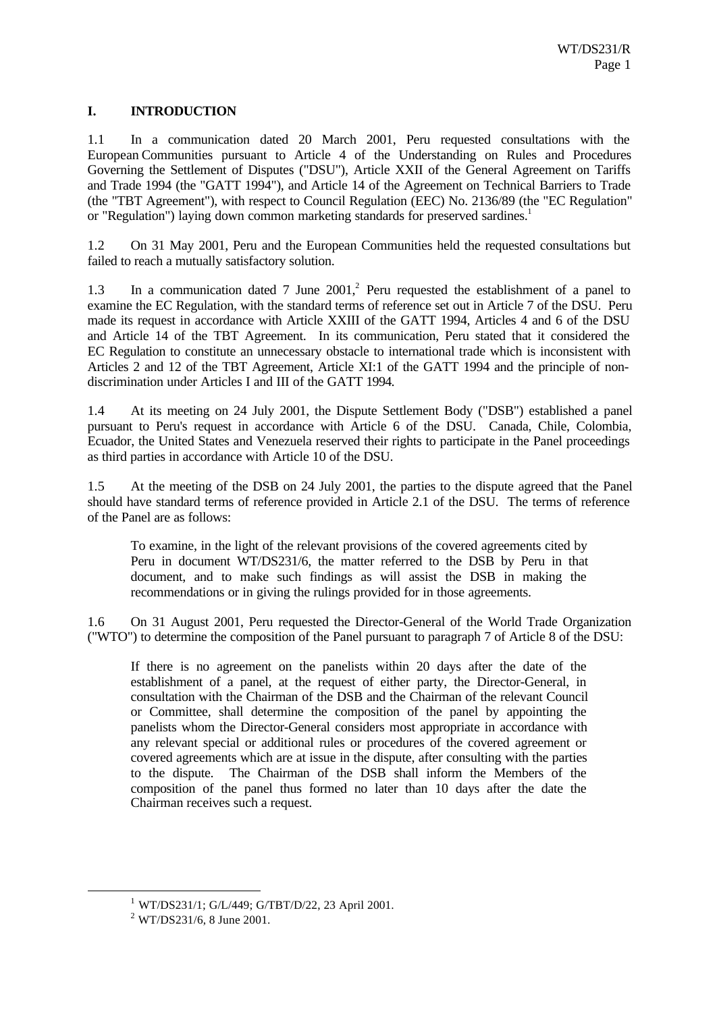#### **I. INTRODUCTION**

1.1 In a communication dated 20 March 2001, Peru requested consultations with the European Communities pursuant to Article 4 of the Understanding on Rules and Procedures Governing the Settlement of Disputes ("DSU"), Article XXII of the General Agreement on Tariffs and Trade 1994 (the "GATT 1994"), and Article 14 of the Agreement on Technical Barriers to Trade (the "TBT Agreement"), with respect to Council Regulation (EEC) No. 2136/89 (the "EC Regulation" or "Regulation") laying down common marketing standards for preserved sardines.<sup>1</sup>

1.2 On 31 May 2001, Peru and the European Communities held the requested consultations but failed to reach a mutually satisfactory solution.

1.3 In a communication dated 7 June  $2001$ , Peru requested the establishment of a panel to examine the EC Regulation, with the standard terms of reference set out in Article 7 of the DSU. Peru made its request in accordance with Article XXIII of the GATT 1994, Articles 4 and 6 of the DSU and Article 14 of the TBT Agreement. In its communication, Peru stated that it considered the EC Regulation to constitute an unnecessary obstacle to international trade which is inconsistent with Articles 2 and 12 of the TBT Agreement, Article XI:1 of the GATT 1994 and the principle of nondiscrimination under Articles I and III of the GATT 1994.

1.4 At its meeting on 24 July 2001, the Dispute Settlement Body ("DSB") established a panel pursuant to Peru's request in accordance with Article 6 of the DSU. Canada, Chile, Colombia, Ecuador, the United States and Venezuela reserved their rights to participate in the Panel proceedings as third parties in accordance with Article 10 of the DSU.

1.5 At the meeting of the DSB on 24 July 2001, the parties to the dispute agreed that the Panel should have standard terms of reference provided in Article 2.1 of the DSU. The terms of reference of the Panel are as follows:

To examine, in the light of the relevant provisions of the covered agreements cited by Peru in document WT/DS231/6, the matter referred to the DSB by Peru in that document, and to make such findings as will assist the DSB in making the recommendations or in giving the rulings provided for in those agreements.

1.6 On 31 August 2001, Peru requested the Director-General of the World Trade Organization ("WTO") to determine the composition of the Panel pursuant to paragraph 7 of Article 8 of the DSU:

If there is no agreement on the panelists within 20 days after the date of the establishment of a panel, at the request of either party, the Director-General, in consultation with the Chairman of the DSB and the Chairman of the relevant Council or Committee, shall determine the composition of the panel by appointing the panelists whom the Director-General considers most appropriate in accordance with any relevant special or additional rules or procedures of the covered agreement or covered agreements which are at issue in the dispute, after consulting with the parties to the dispute. The Chairman of the DSB shall inform the Members of the composition of the panel thus formed no later than 10 days after the date the Chairman receives such a request.

<sup>1</sup> WT/DS231/1; G/L/449; G/TBT/D/22, 23 April 2001.

 $2$  WT/DS231/6, 8 June 2001.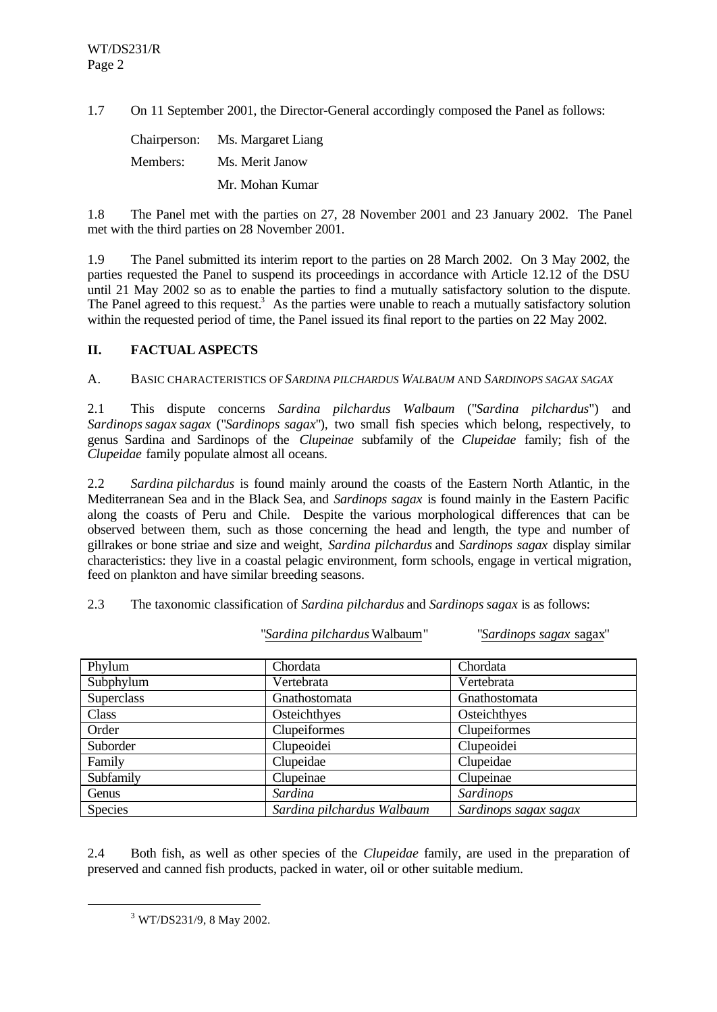1.7 On 11 September 2001, the Director-General accordingly composed the Panel as follows:

Chairperson: Ms. Margaret Liang Members: Ms. Merit Janow Mr. Mohan Kumar

1.8 The Panel met with the parties on 27, 28 November 2001 and 23 January 2002. The Panel met with the third parties on 28 November 2001.

1.9 The Panel submitted its interim report to the parties on 28 March 2002. On 3 May 2002, the parties requested the Panel to suspend its proceedings in accordance with Article 12.12 of the DSU until 21 May 2002 so as to enable the parties to find a mutually satisfactory solution to the dispute. The Panel agreed to this request.<sup>3</sup> As the parties were unable to reach a mutually satisfactory solution within the requested period of time, the Panel issued its final report to the parties on 22 May 2002.

#### **II. FACTUAL ASPECTS**

A. BASIC CHARACTERISTICS OF *SARDINA PILCHARDUS WALBAUM* AND *SARDINOPS SAGAX SAGAX*

2.1 This dispute concerns *Sardina pilchardus Walbaum* ("*Sardina pilchardus*") and *Sardinops sagax sagax* ("*Sardinops sagax*")*,* two small fish species which belong, respectively, to genus Sardina and Sardinops of the *Clupeinae* subfamily of the *Clupeidae* family; fish of the *Clupeidae* family populate almost all oceans.

2.2 *Sardina pilchardus* is found mainly around the coasts of the Eastern North Atlantic, in the Mediterranean Sea and in the Black Sea, and *Sardinops sagax* is found mainly in the Eastern Pacific along the coasts of Peru and Chile. Despite the various morphological differences that can be observed between them, such as those concerning the head and length, the type and number of gillrakes or bone striae and size and weight, *Sardina pilchardus* and *Sardinops sagax* display similar characteristics: they live in a coastal pelagic environment, form schools, engage in vertical migration, feed on plankton and have similar breeding seasons.

2.3 The taxonomic classification of *Sardina pilchardus* and *Sardinops sagax* is as follows:

"*Sardina pilchardus* Walbaum" "*Sardinops sagax* sagax"

| Phylum            | Chordata                   | Chordata              |
|-------------------|----------------------------|-----------------------|
| Subphylum         | Vertebrata                 | Vertebrata            |
| <b>Superclass</b> | Gnathostomata              | Gnathostomata         |
| Class             | Osteichthyes               | Osteichthyes          |
| Order             | Clupeiformes               | Clupeiformes          |
| Suborder          | Clupeoidei                 | Clupeoidei            |
| Family            | Clupeidae                  | Clupeidae             |
| Subfamily         | Clupeinae                  | Clupeinae             |
| Genus             | Sardina                    | Sardinops             |
| Species           | Sardina pilchardus Walbaum | Sardinops sagax sagax |

2.4 Both fish, as well as other species of the *Clupeidae* family, are used in the preparation of preserved and canned fish products, packed in water, oil or other suitable medium.

<sup>&</sup>lt;sup>3</sup> WT/DS231/9, 8 May 2002.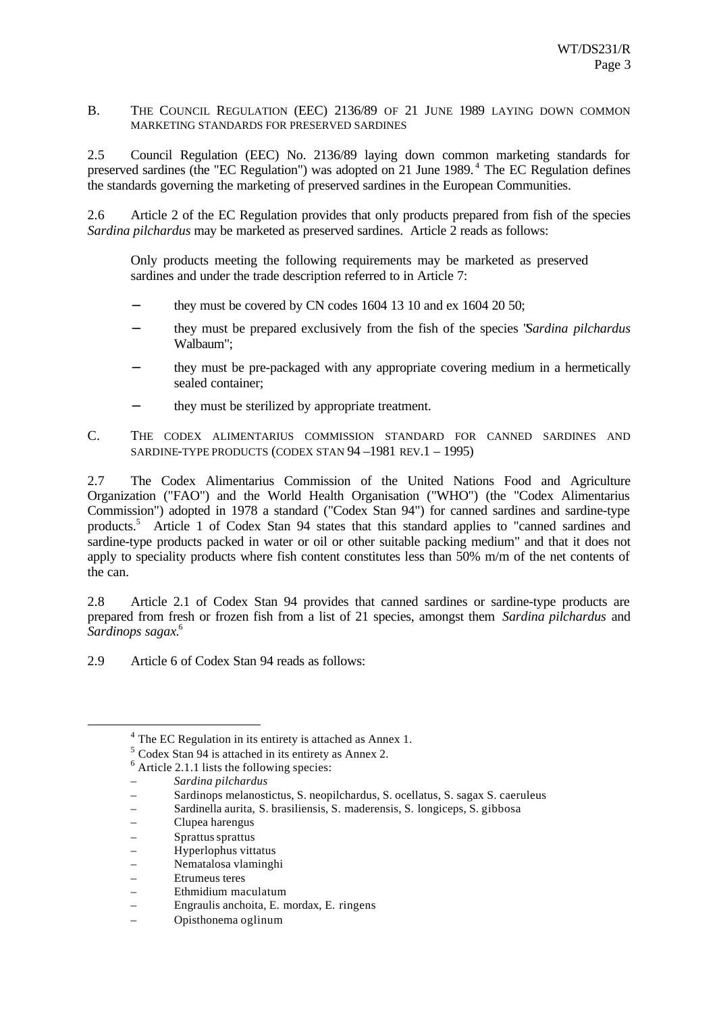#### B. THE COUNCIL REGULATION (EEC) 2136/89 OF 21 JUNE 1989 LAYING DOWN COMMON MARKETING STANDARDS FOR PRESERVED SARDINES

2.5 Council Regulation (EEC) No. 2136/89 laying down common marketing standards for preserved sardines (the "EC Regulation") was adopted on 21 June 1989.<sup>4</sup> The EC Regulation defines the standards governing the marketing of preserved sardines in the European Communities.

2.6 Article 2 of the EC Regulation provides that only products prepared from fish of the species *Sardina pilchardus* may be marketed as preserved sardines. Article 2 reads as follows:

Only products meeting the following requirements may be marketed as preserved sardines and under the trade description referred to in Article 7:

- they must be covered by CN codes 1604 13 10 and ex 1604 20 50;
- − they must be prepared exclusively from the fish of the species "*Sardina pilchardus* Walbaum";
- they must be pre-packaged with any appropriate covering medium in a hermetically sealed container;
- they must be sterilized by appropriate treatment.
- C. THE CODEX ALIMENTARIUS COMMISSION STANDARD FOR CANNED SARDINES AND SARDINE-TYPE PRODUCTS (CODEX STAN 94 –1981 REV.1 – 1995)

2.7 The Codex Alimentarius Commission of the United Nations Food and Agriculture Organization ("FAO") and the World Health Organisation ("WHO") (the "Codex Alimentarius Commission") adopted in 1978 a standard ("Codex Stan 94") for canned sardines and sardine-type products.<sup>5</sup> Article 1 of Codex Stan 94 states that this standard applies to "canned sardines and sardine-type products packed in water or oil or other suitable packing medium" and that it does not apply to speciality products where fish content constitutes less than 50% m/m of the net contents of the can.

2.8 Article 2.1 of Codex Stan 94 provides that canned sardines or sardine-type products are prepared from fresh or frozen fish from a list of 21 species, amongst them *Sardina pilchardus* and *Sardinops sagax.*<sup>6</sup>

2.9 Article 6 of Codex Stan 94 reads as follows:

- Nematalosa vlaminghi
- Etrumeus teres
- Ethmidium maculatum
- Engraulis anchoita, E. mordax, E. ringens
- Opisthonema oglinum

 $4$  The EC Regulation in its entirety is attached as Annex 1.

<sup>5</sup> Codex Stan 94 is attached in its entirety as Annex 2.

<sup>&</sup>lt;sup>6</sup> Article 2.1.1 lists the following species:

<sup>–</sup> *Sardina pilchardus*

<sup>–</sup> Sardinops melanostictus, S. neopilchardus, S. ocellatus, S. sagax S. caeruleus

<sup>–</sup> Sardinella aurita, S. brasiliensis, S. maderensis, S. longiceps, S. gibbosa

<sup>–</sup> Clupea harengus

<sup>–</sup> Sprattus sprattus

<sup>–</sup> Hyperlophus vittatus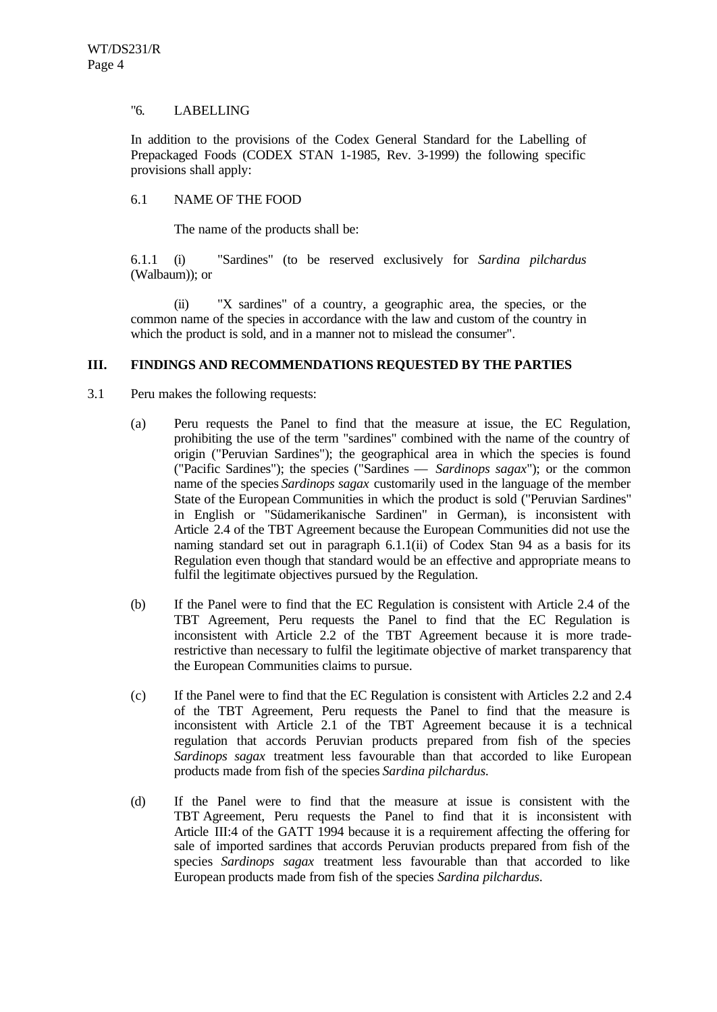#### "6. LABELLING

In addition to the provisions of the Codex General Standard for the Labelling of Prepackaged Foods (CODEX STAN 1-1985, Rev. 3-1999) the following specific provisions shall apply:

#### 6.1 NAME OF THE FOOD

The name of the products shall be:

6.1.1 (i) "Sardines" (to be reserved exclusively for *Sardina pilchardus* (Walbaum)); or

(ii) "X sardines" of a country, a geographic area, the species, or the common name of the species in accordance with the law and custom of the country in which the product is sold, and in a manner not to mislead the consumer".

#### **III. FINDINGS AND RECOMMENDATIONS REQUESTED BY THE PARTIES**

- 3.1 Peru makes the following requests:
	- (a) Peru requests the Panel to find that the measure at issue, the EC Regulation, prohibiting the use of the term "sardines" combined with the name of the country of origin ("Peruvian Sardines"); the geographical area in which the species is found ("Pacific Sardines"); the species ("Sardines — *Sardinops sagax*"); or the common name of the species *Sardinops sagax* customarily used in the language of the member State of the European Communities in which the product is sold ("Peruvian Sardines" in English or "Südamerikanische Sardinen" in German), is inconsistent with Article 2.4 of the TBT Agreement because the European Communities did not use the naming standard set out in paragraph 6.1.1(ii) of Codex Stan 94 as a basis for its Regulation even though that standard would be an effective and appropriate means to fulfil the legitimate objectives pursued by the Regulation.
	- (b) If the Panel were to find that the EC Regulation is consistent with Article 2.4 of the TBT Agreement, Peru requests the Panel to find that the EC Regulation is inconsistent with Article 2.2 of the TBT Agreement because it is more traderestrictive than necessary to fulfil the legitimate objective of market transparency that the European Communities claims to pursue.
	- (c) If the Panel were to find that the EC Regulation is consistent with Articles 2.2 and 2.4 of the TBT Agreement, Peru requests the Panel to find that the measure is inconsistent with Article 2.1 of the TBT Agreement because it is a technical regulation that accords Peruvian products prepared from fish of the species *Sardinops sagax* treatment less favourable than that accorded to like European products made from fish of the species *Sardina pilchardus.*
	- (d) If the Panel were to find that the measure at issue is consistent with the TBT Agreement, Peru requests the Panel to find that it is inconsistent with Article III:4 of the GATT 1994 because it is a requirement affecting the offering for sale of imported sardines that accords Peruvian products prepared from fish of the species *Sardinops sagax* treatment less favourable than that accorded to like European products made from fish of the species *Sardina pilchardus*.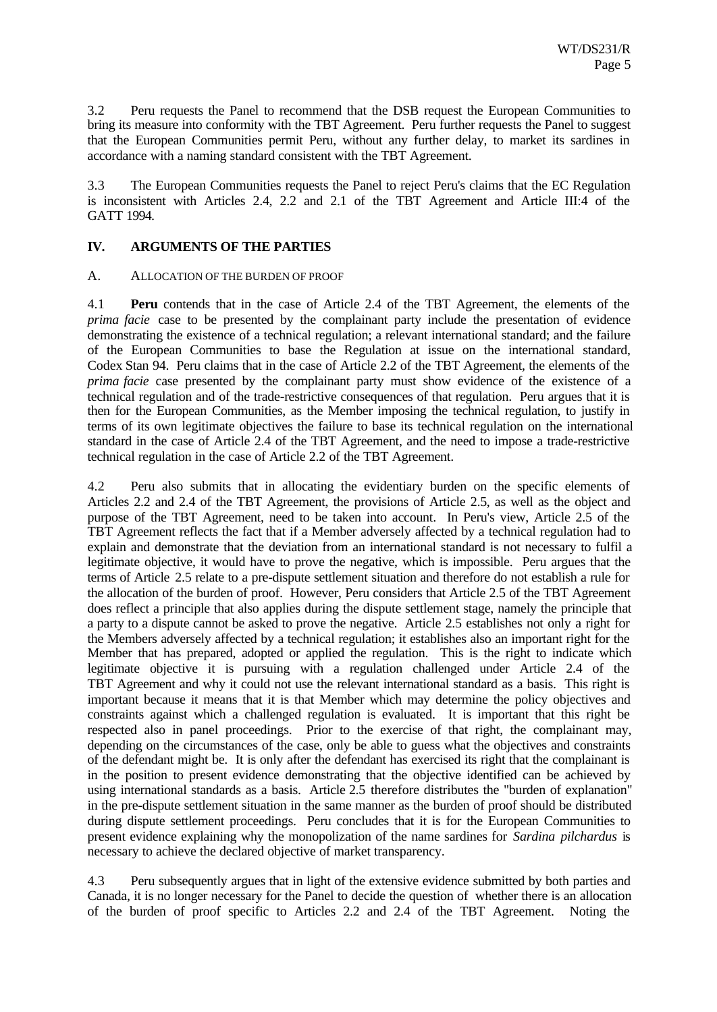3.2 Peru requests the Panel to recommend that the DSB request the European Communities to bring its measure into conformity with the TBT Agreement. Peru further requests the Panel to suggest that the European Communities permit Peru, without any further delay, to market its sardines in accordance with a naming standard consistent with the TBT Agreement.

3.3 The European Communities requests the Panel to reject Peru's claims that the EC Regulation is inconsistent with Articles 2.4, 2.2 and 2.1 of the TBT Agreement and Article III:4 of the GATT 1994.

#### **IV. ARGUMENTS OF THE PARTIES**

#### A. ALLOCATION OF THE BURDEN OF PROOF

4.1 **Peru** contends that in the case of Article 2.4 of the TBT Agreement, the elements of the *prima facie* case to be presented by the complainant party include the presentation of evidence demonstrating the existence of a technical regulation; a relevant international standard; and the failure of the European Communities to base the Regulation at issue on the international standard, Codex Stan 94. Peru claims that in the case of Article 2.2 of the TBT Agreement, the elements of the *prima facie* case presented by the complainant party must show evidence of the existence of a technical regulation and of the trade-restrictive consequences of that regulation. Peru argues that it is then for the European Communities, as the Member imposing the technical regulation, to justify in terms of its own legitimate objectives the failure to base its technical regulation on the international standard in the case of Article 2.4 of the TBT Agreement, and the need to impose a trade-restrictive technical regulation in the case of Article 2.2 of the TBT Agreement.

4.2 Peru also submits that in allocating the evidentiary burden on the specific elements of Articles 2.2 and 2.4 of the TBT Agreement, the provisions of Article 2.5, as well as the object and purpose of the TBT Agreement, need to be taken into account. In Peru's view, Article 2.5 of the TBT Agreement reflects the fact that if a Member adversely affected by a technical regulation had to explain and demonstrate that the deviation from an international standard is not necessary to fulfil a legitimate objective, it would have to prove the negative, which is impossible. Peru argues that the terms of Article 2.5 relate to a pre-dispute settlement situation and therefore do not establish a rule for the allocation of the burden of proof. However, Peru considers that Article 2.5 of the TBT Agreement does reflect a principle that also applies during the dispute settlement stage, namely the principle that a party to a dispute cannot be asked to prove the negative. Article 2.5 establishes not only a right for the Members adversely affected by a technical regulation; it establishes also an important right for the Member that has prepared, adopted or applied the regulation. This is the right to indicate which legitimate objective it is pursuing with a regulation challenged under Article 2.4 of the TBT Agreement and why it could not use the relevant international standard as a basis. This right is important because it means that it is that Member which may determine the policy objectives and constraints against which a challenged regulation is evaluated. It is important that this right be respected also in panel proceedings. Prior to the exercise of that right, the complainant may, depending on the circumstances of the case, only be able to guess what the objectives and constraints of the defendant might be. It is only after the defendant has exercised its right that the complainant is in the position to present evidence demonstrating that the objective identified can be achieved by using international standards as a basis. Article 2.5 therefore distributes the "burden of explanation" in the pre-dispute settlement situation in the same manner as the burden of proof should be distributed during dispute settlement proceedings. Peru concludes that it is for the European Communities to present evidence explaining why the monopolization of the name sardines for *Sardina pilchardus* is necessary to achieve the declared objective of market transparency.

4.3 Peru subsequently argues that in light of the extensive evidence submitted by both parties and Canada, it is no longer necessary for the Panel to decide the question of whether there is an allocation of the burden of proof specific to Articles 2.2 and 2.4 of the TBT Agreement. Noting the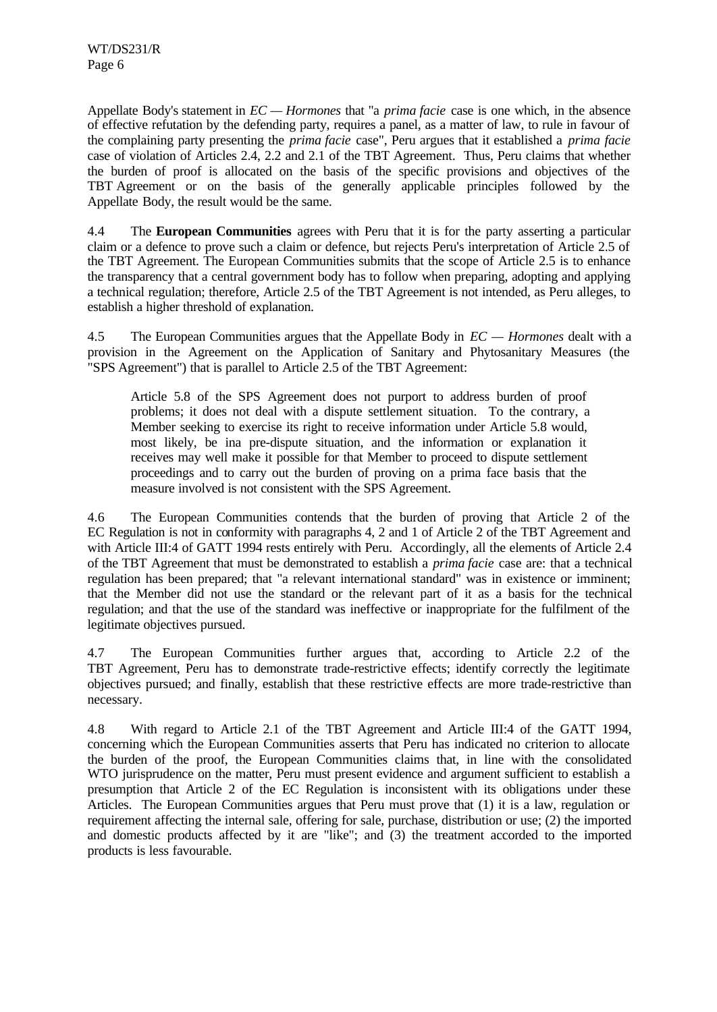Appellate Body's statement in *EC — Hormones* that "a *prima facie* case is one which, in the absence of effective refutation by the defending party, requires a panel, as a matter of law, to rule in favour of the complaining party presenting the *prima facie* case", Peru argues that it established a *prima facie* case of violation of Articles 2.4, 2.2 and 2.1 of the TBT Agreement. Thus, Peru claims that whether the burden of proof is allocated on the basis of the specific provisions and objectives of the TBT Agreement or on the basis of the generally applicable principles followed by the Appellate Body, the result would be the same.

4.4 The **European Communities** agrees with Peru that it is for the party asserting a particular claim or a defence to prove such a claim or defence, but rejects Peru's interpretation of Article 2.5 of the TBT Agreement. The European Communities submits that the scope of Article 2.5 is to enhance the transparency that a central government body has to follow when preparing, adopting and applying a technical regulation; therefore, Article 2.5 of the TBT Agreement is not intended, as Peru alleges, to establish a higher threshold of explanation.

4.5 The European Communities argues that the Appellate Body in *EC — Hormones* dealt with a provision in the Agreement on the Application of Sanitary and Phytosanitary Measures (the "SPS Agreement") that is parallel to Article 2.5 of the TBT Agreement:

Article 5.8 of the SPS Agreement does not purport to address burden of proof problems; it does not deal with a dispute settlement situation. To the contrary, a Member seeking to exercise its right to receive information under Article 5.8 would, most likely, be ina pre-dispute situation, and the information or explanation it receives may well make it possible for that Member to proceed to dispute settlement proceedings and to carry out the burden of proving on a prima face basis that the measure involved is not consistent with the SPS Agreement.

4.6 The European Communities contends that the burden of proving that Article 2 of the EC Regulation is not in conformity with paragraphs 4, 2 and 1 of Article 2 of the TBT Agreement and with Article III:4 of GATT 1994 rests entirely with Peru. Accordingly, all the elements of Article 2.4 of the TBT Agreement that must be demonstrated to establish a *prima facie* case are: that a technical regulation has been prepared; that "a relevant international standard" was in existence or imminent; that the Member did not use the standard or the relevant part of it as a basis for the technical regulation; and that the use of the standard was ineffective or inappropriate for the fulfilment of the legitimate objectives pursued.

4.7 The European Communities further argues that, according to Article 2.2 of the TBT Agreement, Peru has to demonstrate trade-restrictive effects; identify correctly the legitimate objectives pursued; and finally, establish that these restrictive effects are more trade-restrictive than necessary.

4.8 With regard to Article 2.1 of the TBT Agreement and Article III:4 of the GATT 1994, concerning which the European Communities asserts that Peru has indicated no criterion to allocate the burden of the proof, the European Communities claims that, in line with the consolidated WTO jurisprudence on the matter, Peru must present evidence and argument sufficient to establish a presumption that Article 2 of the EC Regulation is inconsistent with its obligations under these Articles. The European Communities argues that Peru must prove that (1) it is a law, regulation or requirement affecting the internal sale, offering for sale, purchase, distribution or use; (2) the imported and domestic products affected by it are "like"; and (3) the treatment accorded to the imported products is less favourable.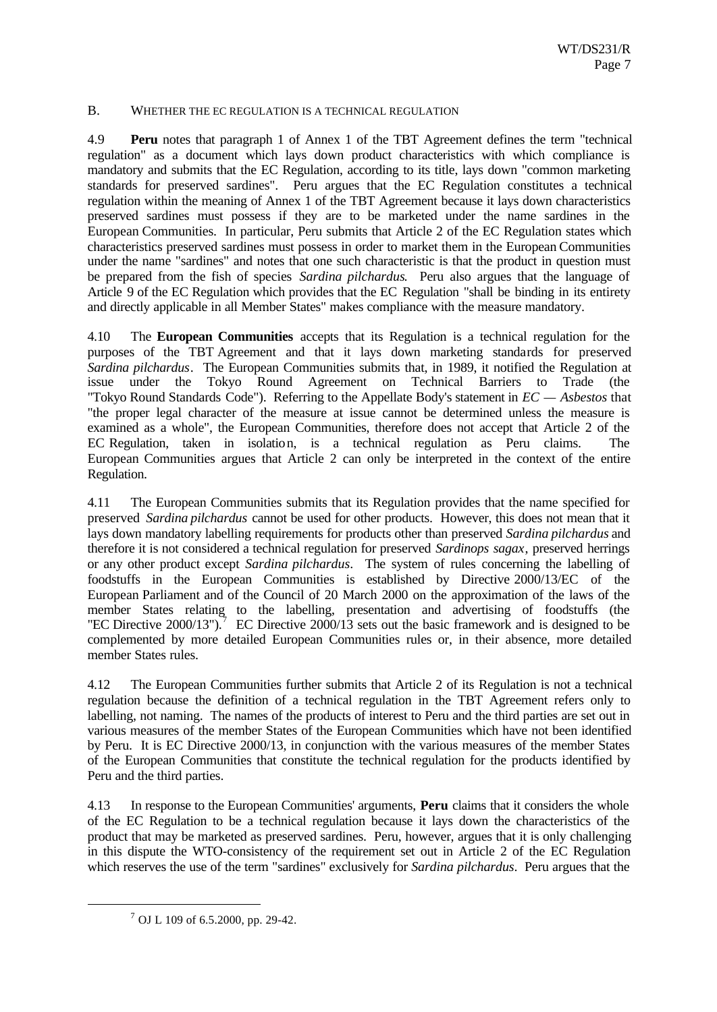#### B. WHETHER THE EC REGULATION IS A TECHNICAL REGULATION

4.9 **Peru** notes that paragraph 1 of Annex 1 of the TBT Agreement defines the term "technical regulation" as a document which lays down product characteristics with which compliance is mandatory and submits that the EC Regulation, according to its title, lays down "common marketing standards for preserved sardines". Peru argues that the EC Regulation constitutes a technical regulation within the meaning of Annex 1 of the TBT Agreement because it lays down characteristics preserved sardines must possess if they are to be marketed under the name sardines in the European Communities. In particular, Peru submits that Article 2 of the EC Regulation states which characteristics preserved sardines must possess in order to market them in the European Communities under the name "sardines" and notes that one such characteristic is that the product in question must be prepared from the fish of species *Sardina pilchardus*. Peru also argues that the language of Article 9 of the EC Regulation which provides that the EC Regulation "shall be binding in its entirety and directly applicable in all Member States" makes compliance with the measure mandatory.

4.10 The **European Communities** accepts that its Regulation is a technical regulation for the purposes of the TBT Agreement and that it lays down marketing standards for preserved *Sardina pilchardus*. The European Communities submits that, in 1989, it notified the Regulation at issue under the Tokyo Round Agreement on Technical Barriers to Trade (the "Tokyo Round Standards Code"). Referring to the Appellate Body's statement in *EC — Asbestos* that "the proper legal character of the measure at issue cannot be determined unless the measure is examined as a whole", the European Communities, therefore does not accept that Article 2 of the EC Regulation, taken in isolation, is a technical regulation as Peru claims. The European Communities argues that Article 2 can only be interpreted in the context of the entire Regulation.

4.11 The European Communities submits that its Regulation provides that the name specified for preserved *Sardina pilchardus* cannot be used for other products. However, this does not mean that it lays down mandatory labelling requirements for products other than preserved *Sardina pilchardus* and therefore it is not considered a technical regulation for preserved *Sardinops sagax*, preserved herrings or any other product except *Sardina pilchardus*. The system of rules concerning the labelling of foodstuffs in the European Communities is established by Directive 2000/13/EC of the European Parliament and of the Council of 20 March 2000 on the approximation of the laws of the member States relating to the labelling, presentation and advertising of foodstuffs (the "EC Directive 2000/13").<sup>7</sup> EC Directive 2000/13 sets out the basic framework and is designed to be complemented by more detailed European Communities rules or, in their absence, more detailed member States rules.

4.12 The European Communities further submits that Article 2 of its Regulation is not a technical regulation because the definition of a technical regulation in the TBT Agreement refers only to labelling, not naming. The names of the products of interest to Peru and the third parties are set out in various measures of the member States of the European Communities which have not been identified by Peru. It is EC Directive 2000/13, in conjunction with the various measures of the member States of the European Communities that constitute the technical regulation for the products identified by Peru and the third parties.

4.13 In response to the European Communities' arguments, **Peru** claims that it considers the whole of the EC Regulation to be a technical regulation because it lays down the characteristics of the product that may be marketed as preserved sardines. Peru, however, argues that it is only challenging in this dispute the WTO-consistency of the requirement set out in Article 2 of the EC Regulation which reserves the use of the term "sardines" exclusively for *Sardina pilchardus*. Peru argues that the

 $7$  OJ L 109 of 6.5.2000, pp. 29-42.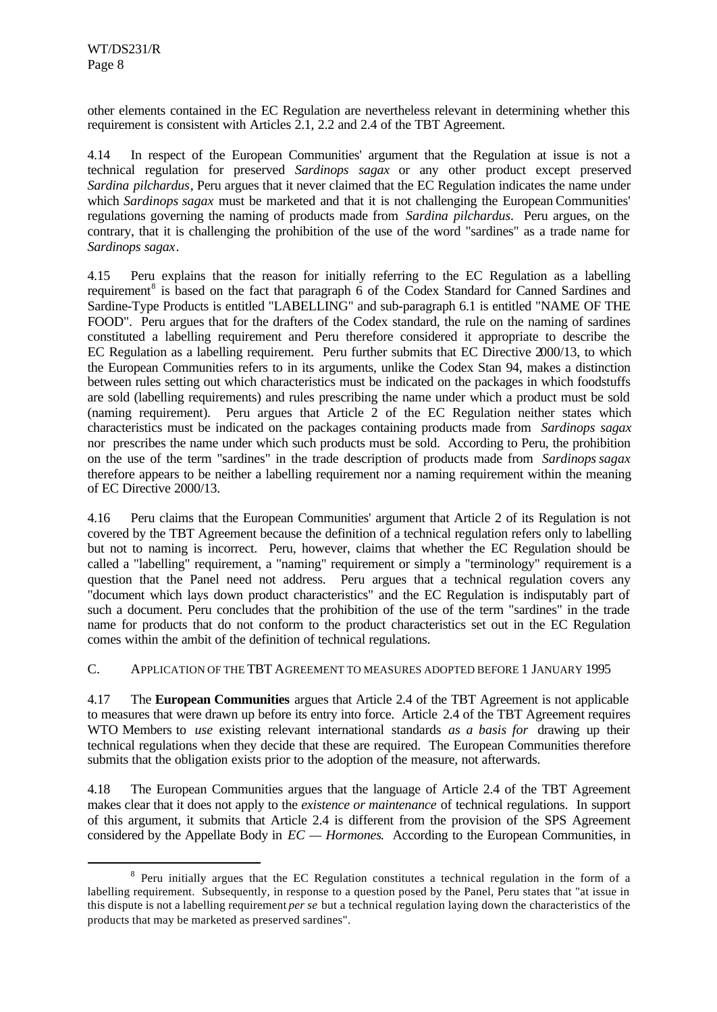l

other elements contained in the EC Regulation are nevertheless relevant in determining whether this requirement is consistent with Articles 2.1, 2.2 and 2.4 of the TBT Agreement.

4.14 In respect of the European Communities' argument that the Regulation at issue is not a technical regulation for preserved *Sardinops sagax* or any other product except preserved *Sardina pilchardus*, Peru argues that it never claimed that the EC Regulation indicates the name under which *Sardinops sagax* must be marketed and that it is not challenging the European Communities' regulations governing the naming of products made from *Sardina pilchardus*. Peru argues, on the contrary, that it is challenging the prohibition of the use of the word "sardines" as a trade name for *Sardinops sagax*.

4.15 Peru explains that the reason for initially referring to the EC Regulation as a labelling requirement<sup>8</sup> is based on the fact that paragraph 6 of the Codex Standard for Canned Sardines and Sardine-Type Products is entitled "LABELLING" and sub-paragraph 6.1 is entitled "NAME OF THE FOOD". Peru argues that for the drafters of the Codex standard, the rule on the naming of sardines constituted a labelling requirement and Peru therefore considered it appropriate to describe the EC Regulation as a labelling requirement. Peru further submits that EC Directive 2000/13, to which the European Communities refers to in its arguments, unlike the Codex Stan 94, makes a distinction between rules setting out which characteristics must be indicated on the packages in which foodstuffs are sold (labelling requirements) and rules prescribing the name under which a product must be sold (naming requirement). Peru argues that Article 2 of the EC Regulation neither states which characteristics must be indicated on the packages containing products made from *Sardinops sagax* nor prescribes the name under which such products must be sold. According to Peru, the prohibition on the use of the term "sardines" in the trade description of products made from *Sardinops sagax* therefore appears to be neither a labelling requirement nor a naming requirement within the meaning of EC Directive 2000/13.

4.16 Peru claims that the European Communities' argument that Article 2 of its Regulation is not covered by the TBT Agreement because the definition of a technical regulation refers only to labelling but not to naming is incorrect. Peru, however, claims that whether the EC Regulation should be called a "labelling" requirement, a "naming" requirement or simply a "terminology" requirement is a question that the Panel need not address. Peru argues that a technical regulation covers any "document which lays down product characteristics" and the EC Regulation is indisputably part of such a document. Peru concludes that the prohibition of the use of the term "sardines" in the trade name for products that do not conform to the product characteristics set out in the EC Regulation comes within the ambit of the definition of technical regulations.

#### C. APPLICATION OF THE TBT AGREEMENT TO MEASURES ADOPTED BEFORE 1 JANUARY 1995

4.17 The **European Communities** argues that Article 2.4 of the TBT Agreement is not applicable to measures that were drawn up before its entry into force. Article 2.4 of the TBT Agreement requires WTO Members to *use* existing relevant international standards *as a basis for* drawing up their technical regulations when they decide that these are required. The European Communities therefore submits that the obligation exists prior to the adoption of the measure, not afterwards.

4.18 The European Communities argues that the language of Article 2.4 of the TBT Agreement makes clear that it does not apply to the *existence or maintenance* of technical regulations. In support of this argument, it submits that Article 2.4 is different from the provision of the SPS Agreement considered by the Appellate Body in *EC — Hormones*. According to the European Communities, in

<sup>&</sup>lt;sup>8</sup> Peru initially argues that the EC Regulation constitutes a technical regulation in the form of a labelling requirement. Subsequently, in response to a question posed by the Panel, Peru states that "at issue in this dispute is not a labelling requirement *per se* but a technical regulation laying down the characteristics of the products that may be marketed as preserved sardines".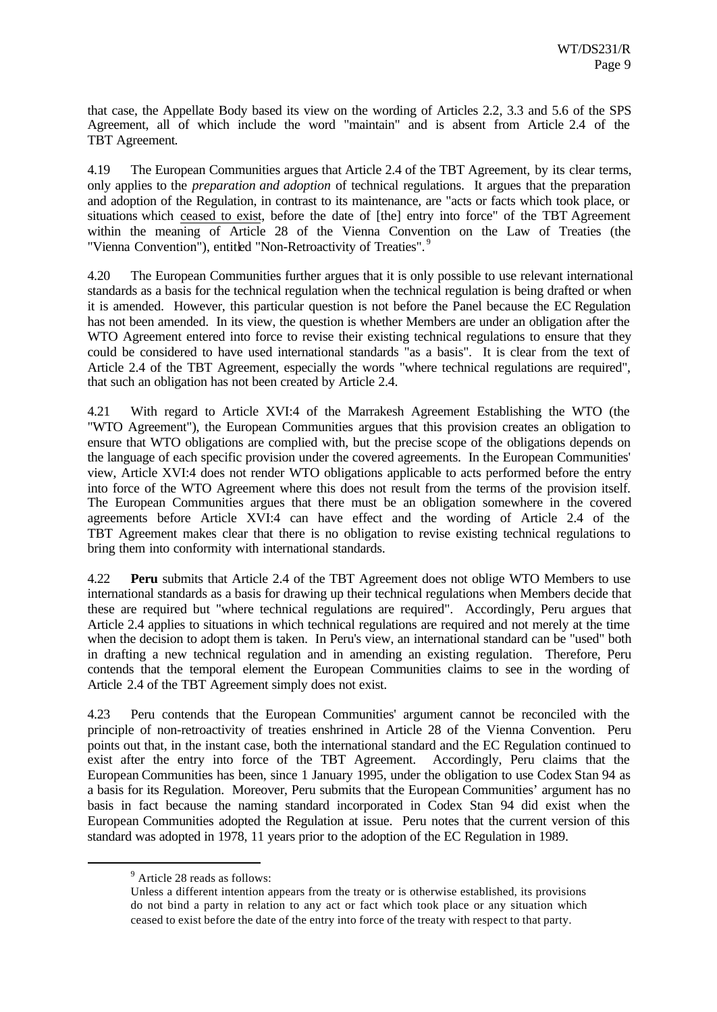that case, the Appellate Body based its view on the wording of Articles 2.2, 3.3 and 5.6 of the SPS Agreement, all of which include the word "maintain" and is absent from Article 2.4 of the TBT Agreement*.*

4.19 The European Communities argues that Article 2.4 of the TBT Agreement*,* by its clear terms, only applies to the *preparation and adoption* of technical regulations. It argues that the preparation and adoption of the Regulation, in contrast to its maintenance, are "acts or facts which took place, or situations which ceased to exist, before the date of [the] entry into force" of the TBT Agreement within the meaning of Article 28 of the Vienna Convention on the Law of Treaties (the "Vienna Convention"), entitled "Non-Retroactivity of Treaties".<sup>9</sup>

4.20 The European Communities further argues that it is only possible to use relevant international standards as a basis for the technical regulation when the technical regulation is being drafted or when it is amended. However, this particular question is not before the Panel because the EC Regulation has not been amended. In its view, the question is whether Members are under an obligation after the WTO Agreement entered into force to revise their existing technical regulations to ensure that they could be considered to have used international standards "as a basis". It is clear from the text of Article 2.4 of the TBT Agreement, especially the words "where technical regulations are required", that such an obligation has not been created by Article 2.4.

4.21 With regard to Article XVI:4 of the Marrakesh Agreement Establishing the WTO (the "WTO Agreement"), the European Communities argues that this provision creates an obligation to ensure that WTO obligations are complied with, but the precise scope of the obligations depends on the language of each specific provision under the covered agreements. In the European Communities' view, Article XVI:4 does not render WTO obligations applicable to acts performed before the entry into force of the WTO Agreement where this does not result from the terms of the provision itself. The European Communities argues that there must be an obligation somewhere in the covered agreements before Article XVI:4 can have effect and the wording of Article 2.4 of the TBT Agreement makes clear that there is no obligation to revise existing technical regulations to bring them into conformity with international standards.

4.22 **Peru** submits that Article 2.4 of the TBT Agreement does not oblige WTO Members to use international standards as a basis for drawing up their technical regulations when Members decide that these are required but "where technical regulations are required". Accordingly, Peru argues that Article 2.4 applies to situations in which technical regulations are required and not merely at the time when the decision to adopt them is taken. In Peru's view, an international standard can be "used" both in drafting a new technical regulation and in amending an existing regulation. Therefore, Peru contends that the temporal element the European Communities claims to see in the wording of Article 2.4 of the TBT Agreement simply does not exist.

4.23 Peru contends that the European Communities' argument cannot be reconciled with the principle of non-retroactivity of treaties enshrined in Article 28 of the Vienna Convention. Peru points out that, in the instant case, both the international standard and the EC Regulation continued to exist after the entry into force of the TBT Agreement. Accordingly, Peru claims that the European Communities has been, since 1 January 1995, under the obligation to use Codex Stan 94 as a basis for its Regulation. Moreover, Peru submits that the European Communities' argument has no basis in fact because the naming standard incorporated in Codex Stan 94 did exist when the European Communities adopted the Regulation at issue. Peru notes that the current version of this standard was adopted in 1978, 11 years prior to the adoption of the EC Regulation in 1989.

<sup>&</sup>lt;sup>9</sup> Article 28 reads as follows:

Unless a different intention appears from the treaty or is otherwise established, its provisions do not bind a party in relation to any act or fact which took place or any situation which ceased to exist before the date of the entry into force of the treaty with respect to that party.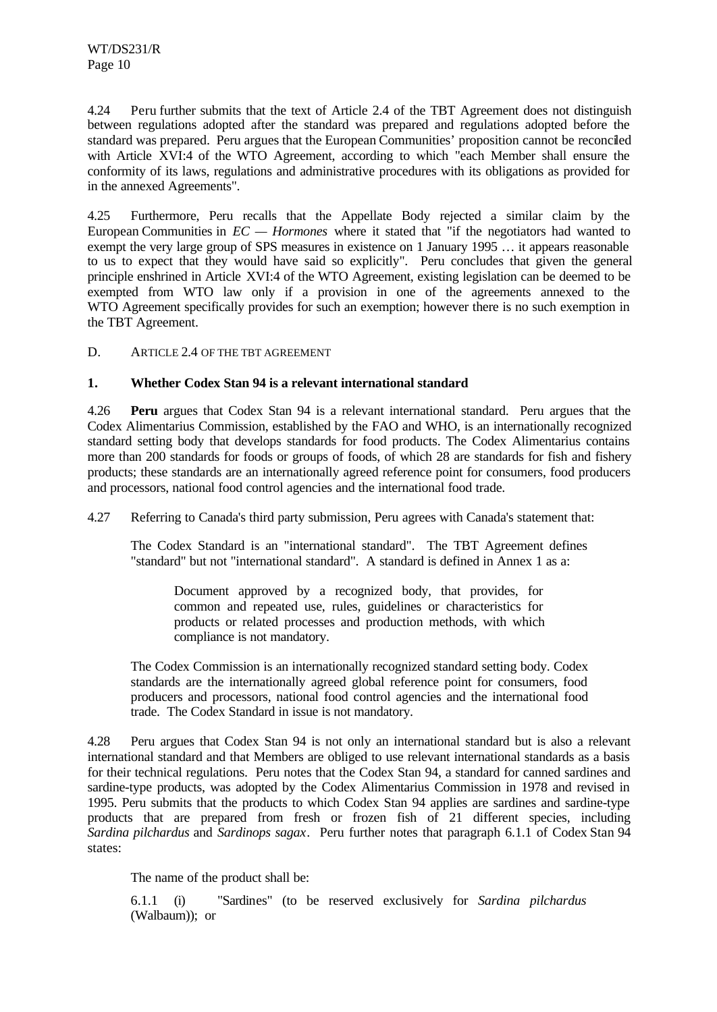4.24 Peru further submits that the text of Article 2.4 of the TBT Agreement does not distinguish between regulations adopted after the standard was prepared and regulations adopted before the standard was prepared. Peru argues that the European Communities' proposition cannot be reconciled with Article XVI:4 of the WTO Agreement, according to which "each Member shall ensure the conformity of its laws, regulations and administrative procedures with its obligations as provided for in the annexed Agreements".

4.25 Furthermore, Peru recalls that the Appellate Body rejected a similar claim by the European Communities in *EC — Hormones* where it stated that "if the negotiators had wanted to exempt the very large group of SPS measures in existence on 1 January 1995 … it appears reasonable to us to expect that they would have said so explicitly". Peru concludes that given the general principle enshrined in Article XVI:4 of the WTO Agreement, existing legislation can be deemed to be exempted from WTO law only if a provision in one of the agreements annexed to the WTO Agreement specifically provides for such an exemption; however there is no such exemption in the TBT Agreement.

#### D. ARTICLE 2.4 OF THE TBT AGREEMENT

#### **1. Whether Codex Stan 94 is a relevant international standard**

4.26 **Peru** argues that Codex Stan 94 is a relevant international standard. Peru argues that the Codex Alimentarius Commission, established by the FAO and WHO, is an internationally recognized standard setting body that develops standards for food products. The Codex Alimentarius contains more than 200 standards for foods or groups of foods, of which 28 are standards for fish and fishery products; these standards are an internationally agreed reference point for consumers, food producers and processors, national food control agencies and the international food trade.

4.27 Referring to Canada's third party submission, Peru agrees with Canada's statement that:

The Codex Standard is an "international standard". The TBT Agreement defines "standard" but not "international standard". A standard is defined in Annex 1 as a:

Document approved by a recognized body, that provides, for common and repeated use, rules, guidelines or characteristics for products or related processes and production methods, with which compliance is not mandatory.

The Codex Commission is an internationally recognized standard setting body. Codex standards are the internationally agreed global reference point for consumers, food producers and processors, national food control agencies and the international food trade. The Codex Standard in issue is not mandatory.

4.28 Peru argues that Codex Stan 94 is not only an international standard but is also a relevant international standard and that Members are obliged to use relevant international standards as a basis for their technical regulations. Peru notes that the Codex Stan 94, a standard for canned sardines and sardine-type products, was adopted by the Codex Alimentarius Commission in 1978 and revised in 1995. Peru submits that the products to which Codex Stan 94 applies are sardines and sardine-type products that are prepared from fresh or frozen fish of 21 different species, including *Sardina pilchardus* and *Sardinops sagax*. Peru further notes that paragraph 6.1.1 of Codex Stan 94 states:

The name of the product shall be:

6.1.1 (i) "Sardines" (to be reserved exclusively for *Sardina pilchardus* (Walbaum)); or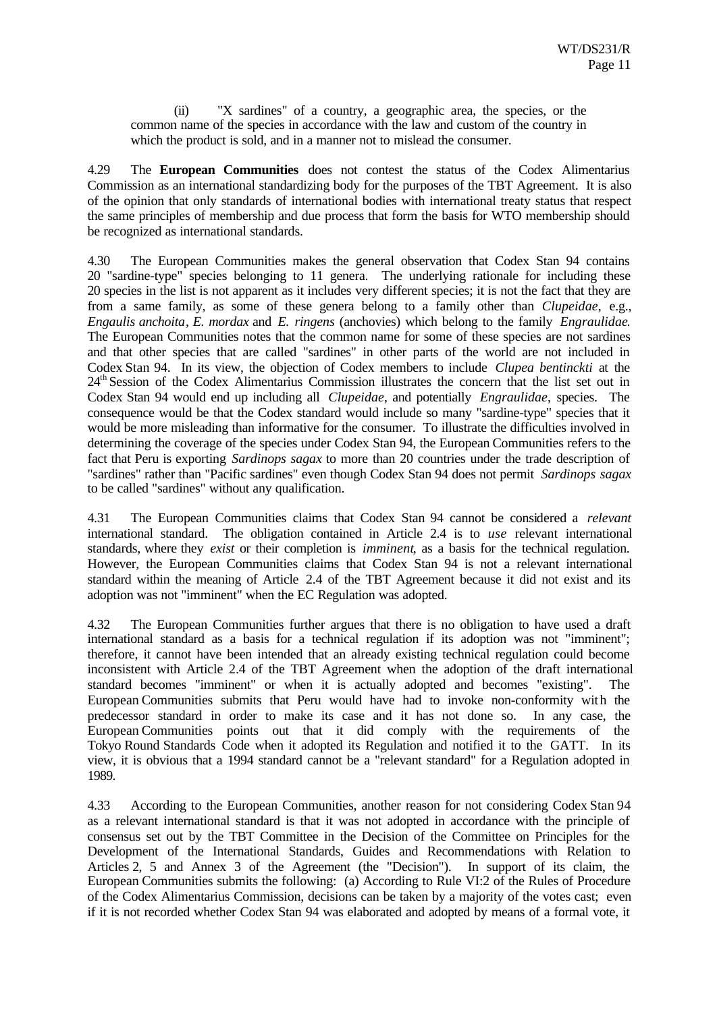(ii) "X sardines" of a country, a geographic area, the species, or the common name of the species in accordance with the law and custom of the country in which the product is sold, and in a manner not to mislead the consumer.

4.29 The **European Communities** does not contest the status of the Codex Alimentarius Commission as an international standardizing body for the purposes of the TBT Agreement. It is also of the opinion that only standards of international bodies with international treaty status that respect the same principles of membership and due process that form the basis for WTO membership should be recognized as international standards.

4.30 The European Communities makes the general observation that Codex Stan 94 contains 20 "sardine-type" species belonging to 11 genera. The underlying rationale for including these 20 species in the list is not apparent as it includes very different species; it is not the fact that they are from a same family, as some of these genera belong to a family other than *Clupeidae*, e.g., *Engaulis anchoita*, *E. mordax* and *E. ringens* (anchovies) which belong to the family *Engraulidae*. The European Communities notes that the common name for some of these species are not sardines and that other species that are called "sardines" in other parts of the world are not included in Codex Stan 94. In its view, the objection of Codex members to include *Clupea bentinckti* at the 24th Session of the Codex Alimentarius Commission illustrates the concern that the list set out in Codex Stan 94 would end up including all *Clupeidae*, and potentially *Engraulidae*, species. The consequence would be that the Codex standard would include so many "sardine-type" species that it would be more misleading than informative for the consumer. To illustrate the difficulties involved in determining the coverage of the species under Codex Stan 94, the European Communities refers to the fact that Peru is exporting *Sardinops sagax* to more than 20 countries under the trade description of "sardines" rather than "Pacific sardines" even though Codex Stan 94 does not permit *Sardinops sagax* to be called "sardines" without any qualification.

4.31 The European Communities claims that Codex Stan 94 cannot be considered a *relevant* international standard. The obligation contained in Article 2.4 is to *use* relevant international standards, where they *exist* or their completion is *imminent*, as a basis for the technical regulation. However, the European Communities claims that Codex Stan 94 is not a relevant international standard within the meaning of Article 2.4 of the TBT Agreement because it did not exist and its adoption was not "imminent" when the EC Regulation was adopted.

4.32 The European Communities further argues that there is no obligation to have used a draft international standard as a basis for a technical regulation if its adoption was not "imminent"; therefore, it cannot have been intended that an already existing technical regulation could become inconsistent with Article 2.4 of the TBT Agreement when the adoption of the draft international standard becomes "imminent" or when it is actually adopted and becomes "existing". The European Communities submits that Peru would have had to invoke non-conformity with the predecessor standard in order to make its case and it has not done so. In any case, the European Communities points out that it did comply with the requirements of the Tokyo Round Standards Code when it adopted its Regulation and notified it to the GATT. In its view, it is obvious that a 1994 standard cannot be a "relevant standard" for a Regulation adopted in 1989.

4.33 According to the European Communities, another reason for not considering Codex Stan 94 as a relevant international standard is that it was not adopted in accordance with the principle of consensus set out by the TBT Committee in the Decision of the Committee on Principles for the Development of the International Standards, Guides and Recommendations with Relation to Articles 2, 5 and Annex 3 of the Agreement (the "Decision"). In support of its claim, the European Communities submits the following: (a) According to Rule VI:2 of the Rules of Procedure of the Codex Alimentarius Commission, decisions can be taken by a majority of the votes cast; even if it is not recorded whether Codex Stan 94 was elaborated and adopted by means of a formal vote, it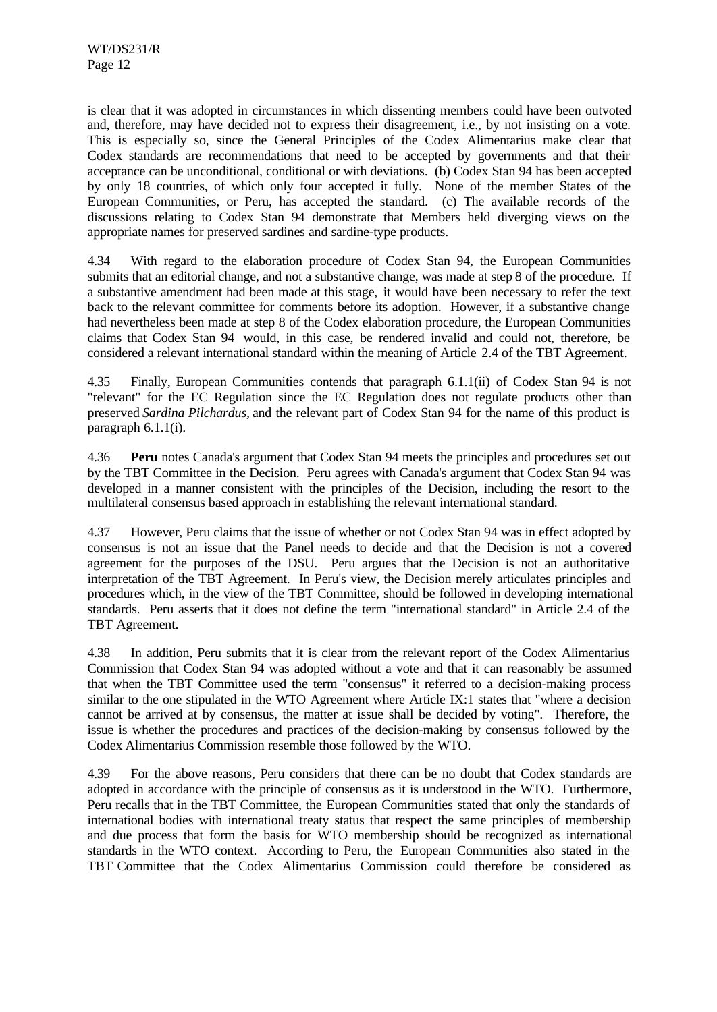is clear that it was adopted in circumstances in which dissenting members could have been outvoted and, therefore, may have decided not to express their disagreement, i.e., by not insisting on a vote. This is especially so, since the General Principles of the Codex Alimentarius make clear that Codex standards are recommendations that need to be accepted by governments and that their acceptance can be unconditional, conditional or with deviations. (b) Codex Stan 94 has been accepted by only 18 countries, of which only four accepted it fully. None of the member States of the European Communities, or Peru, has accepted the standard. (c) The available records of the discussions relating to Codex Stan 94 demonstrate that Members held diverging views on the appropriate names for preserved sardines and sardine-type products.

4.34 With regard to the elaboration procedure of Codex Stan 94, the European Communities submits that an editorial change, and not a substantive change, was made at step 8 of the procedure. If a substantive amendment had been made at this stage, it would have been necessary to refer the text back to the relevant committee for comments before its adoption. However, if a substantive change had nevertheless been made at step 8 of the Codex elaboration procedure, the European Communities claims that Codex Stan 94 would, in this case, be rendered invalid and could not, therefore, be considered a relevant international standard within the meaning of Article 2.4 of the TBT Agreement.

4.35 Finally, European Communities contends that paragraph 6.1.1(ii) of Codex Stan 94 is not "relevant" for the EC Regulation since the EC Regulation does not regulate products other than preserved *Sardina Pilchardus,* and the relevant part of Codex Stan 94 for the name of this product is paragraph 6.1.1(i).

4.36 **Peru** notes Canada's argument that Codex Stan 94 meets the principles and procedures set out by the TBT Committee in the Decision. Peru agrees with Canada's argument that Codex Stan 94 was developed in a manner consistent with the principles of the Decision, including the resort to the multilateral consensus based approach in establishing the relevant international standard.

4.37 However, Peru claims that the issue of whether or not Codex Stan 94 was in effect adopted by consensus is not an issue that the Panel needs to decide and that the Decision is not a covered agreement for the purposes of the DSU. Peru argues that the Decision is not an authoritative interpretation of the TBT Agreement. In Peru's view, the Decision merely articulates principles and procedures which, in the view of the TBT Committee, should be followed in developing international standards. Peru asserts that it does not define the term "international standard" in Article 2.4 of the TBT Agreement.

4.38 In addition, Peru submits that it is clear from the relevant report of the Codex Alimentarius Commission that Codex Stan 94 was adopted without a vote and that it can reasonably be assumed that when the TBT Committee used the term "consensus" it referred to a decision-making process similar to the one stipulated in the WTO Agreement where Article IX:1 states that "where a decision cannot be arrived at by consensus, the matter at issue shall be decided by voting". Therefore, the issue is whether the procedures and practices of the decision-making by consensus followed by the Codex Alimentarius Commission resemble those followed by the WTO.

4.39 For the above reasons, Peru considers that there can be no doubt that Codex standards are adopted in accordance with the principle of consensus as it is understood in the WTO. Furthermore, Peru recalls that in the TBT Committee, the European Communities stated that only the standards of international bodies with international treaty status that respect the same principles of membership and due process that form the basis for WTO membership should be recognized as international standards in the WTO context. According to Peru, the European Communities also stated in the TBT Committee that the Codex Alimentarius Commission could therefore be considered as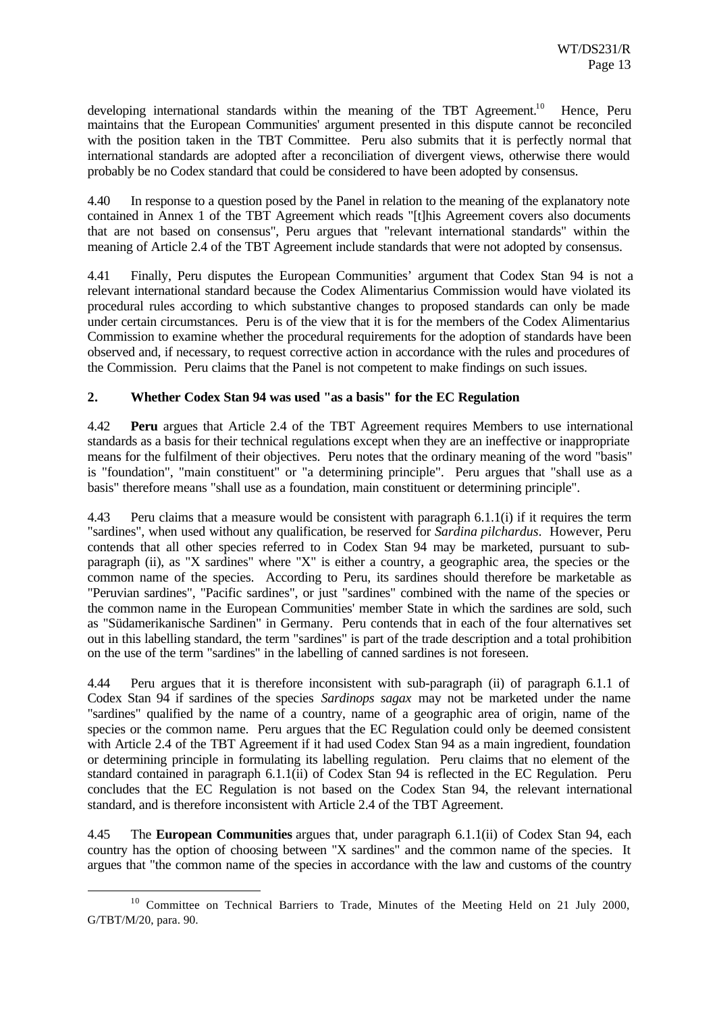developing international standards within the meaning of the TBT Agreement.<sup>10</sup> Hence, Peru maintains that the European Communities' argument presented in this dispute cannot be reconciled with the position taken in the TBT Committee. Peru also submits that it is perfectly normal that international standards are adopted after a reconciliation of divergent views, otherwise there would probably be no Codex standard that could be considered to have been adopted by consensus.

4.40 In response to a question posed by the Panel in relation to the meaning of the explanatory note contained in Annex 1 of the TBT Agreement which reads "[t]his Agreement covers also documents that are not based on consensus", Peru argues that "relevant international standards" within the meaning of Article 2.4 of the TBT Agreement include standards that were not adopted by consensus.

4.41 Finally, Peru disputes the European Communities' argument that Codex Stan 94 is not a relevant international standard because the Codex Alimentarius Commission would have violated its procedural rules according to which substantive changes to proposed standards can only be made under certain circumstances. Peru is of the view that it is for the members of the Codex Alimentarius Commission to examine whether the procedural requirements for the adoption of standards have been observed and, if necessary, to request corrective action in accordance with the rules and procedures of the Commission. Peru claims that the Panel is not competent to make findings on such issues.

#### **2. Whether Codex Stan 94 was used "as a basis" for the EC Regulation**

4.42 **Peru** argues that Article 2.4 of the TBT Agreement requires Members to use international standards as a basis for their technical regulations except when they are an ineffective or inappropriate means for the fulfilment of their objectives. Peru notes that the ordinary meaning of the word "basis" is "foundation", "main constituent" or "a determining principle". Peru argues that "shall use as a basis" therefore means "shall use as a foundation, main constituent or determining principle".

4.43 Peru claims that a measure would be consistent with paragraph 6.1.1(i) if it requires the term "sardines", when used without any qualification, be reserved for *Sardina pilchardus*. However, Peru contends that all other species referred to in Codex Stan 94 may be marketed, pursuant to subparagraph (ii), as "X sardines" where "X" is either a country, a geographic area, the species or the common name of the species. According to Peru, its sardines should therefore be marketable as "Peruvian sardines", "Pacific sardines", or just "sardines" combined with the name of the species or the common name in the European Communities' member State in which the sardines are sold, such as "Südamerikanische Sardinen" in Germany. Peru contends that in each of the four alternatives set out in this labelling standard, the term "sardines" is part of the trade description and a total prohibition on the use of the term "sardines" in the labelling of canned sardines is not foreseen.

4.44 Peru argues that it is therefore inconsistent with sub-paragraph (ii) of paragraph 6.1.1 of Codex Stan 94 if sardines of the species *Sardinops sagax* may not be marketed under the name "sardines" qualified by the name of a country, name of a geographic area of origin, name of the species or the common name. Peru argues that the EC Regulation could only be deemed consistent with Article 2.4 of the TBT Agreement if it had used Codex Stan 94 as a main ingredient, foundation or determining principle in formulating its labelling regulation. Peru claims that no element of the standard contained in paragraph 6.1.1(ii) of Codex Stan 94 is reflected in the EC Regulation. Peru concludes that the EC Regulation is not based on the Codex Stan 94, the relevant international standard, and is therefore inconsistent with Article 2.4 of the TBT Agreement.

4.45 The **European Communities** argues that, under paragraph 6.1.1(ii) of Codex Stan 94, each country has the option of choosing between "X sardines" and the common name of the species. It argues that "the common name of the species in accordance with the law and customs of the country

<sup>&</sup>lt;sup>10</sup> Committee on Technical Barriers to Trade, Minutes of the Meeting Held on 21 July 2000, G/TBT/M/20, para. 90.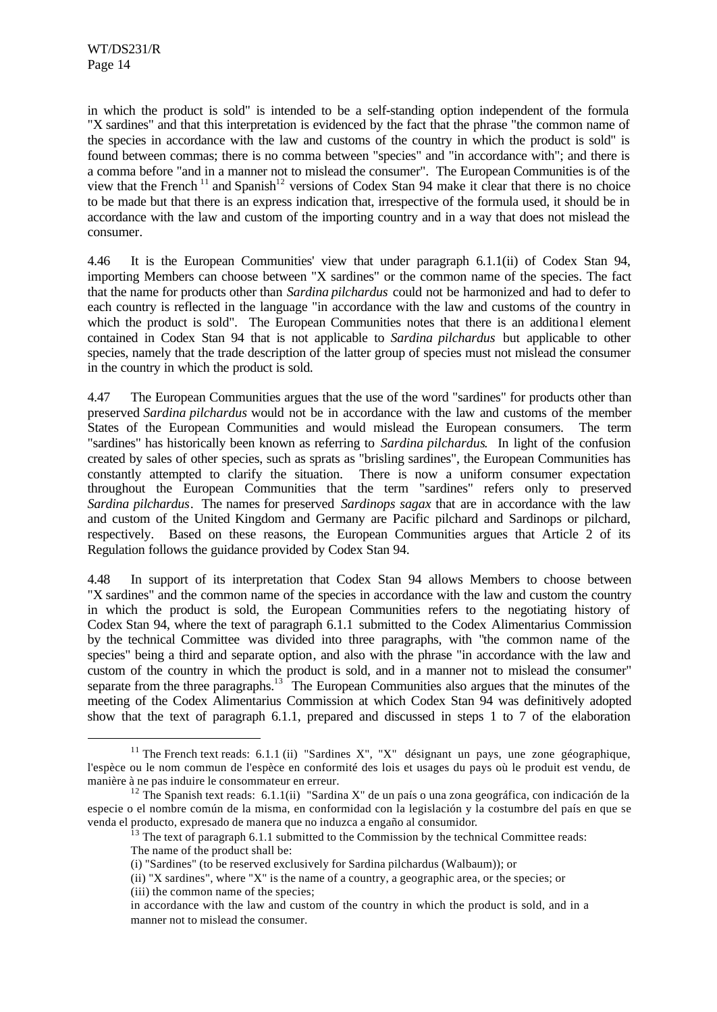in which the product is sold" is intended to be a self-standing option independent of the formula "X sardines" and that this interpretation is evidenced by the fact that the phrase "the common name of the species in accordance with the law and customs of the country in which the product is sold" is found between commas; there is no comma between "species" and "in accordance with"; and there is a comma before "and in a manner not to mislead the consumer". The European Communities is of the view that the French<sup> $11$ </sup> and Spanish<sup>12</sup> versions of Codex Stan 94 make it clear that there is no choice to be made but that there is an express indication that, irrespective of the formula used, it should be in accordance with the law and custom of the importing country and in a way that does not mislead the consumer.

4.46 It is the European Communities' view that under paragraph 6.1.1(ii) of Codex Stan 94, importing Members can choose between "X sardines" or the common name of the species. The fact that the name for products other than *Sardina pilchardus* could not be harmonized and had to defer to each country is reflected in the language "in accordance with the law and customs of the country in which the product is sold". The European Communities notes that there is an additional element contained in Codex Stan 94 that is not applicable to *Sardina pilchardus* but applicable to other species, namely that the trade description of the latter group of species must not mislead the consumer in the country in which the product is sold.

4.47 The European Communities argues that the use of the word "sardines" for products other than preserved *Sardina pilchardus* would not be in accordance with the law and customs of the member States of the European Communities and would mislead the European consumers. The term "sardines" has historically been known as referring to *Sardina pilchardus*. In light of the confusion created by sales of other species, such as sprats as "brisling sardines", the European Communities has constantly attempted to clarify the situation. There is now a uniform consumer expectation throughout the European Communities that the term "sardines" refers only to preserved *Sardina pilchardus*. The names for preserved *Sardinops sagax* that are in accordance with the law and custom of the United Kingdom and Germany are Pacific pilchard and Sardinops or pilchard, respectively. Based on these reasons, the European Communities argues that Article 2 of its Regulation follows the guidance provided by Codex Stan 94.

4.48 In support of its interpretation that Codex Stan 94 allows Members to choose between "X sardines" and the common name of the species in accordance with the law and custom the country in which the product is sold, the European Communities refers to the negotiating history of Codex Stan 94, where the text of paragraph 6.1.1 submitted to the Codex Alimentarius Commission by the technical Committee was divided into three paragraphs, with "the common name of the species" being a third and separate option, and also with the phrase "in accordance with the law and custom of the country in which the product is sold, and in a manner not to mislead the consumer" separate from the three paragraphs.<sup>13</sup> The European Communities also argues that the minutes of the meeting of the Codex Alimentarius Commission at which Codex Stan 94 was definitively adopted show that the text of paragraph 6.1.1, prepared and discussed in steps 1 to 7 of the elaboration

<sup>&</sup>lt;sup>11</sup> The French text reads: 6.1.1 (ii) "Sardines X", "X" désignant un pays, une zone géographique, l'espèce ou le nom commun de l'espèce en conformité des lois et usages du pays où le produit est vendu, de manière à ne pas induire le consommateur en erreur.

<sup>&</sup>lt;sup>12</sup> The Spanish text reads: 6.1.1(ii) "Sardina X" de un país o una zona geográfica, con indicación de la especie o el nombre común de la misma, en conformidad con la legislación y la costumbre del país en que se venda el producto, expresado de manera que no induzca a engaño al consumidor.

 $\frac{13}{13}$  The text of paragraph 6.1.1 submitted to the Commission by the technical Committee reads:

The name of the product shall be:

<sup>(</sup>i) "Sardines" (to be reserved exclusively for Sardina pilchardus (Walbaum)); or

<sup>(</sup>ii) "X sardines", where "X" is the name of a country, a geographic area, or the species; or (iii) the common name of the species;

in accordance with the law and custom of the country in which the product is sold, and in a manner not to mislead the consumer.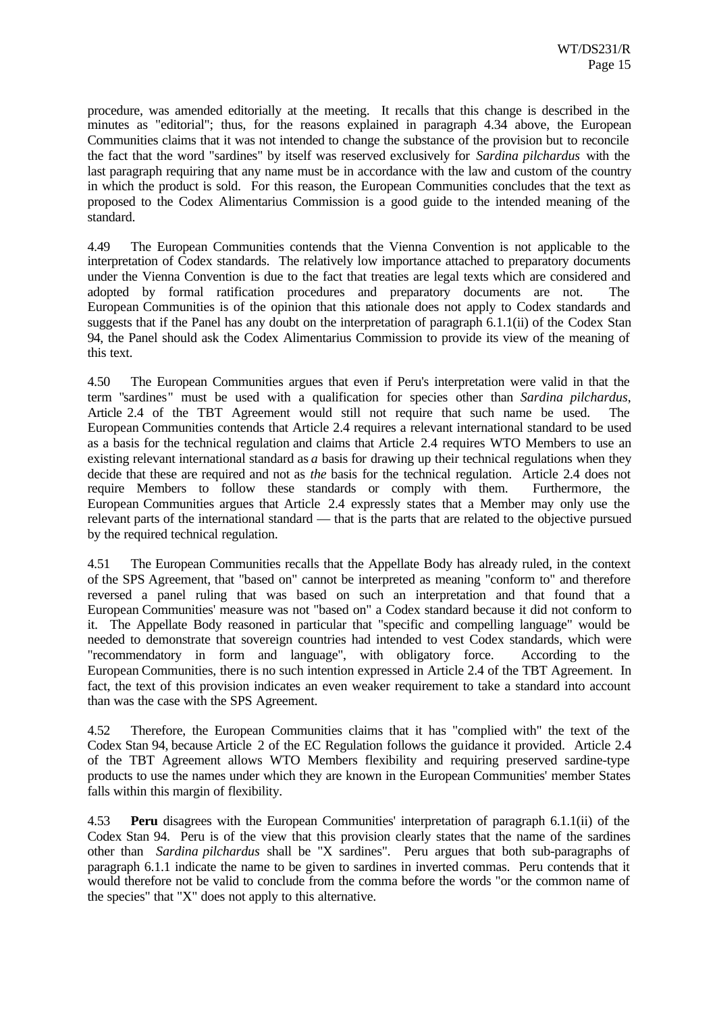procedure, was amended editorially at the meeting. It recalls that this change is described in the minutes as "editorial"; thus, for the reasons explained in paragraph 4.34 above, the European Communities claims that it was not intended to change the substance of the provision but to reconcile the fact that the word "sardines" by itself was reserved exclusively for *Sardina pilchardus* with the last paragraph requiring that any name must be in accordance with the law and custom of the country in which the product is sold. For this reason, the European Communities concludes that the text as proposed to the Codex Alimentarius Commission is a good guide to the intended meaning of the standard.

4.49 The European Communities contends that the Vienna Convention is not applicable to the interpretation of Codex standards. The relatively low importance attached to preparatory documents under the Vienna Convention is due to the fact that treaties are legal texts which are considered and adopted by formal ratification procedures and preparatory documents are not. The European Communities is of the opinion that this rationale does not apply to Codex standards and suggests that if the Panel has any doubt on the interpretation of paragraph 6.1.1(ii) of the Codex Stan 94, the Panel should ask the Codex Alimentarius Commission to provide its view of the meaning of this text.

4.50 The European Communities argues that even if Peru's interpretation were valid in that the term "sardines" must be used with a qualification for species other than *Sardina pilchardus*, Article 2.4 of the TBT Agreement would still not require that such name be used. The European Communities contends that Article 2.4 requires a relevant international standard to be used as a basis for the technical regulation and claims that Article 2.4 requires WTO Members to use an existing relevant international standard as *a* basis for drawing up their technical regulations when they decide that these are required and not as *the* basis for the technical regulation. Article 2.4 does not require Members to follow these standards or comply with them. Furthermore, the European Communities argues that Article 2.4 expressly states that a Member may only use the relevant parts of the international standard — that is the parts that are related to the objective pursued by the required technical regulation.

4.51 The European Communities recalls that the Appellate Body has already ruled, in the context of the SPS Agreement, that "based on" cannot be interpreted as meaning "conform to" and therefore reversed a panel ruling that was based on such an interpretation and that found that a European Communities' measure was not "based on" a Codex standard because it did not conform to it. The Appellate Body reasoned in particular that "specific and compelling language" would be needed to demonstrate that sovereign countries had intended to vest Codex standards, which were "recommendatory in form and language", with obligatory force. According to the European Communities, there is no such intention expressed in Article 2.4 of the TBT Agreement. In fact, the text of this provision indicates an even weaker requirement to take a standard into account than was the case with the SPS Agreement.

4.52 Therefore, the European Communities claims that it has "complied with" the text of the Codex Stan 94, because Article 2 of the EC Regulation follows the guidance it provided. Article 2.4 of the TBT Agreement allows WTO Members flexibility and requiring preserved sardine-type products to use the names under which they are known in the European Communities' member States falls within this margin of flexibility.

4.53 **Peru** disagrees with the European Communities' interpretation of paragraph 6.1.1(ii) of the Codex Stan 94. Peru is of the view that this provision clearly states that the name of the sardines other than *Sardina pilchardus* shall be "X sardines". Peru argues that both sub-paragraphs of paragraph 6.1.1 indicate the name to be given to sardines in inverted commas. Peru contends that it would therefore not be valid to conclude from the comma before the words "or the common name of the species" that "X" does not apply to this alternative.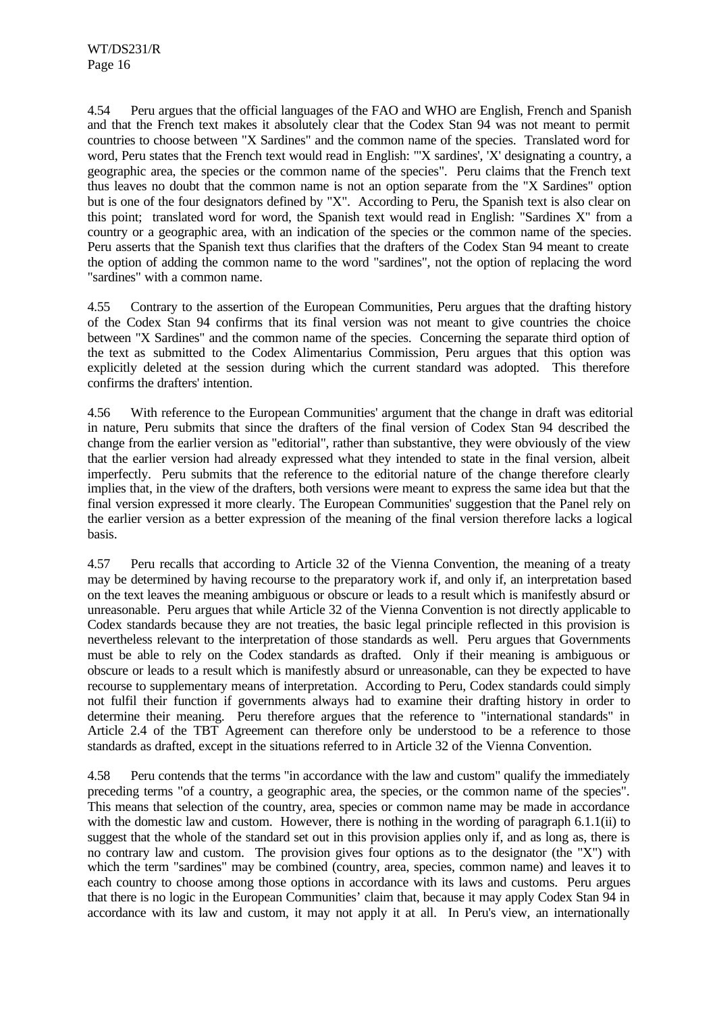4.54 Peru argues that the official languages of the FAO and WHO are English, French and Spanish and that the French text makes it absolutely clear that the Codex Stan 94 was not meant to permit countries to choose between "X Sardines" and the common name of the species. Translated word for word, Peru states that the French text would read in English: "'X sardines', 'X' designating a country, a geographic area, the species or the common name of the species". Peru claims that the French text thus leaves no doubt that the common name is not an option separate from the "X Sardines" option but is one of the four designators defined by "X". According to Peru, the Spanish text is also clear on this point; translated word for word, the Spanish text would read in English: "Sardines X" from a country or a geographic area, with an indication of the species or the common name of the species. Peru asserts that the Spanish text thus clarifies that the drafters of the Codex Stan 94 meant to create the option of adding the common name to the word "sardines", not the option of replacing the word "sardines" with a common name.

4.55 Contrary to the assertion of the European Communities, Peru argues that the drafting history of the Codex Stan 94 confirms that its final version was not meant to give countries the choice between "X Sardines" and the common name of the species. Concerning the separate third option of the text as submitted to the Codex Alimentarius Commission, Peru argues that this option was explicitly deleted at the session during which the current standard was adopted. This therefore confirms the drafters' intention.

4.56 With reference to the European Communities' argument that the change in draft was editorial in nature, Peru submits that since the drafters of the final version of Codex Stan 94 described the change from the earlier version as "editorial", rather than substantive, they were obviously of the view that the earlier version had already expressed what they intended to state in the final version, albeit imperfectly. Peru submits that the reference to the editorial nature of the change therefore clearly implies that, in the view of the drafters, both versions were meant to express the same idea but that the final version expressed it more clearly. The European Communities' suggestion that the Panel rely on the earlier version as a better expression of the meaning of the final version therefore lacks a logical basis.

4.57 Peru recalls that according to Article 32 of the Vienna Convention, the meaning of a treaty may be determined by having recourse to the preparatory work if, and only if, an interpretation based on the text leaves the meaning ambiguous or obscure or leads to a result which is manifestly absurd or unreasonable. Peru argues that while Article 32 of the Vienna Convention is not directly applicable to Codex standards because they are not treaties, the basic legal principle reflected in this provision is nevertheless relevant to the interpretation of those standards as well. Peru argues that Governments must be able to rely on the Codex standards as drafted. Only if their meaning is ambiguous or obscure or leads to a result which is manifestly absurd or unreasonable, can they be expected to have recourse to supplementary means of interpretation. According to Peru, Codex standards could simply not fulfil their function if governments always had to examine their drafting history in order to determine their meaning. Peru therefore argues that the reference to "international standards" in Article 2.4 of the TBT Agreement can therefore only be understood to be a reference to those standards as drafted, except in the situations referred to in Article 32 of the Vienna Convention.

4.58 Peru contends that the terms "in accordance with the law and custom" qualify the immediately preceding terms "of a country, a geographic area, the species, or the common name of the species". This means that selection of the country, area, species or common name may be made in accordance with the domestic law and custom. However, there is nothing in the wording of paragraph 6.1.1(ii) to suggest that the whole of the standard set out in this provision applies only if, and as long as, there is no contrary law and custom. The provision gives four options as to the designator (the "X") with which the term "sardines" may be combined (country, area, species, common name) and leaves it to each country to choose among those options in accordance with its laws and customs. Peru argues that there is no logic in the European Communities' claim that, because it may apply Codex Stan 94 in accordance with its law and custom, it may not apply it at all. In Peru's view, an internationally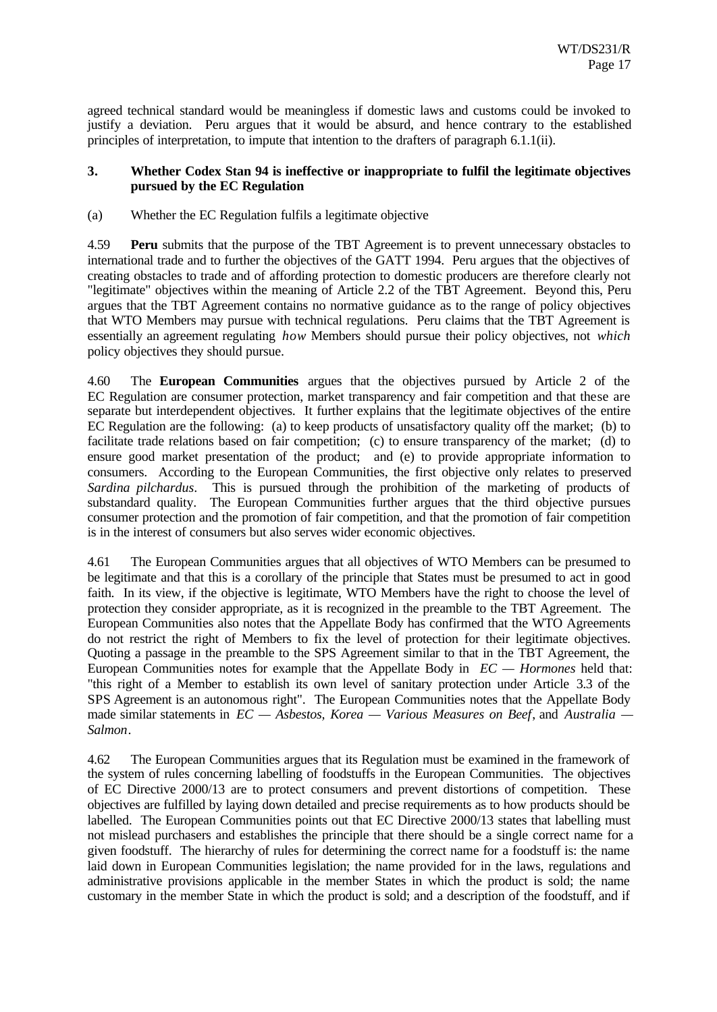agreed technical standard would be meaningless if domestic laws and customs could be invoked to justify a deviation. Peru argues that it would be absurd, and hence contrary to the established principles of interpretation, to impute that intention to the drafters of paragraph 6.1.1(ii).

#### **3. Whether Codex Stan 94 is ineffective or inappropriate to fulfil the legitimate objectives pursued by the EC Regulation**

#### (a) Whether the EC Regulation fulfils a legitimate objective

4.59 **Peru** submits that the purpose of the TBT Agreement is to prevent unnecessary obstacles to international trade and to further the objectives of the GATT 1994. Peru argues that the objectives of creating obstacles to trade and of affording protection to domestic producers are therefore clearly not "legitimate" objectives within the meaning of Article 2.2 of the TBT Agreement. Beyond this, Peru argues that the TBT Agreement contains no normative guidance as to the range of policy objectives that WTO Members may pursue with technical regulations. Peru claims that the TBT Agreement is essentially an agreement regulating *how* Members should pursue their policy objectives, not *which* policy objectives they should pursue.

4.60 The **European Communities** argues that the objectives pursued by Article 2 of the EC Regulation are consumer protection, market transparency and fair competition and that these are separate but interdependent objectives. It further explains that the legitimate objectives of the entire EC Regulation are the following: (a) to keep products of unsatisfactory quality off the market; (b) to facilitate trade relations based on fair competition; (c) to ensure transparency of the market; (d) to ensure good market presentation of the product; and (e) to provide appropriate information to consumers. According to the European Communities, the first objective only relates to preserved *Sardina pilchardus*. This is pursued through the prohibition of the marketing of products of substandard quality. The European Communities further argues that the third objective pursues consumer protection and the promotion of fair competition, and that the promotion of fair competition is in the interest of consumers but also serves wider economic objectives.

4.61 The European Communities argues that all objectives of WTO Members can be presumed to be legitimate and that this is a corollary of the principle that States must be presumed to act in good faith. In its view, if the objective is legitimate, WTO Members have the right to choose the level of protection they consider appropriate, as it is recognized in the preamble to the TBT Agreement. The European Communities also notes that the Appellate Body has confirmed that the WTO Agreements do not restrict the right of Members to fix the level of protection for their legitimate objectives. Quoting a passage in the preamble to the SPS Agreement similar to that in the TBT Agreement, the European Communities notes for example that the Appellate Body in *EC — Hormones* held that: "this right of a Member to establish its own level of sanitary protection under Article 3.3 of the SPS Agreement is an autonomous right". The European Communities notes that the Appellate Body made similar statements in *EC — Asbestos, Korea — Various Measures on Beef*, and *Australia — Salmon*.

4.62 The European Communities argues that its Regulation must be examined in the framework of the system of rules concerning labelling of foodstuffs in the European Communities. The objectives of EC Directive 2000/13 are to protect consumers and prevent distortions of competition. These objectives are fulfilled by laying down detailed and precise requirements as to how products should be labelled. The European Communities points out that EC Directive 2000/13 states that labelling must not mislead purchasers and establishes the principle that there should be a single correct name for a given foodstuff. The hierarchy of rules for determining the correct name for a foodstuff is: the name laid down in European Communities legislation; the name provided for in the laws, regulations and administrative provisions applicable in the member States in which the product is sold; the name customary in the member State in which the product is sold; and a description of the foodstuff, and if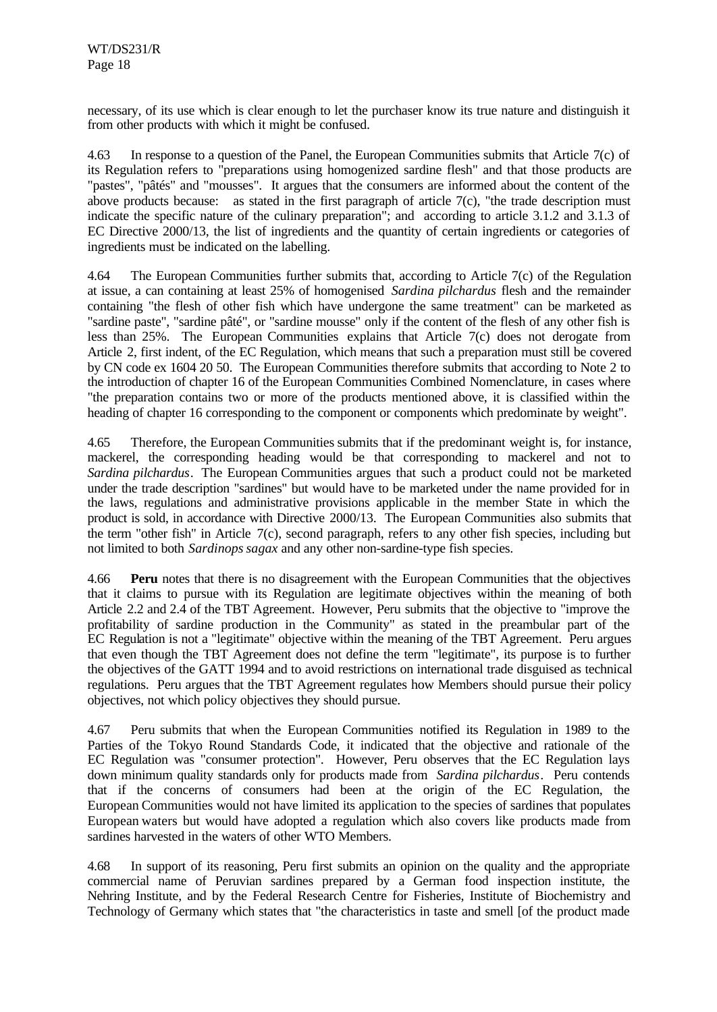necessary, of its use which is clear enough to let the purchaser know its true nature and distinguish it from other products with which it might be confused.

4.63 In response to a question of the Panel, the European Communities submits that Article 7(c) of its Regulation refers to "preparations using homogenized sardine flesh" and that those products are "pastes", "pâtés" and "mousses". It argues that the consumers are informed about the content of the above products because: as stated in the first paragraph of article 7(c), "the trade description must indicate the specific nature of the culinary preparation"; and according to article 3.1.2 and 3.1.3 of EC Directive 2000/13, the list of ingredients and the quantity of certain ingredients or categories of ingredients must be indicated on the labelling.

4.64 The European Communities further submits that, according to Article 7(c) of the Regulation at issue, a can containing at least 25% of homogenised *Sardina pilchardus* flesh and the remainder containing "the flesh of other fish which have undergone the same treatment" can be marketed as "sardine paste", "sardine pâté", or "sardine mousse" only if the content of the flesh of any other fish is less than 25%. The European Communities explains that Article 7(c) does not derogate from Article 2, first indent, of the EC Regulation, which means that such a preparation must still be covered by CN code ex 1604 20 50. The European Communities therefore submits that according to Note 2 to the introduction of chapter 16 of the European Communities Combined Nomenclature, in cases where "the preparation contains two or more of the products mentioned above, it is classified within the heading of chapter 16 corresponding to the component or components which predominate by weight".

4.65 Therefore, the European Communities submits that if the predominant weight is, for instance, mackerel, the corresponding heading would be that corresponding to mackerel and not to *Sardina pilchardus*. The European Communities argues that such a product could not be marketed under the trade description "sardines" but would have to be marketed under the name provided for in the laws, regulations and administrative provisions applicable in the member State in which the product is sold, in accordance with Directive 2000/13. The European Communities also submits that the term "other fish" in Article 7(c), second paragraph, refers to any other fish species, including but not limited to both *Sardinops sagax* and any other non-sardine-type fish species.

4.66 **Peru** notes that there is no disagreement with the European Communities that the objectives that it claims to pursue with its Regulation are legitimate objectives within the meaning of both Article 2.2 and 2.4 of the TBT Agreement. However, Peru submits that the objective to "improve the profitability of sardine production in the Community" as stated in the preambular part of the EC Regulation is not a "legitimate" objective within the meaning of the TBT Agreement. Peru argues that even though the TBT Agreement does not define the term "legitimate", its purpose is to further the objectives of the GATT 1994 and to avoid restrictions on international trade disguised as technical regulations. Peru argues that the TBT Agreement regulates how Members should pursue their policy objectives, not which policy objectives they should pursue.

4.67 Peru submits that when the European Communities notified its Regulation in 1989 to the Parties of the Tokyo Round Standards Code, it indicated that the objective and rationale of the EC Regulation was "consumer protection". However, Peru observes that the EC Regulation lays down minimum quality standards only for products made from *Sardina pilchardus*. Peru contends that if the concerns of consumers had been at the origin of the EC Regulation, the European Communities would not have limited its application to the species of sardines that populates European waters but would have adopted a regulation which also covers like products made from sardines harvested in the waters of other WTO Members.

4.68 In support of its reasoning, Peru first submits an opinion on the quality and the appropriate commercial name of Peruvian sardines prepared by a German food inspection institute, the Nehring Institute, and by the Federal Research Centre for Fisheries, Institute of Biochemistry and Technology of Germany which states that "the characteristics in taste and smell [of the product made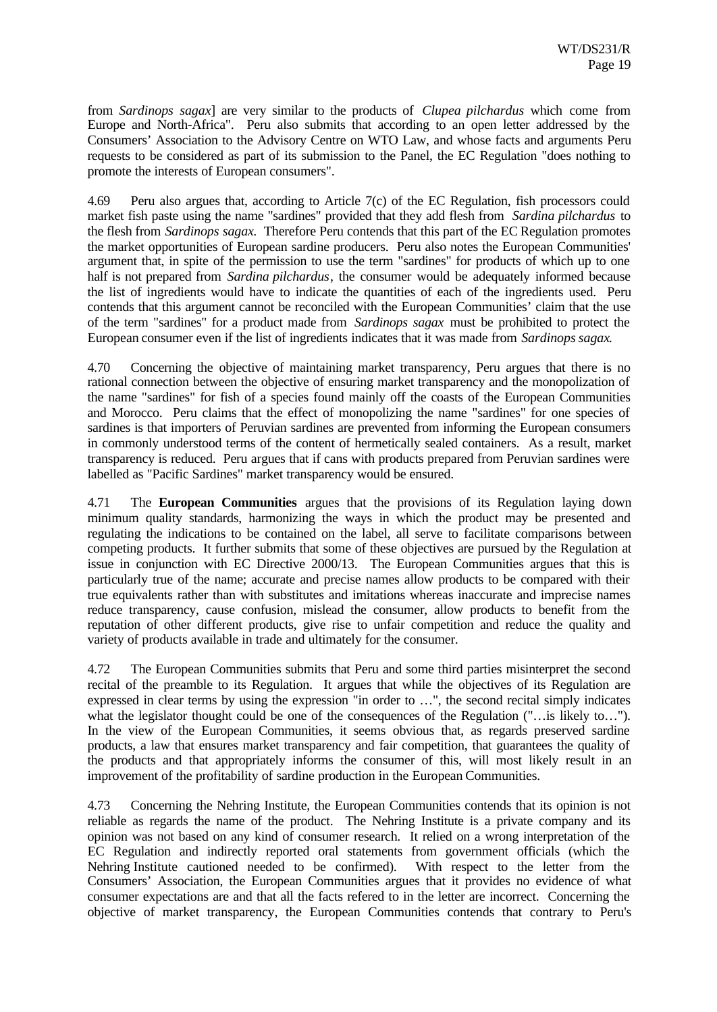from *Sardinops sagax*] are very similar to the products of *Clupea pilchardus* which come from Europe and North-Africa". Peru also submits that according to an open letter addressed by the Consumers' Association to the Advisory Centre on WTO Law, and whose facts and arguments Peru requests to be considered as part of its submission to the Panel, the EC Regulation "does nothing to promote the interests of European consumers".

4.69 Peru also argues that, according to Article 7(c) of the EC Regulation, fish processors could market fish paste using the name "sardines" provided that they add flesh from *Sardina pilchardus* to the flesh from *Sardinops sagax.* Therefore Peru contends that this part of the EC Regulation promotes the market opportunities of European sardine producers. Peru also notes the European Communities' argument that, in spite of the permission to use the term "sardines" for products of which up to one half is not prepared from *Sardina pilchardus*, the consumer would be adequately informed because the list of ingredients would have to indicate the quantities of each of the ingredients used. Peru contends that this argument cannot be reconciled with the European Communities' claim that the use of the term "sardines" for a product made from *Sardinops sagax* must be prohibited to protect the European consumer even if the list of ingredients indicates that it was made from *Sardinops sagax*.

4.70 Concerning the objective of maintaining market transparency, Peru argues that there is no rational connection between the objective of ensuring market transparency and the monopolization of the name "sardines" for fish of a species found mainly off the coasts of the European Communities and Morocco. Peru claims that the effect of monopolizing the name "sardines" for one species of sardines is that importers of Peruvian sardines are prevented from informing the European consumers in commonly understood terms of the content of hermetically sealed containers. As a result, market transparency is reduced. Peru argues that if cans with products prepared from Peruvian sardines were labelled as "Pacific Sardines" market transparency would be ensured.

4.71 The **European Communities** argues that the provisions of its Regulation laying down minimum quality standards, harmonizing the ways in which the product may be presented and regulating the indications to be contained on the label, all serve to facilitate comparisons between competing products. It further submits that some of these objectives are pursued by the Regulation at issue in conjunction with EC Directive 2000/13. The European Communities argues that this is particularly true of the name; accurate and precise names allow products to be compared with their true equivalents rather than with substitutes and imitations whereas inaccurate and imprecise names reduce transparency, cause confusion, mislead the consumer, allow products to benefit from the reputation of other different products, give rise to unfair competition and reduce the quality and variety of products available in trade and ultimately for the consumer.

4.72 The European Communities submits that Peru and some third parties misinterpret the second recital of the preamble to its Regulation. It argues that while the objectives of its Regulation are expressed in clear terms by using the expression "in order to …", the second recital simply indicates what the legislator thought could be one of the consequences of the Regulation ("…is likely to…"). In the view of the European Communities, it seems obvious that, as regards preserved sardine products, a law that ensures market transparency and fair competition, that guarantees the quality of the products and that appropriately informs the consumer of this, will most likely result in an improvement of the profitability of sardine production in the European Communities.

4.73 Concerning the Nehring Institute, the European Communities contends that its opinion is not reliable as regards the name of the product. The Nehring Institute is a private company and its opinion was not based on any kind of consumer research. It relied on a wrong interpretation of the EC Regulation and indirectly reported oral statements from government officials (which the Nehring Institute cautioned needed to be confirmed). With respect to the letter from the Consumers' Association, the European Communities argues that it provides no evidence of what consumer expectations are and that all the facts refered to in the letter are incorrect. Concerning the objective of market transparency, the European Communities contends that contrary to Peru's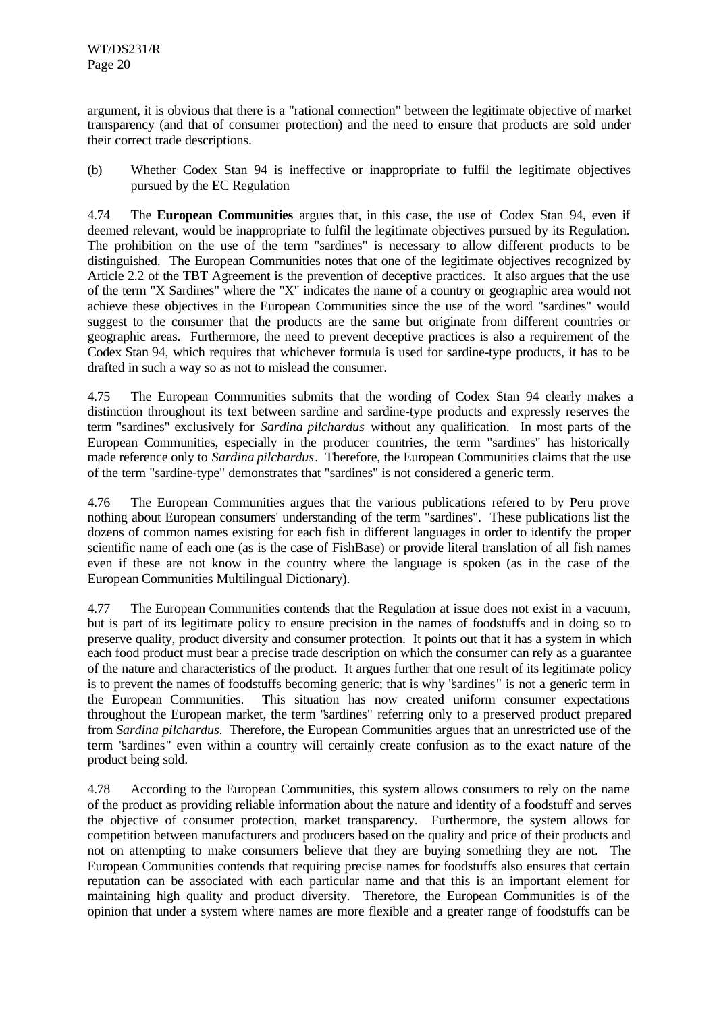argument, it is obvious that there is a "rational connection" between the legitimate objective of market transparency (and that of consumer protection) and the need to ensure that products are sold under their correct trade descriptions.

(b) Whether Codex Stan 94 is ineffective or inappropriate to fulfil the legitimate objectives pursued by the EC Regulation

4.74 The **European Communities** argues that, in this case, the use of Codex Stan 94, even if deemed relevant, would be inappropriate to fulfil the legitimate objectives pursued by its Regulation. The prohibition on the use of the term "sardines" is necessary to allow different products to be distinguished. The European Communities notes that one of the legitimate objectives recognized by Article 2.2 of the TBT Agreement is the prevention of deceptive practices. It also argues that the use of the term "X Sardines" where the "X" indicates the name of a country or geographic area would not achieve these objectives in the European Communities since the use of the word "sardines" would suggest to the consumer that the products are the same but originate from different countries or geographic areas. Furthermore, the need to prevent deceptive practices is also a requirement of the Codex Stan 94, which requires that whichever formula is used for sardine-type products, it has to be drafted in such a way so as not to mislead the consumer.

4.75 The European Communities submits that the wording of Codex Stan 94 clearly makes a distinction throughout its text between sardine and sardine-type products and expressly reserves the term "sardines" exclusively for *Sardina pilchardus* without any qualification. In most parts of the European Communities, especially in the producer countries, the term "sardines" has historically made reference only to *Sardina pilchardus*. Therefore, the European Communities claims that the use of the term "sardine-type" demonstrates that "sardines" is not considered a generic term.

4.76 The European Communities argues that the various publications refered to by Peru prove nothing about European consumers' understanding of the term "sardines". These publications list the dozens of common names existing for each fish in different languages in order to identify the proper scientific name of each one (as is the case of FishBase) or provide literal translation of all fish names even if these are not know in the country where the language is spoken (as in the case of the European Communities Multilingual Dictionary).

4.77 The European Communities contends that the Regulation at issue does not exist in a vacuum, but is part of its legitimate policy to ensure precision in the names of foodstuffs and in doing so to preserve quality, product diversity and consumer protection. It points out that it has a system in which each food product must bear a precise trade description on which the consumer can rely as a guarantee of the nature and characteristics of the product. It argues further that one result of its legitimate policy is to prevent the names of foodstuffs becoming generic; that is why "sardines" is not a generic term in the European Communities. This situation has now created uniform consumer expectations throughout the European market, the term "sardines" referring only to a preserved product prepared from *Sardina pilchardus*. Therefore, the European Communities argues that an unrestricted use of the term "sardines" even within a country will certainly create confusion as to the exact nature of the product being sold.

4.78 According to the European Communities, this system allows consumers to rely on the name of the product as providing reliable information about the nature and identity of a foodstuff and serves the objective of consumer protection, market transparency. Furthermore, the system allows for competition between manufacturers and producers based on the quality and price of their products and not on attempting to make consumers believe that they are buying something they are not. The European Communities contends that requiring precise names for foodstuffs also ensures that certain reputation can be associated with each particular name and that this is an important element for maintaining high quality and product diversity. Therefore, the European Communities is of the opinion that under a system where names are more flexible and a greater range of foodstuffs can be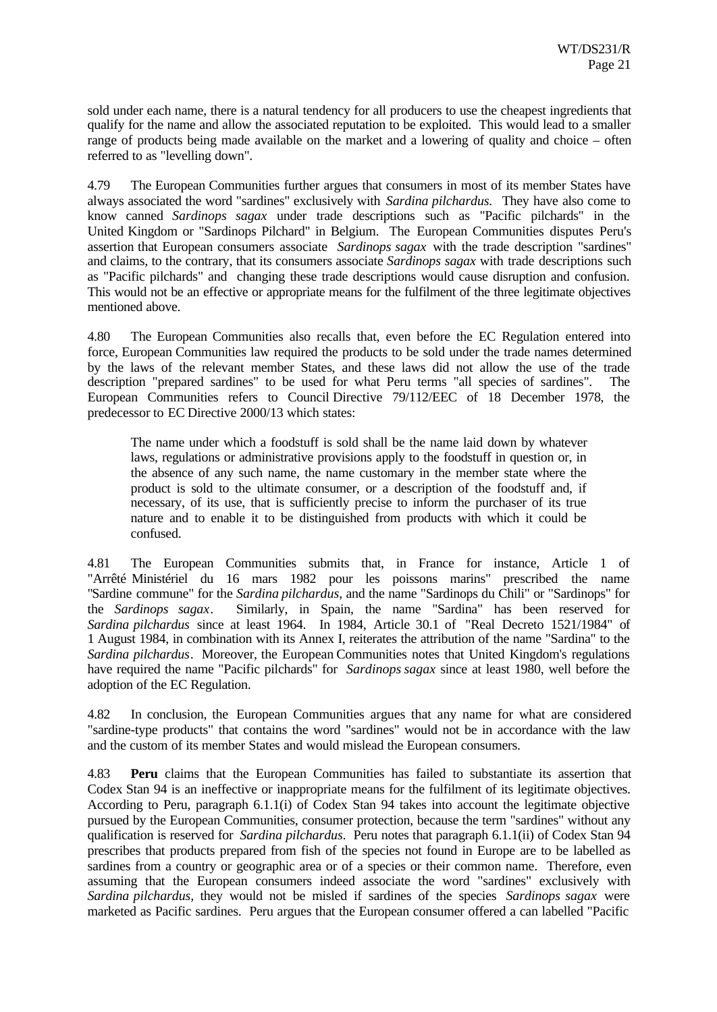sold under each name, there is a natural tendency for all producers to use the cheapest ingredients that qualify for the name and allow the associated reputation to be exploited. This would lead to a smaller range of products being made available on the market and a lowering of quality and choice – often referred to as "levelling down".

4.79 The European Communities further argues that consumers in most of its member States have always associated the word "sardines" exclusively with *Sardina pilchardus.* They have also come to know canned *Sardinops sagax* under trade descriptions such as "Pacific pilchards" in the United Kingdom or "Sardinops Pilchard" in Belgium. The European Communities disputes Peru's assertion that European consumers associate *Sardinops sagax* with the trade description "sardines" and claims, to the contrary, that its consumers associate *Sardinops sagax* with trade descriptions such as "Pacific pilchards" and changing these trade descriptions would cause disruption and confusion. This would not be an effective or appropriate means for the fulfilment of the three legitimate objectives mentioned above.

4.80 The European Communities also recalls that, even before the EC Regulation entered into force, European Communities law required the products to be sold under the trade names determined by the laws of the relevant member States, and these laws did not allow the use of the trade description "prepared sardines" to be used for what Peru terms "all species of sardines". The European Communities refers to Council Directive 79/112/EEC of 18 December 1978, the predecessor to EC Directive 2000/13 which states:

The name under which a foodstuff is sold shall be the name laid down by whatever laws, regulations or administrative provisions apply to the foodstuff in question or, in the absence of any such name, the name customary in the member state where the product is sold to the ultimate consumer, or a description of the foodstuff and, if necessary, of its use, that is sufficiently precise to inform the purchaser of its true nature and to enable it to be distinguished from products with which it could be confused.

4.81 The European Communities submits that, in France for instance, Article 1 of "Arrêté Ministériel du 16 mars 1982 pour les poissons marins" prescribed the name "Sardine commune" for the *Sardina pilchardus*, and the name "Sardinops du Chili" or "Sardinops" for the *Sardinops sagax*. Similarly, in Spain, the name "Sardina" has been reserved for *Sardina pilchardus* since at least 1964. In 1984, Article 30.1 of "Real Decreto 1521/1984" of 1 August 1984, in combination with its Annex I, reiterates the attribution of the name "Sardina" to the *Sardina pilchardus*. Moreover, the European Communities notes that United Kingdom's regulations have required the name "Pacific pilchards" for *Sardinops sagax* since at least 1980, well before the adoption of the EC Regulation.

4.82 In conclusion, the European Communities argues that any name for what are considered "sardine-type products" that contains the word "sardines" would not be in accordance with the law and the custom of its member States and would mislead the European consumers.

4.83 **Peru** claims that the European Communities has failed to substantiate its assertion that Codex Stan 94 is an ineffective or inappropriate means for the fulfilment of its legitimate objectives. According to Peru, paragraph 6.1.1(i) of Codex Stan 94 takes into account the legitimate objective pursued by the European Communities, consumer protection, because the term "sardines" without any qualification is reserved for *Sardina pilchardus*. Peru notes that paragraph 6.1.1(ii) of Codex Stan 94 prescribes that products prepared from fish of the species not found in Europe are to be labelled as sardines from a country or geographic area or of a species or their common name. Therefore, even assuming that the European consumers indeed associate the word "sardines" exclusively with *Sardina pilchardus,* they would not be misled if sardines of the species *Sardinops sagax* were marketed as Pacific sardines. Peru argues that the European consumer offered a can labelled "Pacific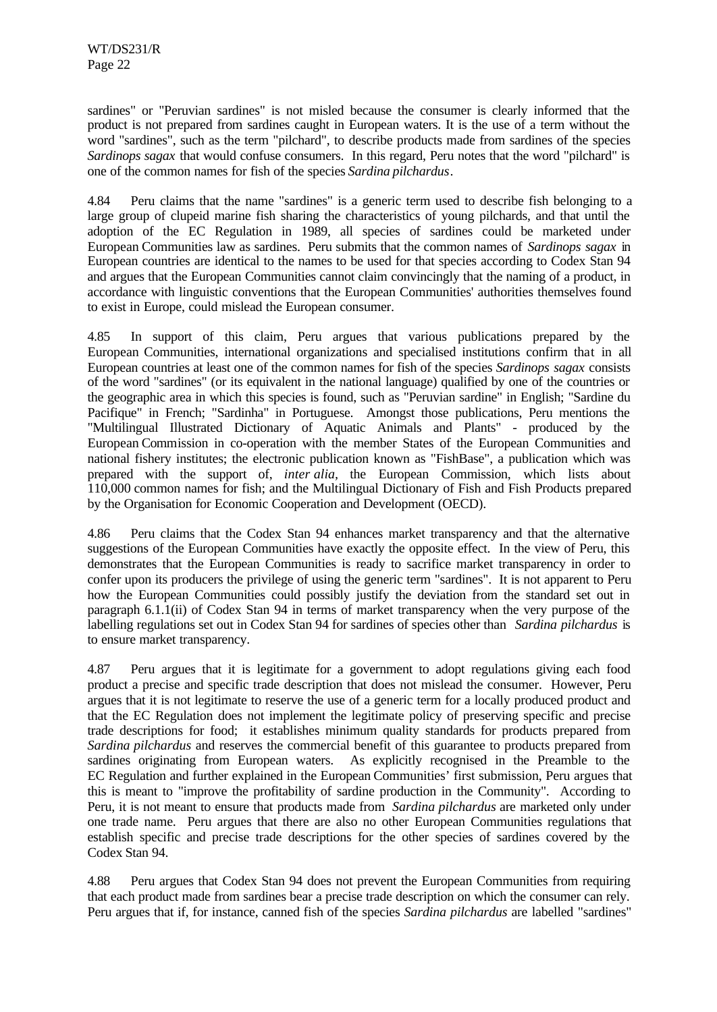sardines" or "Peruvian sardines" is not misled because the consumer is clearly informed that the product is not prepared from sardines caught in European waters. It is the use of a term without the word "sardines", such as the term "pilchard", to describe products made from sardines of the species *Sardinops sagax* that would confuse consumers. In this regard, Peru notes that the word "pilchard" is one of the common names for fish of the species *Sardina pilchardus*.

4.84 Peru claims that the name "sardines" is a generic term used to describe fish belonging to a large group of clupeid marine fish sharing the characteristics of young pilchards, and that until the adoption of the EC Regulation in 1989, all species of sardines could be marketed under European Communities law as sardines. Peru submits that the common names of *Sardinops sagax* in European countries are identical to the names to be used for that species according to Codex Stan 94 and argues that the European Communities cannot claim convincingly that the naming of a product, in accordance with linguistic conventions that the European Communities' authorities themselves found to exist in Europe, could mislead the European consumer.

4.85 In support of this claim, Peru argues that various publications prepared by the European Communities, international organizations and specialised institutions confirm that in all European countries at least one of the common names for fish of the species *Sardinops sagax* consists of the word "sardines" (or its equivalent in the national language) qualified by one of the countries or the geographic area in which this species is found, such as "Peruvian sardine" in English; "Sardine du Pacifique" in French; "Sardinha" in Portuguese. Amongst those publications, Peru mentions the "Multilingual Illustrated Dictionary of Aquatic Animals and Plants" - produced by the European Commission in co-operation with the member States of the European Communities and national fishery institutes; the electronic publication known as "FishBase", a publication which was prepared with the support of, *inter alia,* the European Commission, which lists about 110,000 common names for fish; and the Multilingual Dictionary of Fish and Fish Products prepared by the Organisation for Economic Cooperation and Development (OECD).

4.86 Peru claims that the Codex Stan 94 enhances market transparency and that the alternative suggestions of the European Communities have exactly the opposite effect. In the view of Peru, this demonstrates that the European Communities is ready to sacrifice market transparency in order to confer upon its producers the privilege of using the generic term "sardines". It is not apparent to Peru how the European Communities could possibly justify the deviation from the standard set out in paragraph 6.1.1(ii) of Codex Stan 94 in terms of market transparency when the very purpose of the labelling regulations set out in Codex Stan 94 for sardines of species other than *Sardina pilchardus* is to ensure market transparency.

4.87 Peru argues that it is legitimate for a government to adopt regulations giving each food product a precise and specific trade description that does not mislead the consumer. However, Peru argues that it is not legitimate to reserve the use of a generic term for a locally produced product and that the EC Regulation does not implement the legitimate policy of preserving specific and precise trade descriptions for food; it establishes minimum quality standards for products prepared from *Sardina pilchardus* and reserves the commercial benefit of this guarantee to products prepared from sardines originating from European waters. As explicitly recognised in the Preamble to the EC Regulation and further explained in the European Communities' first submission, Peru argues that this is meant to "improve the profitability of sardine production in the Community". According to Peru, it is not meant to ensure that products made from *Sardina pilchardus* are marketed only under one trade name. Peru argues that there are also no other European Communities regulations that establish specific and precise trade descriptions for the other species of sardines covered by the Codex Stan 94.

4.88 Peru argues that Codex Stan 94 does not prevent the European Communities from requiring that each product made from sardines bear a precise trade description on which the consumer can rely. Peru argues that if, for instance, canned fish of the species *Sardina pilchardus* are labelled "sardines"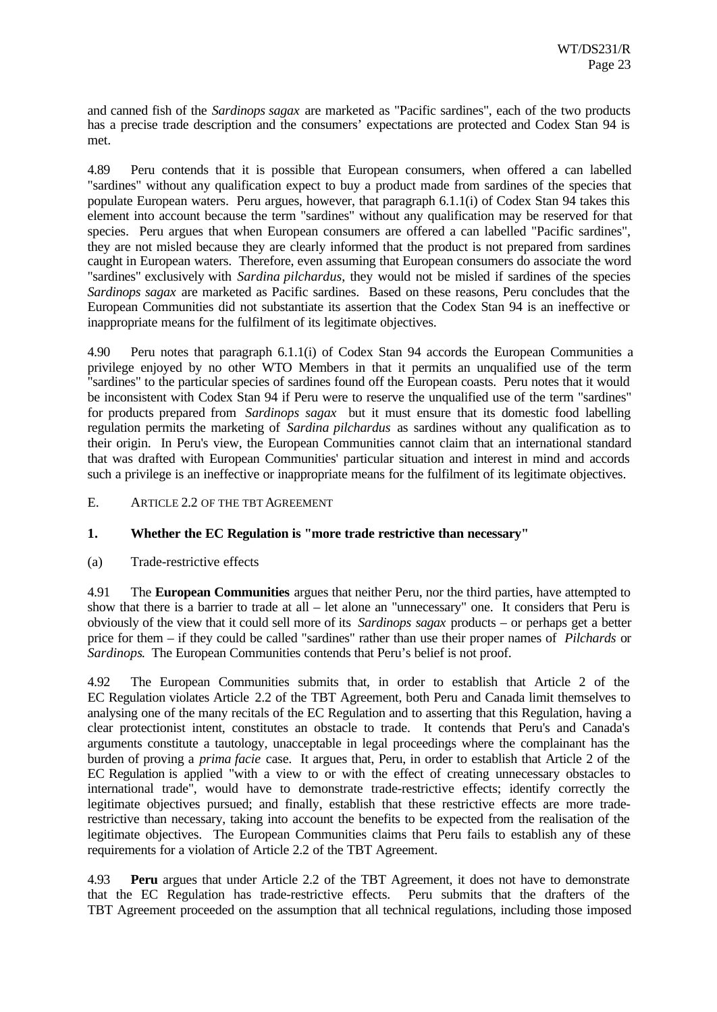and canned fish of the *Sardinops sagax* are marketed as "Pacific sardines", each of the two products has a precise trade description and the consumers' expectations are protected and Codex Stan 94 is met.

4.89 Peru contends that it is possible that European consumers, when offered a can labelled "sardines" without any qualification expect to buy a product made from sardines of the species that populate European waters. Peru argues, however, that paragraph 6.1.1(i) of Codex Stan 94 takes this element into account because the term "sardines" without any qualification may be reserved for that species. Peru argues that when European consumers are offered a can labelled "Pacific sardines", they are not misled because they are clearly informed that the product is not prepared from sardines caught in European waters. Therefore, even assuming that European consumers do associate the word "sardines" exclusively with *Sardina pilchardus*, they would not be misled if sardines of the species *Sardinops sagax* are marketed as Pacific sardines. Based on these reasons, Peru concludes that the European Communities did not substantiate its assertion that the Codex Stan 94 is an ineffective or inappropriate means for the fulfilment of its legitimate objectives.

4.90 Peru notes that paragraph 6.1.1(i) of Codex Stan 94 accords the European Communities a privilege enjoyed by no other WTO Members in that it permits an unqualified use of the term "sardines" to the particular species of sardines found off the European coasts. Peru notes that it would be inconsistent with Codex Stan 94 if Peru were to reserve the unqualified use of the term "sardines" for products prepared from *Sardinops sagax* but it must ensure that its domestic food labelling regulation permits the marketing of *Sardina pilchardus* as sardines without any qualification as to their origin. In Peru's view, the European Communities cannot claim that an international standard that was drafted with European Communities' particular situation and interest in mind and accords such a privilege is an ineffective or inappropriate means for the fulfilment of its legitimate objectives.

E. ARTICLE 2.2 OF THE TBT AGREEMENT

#### **1. Whether the EC Regulation is "more trade restrictive than necessary"**

(a) Trade-restrictive effects

4.91 The **European Communities** argues that neither Peru, nor the third parties, have attempted to show that there is a barrier to trade at all – let alone an "unnecessary" one. It considers that Peru is obviously of the view that it could sell more of its *Sardinops sagax* products – or perhaps get a better price for them – if they could be called "sardines" rather than use their proper names of *Pilchards* or *Sardinops*. The European Communities contends that Peru's belief is not proof.

4.92 The European Communities submits that, in order to establish that Article 2 of the EC Regulation violates Article 2.2 of the TBT Agreement, both Peru and Canada limit themselves to analysing one of the many recitals of the EC Regulation and to asserting that this Regulation, having a clear protectionist intent, constitutes an obstacle to trade. It contends that Peru's and Canada's arguments constitute a tautology, unacceptable in legal proceedings where the complainant has the burden of proving a *prima facie* case. It argues that, Peru, in order to establish that Article 2 of the EC Regulation is applied "with a view to or with the effect of creating unnecessary obstacles to international trade", would have to demonstrate trade-restrictive effects; identify correctly the legitimate objectives pursued; and finally, establish that these restrictive effects are more traderestrictive than necessary, taking into account the benefits to be expected from the realisation of the legitimate objectives. The European Communities claims that Peru fails to establish any of these requirements for a violation of Article 2.2 of the TBT Agreement.

4.93 **Peru** argues that under Article 2.2 of the TBT Agreement, it does not have to demonstrate that the EC Regulation has trade-restrictive effects. Peru submits that the drafters of the TBT Agreement proceeded on the assumption that all technical regulations, including those imposed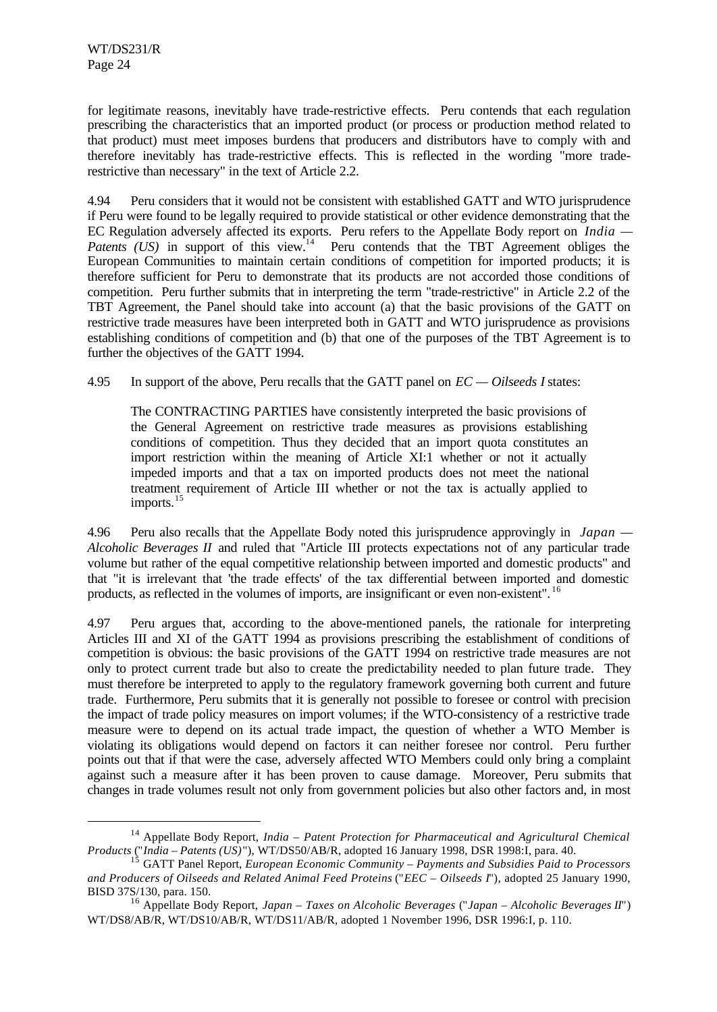l

for legitimate reasons, inevitably have trade-restrictive effects. Peru contends that each regulation prescribing the characteristics that an imported product (or process or production method related to that product) must meet imposes burdens that producers and distributors have to comply with and therefore inevitably has trade-restrictive effects. This is reflected in the wording "more traderestrictive than necessary" in the text of Article 2.2.

4.94 Peru considers that it would not be consistent with established GATT and WTO jurisprudence if Peru were found to be legally required to provide statistical or other evidence demonstrating that the EC Regulation adversely affected its exports. Peru refers to the Appellate Body report on *India —* Patents (US) in support of this view.<sup>14</sup> Peru contends that the TBT Agreement obliges the European Communities to maintain certain conditions of competition for imported products; it is therefore sufficient for Peru to demonstrate that its products are not accorded those conditions of competition. Peru further submits that in interpreting the term "trade-restrictive" in Article 2.2 of the TBT Agreement, the Panel should take into account (a) that the basic provisions of the GATT on restrictive trade measures have been interpreted both in GATT and WTO jurisprudence as provisions establishing conditions of competition and (b) that one of the purposes of the TBT Agreement is to further the objectives of the GATT 1994.

4.95 In support of the above, Peru recalls that the GATT panel on *EC — Oilseeds I* states:

The CONTRACTING PARTIES have consistently interpreted the basic provisions of the General Agreement on restrictive trade measures as provisions establishing conditions of competition. Thus they decided that an import quota constitutes an import restriction within the meaning of Article XI:1 whether or not it actually impeded imports and that a tax on imported products does not meet the national treatment requirement of Article III whether or not the tax is actually applied to imports. $15$ 

4.96 Peru also recalls that the Appellate Body noted this jurisprudence approvingly in *Japan — Alcoholic Beverages II* and ruled that "Article III protects expectations not of any particular trade volume but rather of the equal competitive relationship between imported and domestic products" and that "it is irrelevant that 'the trade effects' of the tax differential between imported and domestic products, as reflected in the volumes of imports, are insignificant or even non-existent". <sup>16</sup>

4.97 Peru argues that, according to the above-mentioned panels, the rationale for interpreting Articles III and XI of the GATT 1994 as provisions prescribing the establishment of conditions of competition is obvious: the basic provisions of the GATT 1994 on restrictive trade measures are not only to protect current trade but also to create the predictability needed to plan future trade. They must therefore be interpreted to apply to the regulatory framework governing both current and future trade. Furthermore, Peru submits that it is generally not possible to foresee or control with precision the impact of trade policy measures on import volumes; if the WTO-consistency of a restrictive trade measure were to depend on its actual trade impact, the question of whether a WTO Member is violating its obligations would depend on factors it can neither foresee nor control. Peru further points out that if that were the case, adversely affected WTO Members could only bring a complaint against such a measure after it has been proven to cause damage. Moreover, Peru submits that changes in trade volumes result not only from government policies but also other factors and, in most

<sup>14</sup> Appellate Body Report, *India – Patent Protection for Pharmaceutical and Agricultural Chemical Products* ("*India – Patents (US)*"), WT/DS50/AB/R, adopted 16 January 1998, DSR 1998:I, para. 40.

<sup>15</sup> GATT Panel Report, *European Economic Community – Payments and Subsidies Paid to Processors and Producers of Oilseeds and Related Animal Feed Proteins* ("*EEC – Oilseeds I*"), adopted 25 January 1990, BISD 37S/130, para. 150.

<sup>16</sup> Appellate Body Report, *Japan – Taxes on Alcoholic Beverages* ("*Japan – Alcoholic Beverages II*") WT/DS8/AB/R, WT/DS10/AB/R, WT/DS11/AB/R, adopted 1 November 1996, DSR 1996:I, p. 110.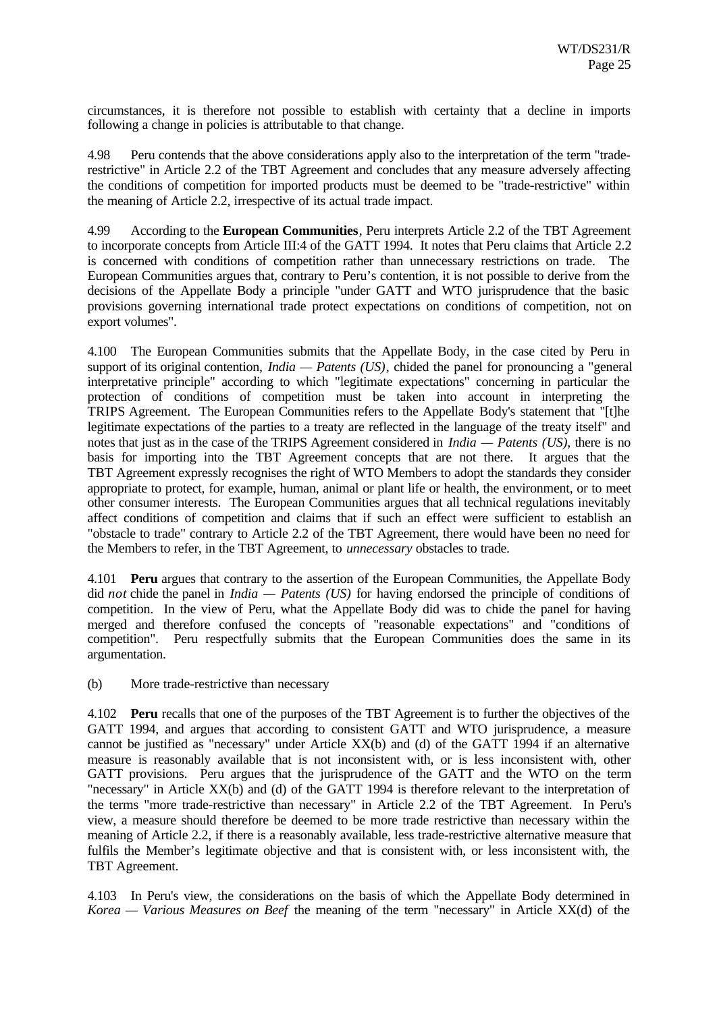circumstances, it is therefore not possible to establish with certainty that a decline in imports following a change in policies is attributable to that change.

4.98 Peru contends that the above considerations apply also to the interpretation of the term "traderestrictive" in Article 2.2 of the TBT Agreement and concludes that any measure adversely affecting the conditions of competition for imported products must be deemed to be "trade-restrictive" within the meaning of Article 2.2, irrespective of its actual trade impact.

4.99 According to the **European Communities**, Peru interprets Article 2.2 of the TBT Agreement to incorporate concepts from Article III:4 of the GATT 1994. It notes that Peru claims that Article 2.2 is concerned with conditions of competition rather than unnecessary restrictions on trade. The European Communities argues that, contrary to Peru's contention, it is not possible to derive from the decisions of the Appellate Body a principle "under GATT and WTO jurisprudence that the basic provisions governing international trade protect expectations on conditions of competition, not on export volumes".

4.100 The European Communities submits that the Appellate Body, in the case cited by Peru in support of its original contention, *India — Patents (US)*, chided the panel for pronouncing a "general interpretative principle" according to which "legitimate expectations" concerning in particular the protection of conditions of competition must be taken into account in interpreting the TRIPS Agreement. The European Communities refers to the Appellate Body's statement that "[t]he legitimate expectations of the parties to a treaty are reflected in the language of the treaty itself" and notes that just as in the case of the TRIPS Agreement considered in *India — Patents (US)*, there is no basis for importing into the TBT Agreement concepts that are not there. It argues that the TBT Agreement expressly recognises the right of WTO Members to adopt the standards they consider appropriate to protect, for example, human, animal or plant life or health, the environment, or to meet other consumer interests. The European Communities argues that all technical regulations inevitably affect conditions of competition and claims that if such an effect were sufficient to establish an "obstacle to trade" contrary to Article 2.2 of the TBT Agreement, there would have been no need for the Members to refer, in the TBT Agreement, to *unnecessary* obstacles to trade.

4.101 **Peru** argues that contrary to the assertion of the European Communities, the Appellate Body did *not* chide the panel in *India — Patents (US)* for having endorsed the principle of conditions of competition. In the view of Peru, what the Appellate Body did was to chide the panel for having merged and therefore confused the concepts of "reasonable expectations" and "conditions of competition". Peru respectfully submits that the European Communities does the same in its argumentation.

(b) More trade-restrictive than necessary

4.102 **Peru** recalls that one of the purposes of the TBT Agreement is to further the objectives of the GATT 1994, and argues that according to consistent GATT and WTO jurisprudence, a measure cannot be justified as "necessary" under Article XX(b) and (d) of the GATT 1994 if an alternative measure is reasonably available that is not inconsistent with, or is less inconsistent with, other GATT provisions. Peru argues that the jurisprudence of the GATT and the WTO on the term "necessary" in Article XX(b) and (d) of the GATT 1994 is therefore relevant to the interpretation of the terms "more trade-restrictive than necessary" in Article 2.2 of the TBT Agreement. In Peru's view, a measure should therefore be deemed to be more trade restrictive than necessary within the meaning of Article 2.2, if there is a reasonably available, less trade-restrictive alternative measure that fulfils the Member's legitimate objective and that is consistent with, or less inconsistent with, the TBT Agreement.

4.103 In Peru's view, the considerations on the basis of which the Appellate Body determined in *Korea — Various Measures on Beef* the meaning of the term "necessary" in Article XX(d) of the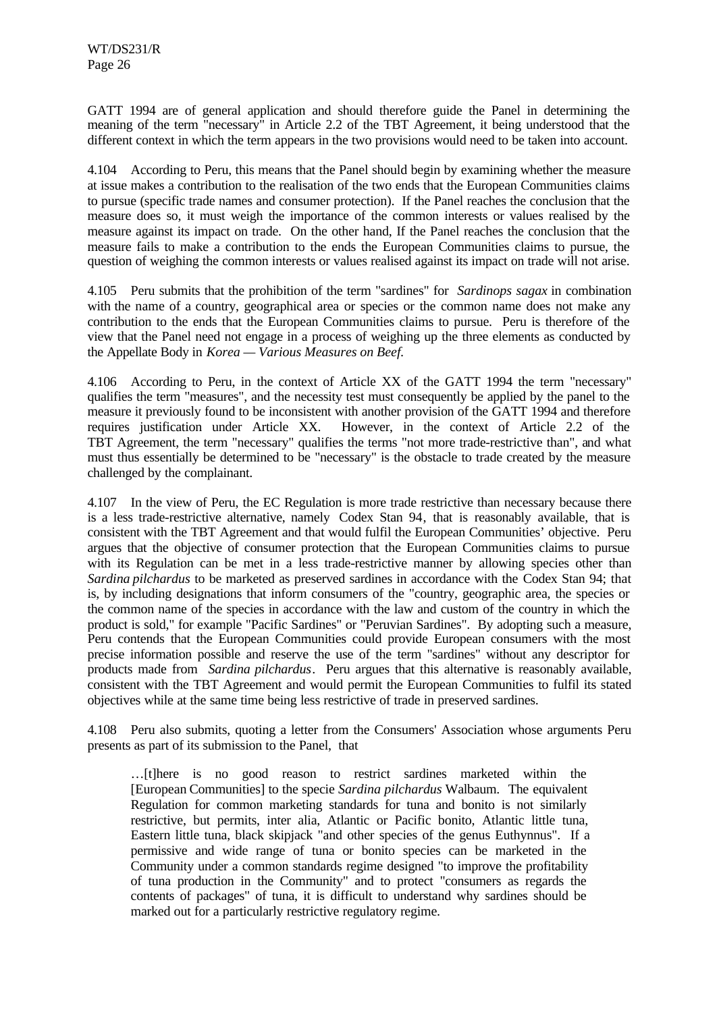GATT 1994 are of general application and should therefore guide the Panel in determining the meaning of the term "necessary" in Article 2.2 of the TBT Agreement, it being understood that the different context in which the term appears in the two provisions would need to be taken into account.

4.104 According to Peru, this means that the Panel should begin by examining whether the measure at issue makes a contribution to the realisation of the two ends that the European Communities claims to pursue (specific trade names and consumer protection). If the Panel reaches the conclusion that the measure does so, it must weigh the importance of the common interests or values realised by the measure against its impact on trade. On the other hand, If the Panel reaches the conclusion that the measure fails to make a contribution to the ends the European Communities claims to pursue, the question of weighing the common interests or values realised against its impact on trade will not arise.

4.105 Peru submits that the prohibition of the term "sardines" for *Sardinops sagax* in combination with the name of a country, geographical area or species or the common name does not make any contribution to the ends that the European Communities claims to pursue. Peru is therefore of the view that the Panel need not engage in a process of weighing up the three elements as conducted by the Appellate Body in *Korea — Various Measures on Beef.*

4.106 According to Peru, in the context of Article XX of the GATT 1994 the term "necessary" qualifies the term "measures", and the necessity test must consequently be applied by the panel to the measure it previously found to be inconsistent with another provision of the GATT 1994 and therefore requires justification under Article XX. However, in the context of Article 2.2 of the TBT Agreement, the term "necessary" qualifies the terms "not more trade-restrictive than", and what must thus essentially be determined to be "necessary" is the obstacle to trade created by the measure challenged by the complainant.

4.107 In the view of Peru, the EC Regulation is more trade restrictive than necessary because there is a less trade-restrictive alternative, namely Codex Stan 94, that is reasonably available, that is consistent with the TBT Agreement and that would fulfil the European Communities' objective. Peru argues that the objective of consumer protection that the European Communities claims to pursue with its Regulation can be met in a less trade-restrictive manner by allowing species other than *Sardina pilchardus* to be marketed as preserved sardines in accordance with the Codex Stan 94; that is, by including designations that inform consumers of the "country, geographic area, the species or the common name of the species in accordance with the law and custom of the country in which the product is sold," for example "Pacific Sardines" or "Peruvian Sardines". By adopting such a measure, Peru contends that the European Communities could provide European consumers with the most precise information possible and reserve the use of the term "sardines" without any descriptor for products made from *Sardina pilchardus*. Peru argues that this alternative is reasonably available, consistent with the TBT Agreement and would permit the European Communities to fulfil its stated objectives while at the same time being less restrictive of trade in preserved sardines.

4.108 Peru also submits, quoting a letter from the Consumers' Association whose arguments Peru presents as part of its submission to the Panel, that

…[t]here is no good reason to restrict sardines marketed within the [European Communities] to the specie *Sardina pilchardus* Walbaum. The equivalent Regulation for common marketing standards for tuna and bonito is not similarly restrictive, but permits, inter alia, Atlantic or Pacific bonito, Atlantic little tuna, Eastern little tuna, black skipjack "and other species of the genus Euthynnus". If a permissive and wide range of tuna or bonito species can be marketed in the Community under a common standards regime designed "to improve the profitability of tuna production in the Community" and to protect "consumers as regards the contents of packages" of tuna, it is difficult to understand why sardines should be marked out for a particularly restrictive regulatory regime.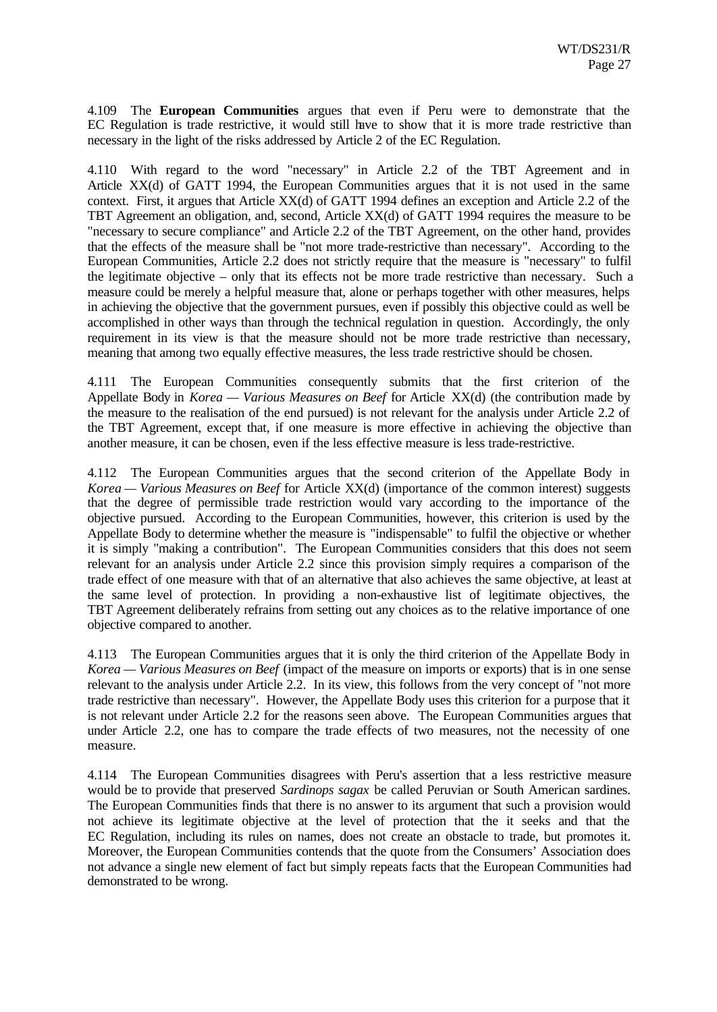4.109 The **European Communities** argues that even if Peru were to demonstrate that the EC Regulation is trade restrictive, it would still have to show that it is more trade restrictive than necessary in the light of the risks addressed by Article 2 of the EC Regulation.

4.110 With regard to the word "necessary" in Article 2.2 of the TBT Agreement and in Article XX(d) of GATT 1994, the European Communities argues that it is not used in the same context. First, it argues that Article XX(d) of GATT 1994 defines an exception and Article 2.2 of the TBT Agreement an obligation, and, second, Article XX(d) of GATT 1994 requires the measure to be "necessary to secure compliance" and Article 2.2 of the TBT Agreement, on the other hand, provides that the effects of the measure shall be "not more trade-restrictive than necessary". According to the European Communities, Article 2.2 does not strictly require that the measure is "necessary" to fulfil the legitimate objective – only that its effects not be more trade restrictive than necessary. Such a measure could be merely a helpful measure that, alone or perhaps together with other measures, helps in achieving the objective that the government pursues, even if possibly this objective could as well be accomplished in other ways than through the technical regulation in question. Accordingly, the only requirement in its view is that the measure should not be more trade restrictive than necessary, meaning that among two equally effective measures, the less trade restrictive should be chosen.

4.111 The European Communities consequently submits that the first criterion of the Appellate Body in *Korea — Various Measures on Beef* for Article XX(d) (the contribution made by the measure to the realisation of the end pursued) is not relevant for the analysis under Article 2.2 of the TBT Agreement, except that, if one measure is more effective in achieving the objective than another measure, it can be chosen, even if the less effective measure is less trade-restrictive.

4.112 The European Communities argues that the second criterion of the Appellate Body in *Korea — Various Measures on Beef* for Article XX(d) (importance of the common interest) suggests that the degree of permissible trade restriction would vary according to the importance of the objective pursued. According to the European Communities, however, this criterion is used by the Appellate Body to determine whether the measure is "indispensable" to fulfil the objective or whether it is simply "making a contribution". The European Communities considers that this does not seem relevant for an analysis under Article 2.2 since this provision simply requires a comparison of the trade effect of one measure with that of an alternative that also achieves the same objective, at least at the same level of protection. In providing a non-exhaustive list of legitimate objectives, the TBT Agreement deliberately refrains from setting out any choices as to the relative importance of one objective compared to another.

4.113 The European Communities argues that it is only the third criterion of the Appellate Body in *Korea — Various Measures on Beef* (impact of the measure on imports or exports) that is in one sense relevant to the analysis under Article 2.2. In its view, this follows from the very concept of "not more trade restrictive than necessary". However, the Appellate Body uses this criterion for a purpose that it is not relevant under Article 2.2 for the reasons seen above. The European Communities argues that under Article 2.2, one has to compare the trade effects of two measures, not the necessity of one measure.

4.114 The European Communities disagrees with Peru's assertion that a less restrictive measure would be to provide that preserved *Sardinops sagax* be called Peruvian or South American sardines. The European Communities finds that there is no answer to its argument that such a provision would not achieve its legitimate objective at the level of protection that the it seeks and that the EC Regulation, including its rules on names, does not create an obstacle to trade, but promotes it. Moreover, the European Communities contends that the quote from the Consumers' Association does not advance a single new element of fact but simply repeats facts that the European Communities had demonstrated to be wrong.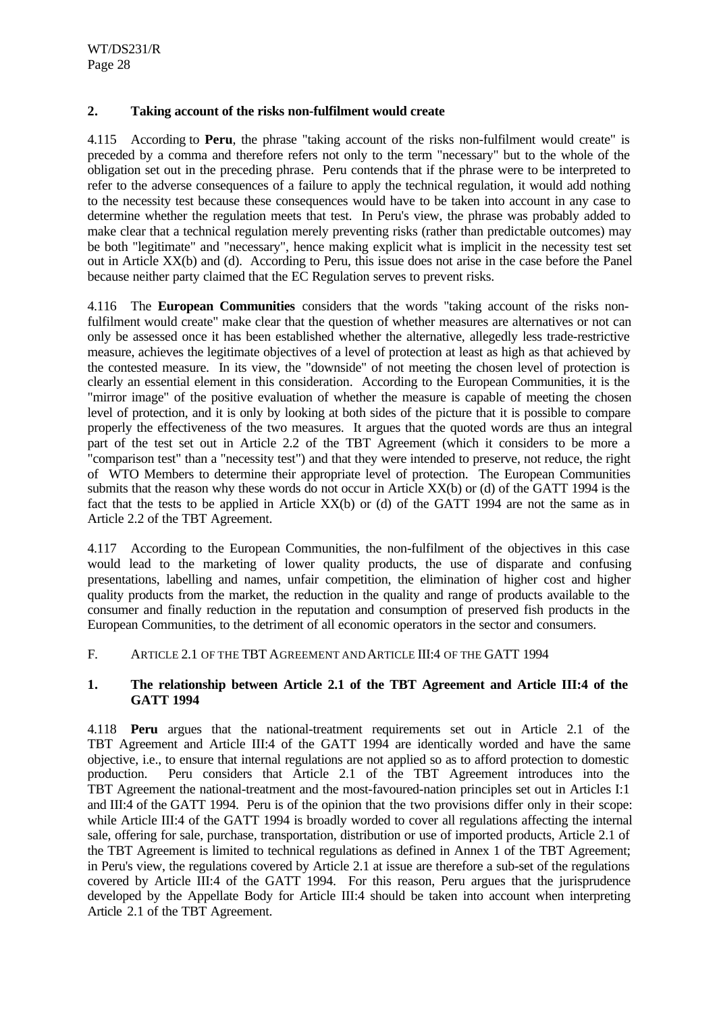#### **2. Taking account of the risks non-fulfilment would create**

4.115 According to **Peru**, the phrase "taking account of the risks non-fulfilment would create" is preceded by a comma and therefore refers not only to the term "necessary" but to the whole of the obligation set out in the preceding phrase. Peru contends that if the phrase were to be interpreted to refer to the adverse consequences of a failure to apply the technical regulation, it would add nothing to the necessity test because these consequences would have to be taken into account in any case to determine whether the regulation meets that test. In Peru's view, the phrase was probably added to make clear that a technical regulation merely preventing risks (rather than predictable outcomes) may be both "legitimate" and "necessary", hence making explicit what is implicit in the necessity test set out in Article XX(b) and (d). According to Peru, this issue does not arise in the case before the Panel because neither party claimed that the EC Regulation serves to prevent risks.

4.116 The **European Communities** considers that the words "taking account of the risks nonfulfilment would create" make clear that the question of whether measures are alternatives or not can only be assessed once it has been established whether the alternative, allegedly less trade-restrictive measure, achieves the legitimate objectives of a level of protection at least as high as that achieved by the contested measure. In its view, the "downside" of not meeting the chosen level of protection is clearly an essential element in this consideration. According to the European Communities, it is the "mirror image" of the positive evaluation of whether the measure is capable of meeting the chosen level of protection, and it is only by looking at both sides of the picture that it is possible to compare properly the effectiveness of the two measures. It argues that the quoted words are thus an integral part of the test set out in Article 2.2 of the TBT Agreement (which it considers to be more a "comparison test" than a "necessity test") and that they were intended to preserve, not reduce, the right of WTO Members to determine their appropriate level of protection. The European Communities submits that the reason why these words do not occur in Article XX(b) or (d) of the GATT 1994 is the fact that the tests to be applied in Article XX(b) or (d) of the GATT 1994 are not the same as in Article 2.2 of the TBT Agreement.

4.117 According to the European Communities, the non-fulfilment of the objectives in this case would lead to the marketing of lower quality products, the use of disparate and confusing presentations, labelling and names, unfair competition, the elimination of higher cost and higher quality products from the market, the reduction in the quality and range of products available to the consumer and finally reduction in the reputation and consumption of preserved fish products in the European Communities, to the detriment of all economic operators in the sector and consumers.

#### F. ARTICLE 2.1 OF THE TBT AGREEMENT AND ARTICLE III:4 OF THE GATT 1994

#### **1. The relationship between Article 2.1 of the TBT Agreement and Article III:4 of the GATT 1994**

4.118 **Peru** argues that the national-treatment requirements set out in Article 2.1 of the TBT Agreement and Article III:4 of the GATT 1994 are identically worded and have the same objective, i.e., to ensure that internal regulations are not applied so as to afford protection to domestic production. Peru considers that Article 2.1 of the TBT Agreement introduces into the TBT Agreement the national-treatment and the most-favoured-nation principles set out in Articles I:1 and III:4 of the GATT 1994. Peru is of the opinion that the two provisions differ only in their scope: while Article III:4 of the GATT 1994 is broadly worded to cover all regulations affecting the internal sale, offering for sale, purchase, transportation, distribution or use of imported products, Article 2.1 of the TBT Agreement is limited to technical regulations as defined in Annex 1 of the TBT Agreement; in Peru's view, the regulations covered by Article 2.1 at issue are therefore a sub-set of the regulations covered by Article III:4 of the GATT 1994. For this reason, Peru argues that the jurisprudence developed by the Appellate Body for Article III:4 should be taken into account when interpreting Article 2.1 of the TBT Agreement.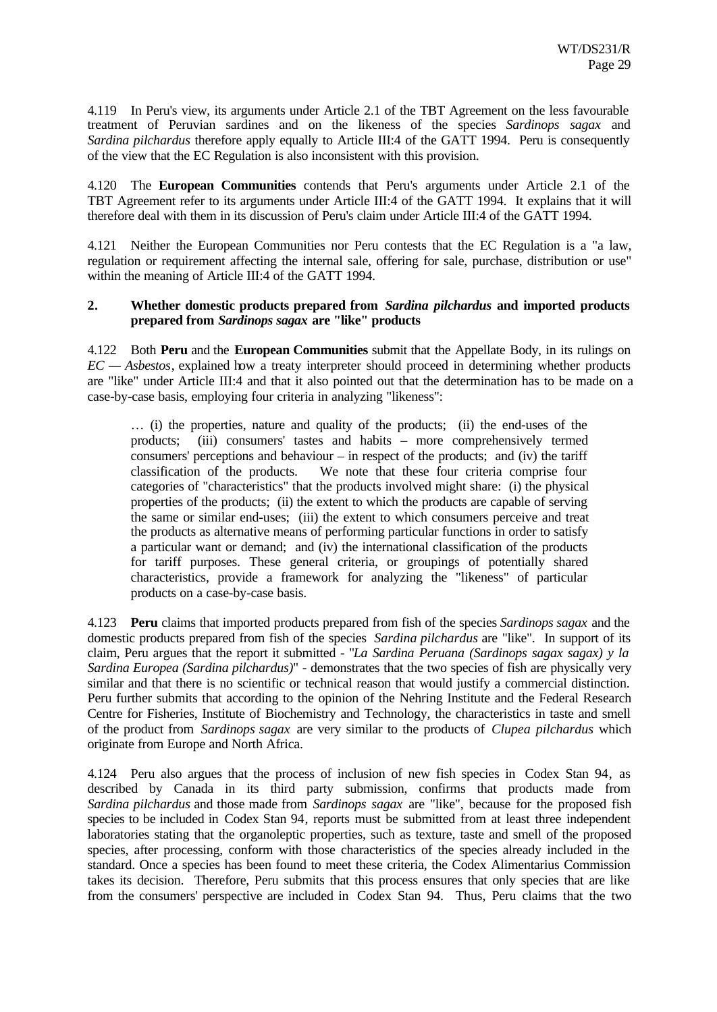4.119 In Peru's view, its arguments under Article 2.1 of the TBT Agreement on the less favourable treatment of Peruvian sardines and on the likeness of the species *Sardinops sagax* and *Sardina pilchardus* therefore apply equally to Article III:4 of the GATT 1994. Peru is consequently of the view that the EC Regulation is also inconsistent with this provision.

4.120 The **European Communities** contends that Peru's arguments under Article 2.1 of the TBT Agreement refer to its arguments under Article III:4 of the GATT 1994. It explains that it will therefore deal with them in its discussion of Peru's claim under Article III:4 of the GATT 1994.

4.121 Neither the European Communities nor Peru contests that the EC Regulation is a "a law, regulation or requirement affecting the internal sale, offering for sale, purchase, distribution or use" within the meaning of Article III:4 of the GATT 1994.

#### **2. Whether domestic products prepared from** *Sardina pilchardus* **and imported products prepared from** *Sardinops sagax* **are "like" products**

4.122 Both **Peru** and the **European Communities** submit that the Appellate Body, in its rulings on *EC — Asbestos*, explained how a treaty interpreter should proceed in determining whether products are "like" under Article III:4 and that it also pointed out that the determination has to be made on a case-by-case basis, employing four criteria in analyzing "likeness":

… (i) the properties, nature and quality of the products; (ii) the end-uses of the products; (iii) consumers' tastes and habits – more comprehensively termed consumers' perceptions and behaviour – in respect of the products; and (iv) the tariff classification of the products. We note that these four criteria comprise four categories of "characteristics" that the products involved might share: (i) the physical properties of the products; (ii) the extent to which the products are capable of serving the same or similar end-uses; (iii) the extent to which consumers perceive and treat the products as alternative means of performing particular functions in order to satisfy a particular want or demand; and (iv) the international classification of the products for tariff purposes. These general criteria, or groupings of potentially shared characteristics, provide a framework for analyzing the "likeness" of particular products on a case-by-case basis.

4.123 **Peru** claims that imported products prepared from fish of the species *Sardinops sagax* and the domestic products prepared from fish of the species *Sardina pilchardus* are "like". In support of its claim, Peru argues that the report it submitted - "*La Sardina Peruana (Sardinops sagax sagax) y la Sardina Europea (Sardina pilchardus)*" - demonstrates that the two species of fish are physically very similar and that there is no scientific or technical reason that would justify a commercial distinction. Peru further submits that according to the opinion of the Nehring Institute and the Federal Research Centre for Fisheries, Institute of Biochemistry and Technology, the characteristics in taste and smell of the product from *Sardinops sagax* are very similar to the products of *Clupea pilchardus* which originate from Europe and North Africa.

4.124 Peru also argues that the process of inclusion of new fish species in Codex Stan 94, as described by Canada in its third party submission, confirms that products made from *Sardina pilchardus* and those made from *Sardinops sagax* are "like", because for the proposed fish species to be included in Codex Stan 94, reports must be submitted from at least three independent laboratories stating that the organoleptic properties, such as texture, taste and smell of the proposed species, after processing, conform with those characteristics of the species already included in the standard. Once a species has been found to meet these criteria, the Codex Alimentarius Commission takes its decision. Therefore, Peru submits that this process ensures that only species that are like from the consumers' perspective are included in Codex Stan 94. Thus, Peru claims that the two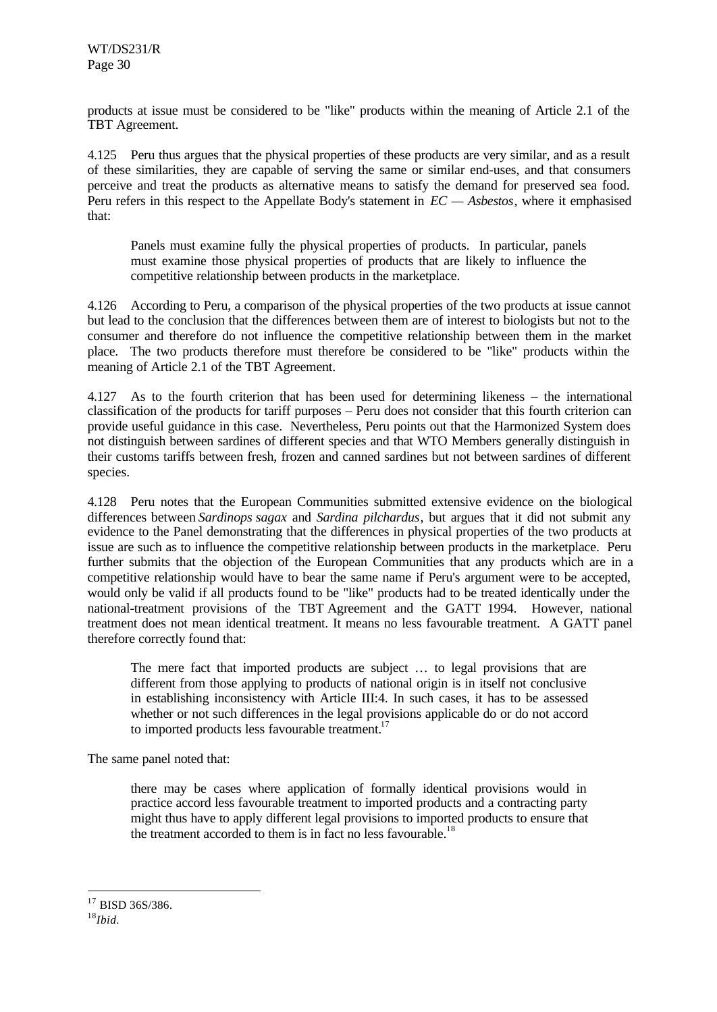products at issue must be considered to be "like" products within the meaning of Article 2.1 of the TBT Agreement.

4.125 Peru thus argues that the physical properties of these products are very similar, and as a result of these similarities, they are capable of serving the same or similar end-uses, and that consumers perceive and treat the products as alternative means to satisfy the demand for preserved sea food. Peru refers in this respect to the Appellate Body's statement in *EC — Asbestos*, where it emphasised that:

Panels must examine fully the physical properties of products. In particular, panels must examine those physical properties of products that are likely to influence the competitive relationship between products in the marketplace.

4.126 According to Peru, a comparison of the physical properties of the two products at issue cannot but lead to the conclusion that the differences between them are of interest to biologists but not to the consumer and therefore do not influence the competitive relationship between them in the market place. The two products therefore must therefore be considered to be "like" products within the meaning of Article 2.1 of the TBT Agreement.

4.127 As to the fourth criterion that has been used for determining likeness – the international classification of the products for tariff purposes – Peru does not consider that this fourth criterion can provide useful guidance in this case. Nevertheless, Peru points out that the Harmonized System does not distinguish between sardines of different species and that WTO Members generally distinguish in their customs tariffs between fresh, frozen and canned sardines but not between sardines of different species.

4.128 Peru notes that the European Communities submitted extensive evidence on the biological differences between *Sardinops sagax* and *Sardina pilchardus*, but argues that it did not submit any evidence to the Panel demonstrating that the differences in physical properties of the two products at issue are such as to influence the competitive relationship between products in the marketplace. Peru further submits that the objection of the European Communities that any products which are in a competitive relationship would have to bear the same name if Peru's argument were to be accepted, would only be valid if all products found to be "like" products had to be treated identically under the national-treatment provisions of the TBT Agreement and the GATT 1994. However, national treatment does not mean identical treatment. It means no less favourable treatment. A GATT panel therefore correctly found that:

The mere fact that imported products are subject … to legal provisions that are different from those applying to products of national origin is in itself not conclusive in establishing inconsistency with Article III:4. In such cases, it has to be assessed whether or not such differences in the legal provisions applicable do or do not accord to imported products less favourable treatment.<sup>17</sup>

The same panel noted that:

there may be cases where application of formally identical provisions would in practice accord less favourable treatment to imported products and a contracting party might thus have to apply different legal provisions to imported products to ensure that the treatment accorded to them is in fact no less favourable.<sup>18</sup>

<sup>&</sup>lt;sup>17</sup> BISD 36S/386.

<sup>18</sup>*Ibid*.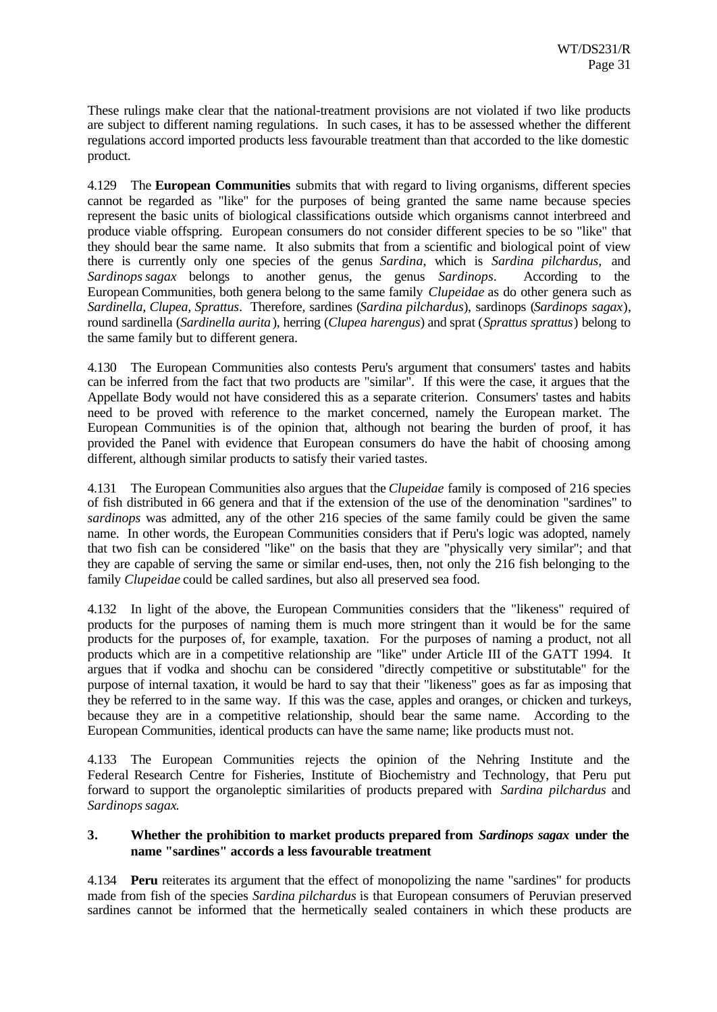These rulings make clear that the national-treatment provisions are not violated if two like products are subject to different naming regulations. In such cases, it has to be assessed whether the different regulations accord imported products less favourable treatment than that accorded to the like domestic product.

4.129 The **European Communities** submits that with regard to living organisms, different species cannot be regarded as "like" for the purposes of being granted the same name because species represent the basic units of biological classifications outside which organisms cannot interbreed and produce viable offspring. European consumers do not consider different species to be so "like" that they should bear the same name. It also submits that from a scientific and biological point of view there is currently only one species of the genus *Sardina*, which is *Sardina pilchardus,* and *Sardinops sagax* belongs to another genus, the genus *Sardinops*. According to the European Communities, both genera belong to the same family *Clupeidae* as do other genera such as *Sardinella, Clupea, Sprattus*. Therefore, sardines (*Sardina pilchardus*), sardinops (*Sardinops sagax*), round sardinella (*Sardinella aurita*), herring (*Clupea harengus*) and sprat (*Sprattus sprattus*) belong to the same family but to different genera.

4.130 The European Communities also contests Peru's argument that consumers' tastes and habits can be inferred from the fact that two products are "similar". If this were the case, it argues that the Appellate Body would not have considered this as a separate criterion. Consumers' tastes and habits need to be proved with reference to the market concerned, namely the European market. The European Communities is of the opinion that, although not bearing the burden of proof, it has provided the Panel with evidence that European consumers do have the habit of choosing among different, although similar products to satisfy their varied tastes.

4.131 The European Communities also argues that the *Clupeidae* family is composed of 216 species of fish distributed in 66 genera and that if the extension of the use of the denomination "sardines" to *sardinops* was admitted, any of the other 216 species of the same family could be given the same name. In other words, the European Communities considers that if Peru's logic was adopted, namely that two fish can be considered "like" on the basis that they are "physically very similar"; and that they are capable of serving the same or similar end-uses, then, not only the 216 fish belonging to the family *Clupeidae* could be called sardines, but also all preserved sea food.

4.132 In light of the above, the European Communities considers that the "likeness" required of products for the purposes of naming them is much more stringent than it would be for the same products for the purposes of, for example, taxation. For the purposes of naming a product, not all products which are in a competitive relationship are "like" under Article III of the GATT 1994. It argues that if vodka and shochu can be considered "directly competitive or substitutable" for the purpose of internal taxation, it would be hard to say that their "likeness" goes as far as imposing that they be referred to in the same way. If this was the case, apples and oranges, or chicken and turkeys, because they are in a competitive relationship, should bear the same name. According to the European Communities, identical products can have the same name; like products must not.

4.133 The European Communities rejects the opinion of the Nehring Institute and the Federal Research Centre for Fisheries, Institute of Biochemistry and Technology, that Peru put forward to support the organoleptic similarities of products prepared with *Sardina pilchardus* and *Sardinops sagax*.

# **3. Whether the prohibition to market products prepared from** *Sardinops sagax* **under the name "sardines" accords a less favourable treatment**

4.134 **Peru** reiterates its argument that the effect of monopolizing the name "sardines" for products made from fish of the species *Sardina pilchardus* is that European consumers of Peruvian preserved sardines cannot be informed that the hermetically sealed containers in which these products are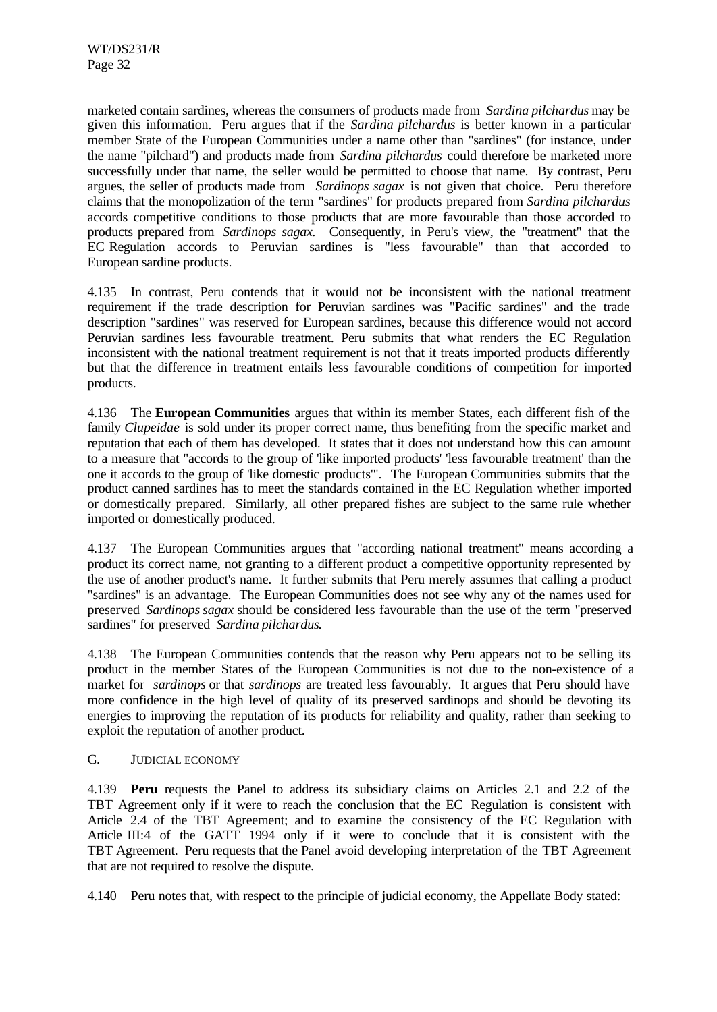marketed contain sardines, whereas the consumers of products made from *Sardina pilchardus* may be given this information. Peru argues that if the *Sardina pilchardus* is better known in a particular member State of the European Communities under a name other than "sardines" (for instance, under the name "pilchard") and products made from *Sardina pilchardus* could therefore be marketed more successfully under that name, the seller would be permitted to choose that name. By contrast, Peru argues, the seller of products made from *Sardinops sagax* is not given that choice. Peru therefore claims that the monopolization of the term "sardines" for products prepared from *Sardina pilchardus* accords competitive conditions to those products that are more favourable than those accorded to products prepared from *Sardinops sagax.* Consequently, in Peru's view, the "treatment" that the EC Regulation accords to Peruvian sardines is "less favourable" than that accorded to European sardine products.

4.135 In contrast, Peru contends that it would not be inconsistent with the national treatment requirement if the trade description for Peruvian sardines was "Pacific sardines" and the trade description "sardines" was reserved for European sardines, because this difference would not accord Peruvian sardines less favourable treatment. Peru submits that what renders the EC Regulation inconsistent with the national treatment requirement is not that it treats imported products differently but that the difference in treatment entails less favourable conditions of competition for imported products.

4.136 The **European Communities** argues that within its member States, each different fish of the family *Clupeidae* is sold under its proper correct name, thus benefiting from the specific market and reputation that each of them has developed. It states that it does not understand how this can amount to a measure that "accords to the group of 'like imported products' 'less favourable treatment' than the one it accords to the group of 'like domestic products'". The European Communities submits that the product canned sardines has to meet the standards contained in the EC Regulation whether imported or domestically prepared. Similarly, all other prepared fishes are subject to the same rule whether imported or domestically produced.

4.137 The European Communities argues that "according national treatment" means according a product its correct name, not granting to a different product a competitive opportunity represented by the use of another product's name. It further submits that Peru merely assumes that calling a product "sardines" is an advantage. The European Communities does not see why any of the names used for preserved *Sardinops sagax* should be considered less favourable than the use of the term "preserved sardines" for preserved *Sardina pilchardus*.

4.138 The European Communities contends that the reason why Peru appears not to be selling its product in the member States of the European Communities is not due to the non-existence of a market for *sardinops* or that *sardinops* are treated less favourably. It argues that Peru should have more confidence in the high level of quality of its preserved sardinops and should be devoting its energies to improving the reputation of its products for reliability and quality, rather than seeking to exploit the reputation of another product.

### G. JUDICIAL ECONOMY

4.139 **Peru** requests the Panel to address its subsidiary claims on Articles 2.1 and 2.2 of the TBT Agreement only if it were to reach the conclusion that the EC Regulation is consistent with Article 2.4 of the TBT Agreement; and to examine the consistency of the EC Regulation with Article III:4 of the GATT 1994 only if it were to conclude that it is consistent with the TBT Agreement. Peru requests that the Panel avoid developing interpretation of the TBT Agreement that are not required to resolve the dispute.

4.140 Peru notes that, with respect to the principle of judicial economy, the Appellate Body stated: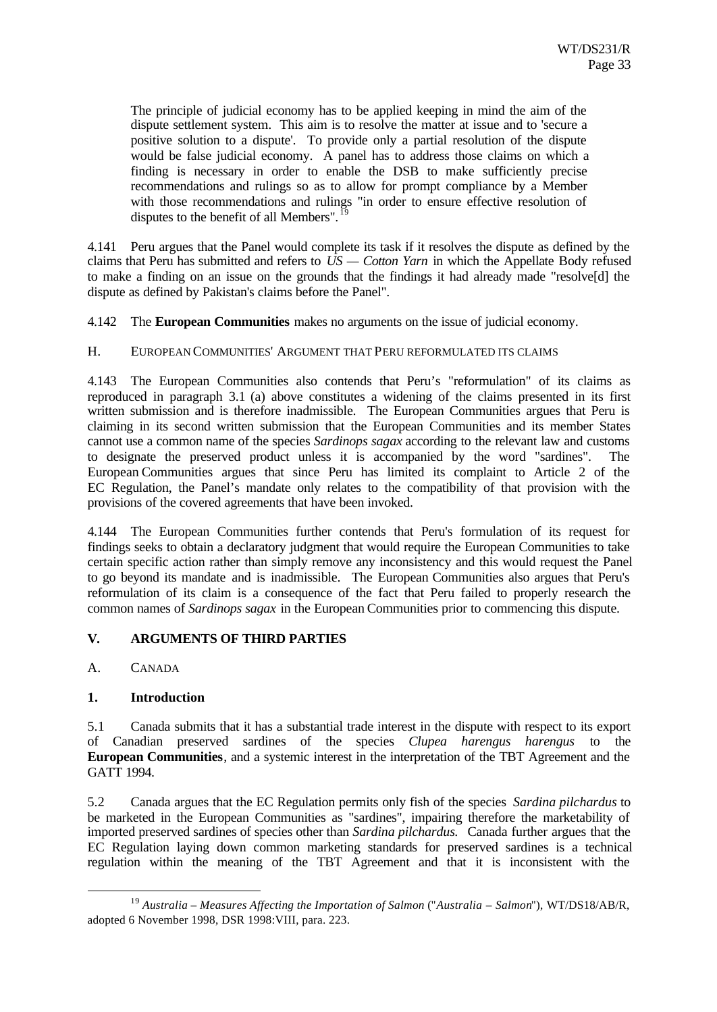The principle of judicial economy has to be applied keeping in mind the aim of the dispute settlement system. This aim is to resolve the matter at issue and to 'secure a positive solution to a dispute'. To provide only a partial resolution of the dispute would be false judicial economy. A panel has to address those claims on which a finding is necessary in order to enable the DSB to make sufficiently precise recommendations and rulings so as to allow for prompt compliance by a Member with those recommendations and rulings "in order to ensure effective resolution of disputes to the benefit of all Members".

4.141 Peru argues that the Panel would complete its task if it resolves the dispute as defined by the claims that Peru has submitted and refers to *US — Cotton Yarn* in which the Appellate Body refused to make a finding on an issue on the grounds that the findings it had already made "resolve[d] the dispute as defined by Pakistan's claims before the Panel".

4.142 The **European Communities** makes no arguments on the issue of judicial economy.

### H. EUROPEAN COMMUNITIES' ARGUMENT THAT PERU REFORMULATED ITS CLAIMS

4.143 The European Communities also contends that Peru's "reformulation" of its claims as reproduced in paragraph 3.1 (a) above constitutes a widening of the claims presented in its first written submission and is therefore inadmissible. The European Communities argues that Peru is claiming in its second written submission that the European Communities and its member States cannot use a common name of the species *Sardinops sagax* according to the relevant law and customs to designate the preserved product unless it is accompanied by the word "sardines". The European Communities argues that since Peru has limited its complaint to Article 2 of the EC Regulation, the Panel's mandate only relates to the compatibility of that provision with the provisions of the covered agreements that have been invoked.

4.144 The European Communities further contends that Peru's formulation of its request for findings seeks to obtain a declaratory judgment that would require the European Communities to take certain specific action rather than simply remove any inconsistency and this would request the Panel to go beyond its mandate and is inadmissible. The European Communities also argues that Peru's reformulation of its claim is a consequence of the fact that Peru failed to properly research the common names of *Sardinops sagax* in the European Communities prior to commencing this dispute.

### **V. ARGUMENTS OF THIRD PARTIES**

# A. CANADA

l

#### **1. Introduction**

5.1 Canada submits that it has a substantial trade interest in the dispute with respect to its export of Canadian preserved sardines of the species *Clupea harengus harengus* to the **European Communities**, and a systemic interest in the interpretation of the TBT Agreement and the GATT 1994.

5.2 Canada argues that the EC Regulation permits only fish of the species *Sardina pilchardus* to be marketed in the European Communities as "sardines", impairing therefore the marketability of imported preserved sardines of species other than *Sardina pilchardus.* Canada further argues that the EC Regulation laying down common marketing standards for preserved sardines is a technical regulation within the meaning of the TBT Agreement and that it is inconsistent with the

<sup>19</sup> *Australia – Measures Affecting the Importation of Salmon* ("*Australia – Salmon*"), WT/DS18/AB/R, adopted 6 November 1998, DSR 1998:VIII, para. 223.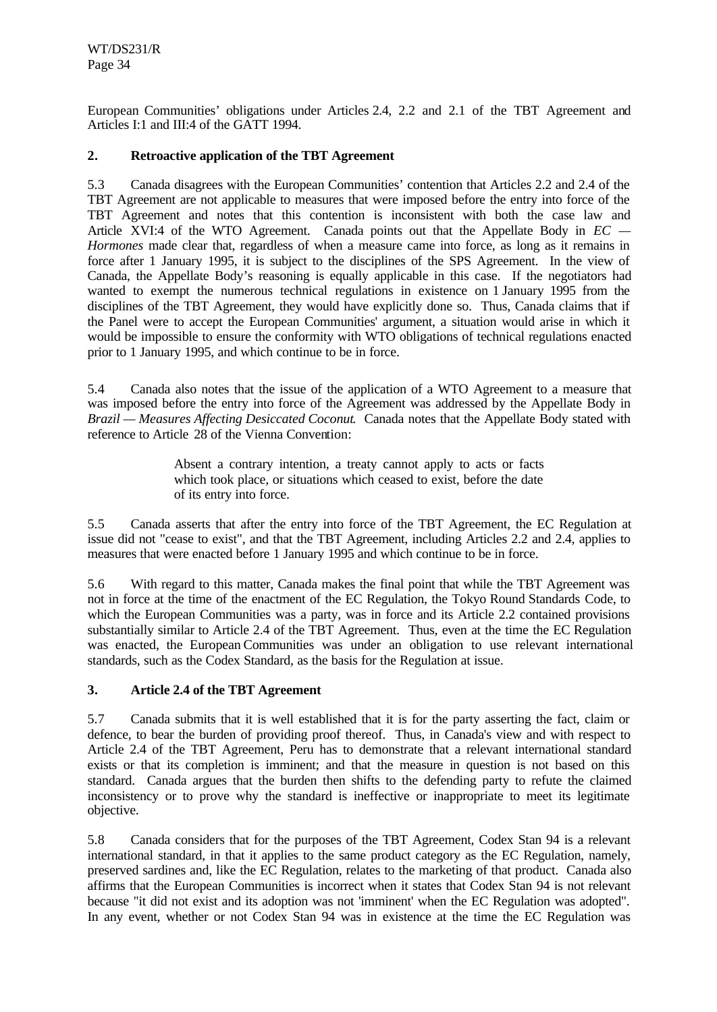European Communities' obligations under Articles 2.4, 2.2 and 2.1 of the TBT Agreement and Articles I:1 and III:4 of the GATT 1994.

# **2. Retroactive application of the TBT Agreement**

5.3 Canada disagrees with the European Communities' contention that Articles 2.2 and 2.4 of the TBT Agreement are not applicable to measures that were imposed before the entry into force of the TBT Agreement and notes that this contention is inconsistent with both the case law and Article XVI:4 of the WTO Agreement. Canada points out that the Appellate Body in *EC — Hormones* made clear that, regardless of when a measure came into force, as long as it remains in force after 1 January 1995, it is subject to the disciplines of the SPS Agreement. In the view of Canada, the Appellate Body's reasoning is equally applicable in this case. If the negotiators had wanted to exempt the numerous technical regulations in existence on 1 January 1995 from the disciplines of the TBT Agreement, they would have explicitly done so. Thus, Canada claims that if the Panel were to accept the European Communities' argument, a situation would arise in which it would be impossible to ensure the conformity with WTO obligations of technical regulations enacted prior to 1 January 1995, and which continue to be in force.

5.4 Canada also notes that the issue of the application of a WTO Agreement to a measure that was imposed before the entry into force of the Agreement was addressed by the Appellate Body in *Brazil — Measures Affecting Desiccated Coconut*. Canada notes that the Appellate Body stated with reference to Article 28 of the Vienna Convention:

> Absent a contrary intention, a treaty cannot apply to acts or facts which took place, or situations which ceased to exist, before the date of its entry into force.

5.5 Canada asserts that after the entry into force of the TBT Agreement, the EC Regulation at issue did not "cease to exist", and that the TBT Agreement, including Articles 2.2 and 2.4, applies to measures that were enacted before 1 January 1995 and which continue to be in force.

5.6 With regard to this matter, Canada makes the final point that while the TBT Agreement was not in force at the time of the enactment of the EC Regulation, the Tokyo Round Standards Code, to which the European Communities was a party, was in force and its Article 2.2 contained provisions substantially similar to Article 2.4 of the TBT Agreement. Thus, even at the time the EC Regulation was enacted, the European Communities was under an obligation to use relevant international standards, such as the Codex Standard, as the basis for the Regulation at issue.

# **3. Article 2.4 of the TBT Agreement**

5.7 Canada submits that it is well established that it is for the party asserting the fact, claim or defence, to bear the burden of providing proof thereof. Thus, in Canada's view and with respect to Article 2.4 of the TBT Agreement, Peru has to demonstrate that a relevant international standard exists or that its completion is imminent; and that the measure in question is not based on this standard. Canada argues that the burden then shifts to the defending party to refute the claimed inconsistency or to prove why the standard is ineffective or inappropriate to meet its legitimate objective.

5.8 Canada considers that for the purposes of the TBT Agreement, Codex Stan 94 is a relevant international standard, in that it applies to the same product category as the EC Regulation, namely, preserved sardines and, like the EC Regulation, relates to the marketing of that product. Canada also affirms that the European Communities is incorrect when it states that Codex Stan 94 is not relevant because "it did not exist and its adoption was not 'imminent' when the EC Regulation was adopted". In any event, whether or not Codex Stan 94 was in existence at the time the EC Regulation was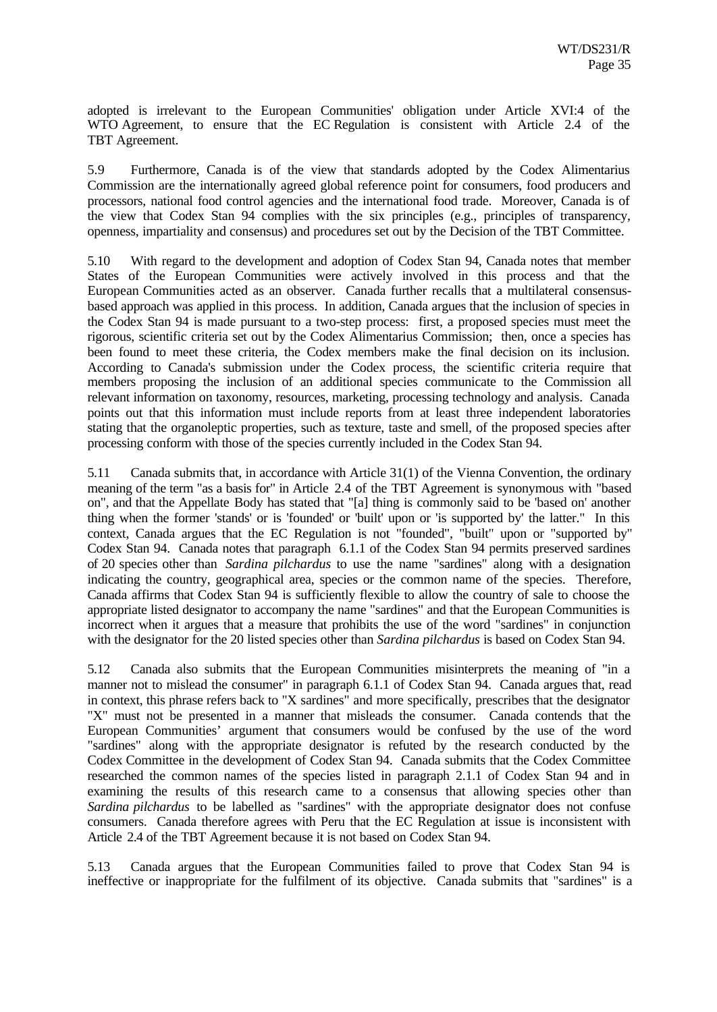adopted is irrelevant to the European Communities' obligation under Article XVI:4 of the WTO Agreement, to ensure that the EC Regulation is consistent with Article 2.4 of the TBT Agreement.

5.9 Furthermore, Canada is of the view that standards adopted by the Codex Alimentarius Commission are the internationally agreed global reference point for consumers, food producers and processors, national food control agencies and the international food trade. Moreover, Canada is of the view that Codex Stan 94 complies with the six principles (e.g., principles of transparency, openness, impartiality and consensus) and procedures set out by the Decision of the TBT Committee.

5.10 With regard to the development and adoption of Codex Stan 94, Canada notes that member States of the European Communities were actively involved in this process and that the European Communities acted as an observer. Canada further recalls that a multilateral consensusbased approach was applied in this process. In addition, Canada argues that the inclusion of species in the Codex Stan 94 is made pursuant to a two-step process: first, a proposed species must meet the rigorous, scientific criteria set out by the Codex Alimentarius Commission; then, once a species has been found to meet these criteria, the Codex members make the final decision on its inclusion. According to Canada's submission under the Codex process, the scientific criteria require that members proposing the inclusion of an additional species communicate to the Commission all relevant information on taxonomy, resources, marketing, processing technology and analysis. Canada points out that this information must include reports from at least three independent laboratories stating that the organoleptic properties, such as texture, taste and smell, of the proposed species after processing conform with those of the species currently included in the Codex Stan 94.

5.11 Canada submits that, in accordance with Article 31(1) of the Vienna Convention, the ordinary meaning of the term "as a basis for" in Article 2.4 of the TBT Agreement is synonymous with "based on", and that the Appellate Body has stated that "[a] thing is commonly said to be 'based on' another thing when the former 'stands' or is 'founded' or 'built' upon or 'is supported by' the latter." In this context, Canada argues that the EC Regulation is not "founded", "built" upon or "supported by" Codex Stan 94. Canada notes that paragraph 6.1.1 of the Codex Stan 94 permits preserved sardines of 20 species other than *Sardina pilchardus* to use the name "sardines" along with a designation indicating the country, geographical area, species or the common name of the species. Therefore, Canada affirms that Codex Stan 94 is sufficiently flexible to allow the country of sale to choose the appropriate listed designator to accompany the name "sardines" and that the European Communities is incorrect when it argues that a measure that prohibits the use of the word "sardines" in conjunction with the designator for the 20 listed species other than *Sardina pilchardus* is based on Codex Stan 94.

5.12 Canada also submits that the European Communities misinterprets the meaning of "in a manner not to mislead the consumer" in paragraph 6.1.1 of Codex Stan 94. Canada argues that, read in context, this phrase refers back to "X sardines" and more specifically, prescribes that the designator "X" must not be presented in a manner that misleads the consumer. Canada contends that the European Communities' argument that consumers would be confused by the use of the word "sardines" along with the appropriate designator is refuted by the research conducted by the Codex Committee in the development of Codex Stan 94. Canada submits that the Codex Committee researched the common names of the species listed in paragraph 2.1.1 of Codex Stan 94 and in examining the results of this research came to a consensus that allowing species other than *Sardina pilchardus* to be labelled as "sardines" with the appropriate designator does not confuse consumers. Canada therefore agrees with Peru that the EC Regulation at issue is inconsistent with Article 2.4 of the TBT Agreement because it is not based on Codex Stan 94.

5.13 Canada argues that the European Communities failed to prove that Codex Stan 94 is ineffective or inappropriate for the fulfilment of its objective. Canada submits that "sardines" is a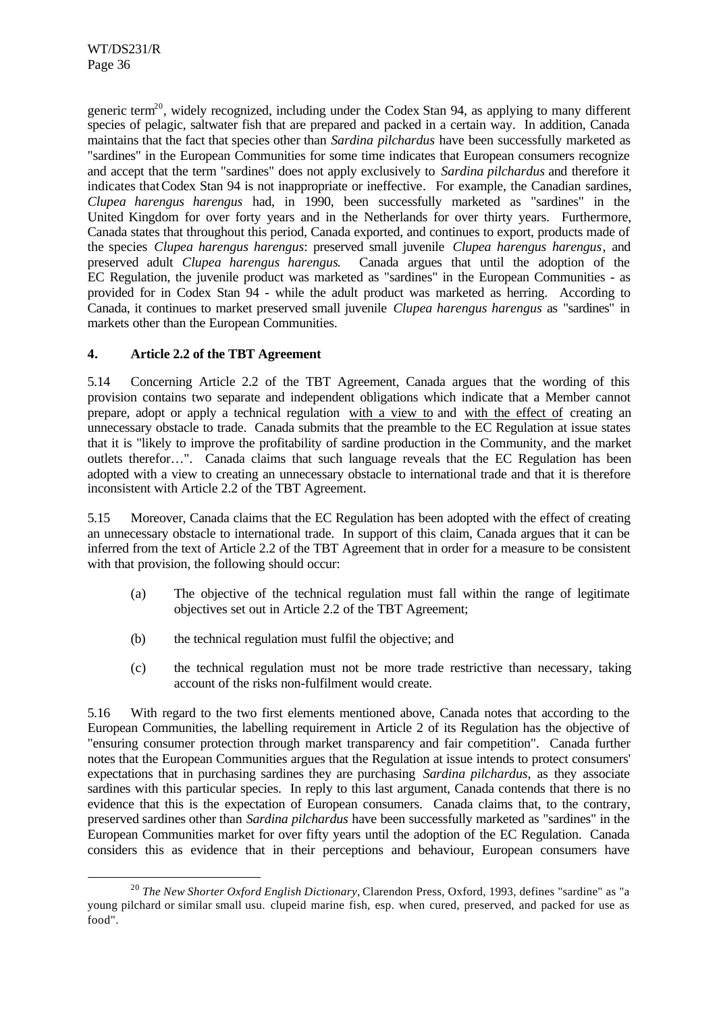l

generic term<sup>20</sup>, widely recognized, including under the Codex Stan 94, as applying to many different species of pelagic, saltwater fish that are prepared and packed in a certain way. In addition, Canada maintains that the fact that species other than *Sardina pilchardus* have been successfully marketed as "sardines" in the European Communities for some time indicates that European consumers recognize and accept that the term "sardines" does not apply exclusively to *Sardina pilchardus* and therefore it indicates thatCodex Stan 94 is not inappropriate or ineffective*.* For example, the Canadian sardines, *Clupea harengus harengus* had, in 1990, been successfully marketed as "sardines" in the United Kingdom for over forty years and in the Netherlands for over thirty years. Furthermore, Canada states that throughout this period, Canada exported, and continues to export, products made of the species *Clupea harengus harengus*: preserved small juvenile *Clupea harengus harengus*, and preserved adult *Clupea harengus harengus*. Canada argues that until the adoption of the EC Regulation, the juvenile product was marketed as "sardines" in the European Communities - as provided for in Codex Stan 94 - while the adult product was marketed as herring. According to Canada, it continues to market preserved small juvenile *Clupea harengus harengus* as "sardines" in markets other than the European Communities.

# **4. Article 2.2 of the TBT Agreement**

5.14 Concerning Article 2.2 of the TBT Agreement, Canada argues that the wording of this provision contains two separate and independent obligations which indicate that a Member cannot prepare, adopt or apply a technical regulation with a view to and with the effect of creating an unnecessary obstacle to trade. Canada submits that the preamble to the EC Regulation at issue states that it is "likely to improve the profitability of sardine production in the Community, and the market outlets therefor…". Canada claims that such language reveals that the EC Regulation has been adopted with a view to creating an unnecessary obstacle to international trade and that it is therefore inconsistent with Article 2.2 of the TBT Agreement.

5.15 Moreover, Canada claims that the EC Regulation has been adopted with the effect of creating an unnecessary obstacle to international trade. In support of this claim, Canada argues that it can be inferred from the text of Article 2.2 of the TBT Agreement that in order for a measure to be consistent with that provision, the following should occur:

- (a) The objective of the technical regulation must fall within the range of legitimate objectives set out in Article 2.2 of the TBT Agreement;
- (b) the technical regulation must fulfil the objective; and
- (c) the technical regulation must not be more trade restrictive than necessary, taking account of the risks non-fulfilment would create.

5.16 With regard to the two first elements mentioned above, Canada notes that according to the European Communities, the labelling requirement in Article 2 of its Regulation has the objective of "ensuring consumer protection through market transparency and fair competition". Canada further notes that the European Communities argues that the Regulation at issue intends to protect consumers' expectations that in purchasing sardines they are purchasing *Sardina pilchardus*, as they associate sardines with this particular species. In reply to this last argument, Canada contends that there is no evidence that this is the expectation of European consumers. Canada claims that, to the contrary, preserved sardines other than *Sardina pilchardus* have been successfully marketed as "sardines" in the European Communities market for over fifty years until the adoption of the EC Regulation. Canada considers this as evidence that in their perceptions and behaviour, European consumers have

<sup>20</sup> *The New Shorter Oxford English Dictionary*, Clarendon Press, Oxford, 1993, defines "sardine" as "a young pilchard or similar small usu. clupeid marine fish, esp. when cured, preserved, and packed for use as food".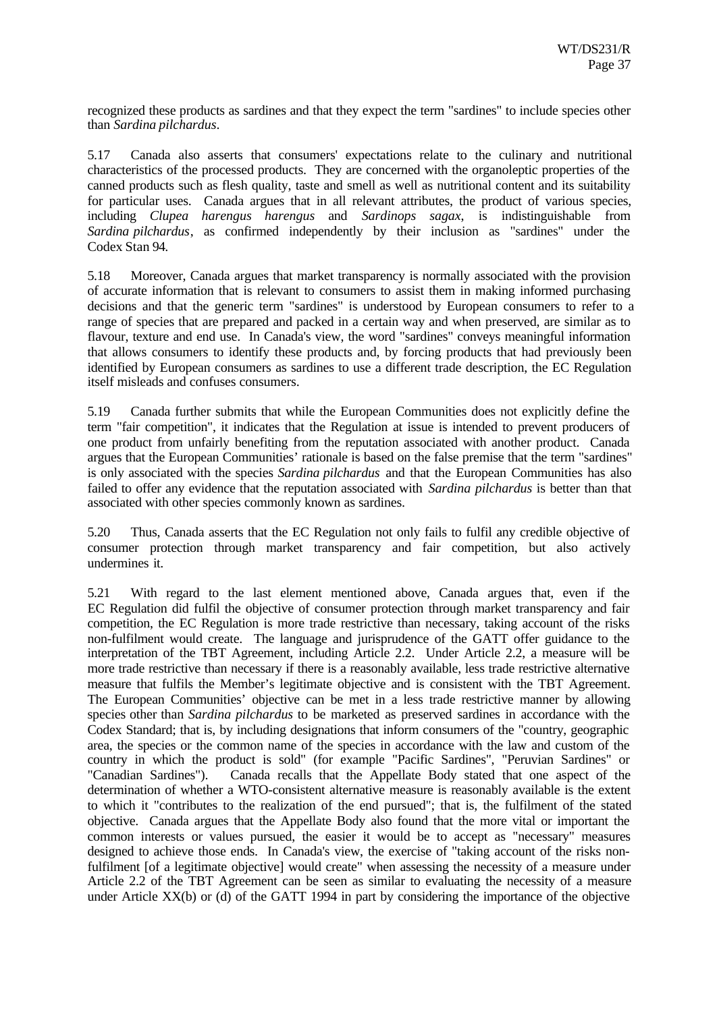recognized these products as sardines and that they expect the term "sardines" to include species other than *Sardina pilchardus*.

5.17 Canada also asserts that consumers' expectations relate to the culinary and nutritional characteristics of the processed products. They are concerned with the organoleptic properties of the canned products such as flesh quality, taste and smell as well as nutritional content and its suitability for particular uses. Canada argues that in all relevant attributes, the product of various species, including *Clupea harengus harengus* and *Sardinops sagax*, is indistinguishable from *Sardina pilchardus*, as confirmed independently by their inclusion as "sardines" under the Codex Stan 94.

5.18 Moreover, Canada argues that market transparency is normally associated with the provision of accurate information that is relevant to consumers to assist them in making informed purchasing decisions and that the generic term "sardines" is understood by European consumers to refer to a range of species that are prepared and packed in a certain way and when preserved, are similar as to flavour, texture and end use. In Canada's view, the word "sardines" conveys meaningful information that allows consumers to identify these products and, by forcing products that had previously been identified by European consumers as sardines to use a different trade description, the EC Regulation itself misleads and confuses consumers.

5.19 Canada further submits that while the European Communities does not explicitly define the term "fair competition", it indicates that the Regulation at issue is intended to prevent producers of one product from unfairly benefiting from the reputation associated with another product. Canada argues that the European Communities' rationale is based on the false premise that the term "sardines" is only associated with the species *Sardina pilchardus* and that the European Communities has also failed to offer any evidence that the reputation associated with *Sardina pilchardus* is better than that associated with other species commonly known as sardines.

5.20 Thus, Canada asserts that the EC Regulation not only fails to fulfil any credible objective of consumer protection through market transparency and fair competition, but also actively undermines it.

5.21 With regard to the last element mentioned above, Canada argues that, even if the EC Regulation did fulfil the objective of consumer protection through market transparency and fair competition, the EC Regulation is more trade restrictive than necessary, taking account of the risks non-fulfilment would create. The language and jurisprudence of the GATT offer guidance to the interpretation of the TBT Agreement, including Article 2.2. Under Article 2.2, a measure will be more trade restrictive than necessary if there is a reasonably available, less trade restrictive alternative measure that fulfils the Member's legitimate objective and is consistent with the TBT Agreement. The European Communities' objective can be met in a less trade restrictive manner by allowing species other than *Sardina pilchardus* to be marketed as preserved sardines in accordance with the Codex Standard; that is, by including designations that inform consumers of the "country, geographic area, the species or the common name of the species in accordance with the law and custom of the country in which the product is sold" (for example "Pacific Sardines", "Peruvian Sardines" or "Canadian Sardines"). Canada recalls that the Appellate Body stated that one aspect of the determination of whether a WTO-consistent alternative measure is reasonably available is the extent to which it "contributes to the realization of the end pursued"; that is, the fulfilment of the stated objective. Canada argues that the Appellate Body also found that the more vital or important the common interests or values pursued, the easier it would be to accept as "necessary" measures designed to achieve those ends. In Canada's view, the exercise of "taking account of the risks nonfulfilment [of a legitimate objective] would create" when assessing the necessity of a measure under Article 2.2 of the TBT Agreement can be seen as similar to evaluating the necessity of a measure under Article XX(b) or (d) of the GATT 1994 in part by considering the importance of the objective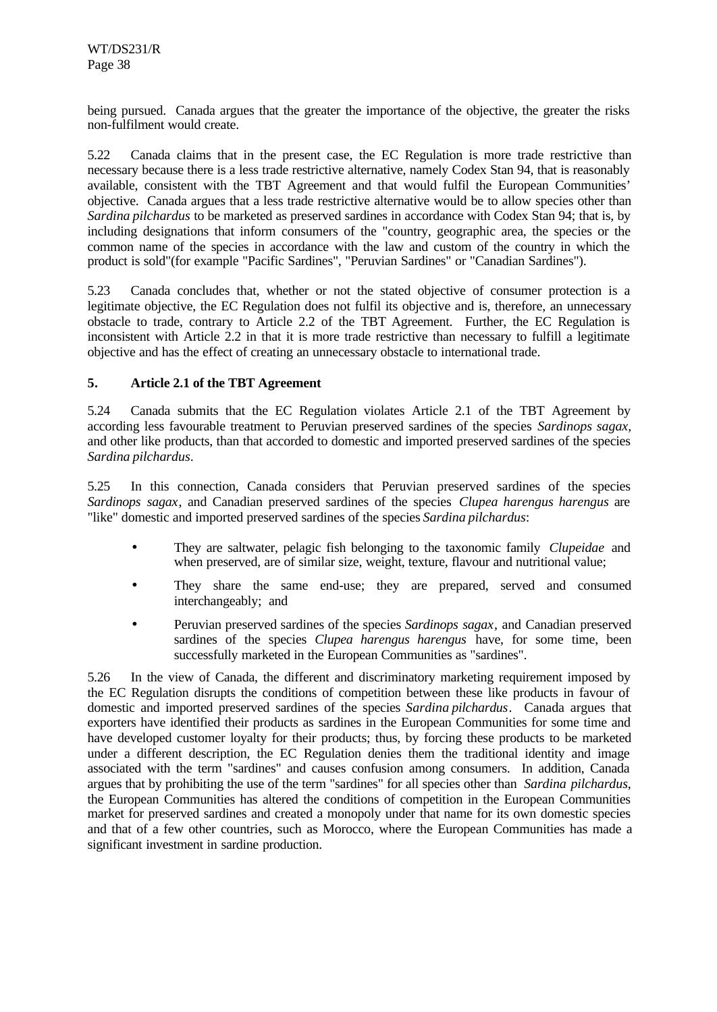being pursued. Canada argues that the greater the importance of the objective, the greater the risks non-fulfilment would create.

5.22 Canada claims that in the present case, the EC Regulation is more trade restrictive than necessary because there is a less trade restrictive alternative, namely Codex Stan 94, that is reasonably available, consistent with the TBT Agreement and that would fulfil the European Communities' objective. Canada argues that a less trade restrictive alternative would be to allow species other than *Sardina pilchardus* to be marketed as preserved sardines in accordance with Codex Stan 94; that is, by including designations that inform consumers of the "country, geographic area, the species or the common name of the species in accordance with the law and custom of the country in which the product is sold"(for example "Pacific Sardines", "Peruvian Sardines" or "Canadian Sardines").

5.23 Canada concludes that, whether or not the stated objective of consumer protection is a legitimate objective, the EC Regulation does not fulfil its objective and is, therefore, an unnecessary obstacle to trade, contrary to Article 2.2 of the TBT Agreement. Further, the EC Regulation is inconsistent with Article 2.2 in that it is more trade restrictive than necessary to fulfill a legitimate objective and has the effect of creating an unnecessary obstacle to international trade.

### **5. Article 2.1 of the TBT Agreement**

5.24 Canada submits that the EC Regulation violates Article 2.1 of the TBT Agreement by according less favourable treatment to Peruvian preserved sardines of the species *Sardinops sagax,* and other like products, than that accorded to domestic and imported preserved sardines of the species *Sardina pilchardus*.

5.25 In this connection, Canada considers that Peruvian preserved sardines of the species *Sardinops sagax*, and Canadian preserved sardines of the species *Clupea harengus harengus* are "like" domestic and imported preserved sardines of the species *Sardina pilchardus*:

- They are saltwater, pelagic fish belonging to the taxonomic family *Clupeidae* and when preserved, are of similar size, weight, texture, flavour and nutritional value;
- They share the same end-use; they are prepared, served and consumed interchangeably; and
- Peruvian preserved sardines of the species *Sardinops sagax*, and Canadian preserved sardines of the species *Clupea harengus harengus* have, for some time, been successfully marketed in the European Communities as "sardines".

5.26 In the view of Canada, the different and discriminatory marketing requirement imposed by the EC Regulation disrupts the conditions of competition between these like products in favour of domestic and imported preserved sardines of the species *Sardina pilchardus*. Canada argues that exporters have identified their products as sardines in the European Communities for some time and have developed customer loyalty for their products; thus, by forcing these products to be marketed under a different description, the EC Regulation denies them the traditional identity and image associated with the term "sardines" and causes confusion among consumers. In addition, Canada argues that by prohibiting the use of the term "sardines" for all species other than *Sardina pilchardus*, the European Communities has altered the conditions of competition in the European Communities market for preserved sardines and created a monopoly under that name for its own domestic species and that of a few other countries, such as Morocco, where the European Communities has made a significant investment in sardine production.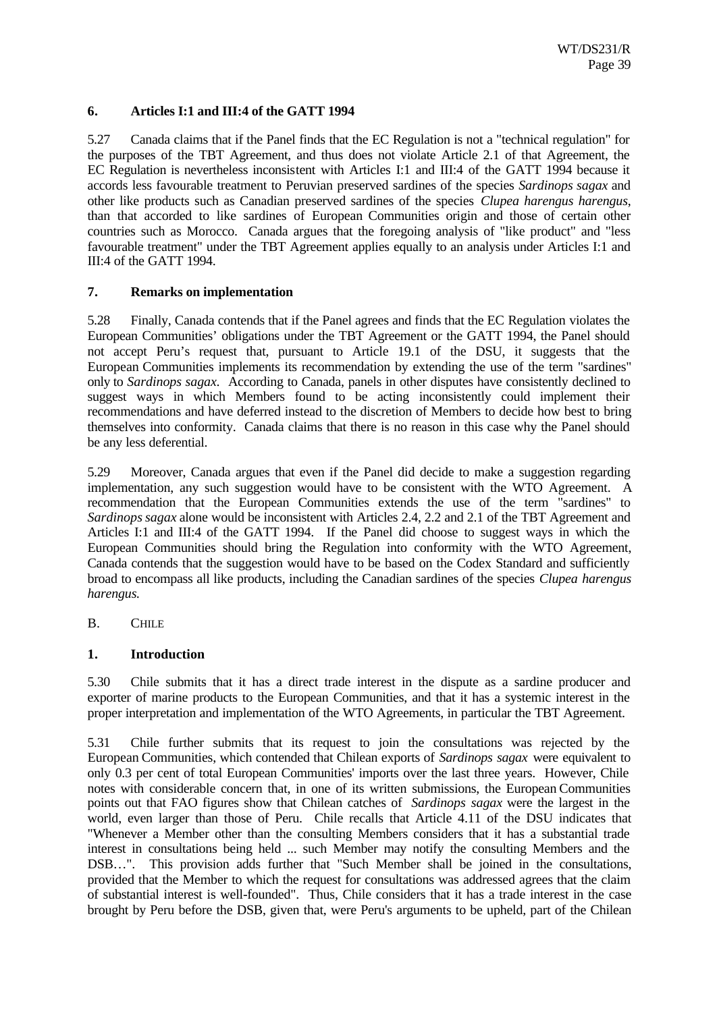### **6. Articles I:1 and III:4 of the GATT 1994**

5.27 Canada claims that if the Panel finds that the EC Regulation is not a "technical regulation" for the purposes of the TBT Agreement, and thus does not violate Article 2.1 of that Agreement, the EC Regulation is nevertheless inconsistent with Articles I:1 and III:4 of the GATT 1994 because it accords less favourable treatment to Peruvian preserved sardines of the species *Sardinops sagax* and other like products such as Canadian preserved sardines of the species *Clupea harengus harengus*, than that accorded to like sardines of European Communities origin and those of certain other countries such as Morocco. Canada argues that the foregoing analysis of "like product" and "less favourable treatment" under the TBT Agreement applies equally to an analysis under Articles I:1 and III:4 of the GATT 1994.

### **7. Remarks on implementation**

5.28 Finally, Canada contends that if the Panel agrees and finds that the EC Regulation violates the European Communities' obligations under the TBT Agreement or the GATT 1994, the Panel should not accept Peru's request that, pursuant to Article 19.1 of the DSU, it suggests that the European Communities implements its recommendation by extending the use of the term "sardines" only to *Sardinops sagax.* According to Canada, panels in other disputes have consistently declined to suggest ways in which Members found to be acting inconsistently could implement their recommendations and have deferred instead to the discretion of Members to decide how best to bring themselves into conformity. Canada claims that there is no reason in this case why the Panel should be any less deferential.

5.29 Moreover, Canada argues that even if the Panel did decide to make a suggestion regarding implementation, any such suggestion would have to be consistent with the WTO Agreement. A recommendation that the European Communities extends the use of the term "sardines" to *Sardinops sagax* alone would be inconsistent with Articles 2.4, 2.2 and 2.1 of the TBT Agreement and Articles I:1 and III:4 of the GATT 1994. If the Panel did choose to suggest ways in which the European Communities should bring the Regulation into conformity with the WTO Agreement, Canada contends that the suggestion would have to be based on the Codex Standard and sufficiently broad to encompass all like products, including the Canadian sardines of the species *Clupea harengus harengus.*

# B. CHILE

#### **1. Introduction**

5.30 Chile submits that it has a direct trade interest in the dispute as a sardine producer and exporter of marine products to the European Communities, and that it has a systemic interest in the proper interpretation and implementation of the WTO Agreements, in particular the TBT Agreement.

5.31 Chile further submits that its request to join the consultations was rejected by the European Communities, which contended that Chilean exports of *Sardinops sagax* were equivalent to only 0.3 per cent of total European Communities' imports over the last three years. However, Chile notes with considerable concern that, in one of its written submissions, the European Communities points out that FAO figures show that Chilean catches of *Sardinops sagax* were the largest in the world, even larger than those of Peru. Chile recalls that Article 4.11 of the DSU indicates that "Whenever a Member other than the consulting Members considers that it has a substantial trade interest in consultations being held ... such Member may notify the consulting Members and the DSB…". This provision adds further that "Such Member shall be joined in the consultations, provided that the Member to which the request for consultations was addressed agrees that the claim of substantial interest is well-founded". Thus, Chile considers that it has a trade interest in the case brought by Peru before the DSB, given that, were Peru's arguments to be upheld, part of the Chilean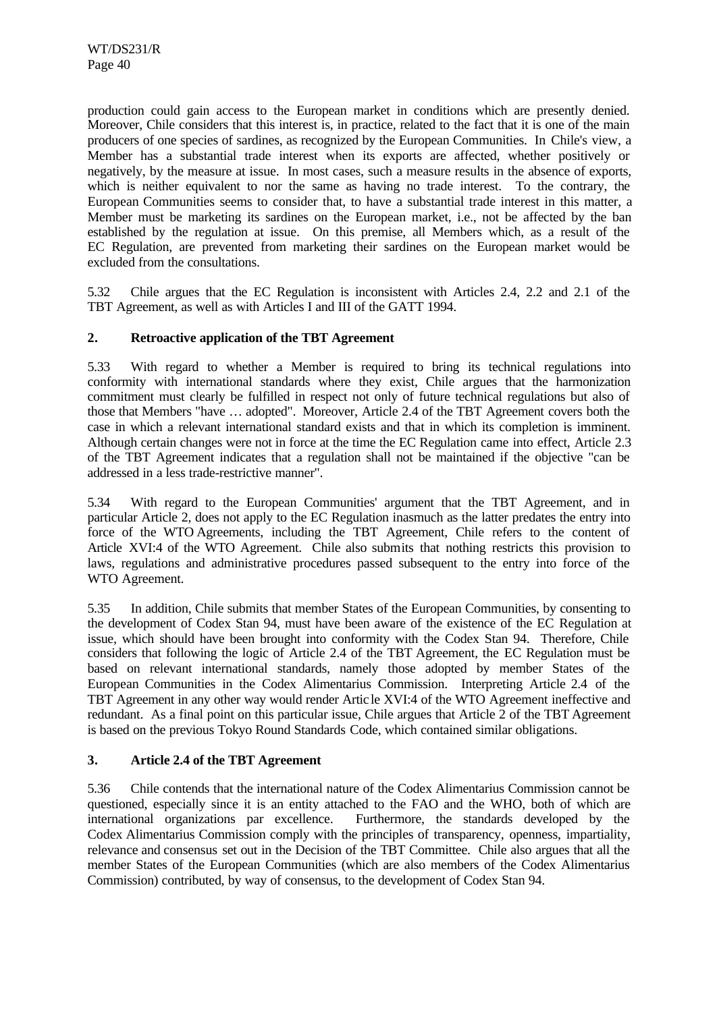production could gain access to the European market in conditions which are presently denied. Moreover, Chile considers that this interest is, in practice, related to the fact that it is one of the main producers of one species of sardines, as recognized by the European Communities. In Chile's view, a Member has a substantial trade interest when its exports are affected, whether positively or negatively, by the measure at issue. In most cases, such a measure results in the absence of exports, which is neither equivalent to nor the same as having no trade interest. To the contrary, the European Communities seems to consider that, to have a substantial trade interest in this matter, a Member must be marketing its sardines on the European market, i.e., not be affected by the ban established by the regulation at issue. On this premise, all Members which, as a result of the EC Regulation, are prevented from marketing their sardines on the European market would be excluded from the consultations.

5.32 Chile argues that the EC Regulation is inconsistent with Articles 2.4, 2.2 and 2.1 of the TBT Agreement, as well as with Articles I and III of the GATT 1994.

# **2. Retroactive application of the TBT Agreement**

5.33 With regard to whether a Member is required to bring its technical regulations into conformity with international standards where they exist, Chile argues that the harmonization commitment must clearly be fulfilled in respect not only of future technical regulations but also of those that Members "have … adopted". Moreover, Article 2.4 of the TBT Agreement covers both the case in which a relevant international standard exists and that in which its completion is imminent. Although certain changes were not in force at the time the EC Regulation came into effect, Article 2.3 of the TBT Agreement indicates that a regulation shall not be maintained if the objective "can be addressed in a less trade-restrictive manner".

5.34 With regard to the European Communities' argument that the TBT Agreement, and in particular Article 2, does not apply to the EC Regulation inasmuch as the latter predates the entry into force of the WTO Agreements, including the TBT Agreement, Chile refers to the content of Article XVI:4 of the WTO Agreement. Chile also submits that nothing restricts this provision to laws, regulations and administrative procedures passed subsequent to the entry into force of the WTO Agreement.

5.35 In addition, Chile submits that member States of the European Communities, by consenting to the development of Codex Stan 94, must have been aware of the existence of the EC Regulation at issue, which should have been brought into conformity with the Codex Stan 94. Therefore, Chile considers that following the logic of Article 2.4 of the TBT Agreement, the EC Regulation must be based on relevant international standards, namely those adopted by member States of the European Communities in the Codex Alimentarius Commission. Interpreting Article 2.4 of the TBT Agreement in any other way would render Artic le XVI:4 of the WTO Agreement ineffective and redundant. As a final point on this particular issue, Chile argues that Article 2 of the TBT Agreement is based on the previous Tokyo Round Standards Code, which contained similar obligations.

# **3. Article 2.4 of the TBT Agreement**

5.36 Chile contends that the international nature of the Codex Alimentarius Commission cannot be questioned, especially since it is an entity attached to the FAO and the WHO, both of which are international organizations par excellence. Furthermore, the standards developed by the Codex Alimentarius Commission comply with the principles of transparency, openness, impartiality, relevance and consensus set out in the Decision of the TBT Committee. Chile also argues that all the member States of the European Communities (which are also members of the Codex Alimentarius Commission) contributed, by way of consensus, to the development of Codex Stan 94.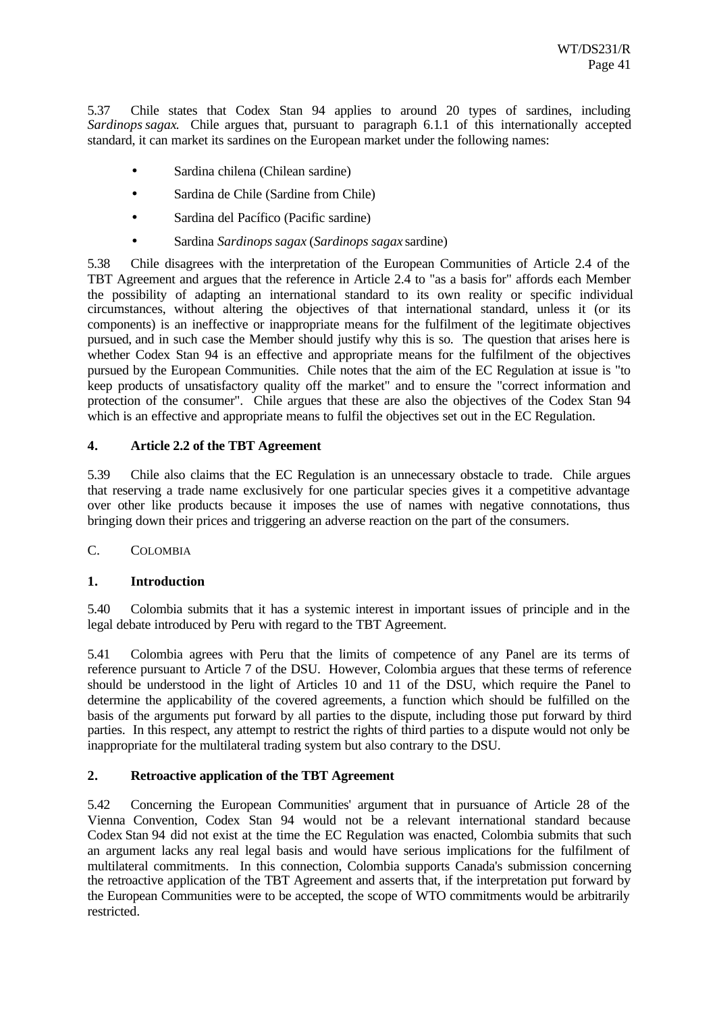5.37 Chile states that Codex Stan 94 applies to around 20 types of sardines, including *Sardinops sagax*. Chile argues that, pursuant to paragraph 6.1.1 of this internationally accepted standard, it can market its sardines on the European market under the following names:

- Sardina chilena (Chilean sardine)
- Sardina de Chile (Sardine from Chile)
- Sardina del Pacífico (Pacific sardine)
- Sardina *Sardinops sagax* (*Sardinops sagax* sardine)

5.38 Chile disagrees with the interpretation of the European Communities of Article 2.4 of the TBT Agreement and argues that the reference in Article 2.4 to "as a basis for" affords each Member the possibility of adapting an international standard to its own reality or specific individual circumstances, without altering the objectives of that international standard, unless it (or its components) is an ineffective or inappropriate means for the fulfilment of the legitimate objectives pursued, and in such case the Member should justify why this is so. The question that arises here is whether Codex Stan 94 is an effective and appropriate means for the fulfilment of the objectives pursued by the European Communities. Chile notes that the aim of the EC Regulation at issue is "to keep products of unsatisfactory quality off the market" and to ensure the "correct information and protection of the consumer". Chile argues that these are also the objectives of the Codex Stan 94 which is an effective and appropriate means to fulfil the objectives set out in the EC Regulation.

### **4. Article 2.2 of the TBT Agreement**

5.39 Chile also claims that the EC Regulation is an unnecessary obstacle to trade. Chile argues that reserving a trade name exclusively for one particular species gives it a competitive advantage over other like products because it imposes the use of names with negative connotations, thus bringing down their prices and triggering an adverse reaction on the part of the consumers.

### C. COLOMBIA

#### **1. Introduction**

5.40 Colombia submits that it has a systemic interest in important issues of principle and in the legal debate introduced by Peru with regard to the TBT Agreement.

5.41 Colombia agrees with Peru that the limits of competence of any Panel are its terms of reference pursuant to Article 7 of the DSU. However, Colombia argues that these terms of reference should be understood in the light of Articles 10 and 11 of the DSU, which require the Panel to determine the applicability of the covered agreements, a function which should be fulfilled on the basis of the arguments put forward by all parties to the dispute, including those put forward by third parties. In this respect, any attempt to restrict the rights of third parties to a dispute would not only be inappropriate for the multilateral trading system but also contrary to the DSU.

#### **2. Retroactive application of the TBT Agreement**

5.42 Concerning the European Communities' argument that in pursuance of Article 28 of the Vienna Convention, Codex Stan 94 would not be a relevant international standard because Codex Stan 94 did not exist at the time the EC Regulation was enacted, Colombia submits that such an argument lacks any real legal basis and would have serious implications for the fulfilment of multilateral commitments. In this connection, Colombia supports Canada's submission concerning the retroactive application of the TBT Agreement and asserts that, if the interpretation put forward by the European Communities were to be accepted, the scope of WTO commitments would be arbitrarily restricted.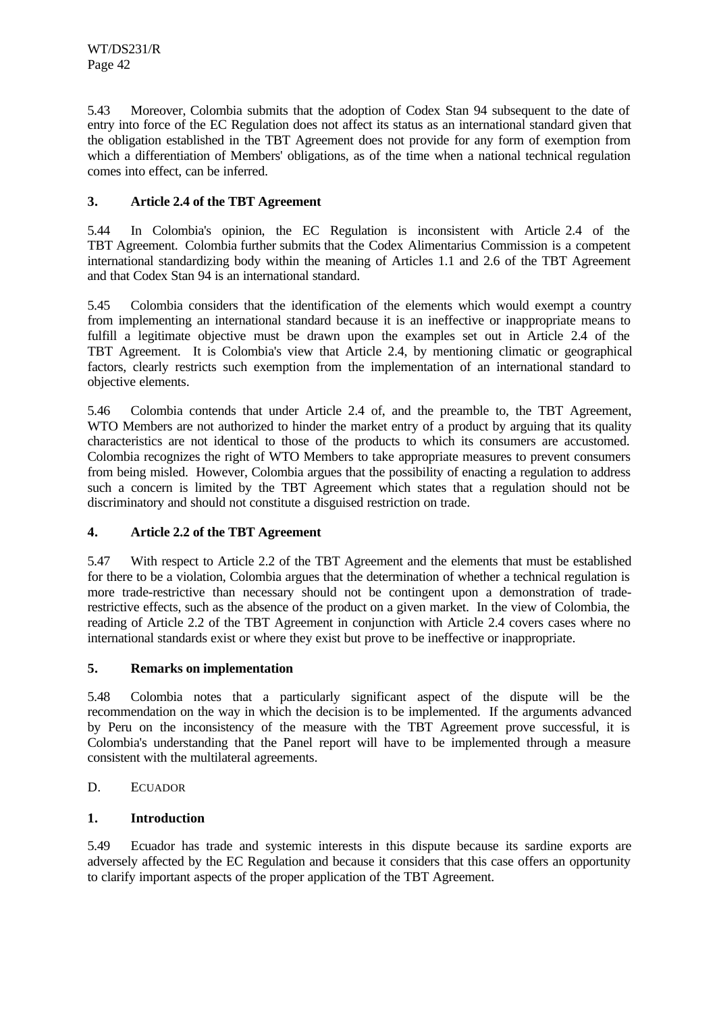5.43 Moreover, Colombia submits that the adoption of Codex Stan 94 subsequent to the date of entry into force of the EC Regulation does not affect its status as an international standard given that the obligation established in the TBT Agreement does not provide for any form of exemption from which a differentiation of Members' obligations, as of the time when a national technical regulation comes into effect, can be inferred.

# **3. Article 2.4 of the TBT Agreement**

5.44 In Colombia's opinion, the EC Regulation is inconsistent with Article 2.4 of the TBT Agreement. Colombia further submits that the Codex Alimentarius Commission is a competent international standardizing body within the meaning of Articles 1.1 and 2.6 of the TBT Agreement and that Codex Stan 94 is an international standard.

5.45 Colombia considers that the identification of the elements which would exempt a country from implementing an international standard because it is an ineffective or inappropriate means to fulfill a legitimate objective must be drawn upon the examples set out in Article 2.4 of the TBT Agreement. It is Colombia's view that Article 2.4, by mentioning climatic or geographical factors, clearly restricts such exemption from the implementation of an international standard to objective elements.

5.46 Colombia contends that under Article 2.4 of, and the preamble to, the TBT Agreement, WTO Members are not authorized to hinder the market entry of a product by arguing that its quality characteristics are not identical to those of the products to which its consumers are accustomed. Colombia recognizes the right of WTO Members to take appropriate measures to prevent consumers from being misled. However, Colombia argues that the possibility of enacting a regulation to address such a concern is limited by the TBT Agreement which states that a regulation should not be discriminatory and should not constitute a disguised restriction on trade.

# **4. Article 2.2 of the TBT Agreement**

5.47 With respect to Article 2.2 of the TBT Agreement and the elements that must be established for there to be a violation, Colombia argues that the determination of whether a technical regulation is more trade-restrictive than necessary should not be contingent upon a demonstration of traderestrictive effects, such as the absence of the product on a given market. In the view of Colombia, the reading of Article 2.2 of the TBT Agreement in conjunction with Article 2.4 covers cases where no international standards exist or where they exist but prove to be ineffective or inappropriate.

# **5. Remarks on implementation**

5.48 Colombia notes that a particularly significant aspect of the dispute will be the recommendation on the way in which the decision is to be implemented. If the arguments advanced by Peru on the inconsistency of the measure with the TBT Agreement prove successful, it is Colombia's understanding that the Panel report will have to be implemented through a measure consistent with the multilateral agreements.

# D. ECUADOR

# **1. Introduction**

5.49 Ecuador has trade and systemic interests in this dispute because its sardine exports are adversely affected by the EC Regulation and because it considers that this case offers an opportunity to clarify important aspects of the proper application of the TBT Agreement.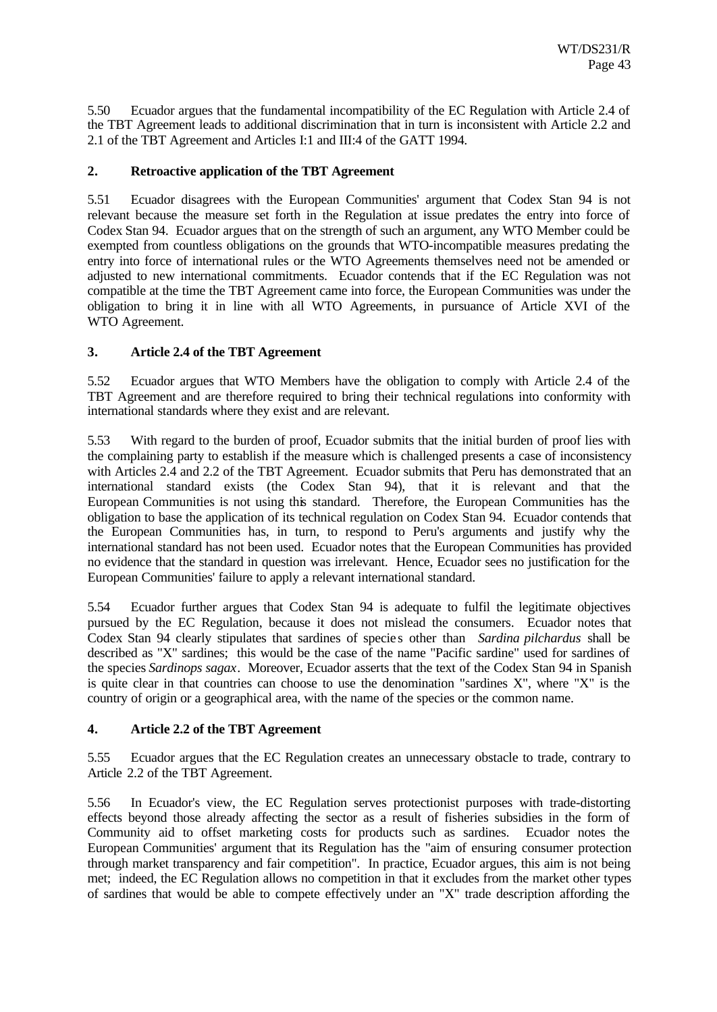5.50 Ecuador argues that the fundamental incompatibility of the EC Regulation with Article 2.4 of the TBT Agreement leads to additional discrimination that in turn is inconsistent with Article 2.2 and 2.1 of the TBT Agreement and Articles I:1 and III:4 of the GATT 1994.

### **2. Retroactive application of the TBT Agreement**

5.51 Ecuador disagrees with the European Communities' argument that Codex Stan 94 is not relevant because the measure set forth in the Regulation at issue predates the entry into force of Codex Stan 94. Ecuador argues that on the strength of such an argument, any WTO Member could be exempted from countless obligations on the grounds that WTO-incompatible measures predating the entry into force of international rules or the WTO Agreements themselves need not be amended or adjusted to new international commitments. Ecuador contends that if the EC Regulation was not compatible at the time the TBT Agreement came into force, the European Communities was under the obligation to bring it in line with all WTO Agreements, in pursuance of Article XVI of the WTO Agreement.

### **3. Article 2.4 of the TBT Agreement**

5.52 Ecuador argues that WTO Members have the obligation to comply with Article 2.4 of the TBT Agreement and are therefore required to bring their technical regulations into conformity with international standards where they exist and are relevant.

5.53 With regard to the burden of proof, Ecuador submits that the initial burden of proof lies with the complaining party to establish if the measure which is challenged presents a case of inconsistency with Articles 2.4 and 2.2 of the TBT Agreement. Ecuador submits that Peru has demonstrated that an international standard exists (the Codex Stan 94), that it is relevant and that the European Communities is not using this standard. Therefore, the European Communities has the obligation to base the application of its technical regulation on Codex Stan 94. Ecuador contends that the European Communities has, in turn, to respond to Peru's arguments and justify why the international standard has not been used. Ecuador notes that the European Communities has provided no evidence that the standard in question was irrelevant. Hence, Ecuador sees no justification for the European Communities' failure to apply a relevant international standard.

5.54 Ecuador further argues that Codex Stan 94 is adequate to fulfil the legitimate objectives pursued by the EC Regulation, because it does not mislead the consumers. Ecuador notes that Codex Stan 94 clearly stipulates that sardines of specie s other than *Sardina pilchardus* shall be described as "X" sardines; this would be the case of the name "Pacific sardine" used for sardines of the species *Sardinops sagax*. Moreover, Ecuador asserts that the text of the Codex Stan 94 in Spanish is quite clear in that countries can choose to use the denomination "sardines  $X$ ", where " $X$ " is the country of origin or a geographical area, with the name of the species or the common name.

#### **4. Article 2.2 of the TBT Agreement**

5.55 Ecuador argues that the EC Regulation creates an unnecessary obstacle to trade, contrary to Article 2.2 of the TBT Agreement.

5.56 In Ecuador's view, the EC Regulation serves protectionist purposes with trade-distorting effects beyond those already affecting the sector as a result of fisheries subsidies in the form of Community aid to offset marketing costs for products such as sardines. Ecuador notes the European Communities' argument that its Regulation has the "aim of ensuring consumer protection through market transparency and fair competition". In practice, Ecuador argues, this aim is not being met; indeed, the EC Regulation allows no competition in that it excludes from the market other types of sardines that would be able to compete effectively under an "X" trade description affording the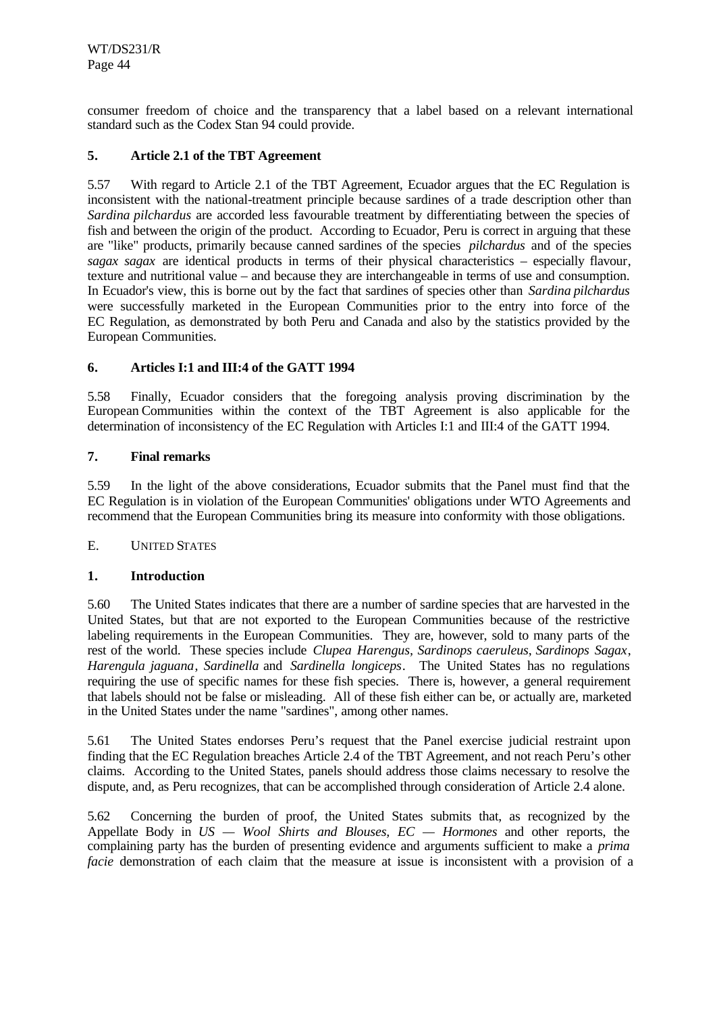consumer freedom of choice and the transparency that a label based on a relevant international standard such as the Codex Stan 94 could provide.

# **5. Article 2.1 of the TBT Agreement**

5.57 With regard to Article 2.1 of the TBT Agreement*,* Ecuador argues that the EC Regulation is inconsistent with the national-treatment principle because sardines of a trade description other than *Sardina pilchardus* are accorded less favourable treatment by differentiating between the species of fish and between the origin of the product. According to Ecuador, Peru is correct in arguing that these are "like" products, primarily because canned sardines of the species *pilchardus* and of the species *sagax sagax* are identical products in terms of their physical characteristics – especially flavour, texture and nutritional value – and because they are interchangeable in terms of use and consumption. In Ecuador's view, this is borne out by the fact that sardines of species other than *Sardina pilchardus* were successfully marketed in the European Communities prior to the entry into force of the EC Regulation, as demonstrated by both Peru and Canada and also by the statistics provided by the European Communities.

### **6. Articles I:1 and III:4 of the GATT 1994**

5.58 Finally, Ecuador considers that the foregoing analysis proving discrimination by the European Communities within the context of the TBT Agreement is also applicable for the determination of inconsistency of the EC Regulation with Articles I:1 and III:4 of the GATT 1994.

### **7. Final remarks**

5.59 In the light of the above considerations, Ecuador submits that the Panel must find that the EC Regulation is in violation of the European Communities' obligations under WTO Agreements and recommend that the European Communities bring its measure into conformity with those obligations.

# E. UNITED STATES

#### **1. Introduction**

5.60 The United States indicates that there are a number of sardine species that are harvested in the United States, but that are not exported to the European Communities because of the restrictive labeling requirements in the European Communities. They are, however, sold to many parts of the rest of the world. These species include *Clupea Harengus, Sardinops caeruleus*, *Sardinops Sagax*, *Harengula jaguana*, *Sardinella* and *Sardinella longiceps*. The United States has no regulations requiring the use of specific names for these fish species. There is, however, a general requirement that labels should not be false or misleading. All of these fish either can be, or actually are, marketed in the United States under the name "sardines", among other names.

5.61 The United States endorses Peru's request that the Panel exercise judicial restraint upon finding that the EC Regulation breaches Article 2.4 of the TBT Agreement, and not reach Peru's other claims. According to the United States, panels should address those claims necessary to resolve the dispute, and, as Peru recognizes, that can be accomplished through consideration of Article 2.4 alone.

5.62 Concerning the burden of proof, the United States submits that, as recognized by the Appellate Body in *US — Wool Shirts and Blouses, EC — Hormones* and other reports, the complaining party has the burden of presenting evidence and arguments sufficient to make a *prima facie* demonstration of each claim that the measure at issue is inconsistent with a provision of a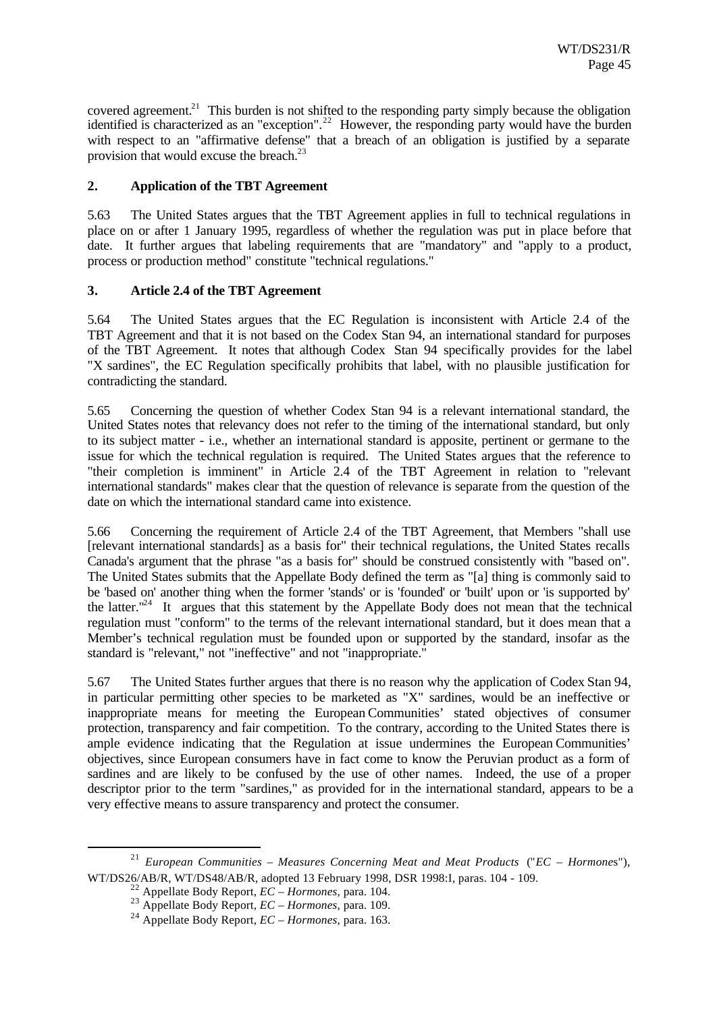covered agreement.<sup>21</sup> This burden is not shifted to the responding party simply because the obligation identified is characterized as an "exception".<sup>22</sup> However, the responding party would have the burden with respect to an "affirmative defense" that a breach of an obligation is justified by a separate provision that would excuse the breach.<sup>23</sup>

### **2. Application of the TBT Agreement**

5.63 The United States argues that the TBT Agreement applies in full to technical regulations in place on or after 1 January 1995, regardless of whether the regulation was put in place before that date. It further argues that labeling requirements that are "mandatory" and "apply to a product, process or production method" constitute "technical regulations."

### **3. Article 2.4 of the TBT Agreement**

5.64 The United States argues that the EC Regulation is inconsistent with Article 2.4 of the TBT Agreement and that it is not based on the Codex Stan 94, an international standard for purposes of the TBT Agreement. It notes that although Codex Stan 94 specifically provides for the label "X sardines", the EC Regulation specifically prohibits that label, with no plausible justification for contradicting the standard.

5.65 Concerning the question of whether Codex Stan 94 is a relevant international standard, the United States notes that relevancy does not refer to the timing of the international standard, but only to its subject matter - i.e., whether an international standard is apposite, pertinent or germane to the issue for which the technical regulation is required. The United States argues that the reference to "their completion is imminent" in Article 2.4 of the TBT Agreement in relation to "relevant international standards" makes clear that the question of relevance is separate from the question of the date on which the international standard came into existence.

5.66 Concerning the requirement of Article 2.4 of the TBT Agreement, that Members "shall use [relevant international standards] as a basis for" their technical regulations, the United States recalls Canada's argument that the phrase "as a basis for" should be construed consistently with "based on". The United States submits that the Appellate Body defined the term as "[a] thing is commonly said to be 'based on' another thing when the former 'stands' or is 'founded' or 'built' upon or 'is supported by' the latter.<sup>"24</sup> It argues that this statement by the Appellate Body does not mean that the technical regulation must "conform" to the terms of the relevant international standard, but it does mean that a Member's technical regulation must be founded upon or supported by the standard, insofar as the standard is "relevant," not "ineffective" and not "inappropriate."

5.67 The United States further argues that there is no reason why the application of Codex Stan 94, in particular permitting other species to be marketed as "X" sardines, would be an ineffective or inappropriate means for meeting the European Communities' stated objectives of consumer protection, transparency and fair competition. To the contrary, according to the United States there is ample evidence indicating that the Regulation at issue undermines the European Communities' objectives, since European consumers have in fact come to know the Peruvian product as a form of sardines and are likely to be confused by the use of other names. Indeed, the use of a proper descriptor prior to the term "sardines," as provided for in the international standard, appears to be a very effective means to assure transparency and protect the consumer.

<sup>21</sup> *European Communities – Measures Concerning Meat and Meat Products* ("*EC – Hormone*s"), WT/DS26/AB/R, WT/DS48/AB/R, adopted 13 February 1998, DSR 1998:I, paras. 104 - 109.

<sup>22</sup> Appellate Body Report, *EC – Hormones*, para. 104.

<sup>23</sup> Appellate Body Report, *EC – Hormones*, para. 109.

<sup>24</sup> Appellate Body Report, *EC – Hormones*, para. 163.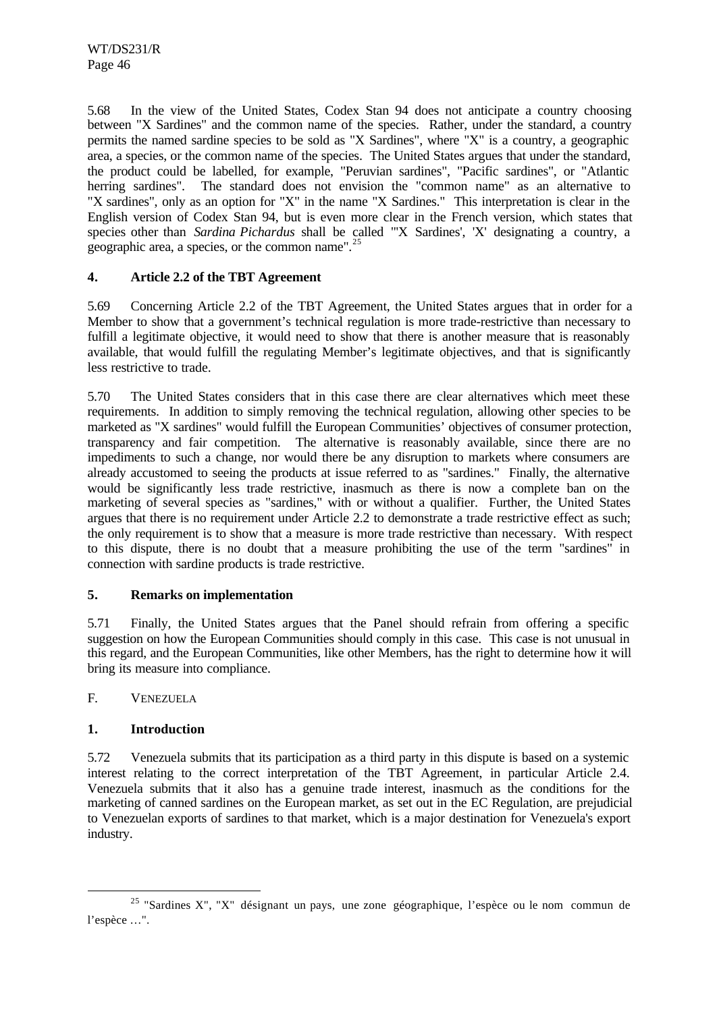5.68 In the view of the United States, Codex Stan 94 does not anticipate a country choosing between "X Sardines" and the common name of the species. Rather, under the standard, a country permits the named sardine species to be sold as "X Sardines", where "X" is a country, a geographic area, a species, or the common name of the species. The United States argues that under the standard, the product could be labelled, for example, "Peruvian sardines", "Pacific sardines", or "Atlantic herring sardines". The standard does not envision the "common name" as an alternative to "X sardines", only as an option for "X" in the name "X Sardines." This interpretation is clear in the English version of Codex Stan 94, but is even more clear in the French version, which states that species other than *Sardina Pichardus* shall be called "'X Sardines', 'X' designating a country, a geographic area, a species, or the common name". $^{25}$ 

# **4. Article 2.2 of the TBT Agreement**

5.69 Concerning Article 2.2 of the TBT Agreement, the United States argues that in order for a Member to show that a government's technical regulation is more trade-restrictive than necessary to fulfill a legitimate objective, it would need to show that there is another measure that is reasonably available, that would fulfill the regulating Member's legitimate objectives, and that is significantly less restrictive to trade.

5.70 The United States considers that in this case there are clear alternatives which meet these requirements. In addition to simply removing the technical regulation, allowing other species to be marketed as "X sardines" would fulfill the European Communities' objectives of consumer protection, transparency and fair competition. The alternative is reasonably available, since there are no impediments to such a change, nor would there be any disruption to markets where consumers are already accustomed to seeing the products at issue referred to as "sardines." Finally, the alternative would be significantly less trade restrictive, inasmuch as there is now a complete ban on the marketing of several species as "sardines," with or without a qualifier. Further, the United States argues that there is no requirement under Article 2.2 to demonstrate a trade restrictive effect as such; the only requirement is to show that a measure is more trade restrictive than necessary. With respect to this dispute, there is no doubt that a measure prohibiting the use of the term "sardines" in connection with sardine products is trade restrictive.

#### **5. Remarks on implementation**

5.71 Finally, the United States argues that the Panel should refrain from offering a specific suggestion on how the European Communities should comply in this case. This case is not unusual in this regard, and the European Communities, like other Members, has the right to determine how it will bring its measure into compliance.

F. VENEZUELA

### **1. Introduction**

l

5.72 Venezuela submits that its participation as a third party in this dispute is based on a systemic interest relating to the correct interpretation of the TBT Agreement, in particular Article 2.4. Venezuela submits that it also has a genuine trade interest, inasmuch as the conditions for the marketing of canned sardines on the European market, as set out in the EC Regulation, are prejudicial to Venezuelan exports of sardines to that market, which is a major destination for Venezuela's export industry.

 $25$  "Sardines X", "X" désignant un pays, une zone géographique, l'espèce ou le nom commun de l'espèce …".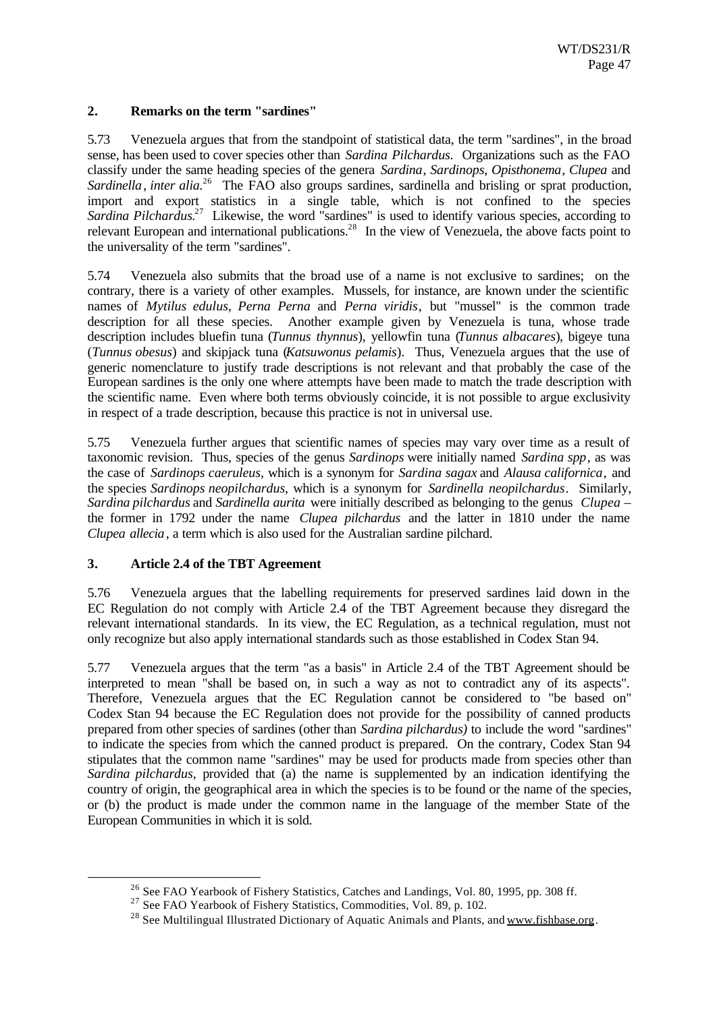### **2. Remarks on the term "sardines"**

5.73 Venezuela argues that from the standpoint of statistical data, the term "sardines", in the broad sense, has been used to cover species other than *Sardina Pilchardus*. Organizations such as the FAO classify under the same heading species of the genera *Sardina*, *Sardinops*, *Opisthonema*, *Clupea* and *Sardinella*, *inter alia.*<sup>26</sup> The FAO also groups sardines, sardinella and brisling or sprat production, import and export statistics in a single table, which is not confined to the species *Sardina Pilchardus.*<sup>27</sup> Likewise, the word "sardines" is used to identify various species, according to relevant European and international publications.<sup>28</sup> In the view of Venezuela, the above facts point to the universality of the term "sardines".

5.74 Venezuela also submits that the broad use of a name is not exclusive to sardines; on the contrary, there is a variety of other examples. Mussels, for instance, are known under the scientific names of *Mytilus edulus*, *Perna Perna* and *Perna viridis*, but "mussel" is the common trade description for all these species. Another example given by Venezuela is tuna, whose trade description includes bluefin tuna (*Tunnus thynnus*), yellowfin tuna (*Tunnus albacares*), bigeye tuna (*Tunnus obesus*) and skipjack tuna (*Katsuwonus pelamis*). Thus, Venezuela argues that the use of generic nomenclature to justify trade descriptions is not relevant and that probably the case of the European sardines is the only one where attempts have been made to match the trade description with the scientific name. Even where both terms obviously coincide, it is not possible to argue exclusivity in respect of a trade description, because this practice is not in universal use.

5.75 Venezuela further argues that scientific names of species may vary over time as a result of taxonomic revision. Thus, species of the genus *Sardinops* were initially named *Sardina spp*, as was the case of *Sardinops caeruleus*, which is a synonym for *Sardina sagax* and *Alausa californica*, and the species *Sardinops neopilchardus*, which is a synonym for *Sardinella neopilchardus*. Similarly, *Sardina pilchardus* and *Sardinella aurita* were initially described as belonging to the genus *Clupea* – the former in 1792 under the name *Clupea pilchardus* and the latter in 1810 under the name *Clupea allecia*, a term which is also used for the Australian sardine pilchard.

# **3. Article 2.4 of the TBT Agreement**

l

5.76 Venezuela argues that the labelling requirements for preserved sardines laid down in the EC Regulation do not comply with Article 2.4 of the TBT Agreement because they disregard the relevant international standards. In its view, the EC Regulation, as a technical regulation, must not only recognize but also apply international standards such as those established in Codex Stan 94.

5.77 Venezuela argues that the term "as a basis" in Article 2.4 of the TBT Agreement should be interpreted to mean "shall be based on, in such a way as not to contradict any of its aspects". Therefore, Venezuela argues that the EC Regulation cannot be considered to "be based on" Codex Stan 94 because the EC Regulation does not provide for the possibility of canned products prepared from other species of sardines (other than *Sardina pilchardus)* to include the word "sardines" to indicate the species from which the canned product is prepared. On the contrary, Codex Stan 94 stipulates that the common name "sardines" may be used for products made from species other than *Sardina pilchardus*, provided that (a) the name is supplemented by an indication identifying the country of origin, the geographical area in which the species is to be found or the name of the species, or (b) the product is made under the common name in the language of the member State of the European Communities in which it is sold.

<sup>&</sup>lt;sup>26</sup> See FAO Yearbook of Fishery Statistics, Catches and Landings, Vol. 80, 1995, pp. 308 ff.

<sup>&</sup>lt;sup>27</sup> See FAO Yearbook of Fishery Statistics, Commodities, Vol. 89, p. 102.

<sup>&</sup>lt;sup>28</sup> See Multilingual Illustrated Dictionary of Aquatic Animals and Plants, and www.fishbase.org.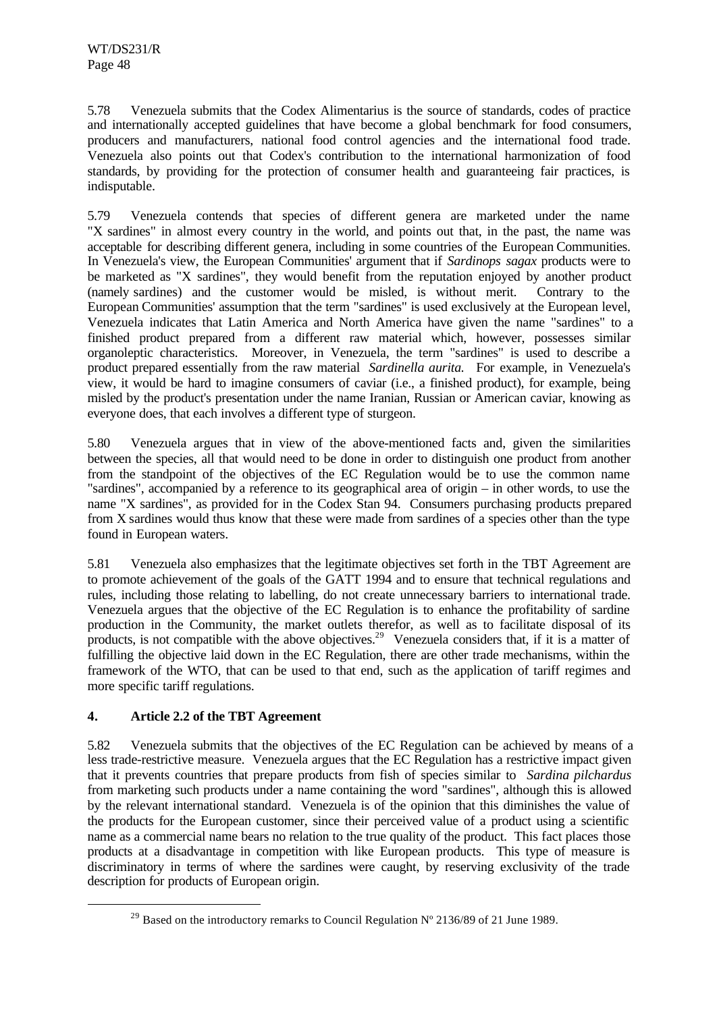5.78 Venezuela submits that the Codex Alimentarius is the source of standards, codes of practice and internationally accepted guidelines that have become a global benchmark for food consumers, producers and manufacturers, national food control agencies and the international food trade. Venezuela also points out that Codex's contribution to the international harmonization of food standards, by providing for the protection of consumer health and guaranteeing fair practices, is indisputable.

5.79 Venezuela contends that species of different genera are marketed under the name "X sardines" in almost every country in the world, and points out that, in the past, the name was acceptable for describing different genera, including in some countries of the European Communities. In Venezuela's view, the European Communities' argument that if *Sardinops sagax* products were to be marketed as "X sardines", they would benefit from the reputation enjoyed by another product (namely sardines) and the customer would be misled, is without merit. Contrary to the European Communities' assumption that the term "sardines" is used exclusively at the European level, Venezuela indicates that Latin America and North America have given the name "sardines" to a finished product prepared from a different raw material which, however, possesses similar organoleptic characteristics. Moreover, in Venezuela, the term "sardines" is used to describe a product prepared essentially from the raw material *Sardinella aurita.* For example, in Venezuela's view, it would be hard to imagine consumers of caviar (i.e., a finished product), for example, being misled by the product's presentation under the name Iranian, Russian or American caviar, knowing as everyone does, that each involves a different type of sturgeon.

5.80 Venezuela argues that in view of the above-mentioned facts and, given the similarities between the species, all that would need to be done in order to distinguish one product from another from the standpoint of the objectives of the EC Regulation would be to use the common name "sardines", accompanied by a reference to its geographical area of origin – in other words, to use the name "X sardines", as provided for in the Codex Stan 94. Consumers purchasing products prepared from X sardines would thus know that these were made from sardines of a species other than the type found in European waters.

5.81 Venezuela also emphasizes that the legitimate objectives set forth in the TBT Agreement are to promote achievement of the goals of the GATT 1994 and to ensure that technical regulations and rules, including those relating to labelling, do not create unnecessary barriers to international trade. Venezuela argues that the objective of the EC Regulation is to enhance the profitability of sardine production in the Community, the market outlets therefor, as well as to facilitate disposal of its products, is not compatible with the above objectives.<sup>29</sup> Venezuela considers that, if it is a matter of fulfilling the objective laid down in the EC Regulation, there are other trade mechanisms, within the framework of the WTO, that can be used to that end, such as the application of tariff regimes and more specific tariff regulations.

# **4. Article 2.2 of the TBT Agreement**

l

5.82 Venezuela submits that the objectives of the EC Regulation can be achieved by means of a less trade-restrictive measure. Venezuela argues that the EC Regulation has a restrictive impact given that it prevents countries that prepare products from fish of species similar to *Sardina pilchardus* from marketing such products under a name containing the word "sardines", although this is allowed by the relevant international standard. Venezuela is of the opinion that this diminishes the value of the products for the European customer, since their perceived value of a product using a scientific name as a commercial name bears no relation to the true quality of the product. This fact places those products at a disadvantage in competition with like European products. This type of measure is discriminatory in terms of where the sardines were caught, by reserving exclusivity of the trade description for products of European origin.

<sup>&</sup>lt;sup>29</sup> Based on the introductory remarks to Council Regulation  $N^{\circ}$  2136/89 of 21 June 1989.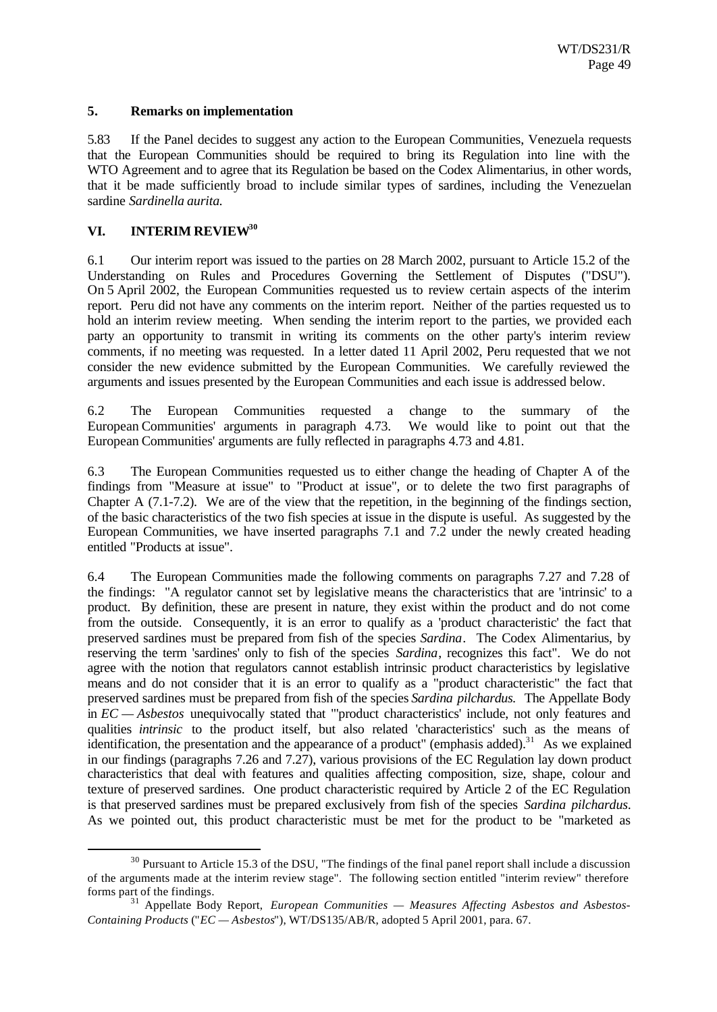#### **5. Remarks on implementation**

5.83 If the Panel decides to suggest any action to the European Communities, Venezuela requests that the European Communities should be required to bring its Regulation into line with the WTO Agreement and to agree that its Regulation be based on the Codex Alimentarius, in other words, that it be made sufficiently broad to include similar types of sardines, including the Venezuelan sardine *Sardinella aurita.*

#### **VI. INTERIM REVIEW<sup>30</sup>**

l

6.1 Our interim report was issued to the parties on 28 March 2002, pursuant to Article 15.2 of the Understanding on Rules and Procedures Governing the Settlement of Disputes ("DSU"). On 5 April 2002, the European Communities requested us to review certain aspects of the interim report. Peru did not have any comments on the interim report. Neither of the parties requested us to hold an interim review meeting. When sending the interim report to the parties, we provided each party an opportunity to transmit in writing its comments on the other party's interim review comments, if no meeting was requested. In a letter dated 11 April 2002, Peru requested that we not consider the new evidence submitted by the European Communities. We carefully reviewed the arguments and issues presented by the European Communities and each issue is addressed below.

6.2 The European Communities requested a change to the summary of the European Communities' arguments in paragraph 4.73. We would like to point out that the European Communities' arguments are fully reflected in paragraphs 4.73 and 4.81.

6.3 The European Communities requested us to either change the heading of Chapter A of the findings from "Measure at issue" to "Product at issue", or to delete the two first paragraphs of Chapter A (7.1-7.2). We are of the view that the repetition, in the beginning of the findings section, of the basic characteristics of the two fish species at issue in the dispute is useful. As suggested by the European Communities, we have inserted paragraphs 7.1 and 7.2 under the newly created heading entitled "Products at issue".

6.4 The European Communities made the following comments on paragraphs 7.27 and 7.28 of the findings: "A regulator cannot set by legislative means the characteristics that are 'intrinsic' to a product. By definition, these are present in nature, they exist within the product and do not come from the outside. Consequently, it is an error to qualify as a 'product characteristic' the fact that preserved sardines must be prepared from fish of the species *Sardina*. The Codex Alimentarius, by reserving the term 'sardines' only to fish of the species *Sardina*, recognizes this fact". We do not agree with the notion that regulators cannot establish intrinsic product characteristics by legislative means and do not consider that it is an error to qualify as a "product characteristic" the fact that preserved sardines must be prepared from fish of the species *Sardina pilchardus.* The Appellate Body in *EC — Asbestos* unequivocally stated that "'product characteristics' include, not only features and qualities *intrinsic* to the product itself, but also related 'characteristics' such as the means of identification, the presentation and the appearance of a product" (emphasis added).<sup>31</sup> As we explained in our findings (paragraphs 7.26 and 7.27), various provisions of the EC Regulation lay down product characteristics that deal with features and qualities affecting composition, size, shape, colour and texture of preserved sardines. One product characteristic required by Article 2 of the EC Regulation is that preserved sardines must be prepared exclusively from fish of the species *Sardina pilchardus*. As we pointed out, this product characteristic must be met for the product to be "marketed as

<sup>&</sup>lt;sup>30</sup> Pursuant to Article 15.3 of the DSU, "The findings of the final panel report shall include a discussion of the arguments made at the interim review stage". The following section entitled "interim review" therefore forms part of the findings.

<sup>31</sup> Appellate Body Report, *European Communities — Measures Affecting Asbestos and Asbestos-Containing Products* ("*EC — Asbestos*"), WT/DS135/AB/R, adopted 5 April 2001, para. 67.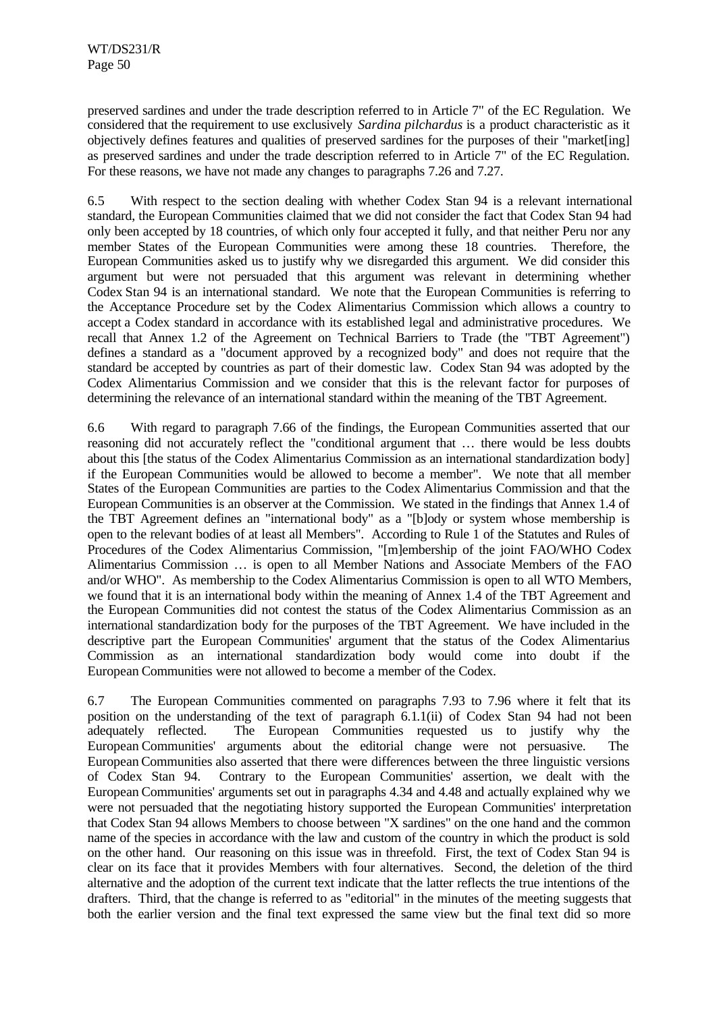preserved sardines and under the trade description referred to in Article 7" of the EC Regulation. We considered that the requirement to use exclusively *Sardina pilchardus* is a product characteristic as it objectively defines features and qualities of preserved sardines for the purposes of their "market[ing] as preserved sardines and under the trade description referred to in Article 7" of the EC Regulation. For these reasons, we have not made any changes to paragraphs 7.26 and 7.27.

6.5 With respect to the section dealing with whether Codex Stan 94 is a relevant international standard, the European Communities claimed that we did not consider the fact that Codex Stan 94 had only been accepted by 18 countries, of which only four accepted it fully, and that neither Peru nor any member States of the European Communities were among these 18 countries. Therefore, the European Communities asked us to justify why we disregarded this argument. We did consider this argument but were not persuaded that this argument was relevant in determining whether Codex Stan 94 is an international standard. We note that the European Communities is referring to the Acceptance Procedure set by the Codex Alimentarius Commission which allows a country to accept a Codex standard in accordance with its established legal and administrative procedures. We recall that Annex 1.2 of the Agreement on Technical Barriers to Trade (the "TBT Agreement") defines a standard as a "document approved by a recognized body" and does not require that the standard be accepted by countries as part of their domestic law. Codex Stan 94 was adopted by the Codex Alimentarius Commission and we consider that this is the relevant factor for purposes of determining the relevance of an international standard within the meaning of the TBT Agreement.

6.6 With regard to paragraph 7.66 of the findings, the European Communities asserted that our reasoning did not accurately reflect the "conditional argument that … there would be less doubts about this [the status of the Codex Alimentarius Commission as an international standardization body] if the European Communities would be allowed to become a member". We note that all member States of the European Communities are parties to the Codex Alimentarius Commission and that the European Communities is an observer at the Commission. We stated in the findings that Annex 1.4 of the TBT Agreement defines an "international body" as a "[b]ody or system whose membership is open to the relevant bodies of at least all Members". According to Rule 1 of the Statutes and Rules of Procedures of the Codex Alimentarius Commission, "[m]embership of the joint FAO/WHO Codex Alimentarius Commission … is open to all Member Nations and Associate Members of the FAO and/or WHO". As membership to the Codex Alimentarius Commission is open to all WTO Members, we found that it is an international body within the meaning of Annex 1.4 of the TBT Agreement and the European Communities did not contest the status of the Codex Alimentarius Commission as an international standardization body for the purposes of the TBT Agreement. We have included in the descriptive part the European Communities' argument that the status of the Codex Alimentarius Commission as an international standardization body would come into doubt if the European Communities were not allowed to become a member of the Codex.

6.7 The European Communities commented on paragraphs 7.93 to 7.96 where it felt that its position on the understanding of the text of paragraph 6.1.1(ii) of Codex Stan 94 had not been adequately reflected. The European Communities requested us to justify why the European Communities' arguments about the editorial change were not persuasive. The European Communities also asserted that there were differences between the three linguistic versions of Codex Stan 94. Contrary to the European Communities' assertion, we dealt with the European Communities' arguments set out in paragraphs 4.34 and 4.48 and actually explained why we were not persuaded that the negotiating history supported the European Communities' interpretation that Codex Stan 94 allows Members to choose between "X sardines" on the one hand and the common name of the species in accordance with the law and custom of the country in which the product is sold on the other hand. Our reasoning on this issue was in threefold. First, the text of Codex Stan 94 is clear on its face that it provides Members with four alternatives. Second, the deletion of the third alternative and the adoption of the current text indicate that the latter reflects the true intentions of the drafters. Third, that the change is referred to as "editorial" in the minutes of the meeting suggests that both the earlier version and the final text expressed the same view but the final text did so more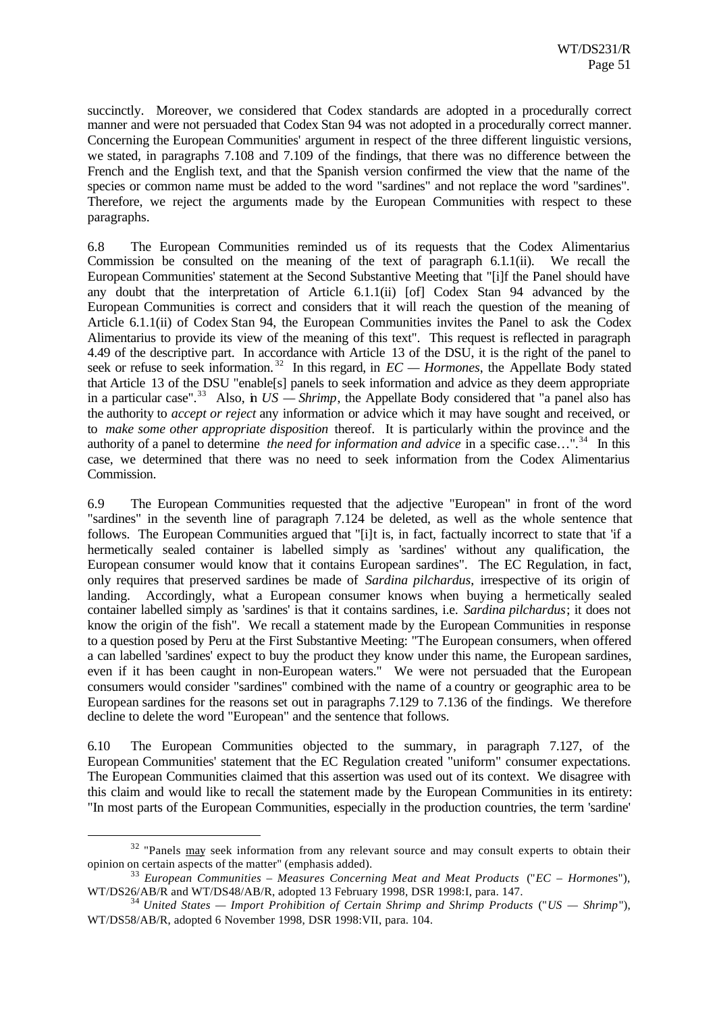succinctly. Moreover, we considered that Codex standards are adopted in a procedurally correct manner and were not persuaded that Codex Stan 94 was not adopted in a procedurally correct manner. Concerning the European Communities' argument in respect of the three different linguistic versions, we stated, in paragraphs 7.108 and 7.109 of the findings, that there was no difference between the French and the English text, and that the Spanish version confirmed the view that the name of the species or common name must be added to the word "sardines" and not replace the word "sardines". Therefore, we reject the arguments made by the European Communities with respect to these paragraphs.

6.8 The European Communities reminded us of its requests that the Codex Alimentarius Commission be consulted on the meaning of the text of paragraph 6.1.1(ii). We recall the European Communities' statement at the Second Substantive Meeting that "[i]f the Panel should have any doubt that the interpretation of Article 6.1.1(ii) [of] Codex Stan 94 advanced by the European Communities is correct and considers that it will reach the question of the meaning of Article 6.1.1(ii) of Codex Stan 94, the European Communities invites the Panel to ask the Codex Alimentarius to provide its view of the meaning of this text". This request is reflected in paragraph 4.49 of the descriptive part. In accordance with Article 13 of the DSU, it is the right of the panel to seek or refuse to seek information.<sup>32</sup> In this regard, in  $EC - Hormones$ , the Appellate Body stated that Article 13 of the DSU "enable[s] panels to seek information and advice as they deem appropriate in a particular case".<sup>33</sup> Also, in  $\overrightarrow{US}$  – *Shrimp*, the Appellate Body considered that "a panel also has the authority to *accept or reject* any information or advice which it may have sought and received, or to *make some other appropriate disposition* thereof. It is particularly within the province and the authority of a panel to determine *the need for information and advice* in a specific case...".<sup>34</sup> In this case, we determined that there was no need to seek information from the Codex Alimentarius Commission.

6.9 The European Communities requested that the adjective "European" in front of the word "sardines" in the seventh line of paragraph 7.124 be deleted, as well as the whole sentence that follows. The European Communities argued that "[i]t is, in fact, factually incorrect to state that 'if a hermetically sealed container is labelled simply as 'sardines' without any qualification, the European consumer would know that it contains European sardines". The EC Regulation, in fact, only requires that preserved sardines be made of *Sardina pilchardus*, irrespective of its origin of landing. Accordingly, what a European consumer knows when buying a hermetically sealed container labelled simply as 'sardines' is that it contains sardines, i.e. *Sardina pilchardus*; it does not know the origin of the fish". We recall a statement made by the European Communities in response to a question posed by Peru at the First Substantive Meeting: "The European consumers, when offered a can labelled 'sardines' expect to buy the product they know under this name, the European sardines, even if it has been caught in non-European waters." We were not persuaded that the European consumers would consider "sardines" combined with the name of a country or geographic area to be European sardines for the reasons set out in paragraphs 7.129 to 7.136 of the findings. We therefore decline to delete the word "European" and the sentence that follows.

6.10 The European Communities objected to the summary, in paragraph 7.127, of the European Communities' statement that the EC Regulation created "uniform" consumer expectations. The European Communities claimed that this assertion was used out of its context. We disagree with this claim and would like to recall the statement made by the European Communities in its entirety: "In most parts of the European Communities, especially in the production countries, the term 'sardine'

<sup>&</sup>lt;sup>32</sup> "Panels may seek information from any relevant source and may consult experts to obtain their opinion on certain aspects of the matter" (emphasis added).

<sup>33</sup> *European Communities – Measures Concerning Meat and Meat Products* ("*EC – Hormone*s"), WT/DS26/AB/R and WT/DS48/AB/R, adopted 13 February 1998, DSR 1998:I, para. 147.

<sup>34</sup> *United States — Import Prohibition of Certain Shrimp and Shrimp Products* ("*US — Shrimp*"), WT/DS58/AB/R, adopted 6 November 1998, DSR 1998:VII, para. 104.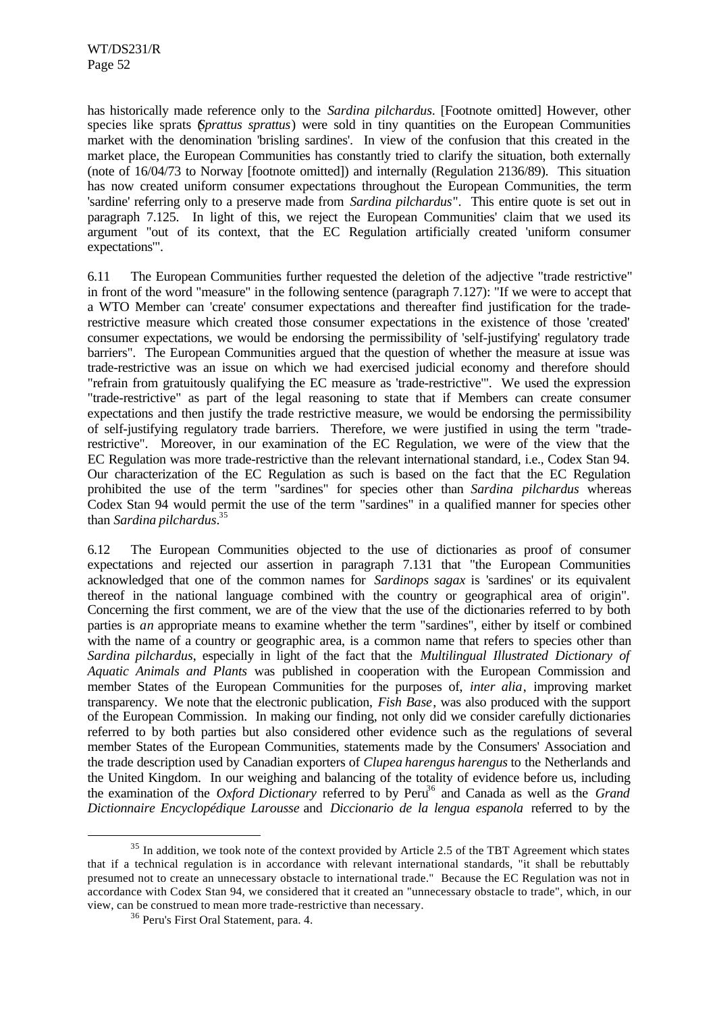has historically made reference only to the *Sardina pilchardus*. [Footnote omitted] However, other species like sprats (*Sprattus sprattus*) were sold in tiny quantities on the European Communities market with the denomination 'brisling sardines'. In view of the confusion that this created in the market place, the European Communities has constantly tried to clarify the situation, both externally (note of 16/04/73 to Norway [footnote omitted]) and internally (Regulation 2136/89). This situation has now created uniform consumer expectations throughout the European Communities, the term 'sardine' referring only to a preserve made from *Sardina pilchardus*". This entire quote is set out in paragraph 7.125. In light of this, we reject the European Communities' claim that we used its argument "out of its context, that the EC Regulation artificially created 'uniform consumer expectations'".

6.11 The European Communities further requested the deletion of the adjective "trade restrictive" in front of the word "measure" in the following sentence (paragraph 7.127): "If we were to accept that a WTO Member can 'create' consumer expectations and thereafter find justification for the traderestrictive measure which created those consumer expectations in the existence of those 'created' consumer expectations, we would be endorsing the permissibility of 'self-justifying' regulatory trade barriers". The European Communities argued that the question of whether the measure at issue was trade-restrictive was an issue on which we had exercised judicial economy and therefore should "refrain from gratuitously qualifying the EC measure as 'trade-restrictive'". We used the expression "trade-restrictive" as part of the legal reasoning to state that if Members can create consumer expectations and then justify the trade restrictive measure, we would be endorsing the permissibility of self-justifying regulatory trade barriers. Therefore, we were justified in using the term "traderestrictive". Moreover, in our examination of the EC Regulation, we were of the view that the EC Regulation was more trade-restrictive than the relevant international standard, i.e., Codex Stan 94. Our characterization of the EC Regulation as such is based on the fact that the EC Regulation prohibited the use of the term "sardines" for species other than *Sardina pilchardus* whereas Codex Stan 94 would permit the use of the term "sardines" in a qualified manner for species other than *Sardina pilchardus*. 35

6.12 The European Communities objected to the use of dictionaries as proof of consumer expectations and rejected our assertion in paragraph 7.131 that "the European Communities acknowledged that one of the common names for *Sardinops sagax* is 'sardines' or its equivalent thereof in the national language combined with the country or geographical area of origin". Concerning the first comment, we are of the view that the use of the dictionaries referred to by both parties is *an* appropriate means to examine whether the term "sardines", either by itself or combined with the name of a country or geographic area, is a common name that refers to species other than *Sardina pilchardus*, especially in light of the fact that the *Multilingual Illustrated Dictionary of Aquatic Animals and Plants* was published in cooperation with the European Commission and member States of the European Communities for the purposes of, *inter alia*, improving market transparency. We note that the electronic publication, *Fish Base*, was also produced with the support of the European Commission. In making our finding, not only did we consider carefully dictionaries referred to by both parties but also considered other evidence such as the regulations of several member States of the European Communities, statements made by the Consumers' Association and the trade description used by Canadian exporters of *Clupea harengus harengus* to the Netherlands and the United Kingdom. In our weighing and balancing of the totality of evidence before us, including the examination of the *Oxford Dictionary* referred to by Peru<sup>36</sup> and Canada as well as the *Grand Dictionnaire Encyclopédique Larousse* and *Diccionario de la lengua espanola* referred to by the

 $35$  In addition, we took note of the context provided by Article 2.5 of the TBT Agreement which states that if a technical regulation is in accordance with relevant international standards, "it shall be rebuttably presumed not to create an unnecessary obstacle to international trade." Because the EC Regulation was not in accordance with Codex Stan 94, we considered that it created an "unnecessary obstacle to trade", which, in our view, can be construed to mean more trade-restrictive than necessary.

<sup>36</sup> Peru's First Oral Statement, para. 4.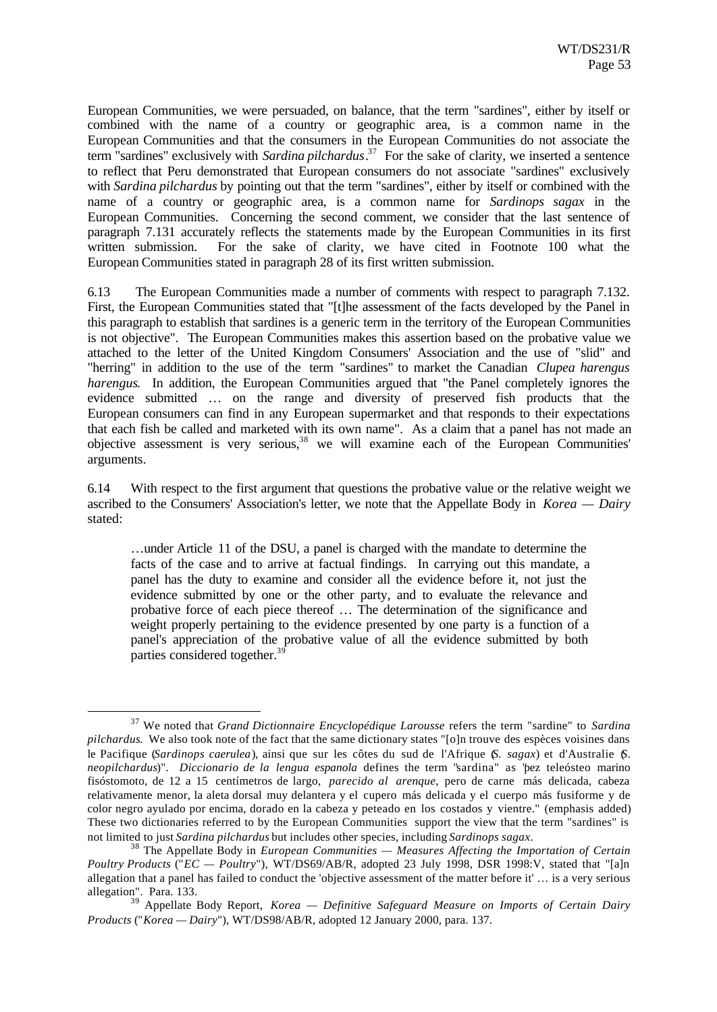European Communities, we were persuaded, on balance, that the term "sardines", either by itself or combined with the name of a country or geographic area, is a common name in the European Communities and that the consumers in the European Communities do not associate the term "sardines" exclusively with *Sardina pilchardus*. <sup>37</sup> For the sake of clarity, we inserted a sentence to reflect that Peru demonstrated that European consumers do not associate "sardines" exclusively with *Sardina pilchardus* by pointing out that the term "sardines", either by itself or combined with the name of a country or geographic area, is a common name for *Sardinops sagax* in the European Communities. Concerning the second comment, we consider that the last sentence of paragraph 7.131 accurately reflects the statements made by the European Communities in its first written submission. For the sake of clarity, we have cited in Footnote 100 what the European Communities stated in paragraph 28 of its first written submission.

6.13 The European Communities made a number of comments with respect to paragraph 7.132. First, the European Communities stated that "[t]he assessment of the facts developed by the Panel in this paragraph to establish that sardines is a generic term in the territory of the European Communities is not objective". The European Communities makes this assertion based on the probative value we attached to the letter of the United Kingdom Consumers' Association and the use of "slid" and "herring" in addition to the use of the term "sardines" to market the Canadian *Clupea harengus harengus*. In addition, the European Communities argued that "the Panel completely ignores the evidence submitted … on the range and diversity of preserved fish products that the European consumers can find in any European supermarket and that responds to their expectations that each fish be called and marketed with its own name". As a claim that a panel has not made an objective assessment is very serious, $38$  we will examine each of the European Communities' arguments.

6.14 With respect to the first argument that questions the probative value or the relative weight we ascribed to the Consumers' Association's letter, we note that the Appellate Body in *Korea — Dairy* stated:

…under Article 11 of the DSU, a panel is charged with the mandate to determine the facts of the case and to arrive at factual findings. In carrying out this mandate, a panel has the duty to examine and consider all the evidence before it, not just the evidence submitted by one or the other party, and to evaluate the relevance and probative force of each piece thereof … The determination of the significance and weight properly pertaining to the evidence presented by one party is a function of a panel's appreciation of the probative value of all the evidence submitted by both parties considered together.<sup>3</sup>

<sup>37</sup> We noted that *Grand Dictionnaire Encyclopédique Larousse* refers the term "sardine" to *Sardina pilchardus*. We also took note of the fact that the same dictionary states "[o]n trouve des espèces voisines dans le Pacifique (*Sardinops caerulea*), ainsi que sur les côtes du sud de l'Afrique (*S. sagax*) et d'Australie (*S. neopilchardus*)". *Diccionario de la lengua espanola* defines the term "sardina" as "pez teleósteo marino fisóstomoto, de 12 a 15 centímetros de largo, *parecido al arenque*, pero de carne más delicada, cabeza relativamente menor, la aleta dorsal muy delantera y el cupero más delicada y el cuerpo más fusiforme y de color negro ayulado por encima, dorado en la cabeza y peteado en los costados y vientre." (emphasis added) These two dictionaries referred to by the European Communities support the view that the term "sardines" is not limited to just *Sardina pilchardus* but includes other species, including *Sardinops sagax*.

<sup>38</sup> The Appellate Body in *European Communities — Measures Affecting the Importation of Certain Poultry Products* ("*EC — Poultry*"), WT/DS69/AB/R, adopted 23 July 1998, DSR 1998:V, stated that "[a]n allegation that a panel has failed to conduct the 'objective assessment of the matter before it' … is a very serious allegation". Para. 133.

<sup>39</sup> Appellate Body Report, *Korea — Definitive Safeguard Measure on Imports of Certain Dairy Products* ("*Korea — Dairy*"), WT/DS98/AB/R, adopted 12 January 2000, para. 137.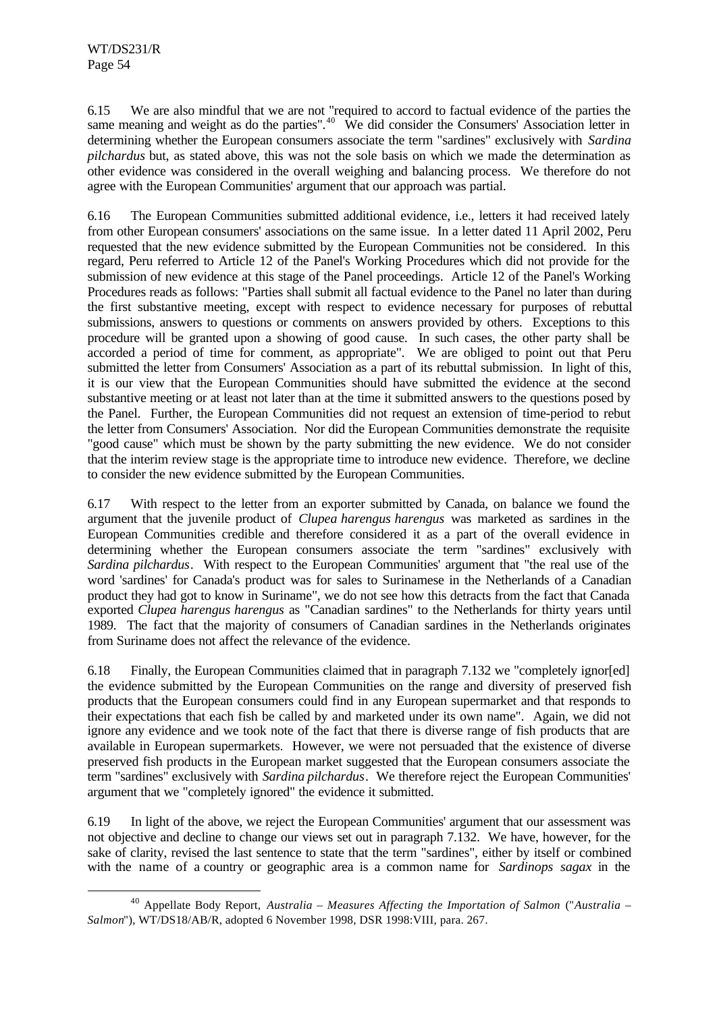l

6.15 We are also mindful that we are not "required to accord to factual evidence of the parties the same meaning and weight as do the parties".<sup>40</sup> We did consider the Consumers' Association letter in determining whether the European consumers associate the term "sardines" exclusively with *Sardina pilchardus* but, as stated above, this was not the sole basis on which we made the determination as other evidence was considered in the overall weighing and balancing process. We therefore do not agree with the European Communities' argument that our approach was partial.

6.16 The European Communities submitted additional evidence, i.e., letters it had received lately from other European consumers' associations on the same issue. In a letter dated 11 April 2002, Peru requested that the new evidence submitted by the European Communities not be considered. In this regard, Peru referred to Article 12 of the Panel's Working Procedures which did not provide for the submission of new evidence at this stage of the Panel proceedings. Article 12 of the Panel's Working Procedures reads as follows: "Parties shall submit all factual evidence to the Panel no later than during the first substantive meeting, except with respect to evidence necessary for purposes of rebuttal submissions, answers to questions or comments on answers provided by others. Exceptions to this procedure will be granted upon a showing of good cause. In such cases, the other party shall be accorded a period of time for comment, as appropriate". We are obliged to point out that Peru submitted the letter from Consumers' Association as a part of its rebuttal submission. In light of this, it is our view that the European Communities should have submitted the evidence at the second substantive meeting or at least not later than at the time it submitted answers to the questions posed by the Panel. Further, the European Communities did not request an extension of time-period to rebut the letter from Consumers' Association. Nor did the European Communities demonstrate the requisite "good cause" which must be shown by the party submitting the new evidence. We do not consider that the interim review stage is the appropriate time to introduce new evidence. Therefore, we decline to consider the new evidence submitted by the European Communities.

6.17 With respect to the letter from an exporter submitted by Canada, on balance we found the argument that the juvenile product of *Clupea harengus harengus* was marketed as sardines in the European Communities credible and therefore considered it as a part of the overall evidence in determining whether the European consumers associate the term "sardines" exclusively with *Sardina pilchardus*. With respect to the European Communities' argument that "the real use of the word 'sardines' for Canada's product was for sales to Surinamese in the Netherlands of a Canadian product they had got to know in Suriname", we do not see how this detracts from the fact that Canada exported *Clupea harengus harengus* as "Canadian sardines" to the Netherlands for thirty years until 1989. The fact that the majority of consumers of Canadian sardines in the Netherlands originates from Suriname does not affect the relevance of the evidence.

6.18 Finally, the European Communities claimed that in paragraph 7.132 we "completely ignor[ed] the evidence submitted by the European Communities on the range and diversity of preserved fish products that the European consumers could find in any European supermarket and that responds to their expectations that each fish be called by and marketed under its own name". Again, we did not ignore any evidence and we took note of the fact that there is diverse range of fish products that are available in European supermarkets. However, we were not persuaded that the existence of diverse preserved fish products in the European market suggested that the European consumers associate the term "sardines" exclusively with *Sardina pilchardus*. We therefore reject the European Communities' argument that we "completely ignored" the evidence it submitted.

6.19 In light of the above, we reject the European Communities' argument that our assessment was not objective and decline to change our views set out in paragraph 7.132. We have, however, for the sake of clarity, revised the last sentence to state that the term "sardines", either by itself or combined with the name of a country or geographic area is a common name for *Sardinops sagax* in the

<sup>40</sup> Appellate Body Report, *Australia – Measures Affecting the Importation of Salmon* ("*Australia – Salmon*"), WT/DS18/AB/R, adopted 6 November 1998, DSR 1998:VIII, para. 267.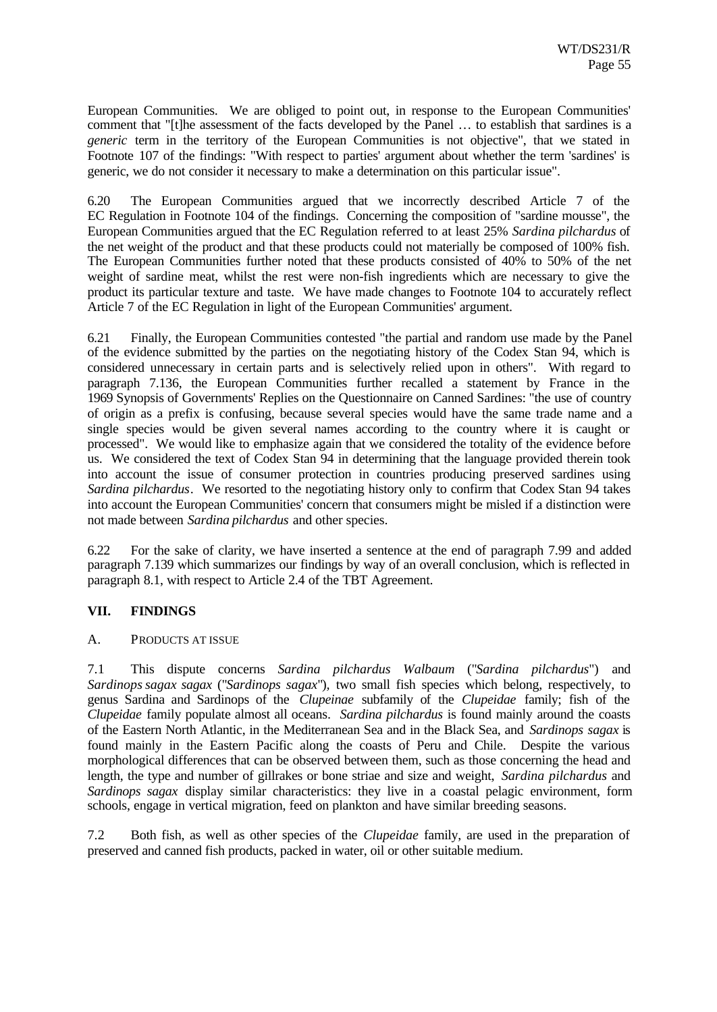European Communities. We are obliged to point out, in response to the European Communities' comment that "[t]he assessment of the facts developed by the Panel … to establish that sardines is a *generic* term in the territory of the European Communities is not objective", that we stated in Footnote 107 of the findings: "With respect to parties' argument about whether the term 'sardines' is generic, we do not consider it necessary to make a determination on this particular issue".

6.20 The European Communities argued that we incorrectly described Article 7 of the EC Regulation in Footnote 104 of the findings. Concerning the composition of "sardine mousse", the European Communities argued that the EC Regulation referred to at least 25% *Sardina pilchardus* of the net weight of the product and that these products could not materially be composed of 100% fish. The European Communities further noted that these products consisted of 40% to 50% of the net weight of sardine meat, whilst the rest were non-fish ingredients which are necessary to give the product its particular texture and taste. We have made changes to Footnote 104 to accurately reflect Article 7 of the EC Regulation in light of the European Communities' argument.

6.21 Finally, the European Communities contested "the partial and random use made by the Panel of the evidence submitted by the parties on the negotiating history of the Codex Stan 94, which is considered unnecessary in certain parts and is selectively relied upon in others". With regard to paragraph 7.136, the European Communities further recalled a statement by France in the 1969 Synopsis of Governments' Replies on the Questionnaire on Canned Sardines: "the use of country of origin as a prefix is confusing, because several species would have the same trade name and a single species would be given several names according to the country where it is caught or processed". We would like to emphasize again that we considered the totality of the evidence before us. We considered the text of Codex Stan 94 in determining that the language provided therein took into account the issue of consumer protection in countries producing preserved sardines using *Sardina pilchardus*. We resorted to the negotiating history only to confirm that Codex Stan 94 takes into account the European Communities' concern that consumers might be misled if a distinction were not made between *Sardina pilchardus* and other species.

6.22 For the sake of clarity, we have inserted a sentence at the end of paragraph 7.99 and added paragraph 7.139 which summarizes our findings by way of an overall conclusion, which is reflected in paragraph 8.1, with respect to Article 2.4 of the TBT Agreement.

# **VII. FINDINGS**

#### A. PRODUCTS AT ISSUE

7.1 This dispute concerns *Sardina pilchardus Walbaum* ("*Sardina pilchardus*") and *Sardinops sagax sagax* ("*Sardinops sagax*")*,* two small fish species which belong, respectively, to genus Sardina and Sardinops of the *Clupeinae* subfamily of the *Clupeidae* family; fish of the *Clupeidae* family populate almost all oceans. *Sardina pilchardus* is found mainly around the coasts of the Eastern North Atlantic, in the Mediterranean Sea and in the Black Sea, and *Sardinops sagax* is found mainly in the Eastern Pacific along the coasts of Peru and Chile. Despite the various morphological differences that can be observed between them, such as those concerning the head and length, the type and number of gillrakes or bone striae and size and weight, *Sardina pilchardus* and *Sardinops sagax* display similar characteristics: they live in a coastal pelagic environment, form schools, engage in vertical migration, feed on plankton and have similar breeding seasons.

7.2 Both fish, as well as other species of the *Clupeidae* family, are used in the preparation of preserved and canned fish products, packed in water, oil or other suitable medium.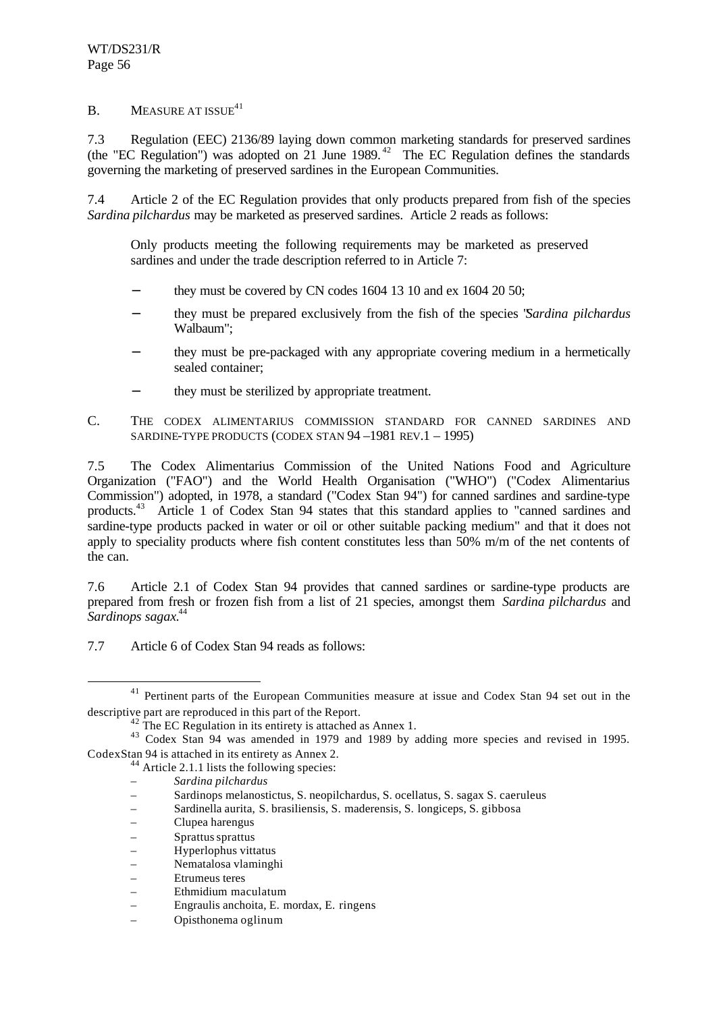B. MEASURE AT ISSUE<sup>41</sup>

7.3 Regulation (EEC) 2136/89 laying down common marketing standards for preserved sardines (the "EC Regulation") was adopted on 21 June 1989. <sup>42</sup> The EC Regulation defines the standards governing the marketing of preserved sardines in the European Communities.

7.4 Article 2 of the EC Regulation provides that only products prepared from fish of the species *Sardina pilchardus* may be marketed as preserved sardines. Article 2 reads as follows:

Only products meeting the following requirements may be marketed as preserved sardines and under the trade description referred to in Article 7:

- they must be covered by CN codes  $1604 13 10$  and ex  $1604 20 50$ ;
- − they must be prepared exclusively from the fish of the species "*Sardina pilchardus* Walbaum";
- they must be pre-packaged with any appropriate covering medium in a hermetically sealed container;
- they must be sterilized by appropriate treatment.
- C. THE CODEX ALIMENTARIUS COMMISSION STANDARD FOR CANNED SARDINES AND SARDINE-TYPE PRODUCTS (CODEX STAN 94 –1981 REV.1 – 1995)

7.5 The Codex Alimentarius Commission of the United Nations Food and Agriculture Organization ("FAO") and the World Health Organisation ("WHO") ("Codex Alimentarius Commission") adopted, in 1978, a standard ("Codex Stan 94") for canned sardines and sardine-type products.<sup>43</sup> Article 1 of Codex Stan 94 states that this standard applies to "canned sardines and sardine-type products packed in water or oil or other suitable packing medium" and that it does not apply to speciality products where fish content constitutes less than 50% m/m of the net contents of the can.

7.6 Article 2.1 of Codex Stan 94 provides that canned sardines or sardine-type products are prepared from fresh or frozen fish from a list of 21 species, amongst them *Sardina pilchardus* and *Sardinops sagax.*<sup>44</sup>

7.7 Article 6 of Codex Stan 94 reads as follows:

– *Sardina pilchardus*

- Sardinella aurita, S. brasiliensis, S. maderensis, S. longiceps, S. gibbosa
- Clupea harengus
- Sprattus sprattus
- Hyperlophus vittatus
- Nematalosa vlaminghi
- Etrumeus teres
- Ethmidium maculatum
- Engraulis anchoita, E. mordax, E. ringens
- Opisthonema oglinum

<sup>&</sup>lt;sup>41</sup> Pertinent parts of the European Communities measure at issue and Codex Stan 94 set out in the descriptive part are reproduced in this part of the Report.

 $42$  The EC Regulation in its entirety is attached as Annex 1.

<sup>&</sup>lt;sup>43</sup> Codex Stan 94 was amended in 1979 and 1989 by adding more species and revised in 1995. Codex Stan 94 is attached in its entirety as Annex 2.

 $44$  Article 2.1.1 lists the following species:

<sup>–</sup> Sardinops melanostictus, S. neopilchardus, S. ocellatus, S. sagax S. caeruleus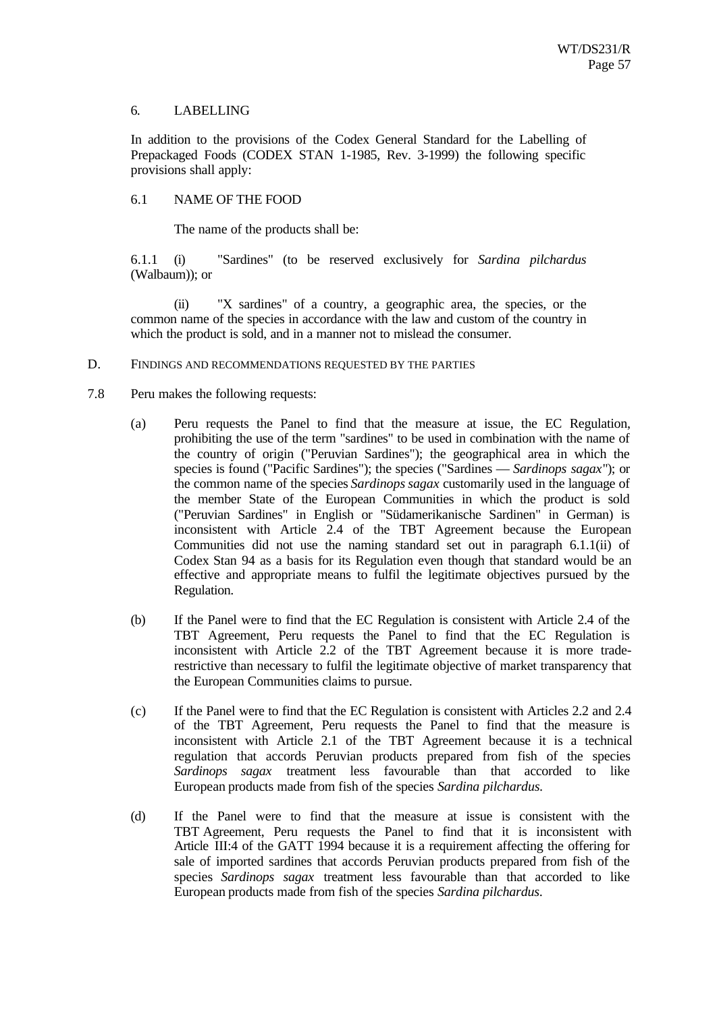#### 6. LABELLING

In addition to the provisions of the Codex General Standard for the Labelling of Prepackaged Foods (CODEX STAN 1-1985, Rev. 3-1999) the following specific provisions shall apply:

#### 6.1 NAME OF THE FOOD

The name of the products shall be:

6.1.1 (i) "Sardines" (to be reserved exclusively for *Sardina pilchardus* (Walbaum)); or

(ii) "X sardines" of a country, a geographic area, the species, or the common name of the species in accordance with the law and custom of the country in which the product is sold, and in a manner not to mislead the consumer.

- D. FINDINGS AND RECOMMENDATIONS REQUESTED BY THE PARTIES
- 7.8 Peru makes the following requests:
	- (a) Peru requests the Panel to find that the measure at issue, the EC Regulation, prohibiting the use of the term "sardines" to be used in combination with the name of the country of origin ("Peruvian Sardines"); the geographical area in which the species is found ("Pacific Sardines"); the species ("Sardines — *Sardinops sagax*"); or the common name of the species *Sardinops sagax* customarily used in the language of the member State of the European Communities in which the product is sold ("Peruvian Sardines" in English or "Südamerikanische Sardinen" in German) is inconsistent with Article 2.4 of the TBT Agreement because the European Communities did not use the naming standard set out in paragraph 6.1.1(ii) of Codex Stan 94 as a basis for its Regulation even though that standard would be an effective and appropriate means to fulfil the legitimate objectives pursued by the Regulation.
	- (b) If the Panel were to find that the EC Regulation is consistent with Article 2.4 of the TBT Agreement, Peru requests the Panel to find that the EC Regulation is inconsistent with Article 2.2 of the TBT Agreement because it is more traderestrictive than necessary to fulfil the legitimate objective of market transparency that the European Communities claims to pursue.
	- (c) If the Panel were to find that the EC Regulation is consistent with Articles 2.2 and 2.4 of the TBT Agreement, Peru requests the Panel to find that the measure is inconsistent with Article 2.1 of the TBT Agreement because it is a technical regulation that accords Peruvian products prepared from fish of the species *Sardinops sagax* treatment less favourable than that accorded to like European products made from fish of the species *Sardina pilchardus.*
	- (d) If the Panel were to find that the measure at issue is consistent with the TBT Agreement, Peru requests the Panel to find that it is inconsistent with Article III:4 of the GATT 1994 because it is a requirement affecting the offering for sale of imported sardines that accords Peruvian products prepared from fish of the species *Sardinops sagax* treatment less favourable than that accorded to like European products made from fish of the species *Sardina pilchardus*.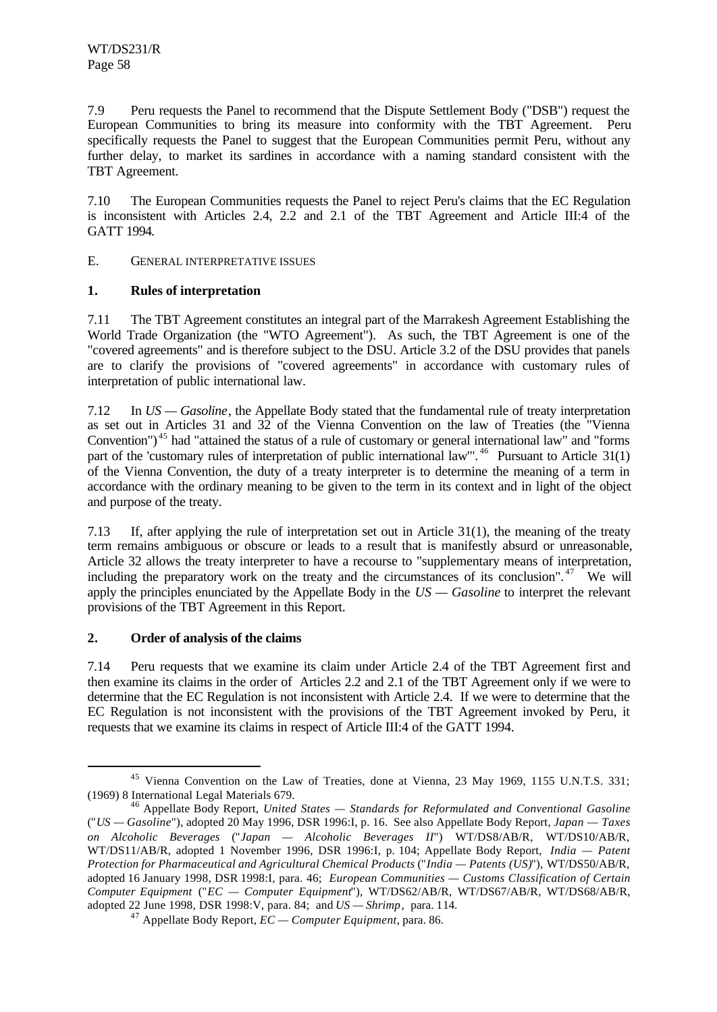7.9 Peru requests the Panel to recommend that the Dispute Settlement Body ("DSB") request the European Communities to bring its measure into conformity with the TBT Agreement. Peru specifically requests the Panel to suggest that the European Communities permit Peru, without any further delay, to market its sardines in accordance with a naming standard consistent with the TBT Agreement.

7.10 The European Communities requests the Panel to reject Peru's claims that the EC Regulation is inconsistent with Articles 2.4, 2.2 and 2.1 of the TBT Agreement and Article III:4 of the GATT 1994.

E. GENERAL INTERPRETATIVE ISSUES

### **1. Rules of interpretation**

7.11 The TBT Agreement constitutes an integral part of the Marrakesh Agreement Establishing the World Trade Organization (the "WTO Agreement"). As such, the TBT Agreement is one of the "covered agreements" and is therefore subject to the DSU. Article 3.2 of the DSU provides that panels are to clarify the provisions of "covered agreements" in accordance with customary rules of interpretation of public international law.

7.12 In *US — Gasoline*, the Appellate Body stated that the fundamental rule of treaty interpretation as set out in Articles 31 and 32 of the Vienna Convention on the law of Treaties (the "Vienna Convention")<sup>45</sup> had "attained the status of a rule of customary or general international law" and "forms" part of the 'customary rules of interpretation of public international law'".<sup>46</sup> Pursuant to Article 31(1) of the Vienna Convention, the duty of a treaty interpreter is to determine the meaning of a term in accordance with the ordinary meaning to be given to the term in its context and in light of the object and purpose of the treaty.

7.13 If, after applying the rule of interpretation set out in Article 31(1), the meaning of the treaty term remains ambiguous or obscure or leads to a result that is manifestly absurd or unreasonable, Article 32 allows the treaty interpreter to have a recourse to "supplementary means of interpretation, including the preparatory work on the treaty and the circumstances of its conclusion".<sup>47</sup> We will apply the principles enunciated by the Appellate Body in the *US — Gasoline* to interpret the relevant provisions of the TBT Agreement in this Report.

# **2. Order of analysis of the claims**

l

7.14 Peru requests that we examine its claim under Article 2.4 of the TBT Agreement first and then examine its claims in the order of Articles 2.2 and 2.1 of the TBT Agreement only if we were to determine that the EC Regulation is not inconsistent with Article 2.4. If we were to determine that the EC Regulation is not inconsistent with the provisions of the TBT Agreement invoked by Peru, it requests that we examine its claims in respect of Article III:4 of the GATT 1994.

<sup>&</sup>lt;sup>45</sup> Vienna Convention on the Law of Treaties, done at Vienna, 23 May 1969, 1155 U.N.T.S. 331; (1969) 8 International Legal Materials 679.

<sup>46</sup> Appellate Body Report, *United States — Standards for Reformulated and Conventional Gasoline* ("*US — Gasoline*"), adopted 20 May 1996, DSR 1996:I, p. 16. See also Appellate Body Report, *Japan — Taxes on Alcoholic Beverages* ("*Japan — Alcoholic Beverages II*") WT/DS8/AB/R, WT/DS10/AB/R, WT/DS11/AB/R, adopted 1 November 1996, DSR 1996:I, p. 104; Appellate Body Report, *India — Patent Protection for Pharmaceutical and Agricultural Chemical Products* ("*India — Patents (US)*"), WT/DS50/AB/R, adopted 16 January 1998, DSR 1998:I, para. 46; *European Communities — Customs Classification of Certain Computer Equipment* ("*EC — Computer Equipment*"), WT/DS62/AB/R, WT/DS67/AB/R, WT/DS68/AB/R, adopted 22 June 1998, DSR 1998:V, para. 84; and *US — Shrimp*, para. 114.

<sup>47</sup> Appellate Body Report, *EC — Computer Equipment*, para. 86.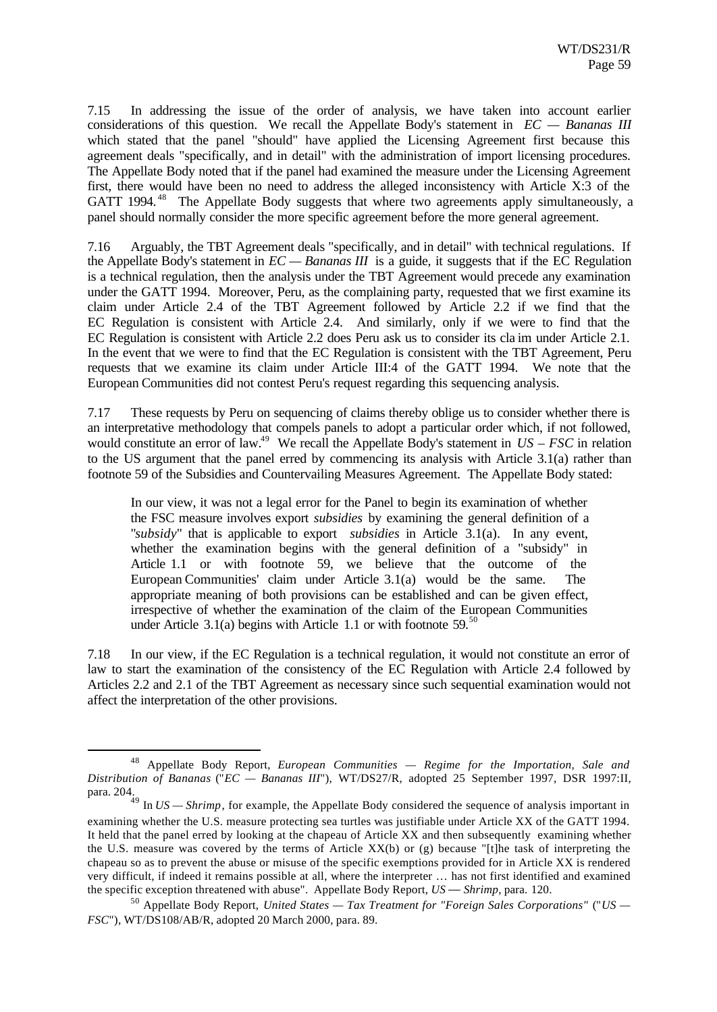7.15 In addressing the issue of the order of analysis, we have taken into account earlier considerations of this question. We recall the Appellate Body's statement in *EC — Bananas III* which stated that the panel "should" have applied the Licensing Agreement first because this agreement deals "specifically, and in detail" with the administration of import licensing procedures. The Appellate Body noted that if the panel had examined the measure under the Licensing Agreement first, there would have been no need to address the alleged inconsistency with Article X:3 of the GATT 1994.<sup>48</sup> The Appellate Body suggests that where two agreements apply simultaneously, a panel should normally consider the more specific agreement before the more general agreement.

7.16 Arguably, the TBT Agreement deals "specifically, and in detail" with technical regulations. If the Appellate Body's statement in *EC — Bananas III* is a guide, it suggests that if the EC Regulation is a technical regulation, then the analysis under the TBT Agreement would precede any examination under the GATT 1994. Moreover, Peru, as the complaining party, requested that we first examine its claim under Article 2.4 of the TBT Agreement followed by Article 2.2 if we find that the EC Regulation is consistent with Article 2.4. And similarly, only if we were to find that the EC Regulation is consistent with Article 2.2 does Peru ask us to consider its cla im under Article 2.1. In the event that we were to find that the EC Regulation is consistent with the TBT Agreement, Peru requests that we examine its claim under Article III:4 of the GATT 1994. We note that the European Communities did not contest Peru's request regarding this sequencing analysis.

7.17 These requests by Peru on sequencing of claims thereby oblige us to consider whether there is an interpretative methodology that compels panels to adopt a particular order which, if not followed, would constitute an error of law.<sup>49</sup> We recall the Appellate Body's statement in *US – FSC* in relation to the US argument that the panel erred by commencing its analysis with Article 3.1(a) rather than footnote 59 of the Subsidies and Countervailing Measures Agreement. The Appellate Body stated:

In our view, it was not a legal error for the Panel to begin its examination of whether the FSC measure involves export *subsidies* by examining the general definition of a "*subsidy*" that is applicable to export *subsidies* in Article 3.1(a). In any event, whether the examination begins with the general definition of a "subsidy" in Article 1.1 or with footnote 59, we believe that the outcome of the European Communities' claim under Article 3.1(a) would be the same. The appropriate meaning of both provisions can be established and can be given effect, irrespective of whether the examination of the claim of the European Communities under Article  $3.1(a)$  begins with Article 1.1 or with footnote 59.<sup>50</sup>

7.18 In our view, if the EC Regulation is a technical regulation, it would not constitute an error of law to start the examination of the consistency of the EC Regulation with Article 2.4 followed by Articles 2.2 and 2.1 of the TBT Agreement as necessary since such sequential examination would not affect the interpretation of the other provisions.

<sup>48</sup> Appellate Body Report, *European Communities — Regime for the Importation, Sale and Distribution of Bananas* ("*EC — Bananas III*"), WT/DS27/R, adopted 25 September 1997, DSR 1997:II, para. 204.

<sup>&</sup>lt;sup>49</sup> In *US — Shrimp*, for example, the Appellate Body considered the sequence of analysis important in examining whether the U.S. measure protecting sea turtles was justifiable under Article XX of the GATT 1994. It held that the panel erred by looking at the chapeau of Article XX and then subsequently examining whether the U.S. measure was covered by the terms of Article XX(b) or (g) because "[t]he task of interpreting the chapeau so as to prevent the abuse or misuse of the specific exemptions provided for in Article XX is rendered very difficult, if indeed it remains possible at all, where the interpreter … has not first identified and examined the specific exception threatened with abuse". Appellate Body Report, *US — Shrimp,* para. 120.

<sup>50</sup> Appellate Body Report, *United States — Tax Treatment for "Foreign Sales Corporations"* ("*US — FSC*"), WT/DS108/AB/R, adopted 20 March 2000, para. 89.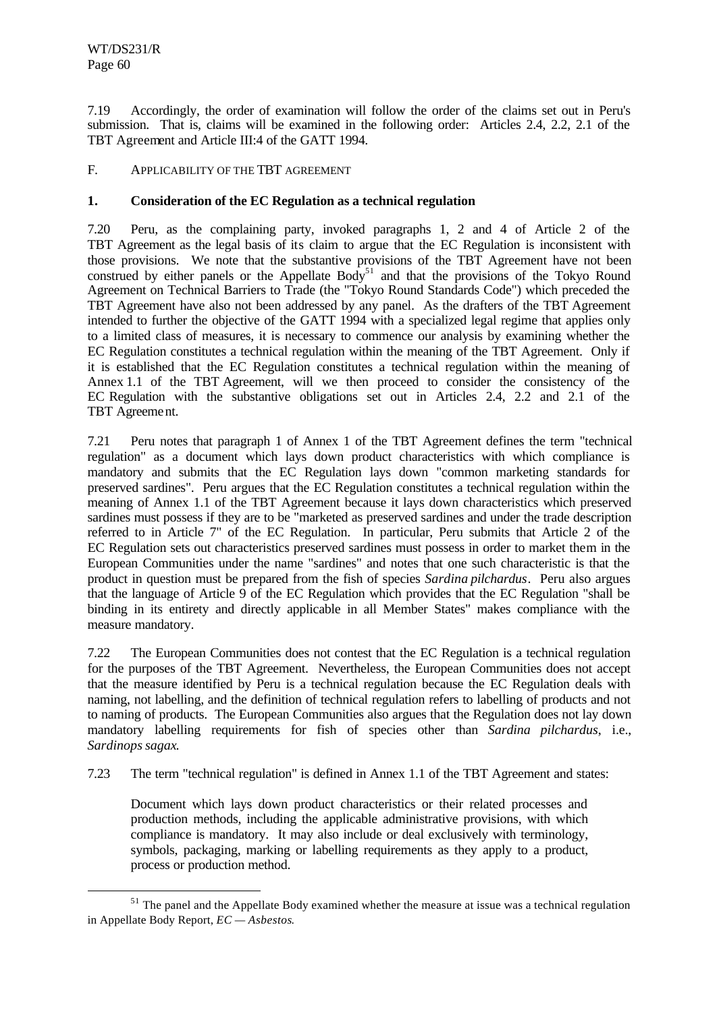l

7.19 Accordingly, the order of examination will follow the order of the claims set out in Peru's submission. That is, claims will be examined in the following order: Articles 2.4, 2.2, 2.1 of the TBT Agreement and Article III:4 of the GATT 1994.

### F. APPLICABILITY OF THE TBT AGREEMENT

### **1. Consideration of the EC Regulation as a technical regulation**

7.20 Peru, as the complaining party, invoked paragraphs 1, 2 and 4 of Article 2 of the TBT Agreement as the legal basis of its claim to argue that the EC Regulation is inconsistent with those provisions. We note that the substantive provisions of the TBT Agreement have not been construed by either panels or the Appellate Body<sup>51</sup> and that the provisions of the Tokyo Round Agreement on Technical Barriers to Trade (the "Tokyo Round Standards Code") which preceded the TBT Agreement have also not been addressed by any panel. As the drafters of the TBT Agreement intended to further the objective of the GATT 1994 with a specialized legal regime that applies only to a limited class of measures, it is necessary to commence our analysis by examining whether the EC Regulation constitutes a technical regulation within the meaning of the TBT Agreement. Only if it is established that the EC Regulation constitutes a technical regulation within the meaning of Annex 1.1 of the TBT Agreement, will we then proceed to consider the consistency of the EC Regulation with the substantive obligations set out in Articles 2.4, 2.2 and 2.1 of the TBT Agreement.

7.21 Peru notes that paragraph 1 of Annex 1 of the TBT Agreement defines the term "technical regulation" as a document which lays down product characteristics with which compliance is mandatory and submits that the EC Regulation lays down "common marketing standards for preserved sardines". Peru argues that the EC Regulation constitutes a technical regulation within the meaning of Annex 1.1 of the TBT Agreement because it lays down characteristics which preserved sardines must possess if they are to be "marketed as preserved sardines and under the trade description referred to in Article 7" of the EC Regulation. In particular, Peru submits that Article 2 of the EC Regulation sets out characteristics preserved sardines must possess in order to market them in the European Communities under the name "sardines" and notes that one such characteristic is that the product in question must be prepared from the fish of species *Sardina pilchardus*. Peru also argues that the language of Article 9 of the EC Regulation which provides that the EC Regulation "shall be binding in its entirety and directly applicable in all Member States" makes compliance with the measure mandatory.

7.22 The European Communities does not contest that the EC Regulation is a technical regulation for the purposes of the TBT Agreement. Nevertheless, the European Communities does not accept that the measure identified by Peru is a technical regulation because the EC Regulation deals with naming, not labelling, and the definition of technical regulation refers to labelling of products and not to naming of products. The European Communities also argues that the Regulation does not lay down mandatory labelling requirements for fish of species other than *Sardina pilchardus*, i.e., *Sardinops sagax*.

7.23 The term "technical regulation" is defined in Annex 1.1 of the TBT Agreement and states:

Document which lays down product characteristics or their related processes and production methods, including the applicable administrative provisions, with which compliance is mandatory. It may also include or deal exclusively with terminology, symbols, packaging, marking or labelling requirements as they apply to a product, process or production method.

<sup>&</sup>lt;sup>51</sup> The panel and the Appellate Body examined whether the measure at issue was a technical regulation in Appellate Body Report, *EC — Asbestos*.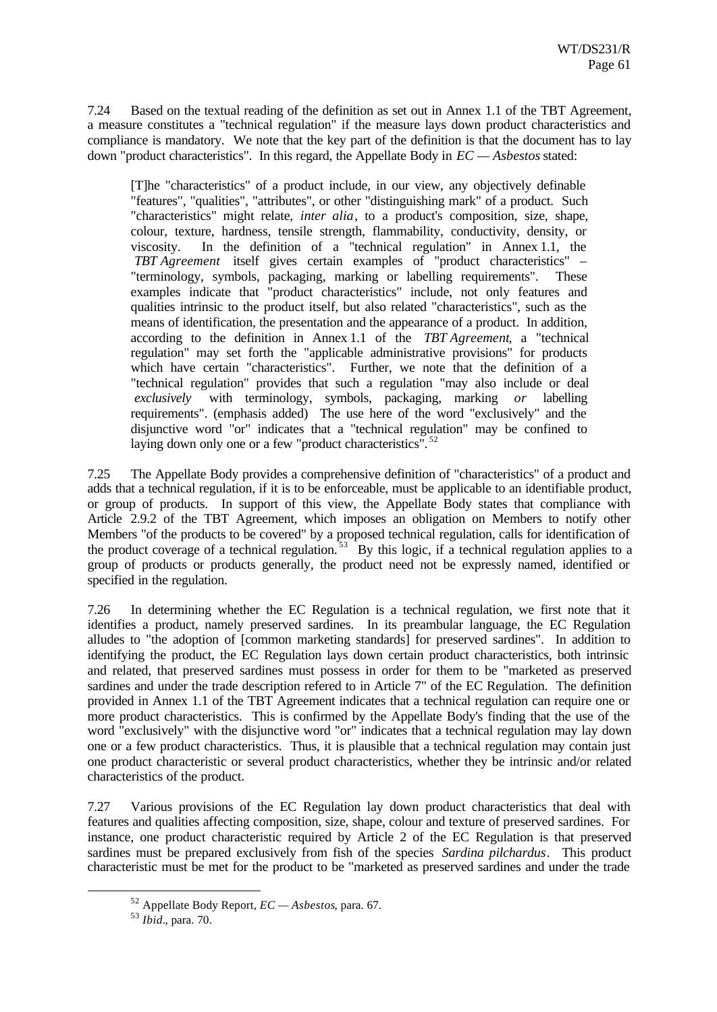7.24 Based on the textual reading of the definition as set out in Annex 1.1 of the TBT Agreement, a measure constitutes a "technical regulation" if the measure lays down product characteristics and compliance is mandatory. We note that the key part of the definition is that the document has to lay down "product characteristics". In this regard, the Appellate Body in *EC — Asbestos* stated:

[T]he "characteristics" of a product include, in our view, any objectively definable "features", "qualities", "attributes", or other "distinguishing mark" of a product. Such "characteristics" might relate, *inter alia*, to a product's composition, size, shape, colour, texture, hardness, tensile strength, flammability, conductivity, density, or viscosity. In the definition of a "technical regulation" in Annex 1.1, the *TBT Agreement* itself gives certain examples of "product characteristics" – "terminology, symbols, packaging, marking or labelling requirements". These examples indicate that "product characteristics" include, not only features and qualities intrinsic to the product itself, but also related "characteristics", such as the means of identification, the presentation and the appearance of a product. In addition, according to the definition in Annex 1.1 of the *TBT Agreement*, a "technical regulation" may set forth the "applicable administrative provisions" for products which have certain "characteristics". Further, we note that the definition of a "technical regulation" provides that such a regulation "may also include or deal *exclusively* with terminology, symbols, packaging, marking *or* labelling requirements". (emphasis added) The use here of the word "exclusively" and the disjunctive word "or" indicates that a "technical regulation" may be confined to laying down only one or a few "product characteristics".<sup>52</sup>

7.25 The Appellate Body provides a comprehensive definition of "characteristics" of a product and adds that a technical regulation, if it is to be enforceable, must be applicable to an identifiable product, or group of products. In support of this view, the Appellate Body states that compliance with Article 2.9.2 of the TBT Agreement, which imposes an obligation on Members to notify other Members "of the products to be covered" by a proposed technical regulation, calls for identification of the product coverage of a technical regulation.<sup>53</sup> By this logic, if a technical regulation applies to a group of products or products generally, the product need not be expressly named, identified or specified in the regulation.

7.26 In determining whether the EC Regulation is a technical regulation, we first note that it identifies a product, namely preserved sardines. In its preambular language, the EC Regulation alludes to "the adoption of [common marketing standards] for preserved sardines". In addition to identifying the product, the EC Regulation lays down certain product characteristics, both intrinsic and related, that preserved sardines must possess in order for them to be "marketed as preserved sardines and under the trade description refered to in Article 7" of the EC Regulation. The definition provided in Annex 1.1 of the TBT Agreement indicates that a technical regulation can require one or more product characteristics. This is confirmed by the Appellate Body's finding that the use of the word "exclusively" with the disjunctive word "or" indicates that a technical regulation may lay down one or a few product characteristics. Thus, it is plausible that a technical regulation may contain just one product characteristic or several product characteristics, whether they be intrinsic and/or related characteristics of the product.

7.27 Various provisions of the EC Regulation lay down product characteristics that deal with features and qualities affecting composition, size, shape, colour and texture of preserved sardines. For instance, one product characteristic required by Article 2 of the EC Regulation is that preserved sardines must be prepared exclusively from fish of the species *Sardina pilchardus*. This product characteristic must be met for the product to be "marketed as preserved sardines and under the trade

<sup>52</sup> Appellate Body Report, *EC — Asbestos*, para. 67.

<sup>53</sup> *Ibid.*, para. 70.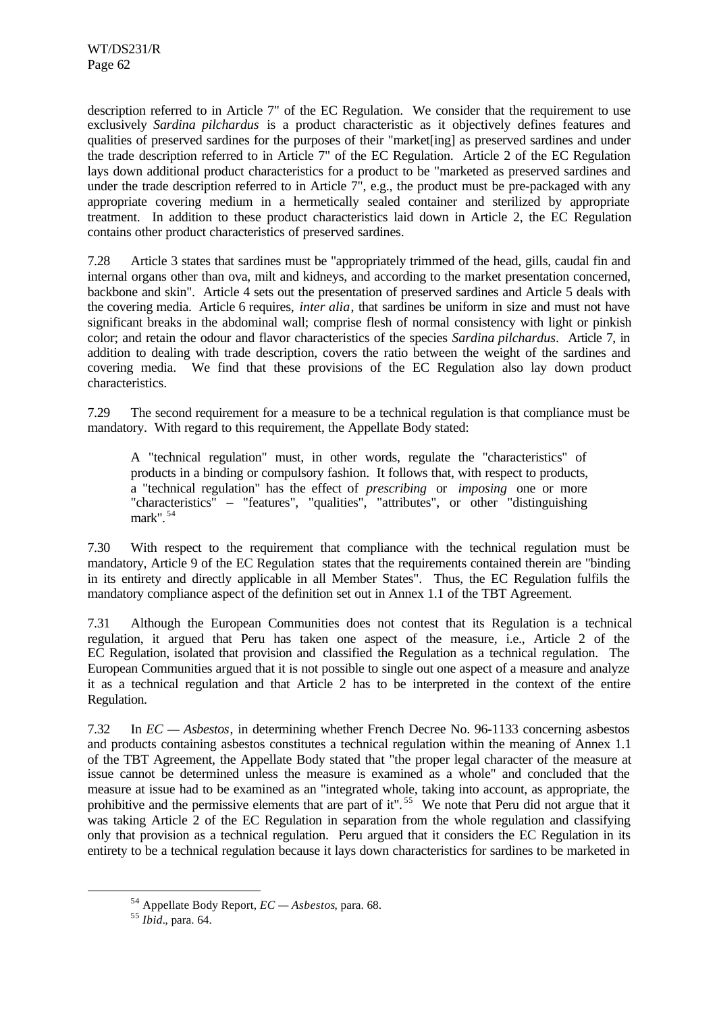description referred to in Article 7" of the EC Regulation. We consider that the requirement to use exclusively *Sardina pilchardus* is a product characteristic as it objectively defines features and qualities of preserved sardines for the purposes of their "market[ing] as preserved sardines and under the trade description referred to in Article 7" of the EC Regulation. Article 2 of the EC Regulation lays down additional product characteristics for a product to be "marketed as preserved sardines and under the trade description referred to in Article 7", e.g., the product must be pre-packaged with any appropriate covering medium in a hermetically sealed container and sterilized by appropriate treatment. In addition to these product characteristics laid down in Article 2, the EC Regulation contains other product characteristics of preserved sardines.

7.28 Article 3 states that sardines must be "appropriately trimmed of the head, gills, caudal fin and internal organs other than ova, milt and kidneys, and according to the market presentation concerned, backbone and skin". Article 4 sets out the presentation of preserved sardines and Article 5 deals with the covering media. Article 6 requires, *inter alia*, that sardines be uniform in size and must not have significant breaks in the abdominal wall; comprise flesh of normal consistency with light or pinkish color; and retain the odour and flavor characteristics of the species *Sardina pilchardus*. Article 7, in addition to dealing with trade description, covers the ratio between the weight of the sardines and covering media. We find that these provisions of the EC Regulation also lay down product characteristics.

7.29 The second requirement for a measure to be a technical regulation is that compliance must be mandatory. With regard to this requirement, the Appellate Body stated:

A "technical regulation" must, in other words, regulate the "characteristics" of products in a binding or compulsory fashion. It follows that, with respect to products, a "technical regulation" has the effect of *prescribing* or *imposing* one or more "characteristics" – "features", "qualities", "attributes", or other "distinguishing mark". <sup>54</sup>

7.30 With respect to the requirement that compliance with the technical regulation must be mandatory, Article 9 of the EC Regulation states that the requirements contained therein are "binding in its entirety and directly applicable in all Member States". Thus, the EC Regulation fulfils the mandatory compliance aspect of the definition set out in Annex 1.1 of the TBT Agreement.

7.31 Although the European Communities does not contest that its Regulation is a technical regulation, it argued that Peru has taken one aspect of the measure, i.e., Article 2 of the EC Regulation, isolated that provision and classified the Regulation as a technical regulation. The European Communities argued that it is not possible to single out one aspect of a measure and analyze it as a technical regulation and that Article 2 has to be interpreted in the context of the entire Regulation.

7.32 In *EC — Asbestos*, in determining whether French Decree No. 96-1133 concerning asbestos and products containing asbestos constitutes a technical regulation within the meaning of Annex 1.1 of the TBT Agreement, the Appellate Body stated that "the proper legal character of the measure at issue cannot be determined unless the measure is examined as a whole" and concluded that the measure at issue had to be examined as an "integrated whole, taking into account, as appropriate, the prohibitive and the permissive elements that are part of it".<sup>55</sup> We note that Peru did not argue that it was taking Article 2 of the EC Regulation in separation from the whole regulation and classifying only that provision as a technical regulation. Peru argued that it considers the EC Regulation in its entirety to be a technical regulation because it lays down characteristics for sardines to be marketed in

<sup>54</sup> Appellate Body Report, *EC — Asbestos*, para. 68.

<sup>55</sup> *Ibid.*, para. 64.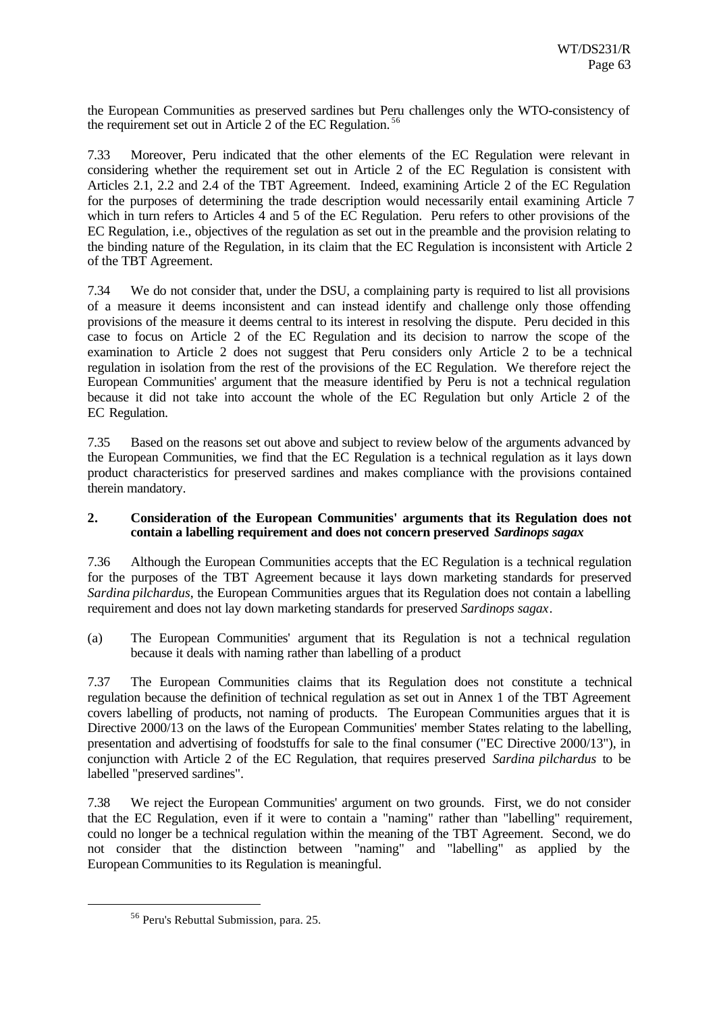the European Communities as preserved sardines but Peru challenges only the WTO-consistency of the requirement set out in Article 2 of the EC Regulation.<sup>56</sup>

7.33 Moreover, Peru indicated that the other elements of the EC Regulation were relevant in considering whether the requirement set out in Article 2 of the EC Regulation is consistent with Articles 2.1, 2.2 and 2.4 of the TBT Agreement. Indeed, examining Article 2 of the EC Regulation for the purposes of determining the trade description would necessarily entail examining Article 7 which in turn refers to Articles 4 and 5 of the EC Regulation. Peru refers to other provisions of the EC Regulation, i.e., objectives of the regulation as set out in the preamble and the provision relating to the binding nature of the Regulation, in its claim that the EC Regulation is inconsistent with Article 2 of the TBT Agreement.

7.34 We do not consider that, under the DSU, a complaining party is required to list all provisions of a measure it deems inconsistent and can instead identify and challenge only those offending provisions of the measure it deems central to its interest in resolving the dispute. Peru decided in this case to focus on Article 2 of the EC Regulation and its decision to narrow the scope of the examination to Article 2 does not suggest that Peru considers only Article 2 to be a technical regulation in isolation from the rest of the provisions of the EC Regulation. We therefore reject the European Communities' argument that the measure identified by Peru is not a technical regulation because it did not take into account the whole of the EC Regulation but only Article 2 of the EC Regulation.

7.35 Based on the reasons set out above and subject to review below of the arguments advanced by the European Communities, we find that the EC Regulation is a technical regulation as it lays down product characteristics for preserved sardines and makes compliance with the provisions contained therein mandatory.

### **2. Consideration of the European Communities' arguments that its Regulation does not contain a labelling requirement and does not concern preserved** *Sardinops sagax*

7.36 Although the European Communities accepts that the EC Regulation is a technical regulation for the purposes of the TBT Agreement because it lays down marketing standards for preserved *Sardina pilchardus*, the European Communities argues that its Regulation does not contain a labelling requirement and does not lay down marketing standards for preserved *Sardinops sagax*.

(a) The European Communities' argument that its Regulation is not a technical regulation because it deals with naming rather than labelling of a product

7.37 The European Communities claims that its Regulation does not constitute a technical regulation because the definition of technical regulation as set out in Annex 1 of the TBT Agreement covers labelling of products, not naming of products. The European Communities argues that it is Directive 2000/13 on the laws of the European Communities' member States relating to the labelling, presentation and advertising of foodstuffs for sale to the final consumer ("EC Directive 2000/13"), in conjunction with Article 2 of the EC Regulation, that requires preserved *Sardina pilchardus* to be labelled "preserved sardines".

7.38 We reject the European Communities' argument on two grounds. First, we do not consider that the EC Regulation, even if it were to contain a "naming" rather than "labelling" requirement, could no longer be a technical regulation within the meaning of the TBT Agreement. Second, we do not consider that the distinction between "naming" and "labelling" as applied by the European Communities to its Regulation is meaningful.

<sup>56</sup> Peru's Rebuttal Submission, para. 25.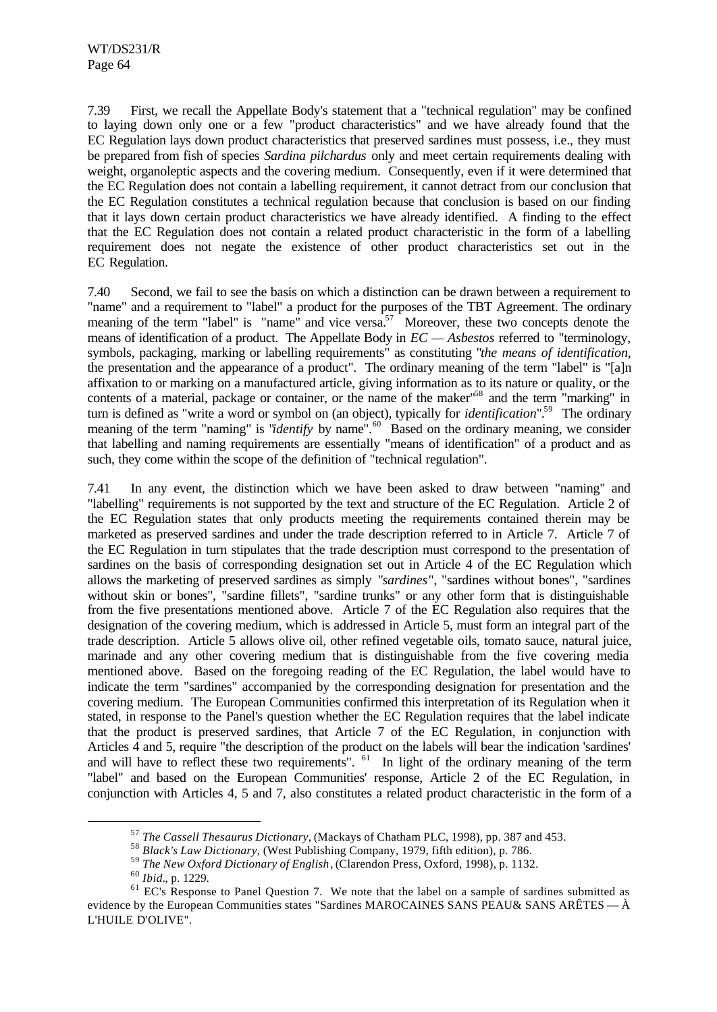7.39 First, we recall the Appellate Body's statement that a "technical regulation" may be confined to laying down only one or a few "product characteristics" and we have already found that the EC Regulation lays down product characteristics that preserved sardines must possess, i.e., they must be prepared from fish of species *Sardina pilchardus* only and meet certain requirements dealing with weight, organoleptic aspects and the covering medium. Consequently, even if it were determined that the EC Regulation does not contain a labelling requirement, it cannot detract from our conclusion that the EC Regulation constitutes a technical regulation because that conclusion is based on our finding that it lays down certain product characteristics we have already identified. A finding to the effect that the EC Regulation does not contain a related product characteristic in the form of a labelling requirement does not negate the existence of other product characteristics set out in the EC Regulation.

7.40 Second, we fail to see the basis on which a distinction can be drawn between a requirement to "name" and a requirement to "label" a product for the purposes of the TBT Agreement. The ordinary meaning of the term "label" is "name" and vice versa.<sup>57</sup> Moreover, these two concepts denote the means of identification of a product. The Appellate Body in *EC — Asbestos* referred to "terminology, symbols, packaging, marking or labelling requirements" as constituting "*the means of identification*, the presentation and the appearance of a product". The ordinary meaning of the term "label" is "[a]n affixation to or marking on a manufactured article, giving information as to its nature or quality, or the contents of a material, package or container, or the name of the maker<sup>"58</sup> and the term "marking" in turn is defined as "write a word or symbol on (an object), typically for *identification*".<sup>59</sup> The ordinary meaning of the term "naming" is "*identify* by name".<sup>60</sup> Based on the ordinary meaning, we consider that labelling and naming requirements are essentially "means of identification" of a product and as such, they come within the scope of the definition of "technical regulation".

7.41 In any event, the distinction which we have been asked to draw between "naming" and "labelling" requirements is not supported by the text and structure of the EC Regulation. Article 2 of the EC Regulation states that only products meeting the requirements contained therein may be marketed as preserved sardines and under the trade description referred to in Article 7. Article 7 of the EC Regulation in turn stipulates that the trade description must correspond to the presentation of sardines on the basis of corresponding designation set out in Article 4 of the EC Regulation which allows the marketing of preserved sardines as simply "*sardines*", "sardines without bones", "sardines without skin or bones", "sardine fillets", "sardine trunks" or any other form that is distinguishable from the five presentations mentioned above. Article 7 of the EC Regulation also requires that the designation of the covering medium, which is addressed in Article 5, must form an integral part of the trade description. Article 5 allows olive oil, other refined vegetable oils, tomato sauce, natural juice, marinade and any other covering medium that is distinguishable from the five covering media mentioned above. Based on the foregoing reading of the EC Regulation, the label would have to indicate the term "sardines" accompanied by the corresponding designation for presentation and the covering medium. The European Communities confirmed this interpretation of its Regulation when it stated, in response to the Panel's question whether the EC Regulation requires that the label indicate that the product is preserved sardines, that Article 7 of the EC Regulation, in conjunction with Articles 4 and 5, require "the description of the product on the labels will bear the indication 'sardines' and will have to reflect these two requirements". <sup>61</sup> In light of the ordinary meaning of the term "label" and based on the European Communities' response, Article 2 of the EC Regulation, in conjunction with Articles 4, 5 and 7, also constitutes a related product characteristic in the form of a

<sup>57</sup> *The Cassell Thesaurus Dictionary*, (Mackays of Chatham PLC, 1998), pp. 387 and 453.

<sup>58</sup> *Black's Law Dictionary*, (West Publishing Company, 1979, fifth edition), p. 786.

<sup>59</sup> *The New Oxford Dictionary of English*, (Clarendon Press, Oxford, 1998), p. 1132.

<sup>60</sup> *Ibid.*, p. 1229.

 $61$  EC's Response to Panel Question 7. We note that the label on a sample of sardines submitted as evidence by the European Communities states "Sardines MAROCAINES SANS PEAU& SANS ARÊTES — À L'HUILE D'OLIVE".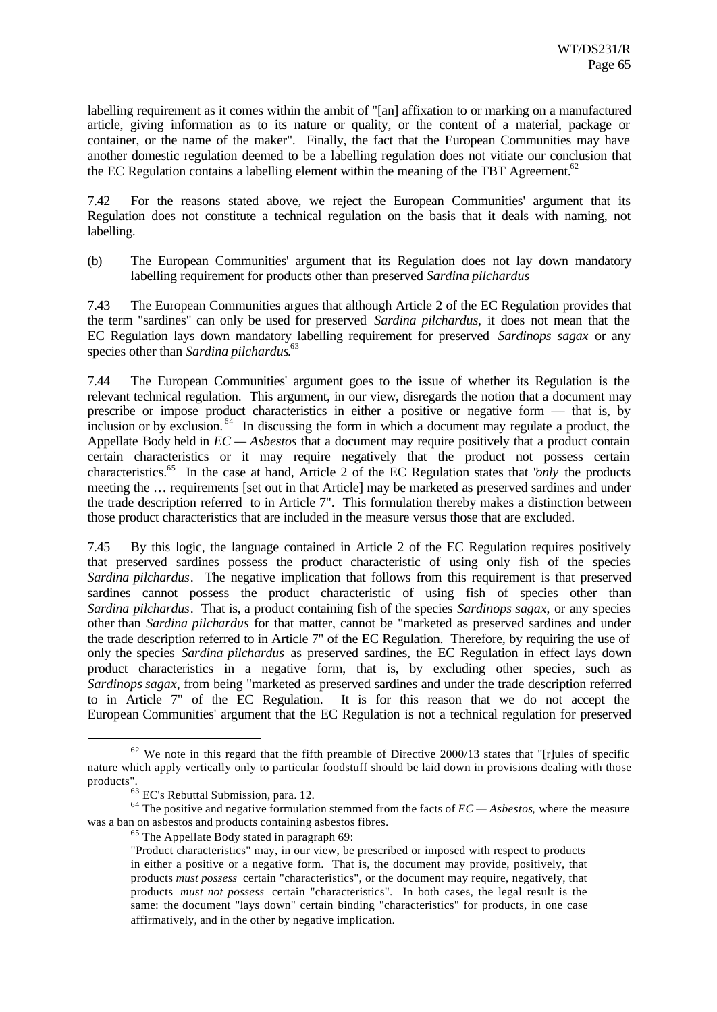labelling requirement as it comes within the ambit of "[an] affixation to or marking on a manufactured article, giving information as to its nature or quality, or the content of a material, package or container, or the name of the maker". Finally, the fact that the European Communities may have another domestic regulation deemed to be a labelling regulation does not vitiate our conclusion that the EC Regulation contains a labelling element within the meaning of the TBT Agreement.<sup>62</sup>

7.42 For the reasons stated above, we reject the European Communities' argument that its Regulation does not constitute a technical regulation on the basis that it deals with naming, not labelling.

(b) The European Communities' argument that its Regulation does not lay down mandatory labelling requirement for products other than preserved *Sardina pilchardus*

7.43 The European Communities argues that although Article 2 of the EC Regulation provides that the term "sardines" can only be used for preserved *Sardina pilchardus*, it does not mean that the EC Regulation lays down mandatory labelling requirement for preserved *Sardinops sagax* or any species other than *Sardina pilchardus*. 63

7.44 The European Communities' argument goes to the issue of whether its Regulation is the relevant technical regulation. This argument, in our view, disregards the notion that a document may prescribe or impose product characteristics in either a positive or negative form — that is, by inclusion or by exclusion.<sup>64</sup> In discussing the form in which a document may regulate a product, the Appellate Body held in *EC — Asbestos* that a document may require positively that a product contain certain characteristics or it may require negatively that the product not possess certain characteristics.<sup>65</sup> In the case at hand, Article 2 of the EC Regulation states that "*only* the products meeting the … requirements [set out in that Article] may be marketed as preserved sardines and under the trade description referred to in Article 7". This formulation thereby makes a distinction between those product characteristics that are included in the measure versus those that are excluded.

7.45 By this logic, the language contained in Article 2 of the EC Regulation requires positively that preserved sardines possess the product characteristic of using only fish of the species *Sardina pilchardus*. The negative implication that follows from this requirement is that preserved sardines cannot possess the product characteristic of using fish of species other than *Sardina pilchardus*. That is, a product containing fish of the species *Sardinops sagax*, or any species other than *Sardina pilchardus* for that matter, cannot be "marketed as preserved sardines and under the trade description referred to in Article 7" of the EC Regulation. Therefore, by requiring the use of only the species *Sardina pilchardus* as preserved sardines, the EC Regulation in effect lays down product characteristics in a negative form, that is, by excluding other species, such as *Sardinops sagax*, from being "marketed as preserved sardines and under the trade description referred to in Article 7" of the EC Regulation. It is for this reason that we do not accept the European Communities' argument that the EC Regulation is not a technical regulation for preserved

 $62$  We note in this regard that the fifth preamble of Directive 2000/13 states that "[r]ules of specific nature which apply vertically only to particular foodstuff should be laid down in provisions dealing with those products".

 $63$  EC's Rebuttal Submission, para. 12.

<sup>&</sup>lt;sup>64</sup> The positive and negative formulation stemmed from the facts of *EC — Asbestos*, where the measure was a ban on asbestos and products containing asbestos fibres.

<sup>&</sup>lt;sup>65</sup> The Appellate Body stated in paragraph 69:

<sup>&</sup>quot;Product characteristics" may, in our view, be prescribed or imposed with respect to products in either a positive or a negative form. That is, the document may provide, positively, that products *must possess* certain "characteristics", or the document may require, negatively, that products *must not possess* certain "characteristics". In both cases, the legal result is the same: the document "lays down" certain binding "characteristics" for products, in one case affirmatively, and in the other by negative implication.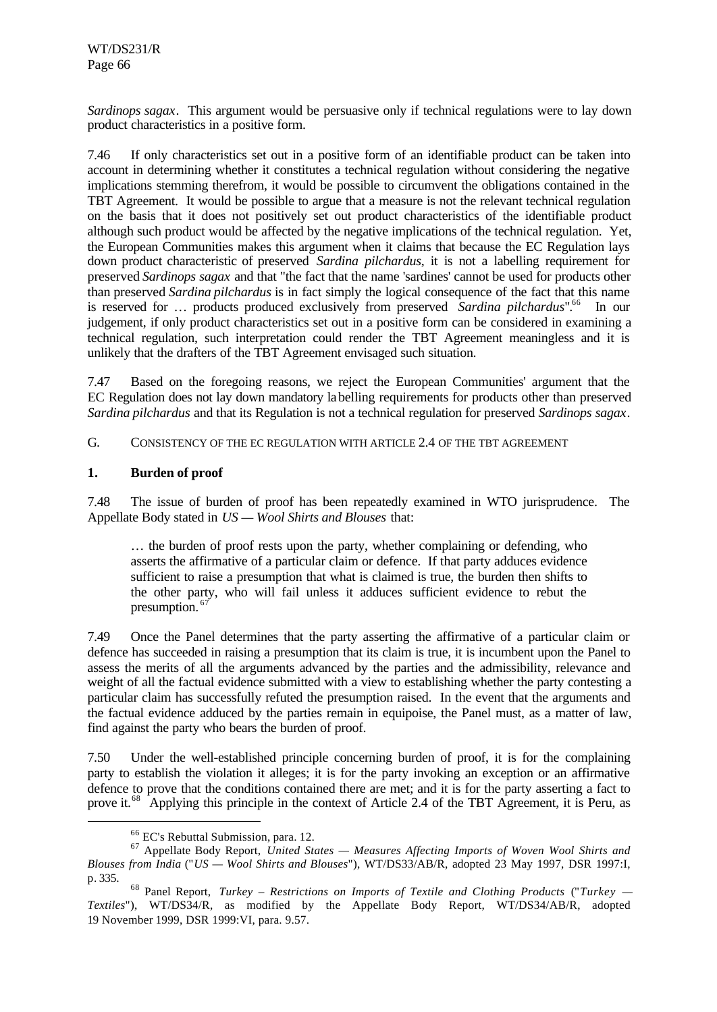*Sardinops sagax*. This argument would be persuasive only if technical regulations were to lay down product characteristics in a positive form.

7.46 If only characteristics set out in a positive form of an identifiable product can be taken into account in determining whether it constitutes a technical regulation without considering the negative implications stemming therefrom, it would be possible to circumvent the obligations contained in the TBT Agreement. It would be possible to argue that a measure is not the relevant technical regulation on the basis that it does not positively set out product characteristics of the identifiable product although such product would be affected by the negative implications of the technical regulation. Yet, the European Communities makes this argument when it claims that because the EC Regulation lays down product characteristic of preserved *Sardina pilchardus*, it is not a labelling requirement for preserved *Sardinops sagax* and that "the fact that the name 'sardines' cannot be used for products other than preserved *Sardina pilchardus* is in fact simply the logical consequence of the fact that this name is reserved for ... products produced exclusively from preserved *Sardina pilchardus*".<sup>66</sup> In our judgement, if only product characteristics set out in a positive form can be considered in examining a technical regulation, such interpretation could render the TBT Agreement meaningless and it is unlikely that the drafters of the TBT Agreement envisaged such situation.

7.47 Based on the foregoing reasons, we reject the European Communities' argument that the EC Regulation does not lay down mandatory labelling requirements for products other than preserved *Sardina pilchardus* and that its Regulation is not a technical regulation for preserved *Sardinops sagax*.

G. CONSISTENCY OF THE EC REGULATION WITH ARTICLE 2.4 OF THE TBT AGREEMENT

# **1. Burden of proof**

l

7.48 The issue of burden of proof has been repeatedly examined in WTO jurisprudence. The Appellate Body stated in *US — Wool Shirts and Blouses* that:

… the burden of proof rests upon the party, whether complaining or defending, who asserts the affirmative of a particular claim or defence. If that party adduces evidence sufficient to raise a presumption that what is claimed is true, the burden then shifts to the other party, who will fail unless it adduces sufficient evidence to rebut the presumption. <sup>67</sup>

7.49 Once the Panel determines that the party asserting the affirmative of a particular claim or defence has succeeded in raising a presumption that its claim is true, it is incumbent upon the Panel to assess the merits of all the arguments advanced by the parties and the admissibility, relevance and weight of all the factual evidence submitted with a view to establishing whether the party contesting a particular claim has successfully refuted the presumption raised. In the event that the arguments and the factual evidence adduced by the parties remain in equipoise, the Panel must, as a matter of law, find against the party who bears the burden of proof.

7.50 Under the well-established principle concerning burden of proof, it is for the complaining party to establish the violation it alleges; it is for the party invoking an exception or an affirmative defence to prove that the conditions contained there are met; and it is for the party asserting a fact to prove it.<sup>68</sup> Applying this principle in the context of Article 2.4 of the TBT Agreement, it is Peru, as

<sup>66</sup> EC's Rebuttal Submission, para. 12.

<sup>67</sup> Appellate Body Report, *United States — Measures Affecting Imports of Woven Wool Shirts and Blouses from India* ("*US — Wool Shirts and Blouses*"), WT/DS33/AB/R, adopted 23 May 1997, DSR 1997:I, p. 335.

<sup>68</sup> Panel Report, *Turkey – Restrictions on Imports of Textile and Clothing Products* ("*Turkey — Textiles*"), WT/DS34/R, as modified by the Appellate Body Report, WT/DS34/AB/R, adopted 19 November 1999, DSR 1999:VI, para. 9.57.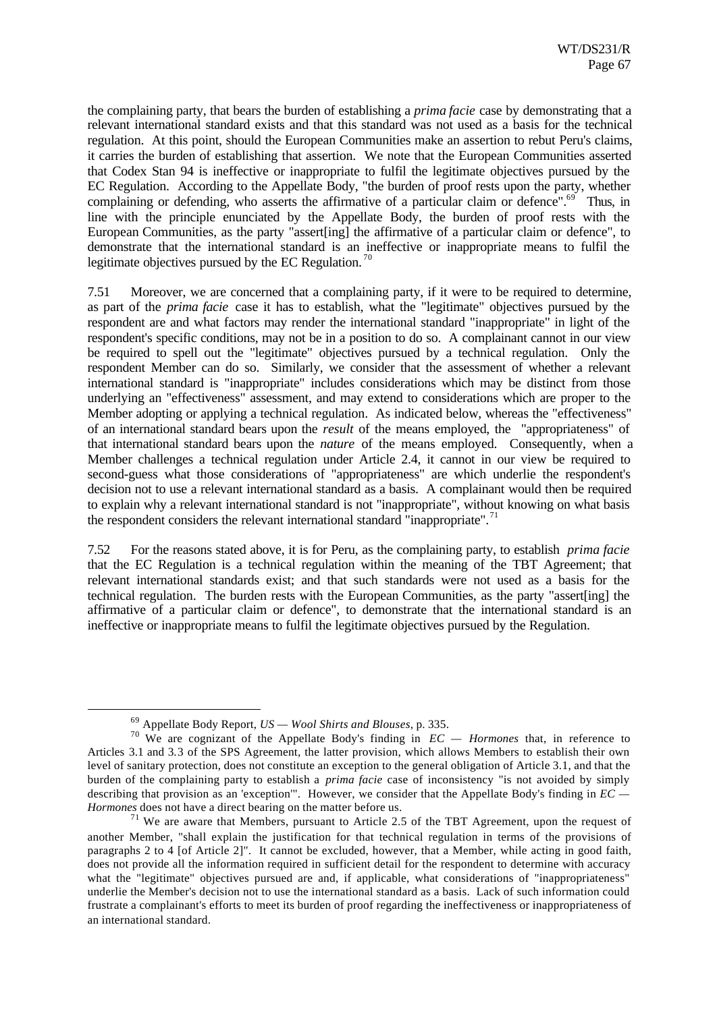the complaining party, that bears the burden of establishing a *prima facie* case by demonstrating that a relevant international standard exists and that this standard was not used as a basis for the technical regulation. At this point, should the European Communities make an assertion to rebut Peru's claims, it carries the burden of establishing that assertion. We note that the European Communities asserted that Codex Stan 94 is ineffective or inappropriate to fulfil the legitimate objectives pursued by the EC Regulation. According to the Appellate Body, "the burden of proof rests upon the party, whether complaining or defending, who asserts the affirmative of a particular claim or defence".<sup>69</sup> Thus, in line with the principle enunciated by the Appellate Body, the burden of proof rests with the European Communities, as the party "assert[ing] the affirmative of a particular claim or defence", to demonstrate that the international standard is an ineffective or inappropriate means to fulfil the legitimate objectives pursued by the EC Regulation.<sup>70</sup>

7.51 Moreover, we are concerned that a complaining party, if it were to be required to determine, as part of the *prima facie* case it has to establish, what the "legitimate" objectives pursued by the respondent are and what factors may render the international standard "inappropriate" in light of the respondent's specific conditions, may not be in a position to do so. A complainant cannot in our view be required to spell out the "legitimate" objectives pursued by a technical regulation. Only the respondent Member can do so. Similarly, we consider that the assessment of whether a relevant international standard is "inappropriate" includes considerations which may be distinct from those underlying an "effectiveness" assessment, and may extend to considerations which are proper to the Member adopting or applying a technical regulation. As indicated below, whereas the "effectiveness" of an international standard bears upon the *result* of the means employed, the "appropriateness" of that international standard bears upon the *nature* of the means employed. Consequently, when a Member challenges a technical regulation under Article 2.4, it cannot in our view be required to second-guess what those considerations of "appropriateness" are which underlie the respondent's decision not to use a relevant international standard as a basis. A complainant would then be required to explain why a relevant international standard is not "inappropriate", without knowing on what basis the respondent considers the relevant international standard "inappropriate".<sup>71</sup>

7.52 For the reasons stated above, it is for Peru, as the complaining party, to establish *prima facie* that the EC Regulation is a technical regulation within the meaning of the TBT Agreement; that relevant international standards exist; and that such standards were not used as a basis for the technical regulation. The burden rests with the European Communities, as the party "assert[ing] the affirmative of a particular claim or defence", to demonstrate that the international standard is an ineffective or inappropriate means to fulfil the legitimate objectives pursued by the Regulation.

<sup>69</sup> Appellate Body Report, *US — Wool Shirts and Blouses*, p. 335.

<sup>70</sup> We are cognizant of the Appellate Body's finding in *EC — Hormones* that, in reference to Articles 3.1 and 3.3 of the SPS Agreement, the latter provision, which allows Members to establish their own level of sanitary protection, does not constitute an exception to the general obligation of Article 3.1, and that the burden of the complaining party to establish a *prima facie* case of inconsistency "is not avoided by simply describing that provision as an 'exception'". However, we consider that the Appellate Body's finding in *EC — Hormones* does not have a direct bearing on the matter before us.

 $71$  We are aware that Members, pursuant to Article 2.5 of the TBT Agreement, upon the request of another Member, "shall explain the justification for that technical regulation in terms of the provisions of paragraphs 2 to 4 [of Article 2]". It cannot be excluded, however, that a Member, while acting in good faith, does not provide all the information required in sufficient detail for the respondent to determine with accuracy what the "legitimate" objectives pursued are and, if applicable, what considerations of "inappropriateness" underlie the Member's decision not to use the international standard as a basis. Lack of such information could frustrate a complainant's efforts to meet its burden of proof regarding the ineffectiveness or inappropriateness of an international standard.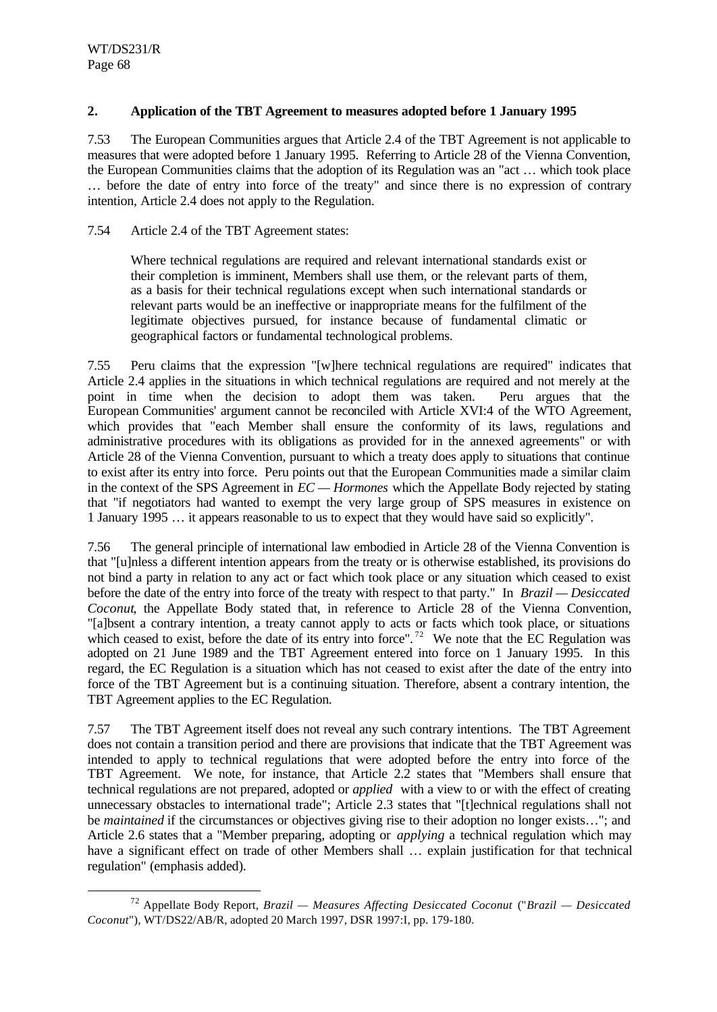l

# **2. Application of the TBT Agreement to measures adopted before 1 January 1995**

7.53 The European Communities argues that Article 2.4 of the TBT Agreement is not applicable to measures that were adopted before 1 January 1995. Referring to Article 28 of the Vienna Convention, the European Communities claims that the adoption of its Regulation was an "act … which took place … before the date of entry into force of the treaty" and since there is no expression of contrary intention, Article 2.4 does not apply to the Regulation.

7.54 Article 2.4 of the TBT Agreement states:

Where technical regulations are required and relevant international standards exist or their completion is imminent, Members shall use them, or the relevant parts of them, as a basis for their technical regulations except when such international standards or relevant parts would be an ineffective or inappropriate means for the fulfilment of the legitimate objectives pursued, for instance because of fundamental climatic or geographical factors or fundamental technological problems.

7.55 Peru claims that the expression "[w]here technical regulations are required" indicates that Article 2.4 applies in the situations in which technical regulations are required and not merely at the point in time when the decision to adopt them was taken. Peru argues that the European Communities' argument cannot be reconciled with Article XVI:4 of the WTO Agreement, which provides that "each Member shall ensure the conformity of its laws, regulations and administrative procedures with its obligations as provided for in the annexed agreements" or with Article 28 of the Vienna Convention, pursuant to which a treaty does apply to situations that continue to exist after its entry into force. Peru points out that the European Communities made a similar claim in the context of the SPS Agreement in *EC — Hormones* which the Appellate Body rejected by stating that "if negotiators had wanted to exempt the very large group of SPS measures in existence on 1 January 1995 … it appears reasonable to us to expect that they would have said so explicitly".

7.56 The general principle of international law embodied in Article 28 of the Vienna Convention is that "[u]nless a different intention appears from the treaty or is otherwise established, its provisions do not bind a party in relation to any act or fact which took place or any situation which ceased to exist before the date of the entry into force of the treaty with respect to that party." In *Brazil — Desiccated Coconut*, the Appellate Body stated that, in reference to Article 28 of the Vienna Convention, "[a]bsent a contrary intention, a treaty cannot apply to acts or facts which took place, or situations which ceased to exist, before the date of its entry into force".<sup>72</sup> We note that the EC Regulation was adopted on 21 June 1989 and the TBT Agreement entered into force on 1 January 1995. In this regard, the EC Regulation is a situation which has not ceased to exist after the date of the entry into force of the TBT Agreement but is a continuing situation. Therefore, absent a contrary intention, the TBT Agreement applies to the EC Regulation.

7.57 The TBT Agreement itself does not reveal any such contrary intentions. The TBT Agreement does not contain a transition period and there are provisions that indicate that the TBT Agreement was intended to apply to technical regulations that were adopted before the entry into force of the TBT Agreement. We note, for instance, that Article 2.2 states that "Members shall ensure that technical regulations are not prepared, adopted or *applied* with a view to or with the effect of creating unnecessary obstacles to international trade"; Article 2.3 states that "[t]echnical regulations shall not be *maintained* if the circumstances or objectives giving rise to their adoption no longer exists…"; and Article 2.6 states that a "Member preparing, adopting or *applying* a technical regulation which may have a significant effect on trade of other Members shall ... explain justification for that technical regulation" (emphasis added).

<sup>72</sup> Appellate Body Report, *Brazil — Measures Affecting Desiccated Coconut* ("*Brazil — Desiccated Coconut*"), WT/DS22/AB/R, adopted 20 March 1997, DSR 1997:I, pp. 179-180.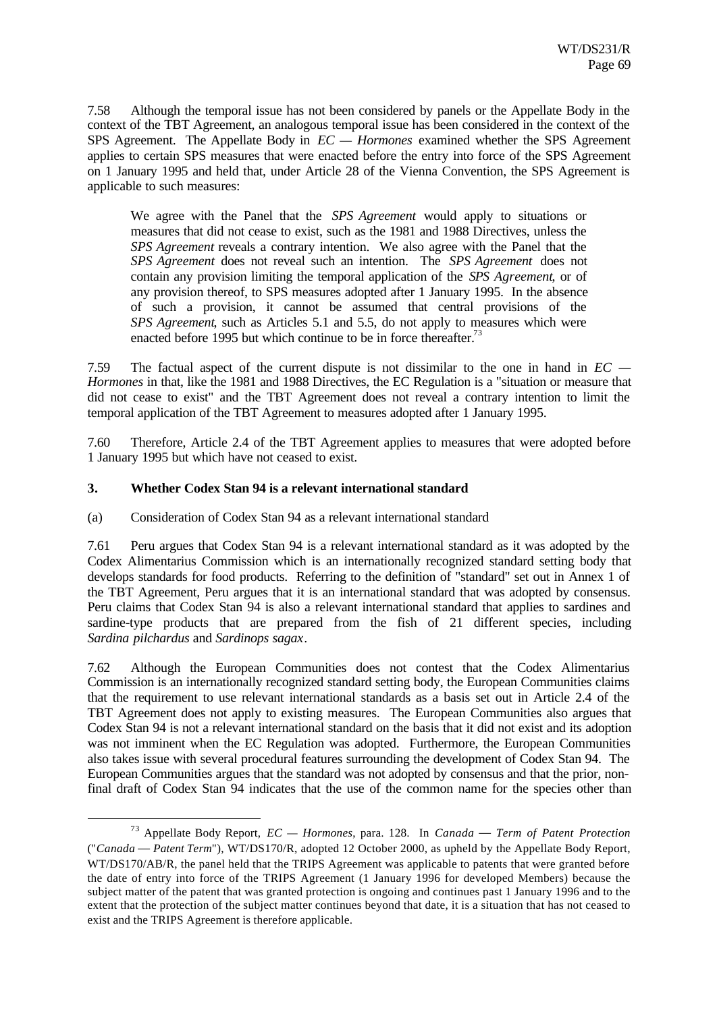7.58 Although the temporal issue has not been considered by panels or the Appellate Body in the context of the TBT Agreement, an analogous temporal issue has been considered in the context of the SPS Agreement. The Appellate Body in *EC — Hormones* examined whether the SPS Agreement applies to certain SPS measures that were enacted before the entry into force of the SPS Agreement on 1 January 1995 and held that, under Article 28 of the Vienna Convention, the SPS Agreement is applicable to such measures:

We agree with the Panel that the *SPS Agreement* would apply to situations or measures that did not cease to exist, such as the 1981 and 1988 Directives, unless the *SPS Agreement* reveals a contrary intention. We also agree with the Panel that the *SPS Agreement* does not reveal such an intention. The *SPS Agreement* does not contain any provision limiting the temporal application of the *SPS Agreement*, or of any provision thereof, to SPS measures adopted after 1 January 1995. In the absence of such a provision, it cannot be assumed that central provisions of the *SPS Agreement*, such as Articles 5.1 and 5.5, do not apply to measures which were enacted before 1995 but which continue to be in force thereafter.<sup>73</sup>

7.59 The factual aspect of the current dispute is not dissimilar to the one in hand in *EC — Hormones* in that, like the 1981 and 1988 Directives, the EC Regulation is a "situation or measure that did not cease to exist" and the TBT Agreement does not reveal a contrary intention to limit the temporal application of the TBT Agreement to measures adopted after 1 January 1995.

7.60 Therefore, Article 2.4 of the TBT Agreement applies to measures that were adopted before 1 January 1995 but which have not ceased to exist.

# **3. Whether Codex Stan 94 is a relevant international standard**

l

(a) Consideration of Codex Stan 94 as a relevant international standard

7.61 Peru argues that Codex Stan 94 is a relevant international standard as it was adopted by the Codex Alimentarius Commission which is an internationally recognized standard setting body that develops standards for food products. Referring to the definition of "standard" set out in Annex 1 of the TBT Agreement, Peru argues that it is an international standard that was adopted by consensus. Peru claims that Codex Stan 94 is also a relevant international standard that applies to sardines and sardine-type products that are prepared from the fish of 21 different species, including *Sardina pilchardus* and *Sardinops sagax*.

7.62 Although the European Communities does not contest that the Codex Alimentarius Commission is an internationally recognized standard setting body, the European Communities claims that the requirement to use relevant international standards as a basis set out in Article 2.4 of the TBT Agreement does not apply to existing measures. The European Communities also argues that Codex Stan 94 is not a relevant international standard on the basis that it did not exist and its adoption was not imminent when the EC Regulation was adopted. Furthermore, the European Communities also takes issue with several procedural features surrounding the development of Codex Stan 94. The European Communities argues that the standard was not adopted by consensus and that the prior, nonfinal draft of Codex Stan 94 indicates that the use of the common name for the species other than

<sup>73</sup> Appellate Body Report, *EC — Hormones*, para. 128. In *Canada — Term of Patent Protection* ("*Canada — Patent Term*"), WT/DS170/R, adopted 12 October 2000, as upheld by the Appellate Body Report, WT/DS170/AB/R, the panel held that the TRIPS Agreement was applicable to patents that were granted before the date of entry into force of the TRIPS Agreement (1 January 1996 for developed Members) because the subject matter of the patent that was granted protection is ongoing and continues past 1 January 1996 and to the extent that the protection of the subject matter continues beyond that date, it is a situation that has not ceased to exist and the TRIPS Agreement is therefore applicable.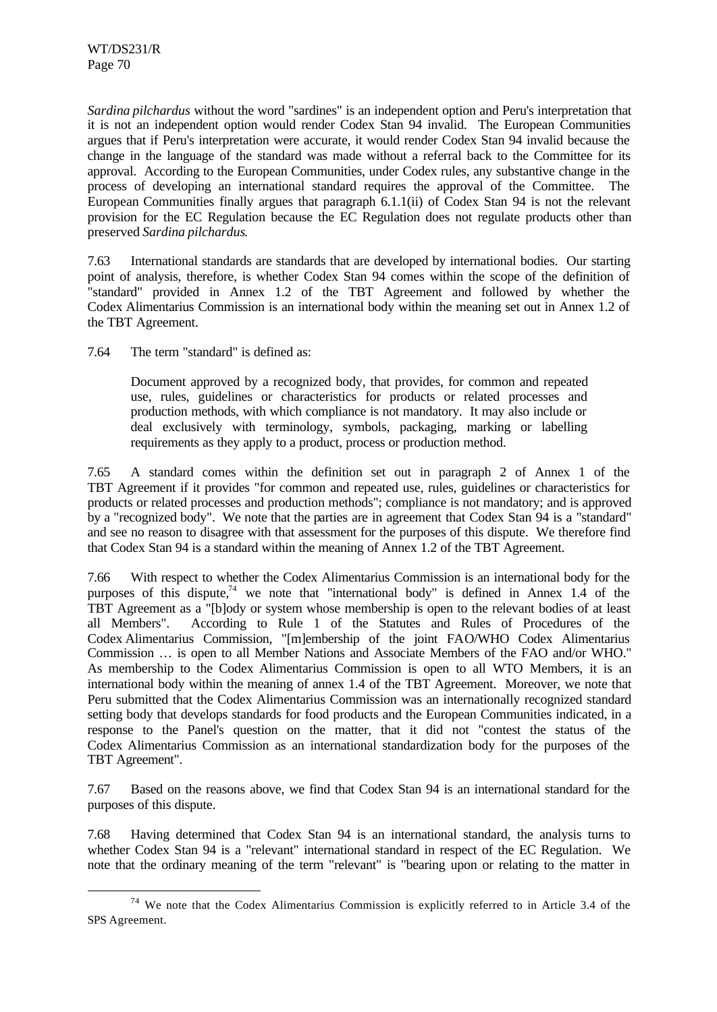l

*Sardina pilchardus* without the word "sardines" is an independent option and Peru's interpretation that it is not an independent option would render Codex Stan 94 invalid. The European Communities argues that if Peru's interpretation were accurate, it would render Codex Stan 94 invalid because the change in the language of the standard was made without a referral back to the Committee for its approval. According to the European Communities, under Codex rules, any substantive change in the process of developing an international standard requires the approval of the Committee. The European Communities finally argues that paragraph 6.1.1(ii) of Codex Stan 94 is not the relevant provision for the EC Regulation because the EC Regulation does not regulate products other than preserved *Sardina pilchardus*.

7.63 International standards are standards that are developed by international bodies. Our starting point of analysis, therefore, is whether Codex Stan 94 comes within the scope of the definition of "standard" provided in Annex 1.2 of the TBT Agreement and followed by whether the Codex Alimentarius Commission is an international body within the meaning set out in Annex 1.2 of the TBT Agreement.

7.64 The term "standard" is defined as:

Document approved by a recognized body, that provides, for common and repeated use, rules, guidelines or characteristics for products or related processes and production methods, with which compliance is not mandatory. It may also include or deal exclusively with terminology, symbols, packaging, marking or labelling requirements as they apply to a product, process or production method.

7.65 A standard comes within the definition set out in paragraph 2 of Annex 1 of the TBT Agreement if it provides "for common and repeated use, rules, guidelines or characteristics for products or related processes and production methods"; compliance is not mandatory; and is approved by a "recognized body". We note that the parties are in agreement that Codex Stan 94 is a "standard" and see no reason to disagree with that assessment for the purposes of this dispute. We therefore find that Codex Stan 94 is a standard within the meaning of Annex 1.2 of the TBT Agreement.

7.66 With respect to whether the Codex Alimentarius Commission is an international body for the purposes of this dispute, $74$  we note that "international body" is defined in Annex 1.4 of the TBT Agreement as a "[b]ody or system whose membership is open to the relevant bodies of at least all Members". According to Rule 1 of the Statutes and Rules of Procedures of the Codex Alimentarius Commission, "[m]embership of the joint FAO/WHO Codex Alimentarius Commission … is open to all Member Nations and Associate Members of the FAO and/or WHO." As membership to the Codex Alimentarius Commission is open to all WTO Members, it is an international body within the meaning of annex 1.4 of the TBT Agreement. Moreover, we note that Peru submitted that the Codex Alimentarius Commission was an internationally recognized standard setting body that develops standards for food products and the European Communities indicated, in a response to the Panel's question on the matter, that it did not "contest the status of the Codex Alimentarius Commission as an international standardization body for the purposes of the TBT Agreement".

7.67 Based on the reasons above, we find that Codex Stan 94 is an international standard for the purposes of this dispute.

7.68 Having determined that Codex Stan 94 is an international standard, the analysis turns to whether Codex Stan 94 is a "relevant" international standard in respect of the EC Regulation. We note that the ordinary meaning of the term "relevant" is "bearing upon or relating to the matter in

<sup>74</sup> We note that the Codex Alimentarius Commission is explicitly referred to in Article 3.4 of the SPS Agreement.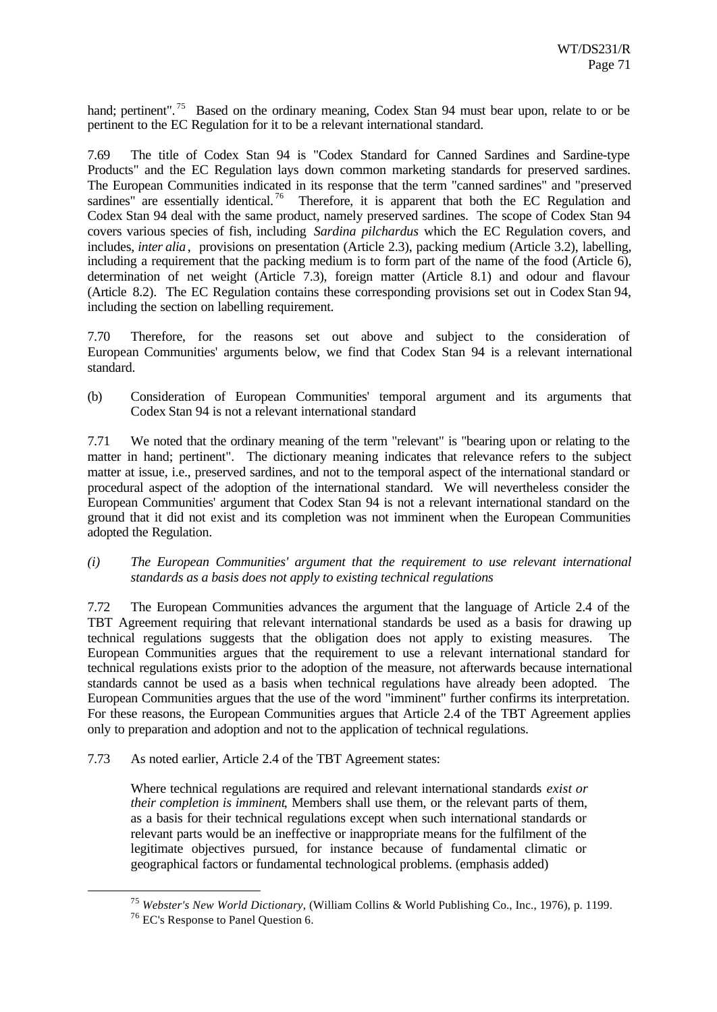hand; pertinent".<sup>75</sup> Based on the ordinary meaning, Codex Stan 94 must bear upon, relate to or be pertinent to the EC Regulation for it to be a relevant international standard.

7.69 The title of Codex Stan 94 is "Codex Standard for Canned Sardines and Sardine-type Products" and the EC Regulation lays down common marketing standards for preserved sardines. The European Communities indicated in its response that the term "canned sardines" and "preserved sardines" are essentially identical.<sup>76</sup> Therefore, it is apparent that both the EC Regulation and Codex Stan 94 deal with the same product, namely preserved sardines. The scope of Codex Stan 94 covers various species of fish, including *Sardina pilchardus* which the EC Regulation covers, and includes, *inter alia*, provisions on presentation (Article 2.3), packing medium (Article 3.2), labelling, including a requirement that the packing medium is to form part of the name of the food (Article 6), determination of net weight (Article 7.3), foreign matter (Article 8.1) and odour and flavour (Article 8.2). The EC Regulation contains these corresponding provisions set out in Codex Stan 94, including the section on labelling requirement.

7.70 Therefore, for the reasons set out above and subject to the consideration of European Communities' arguments below, we find that Codex Stan 94 is a relevant international standard.

(b) Consideration of European Communities' temporal argument and its arguments that Codex Stan 94 is not a relevant international standard

7.71 We noted that the ordinary meaning of the term "relevant" is "bearing upon or relating to the matter in hand; pertinent". The dictionary meaning indicates that relevance refers to the subject matter at issue, i.e., preserved sardines, and not to the temporal aspect of the international standard or procedural aspect of the adoption of the international standard. We will nevertheless consider the European Communities' argument that Codex Stan 94 is not a relevant international standard on the ground that it did not exist and its completion was not imminent when the European Communities adopted the Regulation.

*(i) The European Communities' argument that the requirement to use relevant international standards as a basis does not apply to existing technical regulations*

7.72 The European Communities advances the argument that the language of Article 2.4 of the TBT Agreement requiring that relevant international standards be used as a basis for drawing up technical regulations suggests that the obligation does not apply to existing measures. The European Communities argues that the requirement to use a relevant international standard for technical regulations exists prior to the adoption of the measure, not afterwards because international standards cannot be used as a basis when technical regulations have already been adopted. The European Communities argues that the use of the word "imminent" further confirms its interpretation. For these reasons, the European Communities argues that Article 2.4 of the TBT Agreement applies only to preparation and adoption and not to the application of technical regulations.

7.73 As noted earlier, Article 2.4 of the TBT Agreement states:

Where technical regulations are required and relevant international standards *exist or their completion is imminent*, Members shall use them, or the relevant parts of them, as a basis for their technical regulations except when such international standards or relevant parts would be an ineffective or inappropriate means for the fulfilment of the legitimate objectives pursued, for instance because of fundamental climatic or geographical factors or fundamental technological problems. (emphasis added)

<sup>75</sup> *Webster's New World Dictionary*, (William Collins & World Publishing Co., Inc., 1976), p. 1199.

<sup>76</sup> EC's Response to Panel Question 6.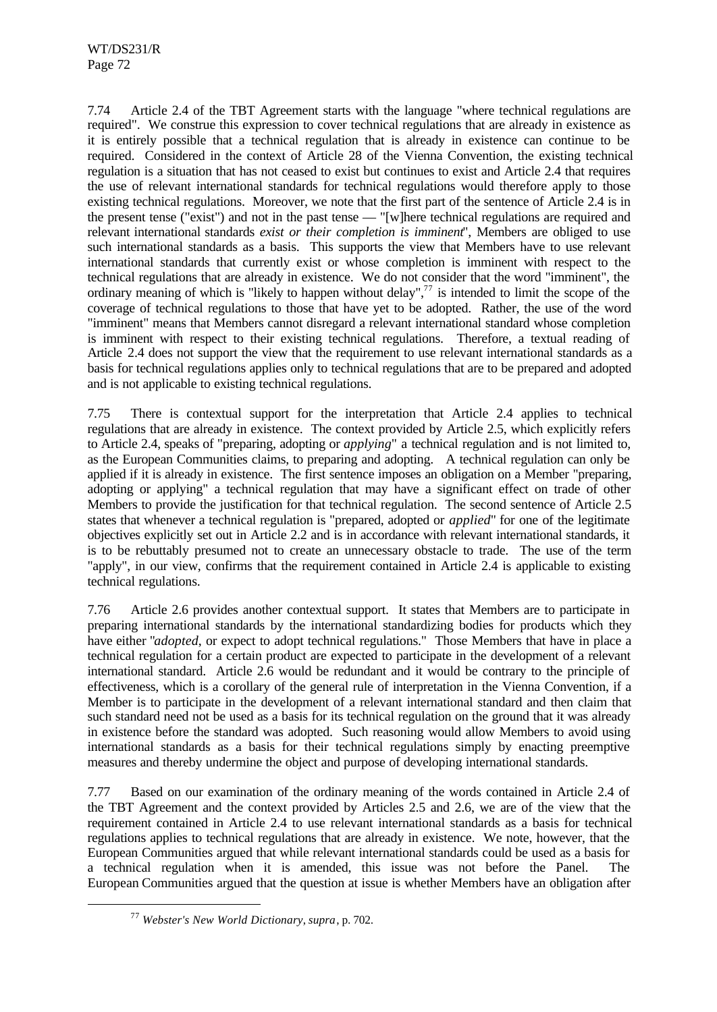7.74 Article 2.4 of the TBT Agreement starts with the language "where technical regulations are required". We construe this expression to cover technical regulations that are already in existence as it is entirely possible that a technical regulation that is already in existence can continue to be required. Considered in the context of Article 28 of the Vienna Convention, the existing technical regulation is a situation that has not ceased to exist but continues to exist and Article 2.4 that requires the use of relevant international standards for technical regulations would therefore apply to those existing technical regulations. Moreover, we note that the first part of the sentence of Article 2.4 is in the present tense ("exist") and not in the past tense — "[w]here technical regulations are required and relevant international standards *exist or their completion is imminent*", Members are obliged to use such international standards as a basis. This supports the view that Members have to use relevant international standards that currently exist or whose completion is imminent with respect to the technical regulations that are already in existence. We do not consider that the word "imminent", the ordinary meaning of which is "likely to happen without delay", $^{77}$  is intended to limit the scope of the coverage of technical regulations to those that have yet to be adopted. Rather, the use of the word "imminent" means that Members cannot disregard a relevant international standard whose completion is imminent with respect to their existing technical regulations. Therefore, a textual reading of Article 2.4 does not support the view that the requirement to use relevant international standards as a basis for technical regulations applies only to technical regulations that are to be prepared and adopted and is not applicable to existing technical regulations.

7.75 There is contextual support for the interpretation that Article 2.4 applies to technical regulations that are already in existence. The context provided by Article 2.5, which explicitly refers to Article 2.4, speaks of "preparing, adopting or *applying*" a technical regulation and is not limited to, as the European Communities claims, to preparing and adopting. A technical regulation can only be applied if it is already in existence. The first sentence imposes an obligation on a Member "preparing, adopting or applying" a technical regulation that may have a significant effect on trade of other Members to provide the justification for that technical regulation. The second sentence of Article 2.5 states that whenever a technical regulation is "prepared, adopted or *applied*" for one of the legitimate objectives explicitly set out in Article 2.2 and is in accordance with relevant international standards, it is to be rebuttably presumed not to create an unnecessary obstacle to trade. The use of the term "apply", in our view, confirms that the requirement contained in Article 2.4 is applicable to existing technical regulations.

7.76 Article 2.6 provides another contextual support. It states that Members are to participate in preparing international standards by the international standardizing bodies for products which they have either "*adopted*, or expect to adopt technical regulations." Those Members that have in place a technical regulation for a certain product are expected to participate in the development of a relevant international standard. Article 2.6 would be redundant and it would be contrary to the principle of effectiveness, which is a corollary of the general rule of interpretation in the Vienna Convention, if a Member is to participate in the development of a relevant international standard and then claim that such standard need not be used as a basis for its technical regulation on the ground that it was already in existence before the standard was adopted. Such reasoning would allow Members to avoid using international standards as a basis for their technical regulations simply by enacting preemptive measures and thereby undermine the object and purpose of developing international standards.

7.77 Based on our examination of the ordinary meaning of the words contained in Article 2.4 of the TBT Agreement and the context provided by Articles 2.5 and 2.6, we are of the view that the requirement contained in Article 2.4 to use relevant international standards as a basis for technical regulations applies to technical regulations that are already in existence. We note, however, that the European Communities argued that while relevant international standards could be used as a basis for a technical regulation when it is amended, this issue was not before the Panel. The European Communities argued that the question at issue is whether Members have an obligation after

<sup>77</sup> *Webster's New World Dictionary*, *supra*, p. 702.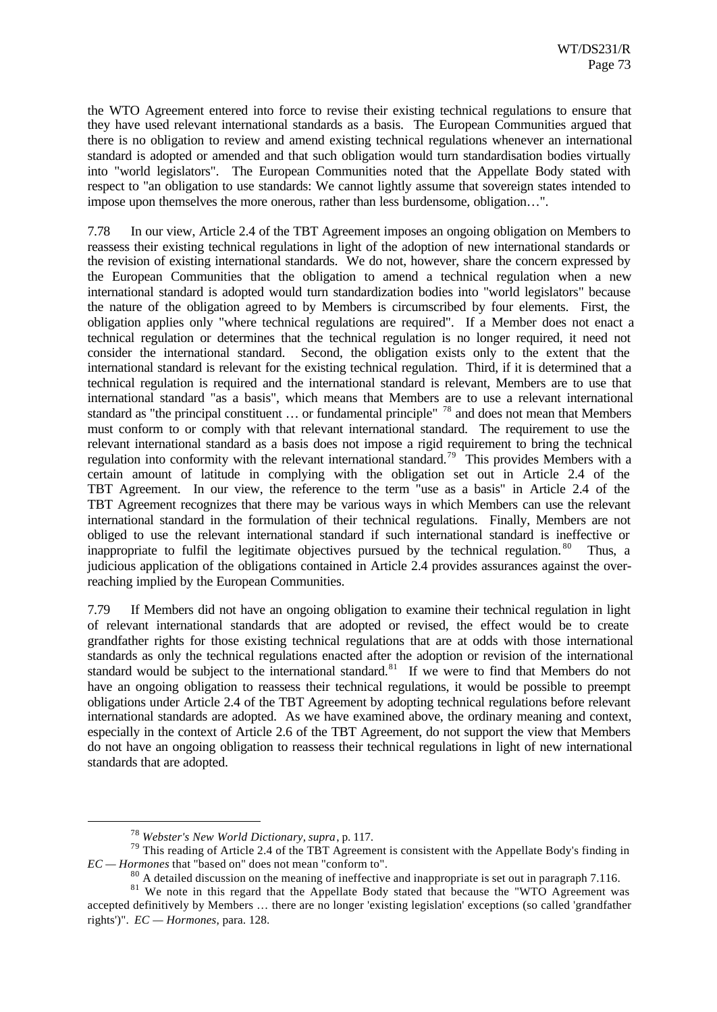the WTO Agreement entered into force to revise their existing technical regulations to ensure that they have used relevant international standards as a basis. The European Communities argued that there is no obligation to review and amend existing technical regulations whenever an international standard is adopted or amended and that such obligation would turn standardisation bodies virtually into "world legislators". The European Communities noted that the Appellate Body stated with respect to "an obligation to use standards: We cannot lightly assume that sovereign states intended to impose upon themselves the more onerous, rather than less burdensome, obligation…".

7.78 In our view, Article 2.4 of the TBT Agreement imposes an ongoing obligation on Members to reassess their existing technical regulations in light of the adoption of new international standards or the revision of existing international standards. We do not, however, share the concern expressed by the European Communities that the obligation to amend a technical regulation when a new international standard is adopted would turn standardization bodies into "world legislators" because the nature of the obligation agreed to by Members is circumscribed by four elements. First, the obligation applies only "where technical regulations are required". If a Member does not enact a technical regulation or determines that the technical regulation is no longer required, it need not consider the international standard. Second, the obligation exists only to the extent that the international standard is relevant for the existing technical regulation. Third, if it is determined that a technical regulation is required and the international standard is relevant, Members are to use that international standard "as a basis", which means that Members are to use a relevant international standard as "the principal constituent  $\ldots$  or fundamental principle"  $^{78}$  and does not mean that Members must conform to or comply with that relevant international standard. The requirement to use the relevant international standard as a basis does not impose a rigid requirement to bring the technical regulation into conformity with the relevant international standard.<sup>79</sup> This provides Members with a certain amount of latitude in complying with the obligation set out in Article 2.4 of the TBT Agreement. In our view, the reference to the term "use as a basis" in Article 2.4 of the TBT Agreement recognizes that there may be various ways in which Members can use the relevant international standard in the formulation of their technical regulations. Finally, Members are not obliged to use the relevant international standard if such international standard is ineffective or inappropriate to fulfil the legitimate objectives pursued by the technical regulation. <sup>80</sup> Thus, a judicious application of the obligations contained in Article 2.4 provides assurances against the overreaching implied by the European Communities.

7.79 If Members did not have an ongoing obligation to examine their technical regulation in light of relevant international standards that are adopted or revised, the effect would be to create grandfather rights for those existing technical regulations that are at odds with those international standards as only the technical regulations enacted after the adoption or revision of the international standard would be subject to the international standard.<sup>81</sup> If we were to find that Members do not have an ongoing obligation to reassess their technical regulations, it would be possible to preempt obligations under Article 2.4 of the TBT Agreement by adopting technical regulations before relevant international standards are adopted. As we have examined above, the ordinary meaning and context, especially in the context of Article 2.6 of the TBT Agreement, do not support the view that Members do not have an ongoing obligation to reassess their technical regulations in light of new international standards that are adopted.

<sup>78</sup> *Webster's New World Dictionary*, *supra*, p. 117.

<sup>&</sup>lt;sup>79</sup> This reading of Article 2.4 of the TBT Agreement is consistent with the Appellate Body's finding in *EC — Hormones* that "based on" does not mean "conform to".

 $80$  A detailed discussion on the meaning of ineffective and inappropriate is set out in paragraph 7.116.

<sup>&</sup>lt;sup>81</sup> We note in this regard that the Appellate Body stated that because the "WTO Agreement was accepted definitively by Members … there are no longer 'existing legislation' exceptions (so called 'grandfather rights')". *EC — Hormones*, para. 128.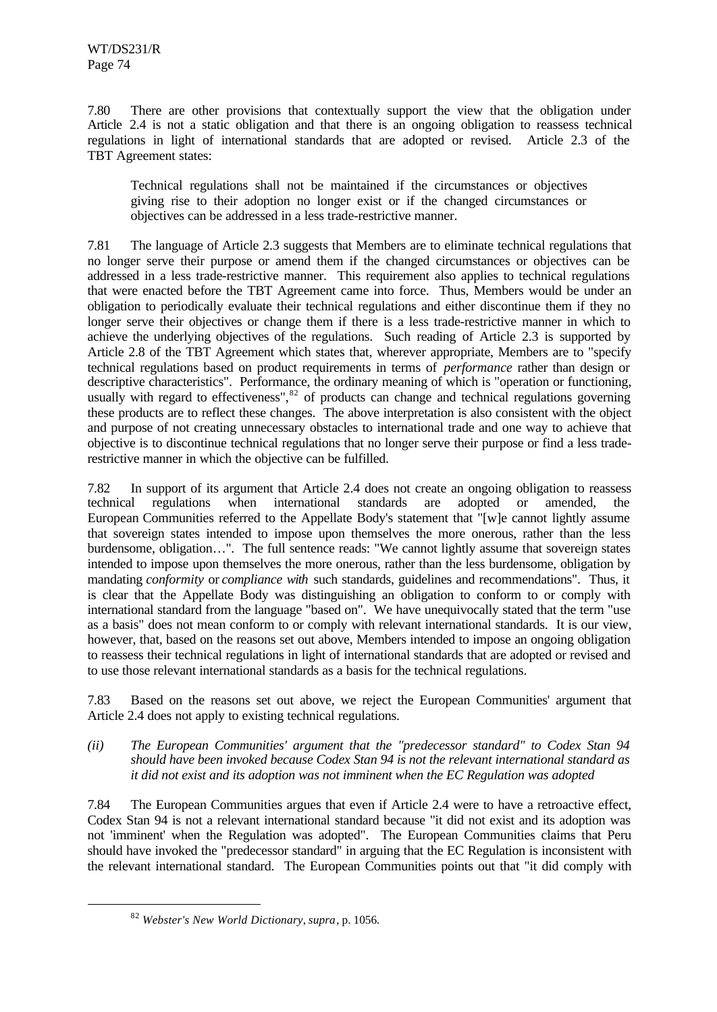7.80 There are other provisions that contextually support the view that the obligation under Article 2.4 is not a static obligation and that there is an ongoing obligation to reassess technical regulations in light of international standards that are adopted or revised. Article 2.3 of the TBT Agreement states:

Technical regulations shall not be maintained if the circumstances or objectives giving rise to their adoption no longer exist or if the changed circumstances or objectives can be addressed in a less trade-restrictive manner.

7.81 The language of Article 2.3 suggests that Members are to eliminate technical regulations that no longer serve their purpose or amend them if the changed circumstances or objectives can be addressed in a less trade-restrictive manner. This requirement also applies to technical regulations that were enacted before the TBT Agreement came into force. Thus, Members would be under an obligation to periodically evaluate their technical regulations and either discontinue them if they no longer serve their objectives or change them if there is a less trade-restrictive manner in which to achieve the underlying objectives of the regulations. Such reading of Article 2.3 is supported by Article 2.8 of the TBT Agreement which states that, wherever appropriate, Members are to "specify technical regulations based on product requirements in terms of *performance* rather than design or descriptive characteristics". Performance, the ordinary meaning of which is "operation or functioning, usually with regard to effectiveness",<sup>82</sup> of products can change and technical regulations governing these products are to reflect these changes. The above interpretation is also consistent with the object and purpose of not creating unnecessary obstacles to international trade and one way to achieve that objective is to discontinue technical regulations that no longer serve their purpose or find a less traderestrictive manner in which the objective can be fulfilled.

7.82 In support of its argument that Article 2.4 does not create an ongoing obligation to reassess technical regulations when international standards are adopted or amended, the European Communities referred to the Appellate Body's statement that "[w]e cannot lightly assume that sovereign states intended to impose upon themselves the more onerous, rather than the less burdensome, obligation…". The full sentence reads: "We cannot lightly assume that sovereign states intended to impose upon themselves the more onerous, rather than the less burdensome, obligation by mandating *conformity* or *compliance with* such standards, guidelines and recommendations". Thus, it is clear that the Appellate Body was distinguishing an obligation to conform to or comply with international standard from the language "based on". We have unequivocally stated that the term "use as a basis" does not mean conform to or comply with relevant international standards. It is our view, however, that, based on the reasons set out above, Members intended to impose an ongoing obligation to reassess their technical regulations in light of international standards that are adopted or revised and to use those relevant international standards as a basis for the technical regulations.

7.83 Based on the reasons set out above, we reject the European Communities' argument that Article 2.4 does not apply to existing technical regulations.

*(ii) The European Communities' argument that the "predecessor standard" to Codex Stan 94 should have been invoked because Codex Stan 94 is not the relevant international standard as it did not exist and its adoption was not imminent when the EC Regulation was adopted*

7.84 The European Communities argues that even if Article 2.4 were to have a retroactive effect, Codex Stan 94 is not a relevant international standard because "it did not exist and its adoption was not 'imminent' when the Regulation was adopted". The European Communities claims that Peru should have invoked the "predecessor standard" in arguing that the EC Regulation is inconsistent with the relevant international standard. The European Communities points out that "it did comply with

<sup>82</sup> *Webster's New World Dictionary*, *supra*, p. 1056.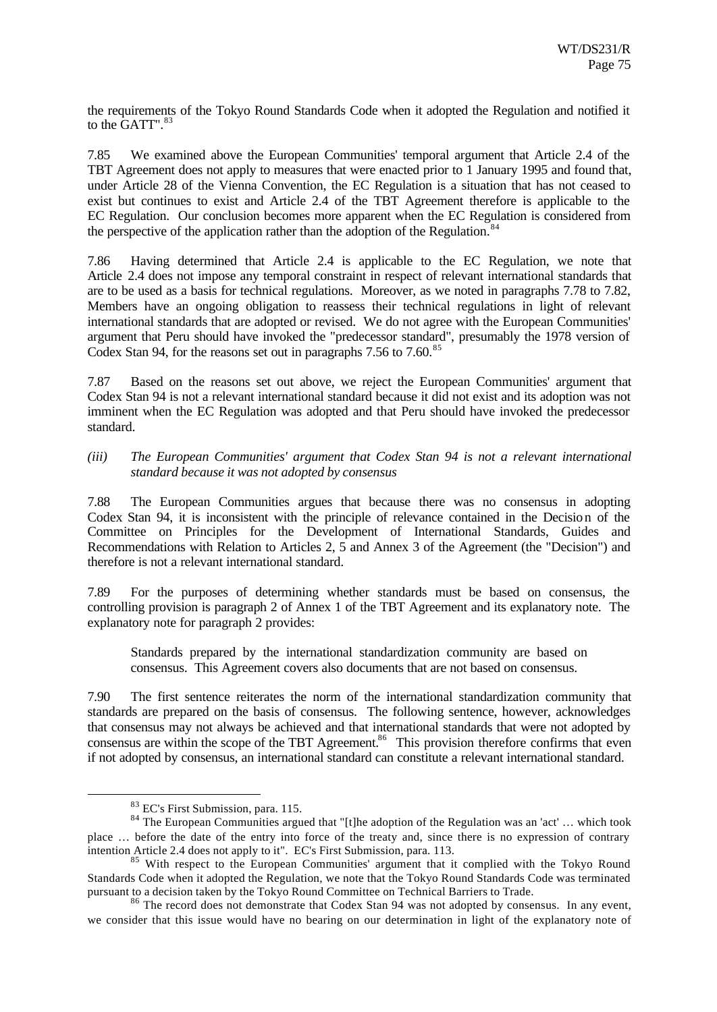the requirements of the Tokyo Round Standards Code when it adopted the Regulation and notified it to the GATT".<sup>83</sup>

7.85 We examined above the European Communities' temporal argument that Article 2.4 of the TBT Agreement does not apply to measures that were enacted prior to 1 January 1995 and found that, under Article 28 of the Vienna Convention, the EC Regulation is a situation that has not ceased to exist but continues to exist and Article 2.4 of the TBT Agreement therefore is applicable to the EC Regulation. Our conclusion becomes more apparent when the EC Regulation is considered from the perspective of the application rather than the adoption of the Regulation.<sup>84</sup>

7.86 Having determined that Article 2.4 is applicable to the EC Regulation, we note that Article 2.4 does not impose any temporal constraint in respect of relevant international standards that are to be used as a basis for technical regulations. Moreover, as we noted in paragraphs 7.78 to 7.82, Members have an ongoing obligation to reassess their technical regulations in light of relevant international standards that are adopted or revised. We do not agree with the European Communities' argument that Peru should have invoked the "predecessor standard", presumably the 1978 version of Codex Stan 94, for the reasons set out in paragraphs 7.56 to 7.60.<sup>85</sup>

7.87 Based on the reasons set out above, we reject the European Communities' argument that Codex Stan 94 is not a relevant international standard because it did not exist and its adoption was not imminent when the EC Regulation was adopted and that Peru should have invoked the predecessor standard.

# *(iii) The European Communities' argument that Codex Stan 94 is not a relevant international standard because it was not adopted by consensus*

7.88 The European Communities argues that because there was no consensus in adopting Codex Stan 94, it is inconsistent with the principle of relevance contained in the Decision of the Committee on Principles for the Development of International Standards, Guides and Recommendations with Relation to Articles 2, 5 and Annex 3 of the Agreement (the "Decision") and therefore is not a relevant international standard.

7.89 For the purposes of determining whether standards must be based on consensus, the controlling provision is paragraph 2 of Annex 1 of the TBT Agreement and its explanatory note. The explanatory note for paragraph 2 provides:

Standards prepared by the international standardization community are based on consensus. This Agreement covers also documents that are not based on consensus.

7.90 The first sentence reiterates the norm of the international standardization community that standards are prepared on the basis of consensus. The following sentence, however, acknowledges that consensus may not always be achieved and that international standards that were not adopted by consensus are within the scope of the TBT Agreement.<sup>86</sup> This provision therefore confirms that even if not adopted by consensus, an international standard can constitute a relevant international standard.

<sup>83</sup> EC's First Submission, para. 115.

<sup>&</sup>lt;sup>84</sup> The European Communities argued that "[t]he adoption of the Regulation was an 'act' ... which took place … before the date of the entry into force of the treaty and, since there is no expression of contrary intention Article 2.4 does not apply to it". EC's First Submission, para. 113.

<sup>&</sup>lt;sup>85</sup> With respect to the European Communities' argument that it complied with the Tokyo Round Standards Code when it adopted the Regulation, we note that the Tokyo Round Standards Code was terminated pursuant to a decision taken by the Tokyo Round Committee on Technical Barriers to Trade.

<sup>&</sup>lt;sup>86</sup> The record does not demonstrate that Codex Stan 94 was not adopted by consensus. In any event, we consider that this issue would have no bearing on our determination in light of the explanatory note of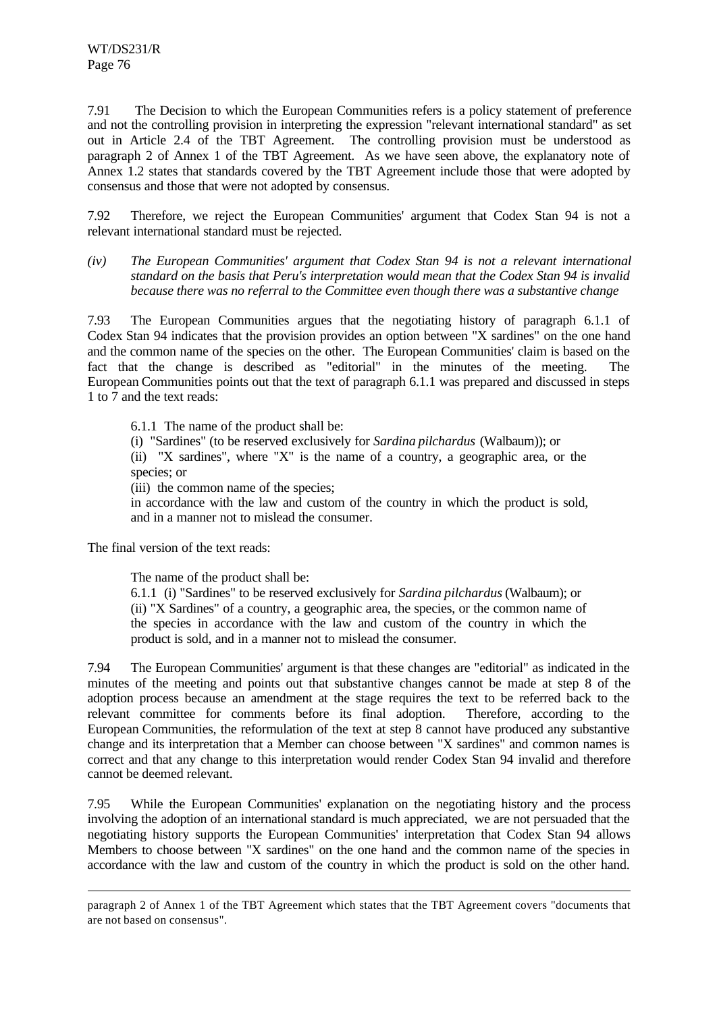7.91 The Decision to which the European Communities refers is a policy statement of preference and not the controlling provision in interpreting the expression "relevant international standard" as set out in Article 2.4 of the TBT Agreement. The controlling provision must be understood as paragraph 2 of Annex 1 of the TBT Agreement. As we have seen above, the explanatory note of Annex 1.2 states that standards covered by the TBT Agreement include those that were adopted by consensus and those that were not adopted by consensus.

7.92 Therefore, we reject the European Communities' argument that Codex Stan 94 is not a relevant international standard must be rejected.

*(iv) The European Communities' argument that Codex Stan 94 is not a relevant international standard on the basis that Peru's interpretation would mean that the Codex Stan 94 is invalid because there was no referral to the Committee even though there was a substantive change*

7.93 The European Communities argues that the negotiating history of paragraph 6.1.1 of Codex Stan 94 indicates that the provision provides an option between "X sardines" on the one hand and the common name of the species on the other. The European Communities' claim is based on the fact that the change is described as "editorial" in the minutes of the meeting. The European Communities points out that the text of paragraph 6.1.1 was prepared and discussed in steps 1 to 7 and the text reads:

6.1.1 The name of the product shall be:

(i) "Sardines" (to be reserved exclusively for *Sardina pilchardus* (Walbaum)); or

(ii) "X sardines", where "X" is the name of a country, a geographic area, or the species; or

(iii) the common name of the species;

in accordance with the law and custom of the country in which the product is sold, and in a manner not to mislead the consumer.

The final version of the text reads:

l

The name of the product shall be:

6.1.1 (i) "Sardines" to be reserved exclusively for *Sardina pilchardus* (Walbaum); or (ii) "X Sardines" of a country, a geographic area, the species, or the common name of the species in accordance with the law and custom of the country in which the product is sold, and in a manner not to mislead the consumer.

7.94 The European Communities' argument is that these changes are "editorial" as indicated in the minutes of the meeting and points out that substantive changes cannot be made at step 8 of the adoption process because an amendment at the stage requires the text to be referred back to the relevant committee for comments before its final adoption. Therefore, according to the European Communities, the reformulation of the text at step 8 cannot have produced any substantive change and its interpretation that a Member can choose between "X sardines" and common names is correct and that any change to this interpretation would render Codex Stan 94 invalid and therefore cannot be deemed relevant.

7.95 While the European Communities' explanation on the negotiating history and the process involving the adoption of an international standard is much appreciated, we are not persuaded that the negotiating history supports the European Communities' interpretation that Codex Stan 94 allows Members to choose between "X sardines" on the one hand and the common name of the species in accordance with the law and custom of the country in which the product is sold on the other hand.

paragraph 2 of Annex 1 of the TBT Agreement which states that the TBT Agreement covers "documents that are not based on consensus".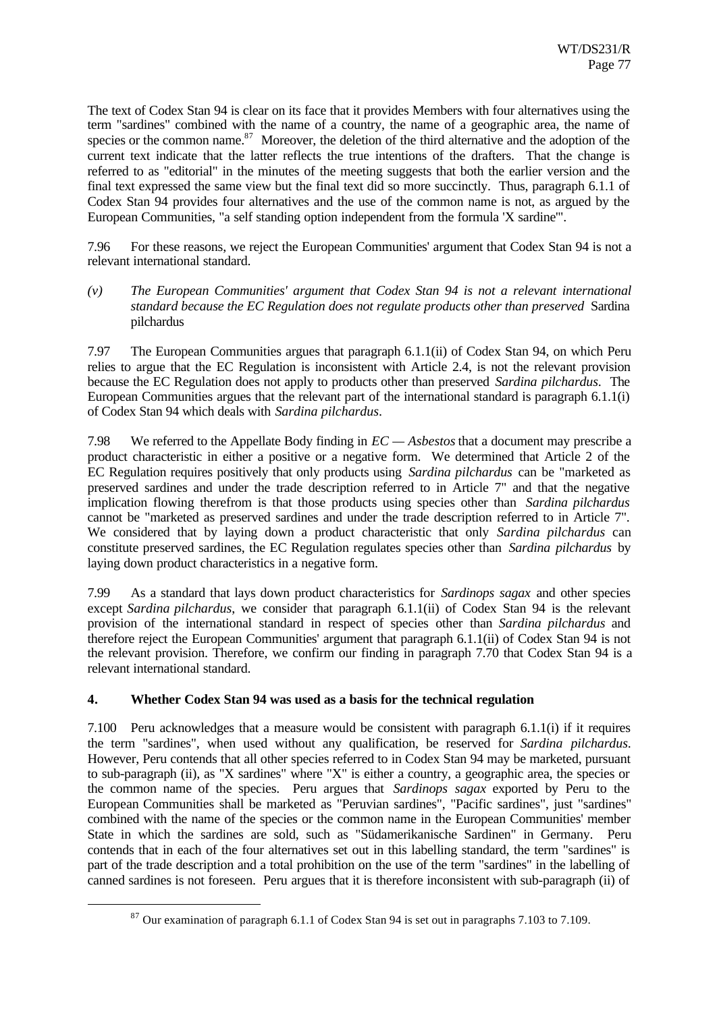The text of Codex Stan 94 is clear on its face that it provides Members with four alternatives using the term "sardines" combined with the name of a country, the name of a geographic area, the name of species or the common name.<sup>87</sup> Moreover, the deletion of the third alternative and the adoption of the current text indicate that the latter reflects the true intentions of the drafters. That the change is referred to as "editorial" in the minutes of the meeting suggests that both the earlier version and the final text expressed the same view but the final text did so more succinctly. Thus, paragraph 6.1.1 of Codex Stan 94 provides four alternatives and the use of the common name is not, as argued by the European Communities, "a self standing option independent from the formula 'X sardine'".

7.96 For these reasons, we reject the European Communities' argument that Codex Stan 94 is not a relevant international standard.

*(v) The European Communities' argument that Codex Stan 94 is not a relevant international standard because the EC Regulation does not regulate products other than preserved* Sardina pilchardus

7.97 The European Communities argues that paragraph 6.1.1(ii) of Codex Stan 94, on which Peru relies to argue that the EC Regulation is inconsistent with Article 2.4, is not the relevant provision because the EC Regulation does not apply to products other than preserved *Sardina pilchardus*. The European Communities argues that the relevant part of the international standard is paragraph 6.1.1(i) of Codex Stan 94 which deals with *Sardina pilchardus*.

7.98 We referred to the Appellate Body finding in *EC — Asbestos* that a document may prescribe a product characteristic in either a positive or a negative form. We determined that Article 2 of the EC Regulation requires positively that only products using *Sardina pilchardus* can be "marketed as preserved sardines and under the trade description referred to in Article 7" and that the negative implication flowing therefrom is that those products using species other than *Sardina pilchardus* cannot be "marketed as preserved sardines and under the trade description referred to in Article 7". We considered that by laying down a product characteristic that only *Sardina pilchardus* can constitute preserved sardines, the EC Regulation regulates species other than *Sardina pilchardus* by laying down product characteristics in a negative form.

7.99 As a standard that lays down product characteristics for *Sardinops sagax* and other species except *Sardina pilchardus*, we consider that paragraph 6.1.1(ii) of Codex Stan 94 is the relevant provision of the international standard in respect of species other than *Sardina pilchardus* and therefore reject the European Communities' argument that paragraph 6.1.1(ii) of Codex Stan 94 is not the relevant provision. Therefore, we confirm our finding in paragraph 7.70 that Codex Stan 94 is a relevant international standard.

# **4. Whether Codex Stan 94 was used as a basis for the technical regulation**

l

7.100 Peru acknowledges that a measure would be consistent with paragraph 6.1.1(i) if it requires the term "sardines", when used without any qualification, be reserved for *Sardina pilchardus*. However, Peru contends that all other species referred to in Codex Stan 94 may be marketed, pursuant to sub-paragraph (ii), as "X sardines" where "X" is either a country, a geographic area, the species or the common name of the species. Peru argues that *Sardinops sagax* exported by Peru to the European Communities shall be marketed as "Peruvian sardines", "Pacific sardines", just "sardines" combined with the name of the species or the common name in the European Communities' member State in which the sardines are sold, such as "Südamerikanische Sardinen" in Germany. Peru contends that in each of the four alternatives set out in this labelling standard, the term "sardines" is part of the trade description and a total prohibition on the use of the term "sardines" in the labelling of canned sardines is not foreseen. Peru argues that it is therefore inconsistent with sub-paragraph (ii) of

<sup>87</sup> Our examination of paragraph 6.1.1 of Codex Stan 94 is set out in paragraphs 7.103 to 7.109.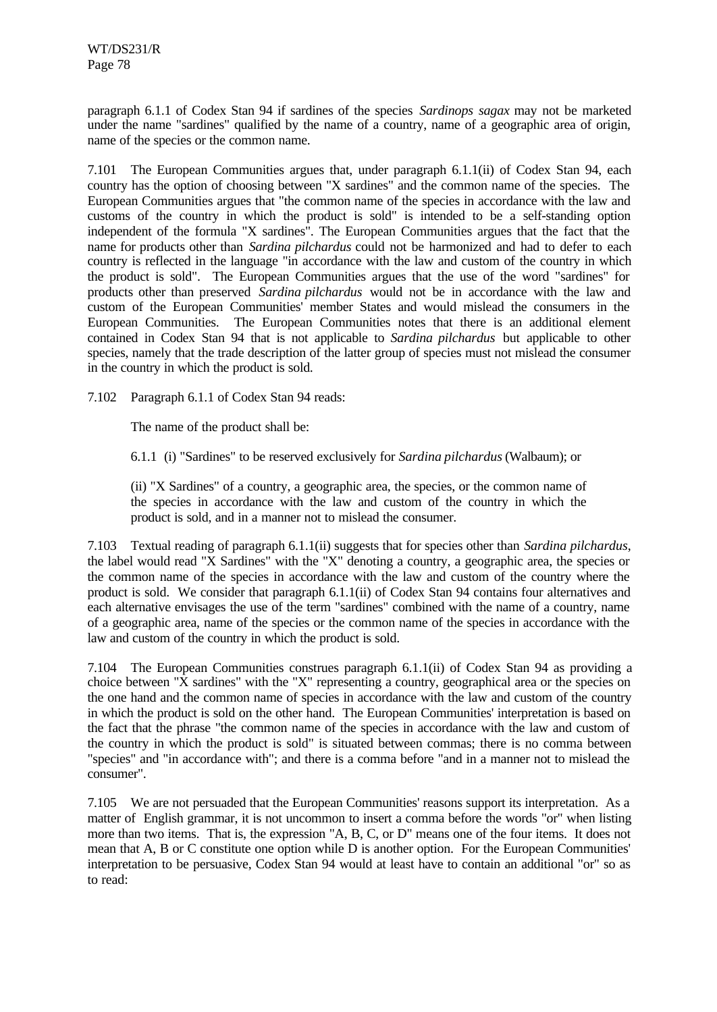paragraph 6.1.1 of Codex Stan 94 if sardines of the species *Sardinops sagax* may not be marketed under the name "sardines" qualified by the name of a country, name of a geographic area of origin, name of the species or the common name.

7.101 The European Communities argues that, under paragraph 6.1.1(ii) of Codex Stan 94, each country has the option of choosing between "X sardines" and the common name of the species. The European Communities argues that "the common name of the species in accordance with the law and customs of the country in which the product is sold" is intended to be a self-standing option independent of the formula "X sardines". The European Communities argues that the fact that the name for products other than *Sardina pilchardus* could not be harmonized and had to defer to each country is reflected in the language "in accordance with the law and custom of the country in which the product is sold". The European Communities argues that the use of the word "sardines" for products other than preserved *Sardina pilchardus* would not be in accordance with the law and custom of the European Communities' member States and would mislead the consumers in the European Communities. The European Communities notes that there is an additional element contained in Codex Stan 94 that is not applicable to *Sardina pilchardus* but applicable to other species, namely that the trade description of the latter group of species must not mislead the consumer in the country in which the product is sold.

7.102 Paragraph 6.1.1 of Codex Stan 94 reads:

The name of the product shall be:

6.1.1 (i) "Sardines" to be reserved exclusively for *Sardina pilchardus* (Walbaum); or

(ii) "X Sardines" of a country, a geographic area, the species, or the common name of the species in accordance with the law and custom of the country in which the product is sold, and in a manner not to mislead the consumer.

7.103 Textual reading of paragraph 6.1.1(ii) suggests that for species other than *Sardina pilchardus*, the label would read "X Sardines" with the "X" denoting a country, a geographic area, the species or the common name of the species in accordance with the law and custom of the country where the product is sold. We consider that paragraph 6.1.1(ii) of Codex Stan 94 contains four alternatives and each alternative envisages the use of the term "sardines" combined with the name of a country, name of a geographic area, name of the species or the common name of the species in accordance with the law and custom of the country in which the product is sold.

7.104 The European Communities construes paragraph 6.1.1(ii) of Codex Stan 94 as providing a choice between " $\hat{X}$  sardines" with the "X" representing a country, geographical area or the species on the one hand and the common name of species in accordance with the law and custom of the country in which the product is sold on the other hand. The European Communities' interpretation is based on the fact that the phrase "the common name of the species in accordance with the law and custom of the country in which the product is sold" is situated between commas; there is no comma between "species" and "in accordance with"; and there is a comma before "and in a manner not to mislead the consumer".

7.105 We are not persuaded that the European Communities' reasons support its interpretation. As a matter of English grammar, it is not uncommon to insert a comma before the words "or" when listing more than two items. That is, the expression "A, B, C, or D" means one of the four items. It does not mean that A, B or C constitute one option while D is another option. For the European Communities' interpretation to be persuasive, Codex Stan 94 would at least have to contain an additional "or" so as to read: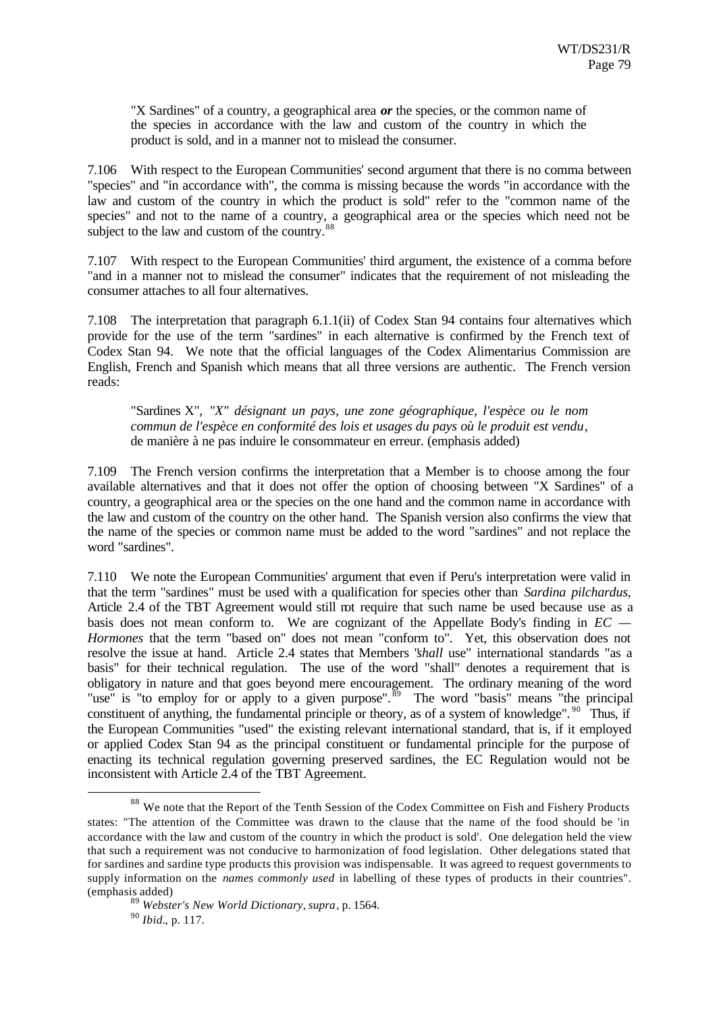"X Sardines" of a country, a geographical area *or* the species, or the common name of the species in accordance with the law and custom of the country in which the product is sold, and in a manner not to mislead the consumer.

7.106 With respect to the European Communities' second argument that there is no comma between "species" and "in accordance with", the comma is missing because the words "in accordance with the law and custom of the country in which the product is sold" refer to the "common name of the species" and not to the name of a country, a geographical area or the species which need not be subject to the law and custom of the country.<sup>8</sup>

7.107 With respect to the European Communities' third argument, the existence of a comma before "and in a manner not to mislead the consumer" indicates that the requirement of not misleading the consumer attaches to all four alternatives.

7.108 The interpretation that paragraph 6.1.1(ii) of Codex Stan 94 contains four alternatives which provide for the use of the term "sardines" in each alternative is confirmed by the French text of Codex Stan 94. We note that the official languages of the Codex Alimentarius Commission are English, French and Spanish which means that all three versions are authentic. The French version reads:

"Sardines X", *"X" désignant un pays, une zone géographique, l'espèce ou le nom commun de l'espèce en conformité des lois et usages du pays où le produit est vendu*, de manière à ne pas induire le consommateur en erreur. (emphasis added)

7.109 The French version confirms the interpretation that a Member is to choose among the four available alternatives and that it does not offer the option of choosing between "X Sardines" of a country, a geographical area or the species on the one hand and the common name in accordance with the law and custom of the country on the other hand. The Spanish version also confirms the view that the name of the species or common name must be added to the word "sardines" and not replace the word "sardines".

7.110 We note the European Communities' argument that even if Peru's interpretation were valid in that the term "sardines" must be used with a qualification for species other than *Sardina pilchardus*, Article 2.4 of the TBT Agreement would still not require that such name be used because use as a basis does not mean conform to. We are cognizant of the Appellate Body's finding in *EC — Hormones* that the term "based on" does not mean "conform to". Yet, this observation does not resolve the issue at hand. Article 2.4 states that Members "*shall* use" international standards "as a basis" for their technical regulation. The use of the word "shall" denotes a requirement that is obligatory in nature and that goes beyond mere encouragement. The ordinary meaning of the word "use" is "to employ for or apply to a given purpose".<sup>89</sup> The word "basis" means "the principal" constituent of anything, the fundamental principle or theory, as of a system of knowledge". <sup>90</sup> Thus, if the European Communities "used" the existing relevant international standard, that is, if it employed or applied Codex Stan 94 as the principal constituent or fundamental principle for the purpose of enacting its technical regulation governing preserved sardines, the EC Regulation would not be inconsistent with Article 2.4 of the TBT Agreement.

<sup>&</sup>lt;sup>88</sup> We note that the Report of the Tenth Session of the Codex Committee on Fish and Fishery Products states: "The attention of the Committee was drawn to the clause that the name of the food should be 'in accordance with the law and custom of the country in which the product is sold'. One delegation held the view that such a requirement was not conducive to harmonization of food legislation. Other delegations stated that for sardines and sardine type products this provision was indispensable. It was agreed to request governments to supply information on the *names commonly used* in labelling of these types of products in their countries". (emphasis added)

<sup>89</sup> *Webster's New World Dictionary*, *supra*, p. 1564.

<sup>90</sup> *Ibid.*, p. 117.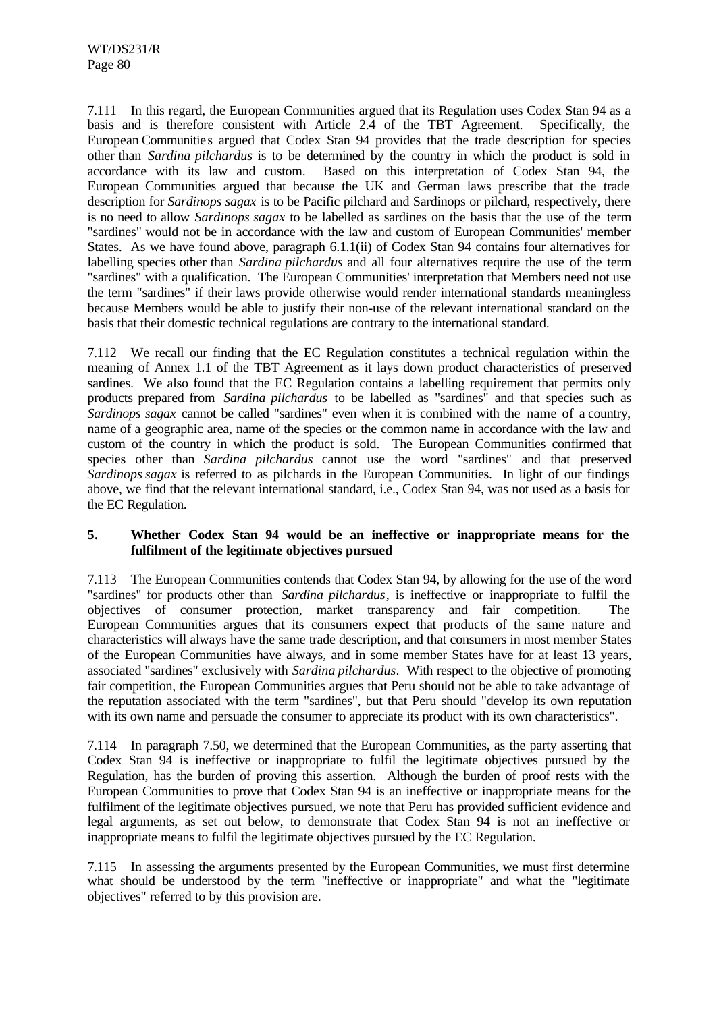7.111 In this regard, the European Communities argued that its Regulation uses Codex Stan 94 as a basis and is therefore consistent with Article 2.4 of the TBT Agreement. Specifically, the European Communities argued that Codex Stan 94 provides that the trade description for species other than *Sardina pilchardus* is to be determined by the country in which the product is sold in accordance with its law and custom. Based on this interpretation of Codex Stan 94, the European Communities argued that because the UK and German laws prescribe that the trade description for *Sardinops sagax* is to be Pacific pilchard and Sardinops or pilchard, respectively, there is no need to allow *Sardinops sagax* to be labelled as sardines on the basis that the use of the term "sardines" would not be in accordance with the law and custom of European Communities' member States. As we have found above, paragraph 6.1.1(ii) of Codex Stan 94 contains four alternatives for labelling species other than *Sardina pilchardus* and all four alternatives require the use of the term "sardines" with a qualification. The European Communities' interpretation that Members need not use the term "sardines" if their laws provide otherwise would render international standards meaningless because Members would be able to justify their non-use of the relevant international standard on the basis that their domestic technical regulations are contrary to the international standard.

7.112 We recall our finding that the EC Regulation constitutes a technical regulation within the meaning of Annex 1.1 of the TBT Agreement as it lays down product characteristics of preserved sardines. We also found that the EC Regulation contains a labelling requirement that permits only products prepared from *Sardina pilchardus* to be labelled as "sardines" and that species such as *Sardinops sagax* cannot be called "sardines" even when it is combined with the name of a country, name of a geographic area, name of the species or the common name in accordance with the law and custom of the country in which the product is sold. The European Communities confirmed that species other than *Sardina pilchardus* cannot use the word "sardines" and that preserved *Sardinops sagax* is referred to as pilchards in the European Communities. In light of our findings above, we find that the relevant international standard, i.e., Codex Stan 94, was not used as a basis for the EC Regulation.

# **5. Whether Codex Stan 94 would be an ineffective or inappropriate means for the fulfilment of the legitimate objectives pursued**

7.113 The European Communities contends that Codex Stan 94, by allowing for the use of the word "sardines" for products other than *Sardina pilchardus*, is ineffective or inappropriate to fulfil the objectives of consumer protection, market transparency and fair competition. The European Communities argues that its consumers expect that products of the same nature and characteristics will always have the same trade description, and that consumers in most member States of the European Communities have always, and in some member States have for at least 13 years, associated "sardines" exclusively with *Sardina pilchardus*. With respect to the objective of promoting fair competition, the European Communities argues that Peru should not be able to take advantage of the reputation associated with the term "sardines", but that Peru should "develop its own reputation with its own name and persuade the consumer to appreciate its product with its own characteristics".

7.114 In paragraph 7.50, we determined that the European Communities, as the party asserting that Codex Stan 94 is ineffective or inappropriate to fulfil the legitimate objectives pursued by the Regulation, has the burden of proving this assertion. Although the burden of proof rests with the European Communities to prove that Codex Stan 94 is an ineffective or inappropriate means for the fulfilment of the legitimate objectives pursued, we note that Peru has provided sufficient evidence and legal arguments, as set out below, to demonstrate that Codex Stan 94 is not an ineffective or inappropriate means to fulfil the legitimate objectives pursued by the EC Regulation.

7.115 In assessing the arguments presented by the European Communities, we must first determine what should be understood by the term "ineffective or inappropriate" and what the "legitimate objectives" referred to by this provision are.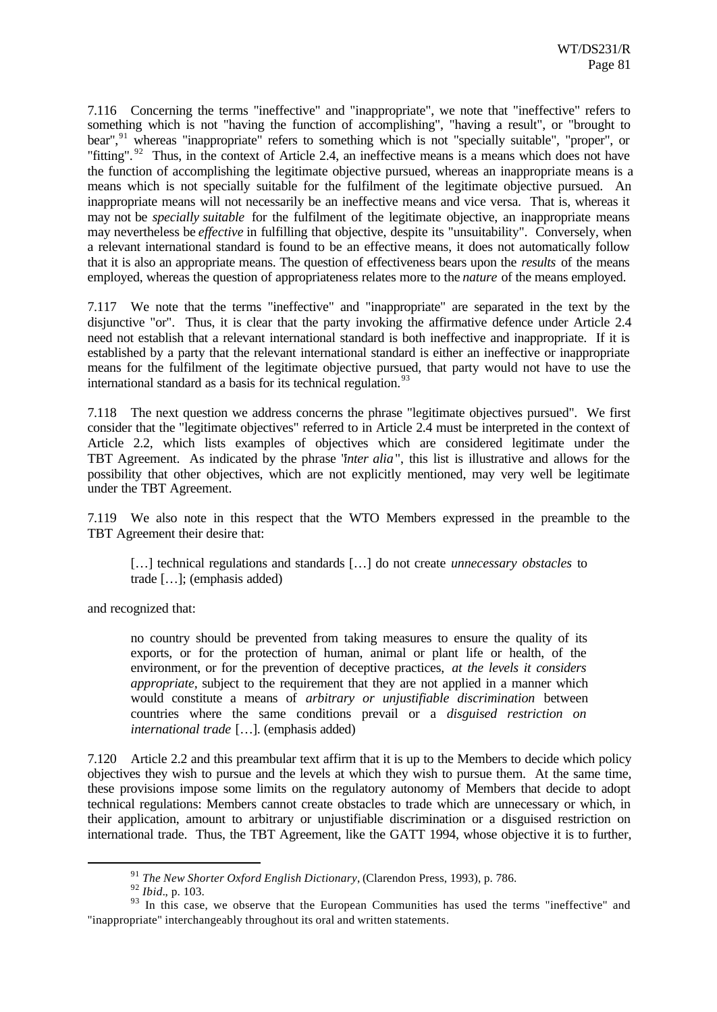7.116 Concerning the terms "ineffective" and "inappropriate", we note that "ineffective" refers to something which is not "having the function of accomplishing", "having a result", or "brought to bear",<sup>91</sup> whereas "inappropriate" refers to something which is not "specially suitable", "proper", or "fitting".<sup>92</sup> Thus, in the context of Article 2.4, an ineffective means is a means which does not have the function of accomplishing the legitimate objective pursued, whereas an inappropriate means is a means which is not specially suitable for the fulfilment of the legitimate objective pursued. An inappropriate means will not necessarily be an ineffective means and vice versa. That is, whereas it may not be *specially suitable* for the fulfilment of the legitimate objective, an inappropriate means may nevertheless be *effective* in fulfilling that objective, despite its "unsuitability". Conversely, when a relevant international standard is found to be an effective means, it does not automatically follow that it is also an appropriate means. The question of effectiveness bears upon the *results* of the means employed, whereas the question of appropriateness relates more to the *nature* of the means employed.

7.117 We note that the terms "ineffective" and "inappropriate" are separated in the text by the disjunctive "or". Thus, it is clear that the party invoking the affirmative defence under Article 2.4 need not establish that a relevant international standard is both ineffective and inappropriate. If it is established by a party that the relevant international standard is either an ineffective or inappropriate means for the fulfilment of the legitimate objective pursued, that party would not have to use the international standard as a basis for its technical regulation.<sup>93</sup>

7.118 The next question we address concerns the phrase "legitimate objectives pursued". We first consider that the "legitimate objectives" referred to in Article 2.4 must be interpreted in the context of Article 2.2, which lists examples of objectives which are considered legitimate under the TBT Agreement. As indicated by the phrase "*inter alia*", this list is illustrative and allows for the possibility that other objectives, which are not explicitly mentioned, may very well be legitimate under the TBT Agreement.

7.119 We also note in this respect that the WTO Members expressed in the preamble to the TBT Agreement their desire that:

[…] technical regulations and standards […] do not create *unnecessary obstacles* to trade […]; (emphasis added)

and recognized that:

no country should be prevented from taking measures to ensure the quality of its exports, or for the protection of human, animal or plant life or health, of the environment, or for the prevention of deceptive practices, *at the levels it considers appropriate,* subject to the requirement that they are not applied in a manner which would constitute a means of *arbitrary or unjustifiable discrimination* between countries where the same conditions prevail or a *disguised restriction on international trade* […]. (emphasis added)

7.120 Article 2.2 and this preambular text affirm that it is up to the Members to decide which policy objectives they wish to pursue and the levels at which they wish to pursue them. At the same time, these provisions impose some limits on the regulatory autonomy of Members that decide to adopt technical regulations: Members cannot create obstacles to trade which are unnecessary or which, in their application, amount to arbitrary or unjustifiable discrimination or a disguised restriction on international trade. Thus, the TBT Agreement, like the GATT 1994, whose objective it is to further,

<sup>91</sup> *The New Shorter Oxford English Dictionary*, (Clarendon Press, 1993), p. 786.

<sup>92</sup> *Ibid.*, p. 103.

<sup>&</sup>lt;sup>93</sup> In this case, we observe that the European Communities has used the terms "ineffective" and "inappropriate" interchangeably throughout its oral and written statements.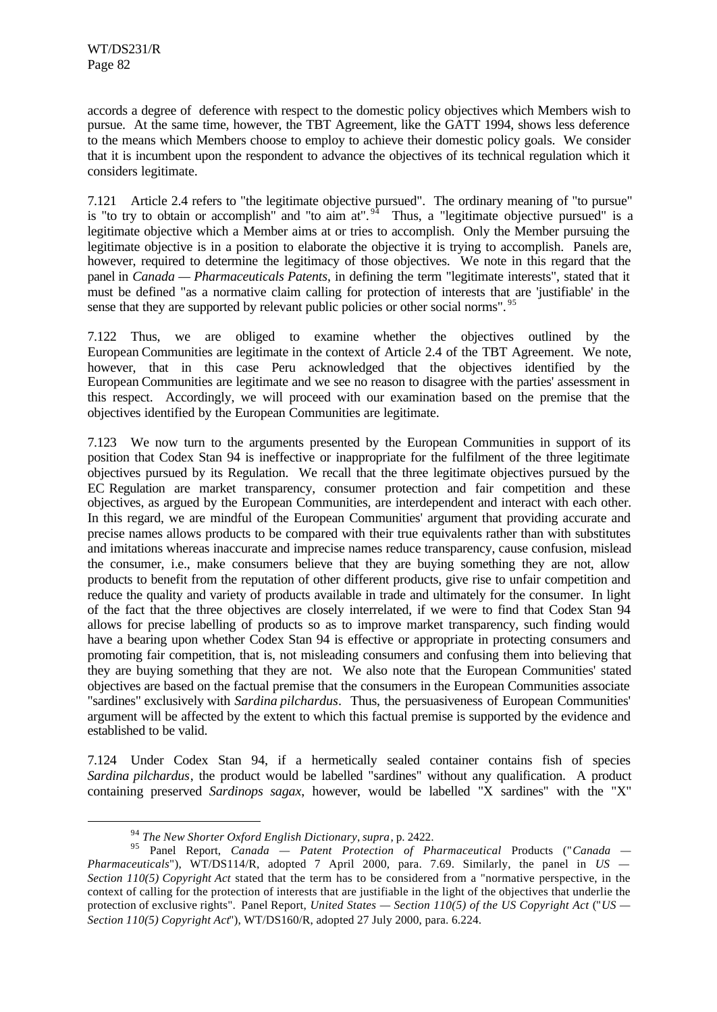l

accords a degree of deference with respect to the domestic policy objectives which Members wish to pursue. At the same time, however, the TBT Agreement, like the GATT 1994, shows less deference to the means which Members choose to employ to achieve their domestic policy goals. We consider that it is incumbent upon the respondent to advance the objectives of its technical regulation which it considers legitimate.

7.121 Article 2.4 refers to "the legitimate objective pursued". The ordinary meaning of "to pursue" is "to try to obtain or accomplish" and "to aim at".  $94$  Thus, a "legitimate objective pursued" is a legitimate objective which a Member aims at or tries to accomplish. Only the Member pursuing the legitimate objective is in a position to elaborate the objective it is trying to accomplish. Panels are, however, required to determine the legitimacy of those objectives. We note in this regard that the panel in *Canada — Pharmaceuticals Patents*, in defining the term "legitimate interests", stated that it must be defined "as a normative claim calling for protection of interests that are 'justifiable' in the sense that they are supported by relevant public policies or other social norms". <sup>95</sup>

7.122 Thus, we are obliged to examine whether the objectives outlined by the European Communities are legitimate in the context of Article 2.4 of the TBT Agreement. We note, however, that in this case Peru acknowledged that the objectives identified by the European Communities are legitimate and we see no reason to disagree with the parties' assessment in this respect. Accordingly, we will proceed with our examination based on the premise that the objectives identified by the European Communities are legitimate.

7.123 We now turn to the arguments presented by the European Communities in support of its position that Codex Stan 94 is ineffective or inappropriate for the fulfilment of the three legitimate objectives pursued by its Regulation. We recall that the three legitimate objectives pursued by the EC Regulation are market transparency, consumer protection and fair competition and these objectives, as argued by the European Communities, are interdependent and interact with each other. In this regard, we are mindful of the European Communities' argument that providing accurate and precise names allows products to be compared with their true equivalents rather than with substitutes and imitations whereas inaccurate and imprecise names reduce transparency, cause confusion, mislead the consumer, i.e., make consumers believe that they are buying something they are not, allow products to benefit from the reputation of other different products, give rise to unfair competition and reduce the quality and variety of products available in trade and ultimately for the consumer. In light of the fact that the three objectives are closely interrelated, if we were to find that Codex Stan 94 allows for precise labelling of products so as to improve market transparency, such finding would have a bearing upon whether Codex Stan 94 is effective or appropriate in protecting consumers and promoting fair competition, that is, not misleading consumers and confusing them into believing that they are buying something that they are not. We also note that the European Communities' stated objectives are based on the factual premise that the consumers in the European Communities associate "sardines" exclusively with *Sardina pilchardus*. Thus, the persuasiveness of European Communities' argument will be affected by the extent to which this factual premise is supported by the evidence and established to be valid.

7.124 Under Codex Stan 94, if a hermetically sealed container contains fish of species *Sardina pilchardus*, the product would be labelled "sardines" without any qualification. A product containing preserved *Sardinops sagax*, however, would be labelled "X sardines" with the "X"

<sup>94</sup> *The New Shorter Oxford English Dictionary*, *supra*, p. 2422.

<sup>95</sup> Panel Report, *Canada — Patent Protection of Pharmaceutical* Products ("*Canada — Pharmaceuticals*"), WT/DS114/R, adopted 7 April 2000, para. 7.69. Similarly, the panel in *US — Section 110(5) Copyright Act* stated that the term has to be considered from a "normative perspective, in the context of calling for the protection of interests that are justifiable in the light of the objectives that underlie the protection of exclusive rights". Panel Report, *United States — Section 110(5) of the US Copyright Act* ("*US — Section 110(5) Copyright Act*"), WT/DS160/R, adopted 27 July 2000, para. 6.224.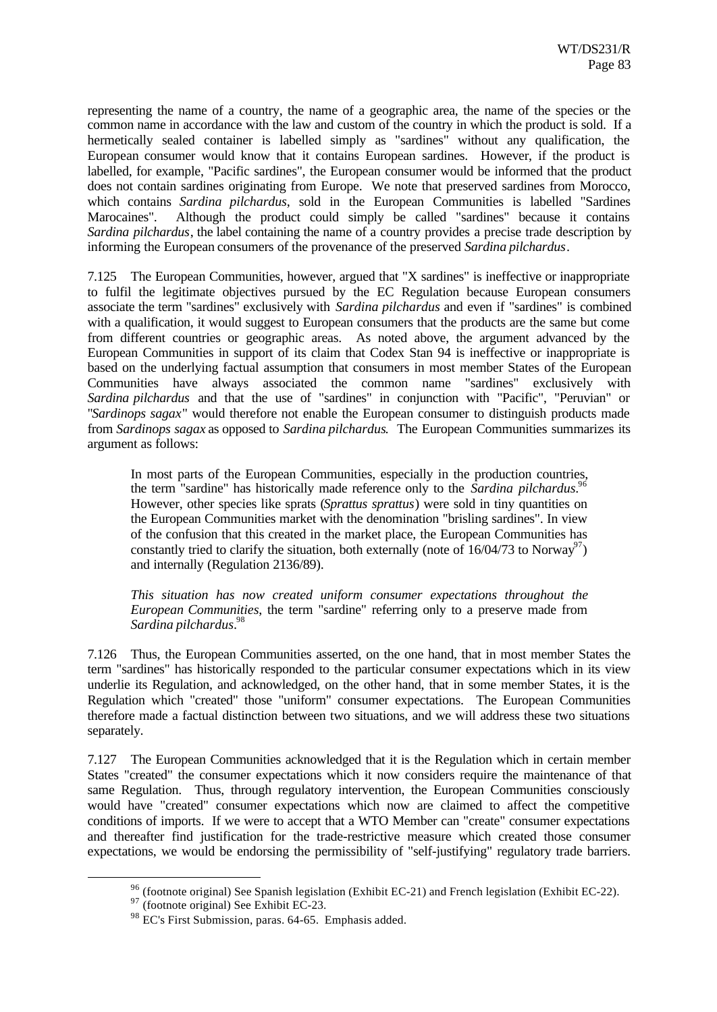representing the name of a country, the name of a geographic area, the name of the species or the common name in accordance with the law and custom of the country in which the product is sold. If a hermetically sealed container is labelled simply as "sardines" without any qualification, the European consumer would know that it contains European sardines. However, if the product is labelled, for example, "Pacific sardines", the European consumer would be informed that the product does not contain sardines originating from Europe. We note that preserved sardines from Morocco, which contains *Sardina pilchardus*, sold in the European Communities is labelled "Sardines Marocaines". Although the product could simply be called "sardines" because it contains *Sardina pilchardus*, the label containing the name of a country provides a precise trade description by informing the European consumers of the provenance of the preserved *Sardina pilchardus*.

7.125 The European Communities, however, argued that "X sardines" is ineffective or inappropriate to fulfil the legitimate objectives pursued by the EC Regulation because European consumers associate the term "sardines" exclusively with *Sardina pilchardus* and even if "sardines" is combined with a qualification, it would suggest to European consumers that the products are the same but come from different countries or geographic areas. As noted above, the argument advanced by the European Communities in support of its claim that Codex Stan 94 is ineffective or inappropriate is based on the underlying factual assumption that consumers in most member States of the European Communities have always associated the common name "sardines" exclusively with *Sardina pilchardus* and that the use of "sardines" in conjunction with "Pacific", "Peruvian" or "*Sardinops sagax*" would therefore not enable the European consumer to distinguish products made from *Sardinops sagax* as opposed to *Sardina pilchardus*. The European Communities summarizes its argument as follows:

In most parts of the European Communities, especially in the production countries, the term "sardine" has historically made reference only to the *Sardina pilchardus*. 96 However, other species like sprats (*Sprattus sprattus*) were sold in tiny quantities on the European Communities market with the denomination "brisling sardines". In view of the confusion that this created in the market place, the European Communities has constantly tried to clarify the situation, both externally (note of  $16/04/73$  to Norway<sup>97</sup>) and internally (Regulation 2136/89).

*This situation has now created uniform consumer expectations throughout the European Communities*, the term "sardine" referring only to a preserve made from *Sardina pilchardus*. 98

7.126 Thus, the European Communities asserted, on the one hand, that in most member States the term "sardines" has historically responded to the particular consumer expectations which in its view underlie its Regulation, and acknowledged, on the other hand, that in some member States, it is the Regulation which "created" those "uniform" consumer expectations. The European Communities therefore made a factual distinction between two situations, and we will address these two situations separately.

7.127 The European Communities acknowledged that it is the Regulation which in certain member States "created" the consumer expectations which it now considers require the maintenance of that same Regulation. Thus, through regulatory intervention, the European Communities consciously would have "created" consumer expectations which now are claimed to affect the competitive conditions of imports. If we were to accept that a WTO Member can "create" consumer expectations and thereafter find justification for the trade-restrictive measure which created those consumer expectations, we would be endorsing the permissibility of "self-justifying" regulatory trade barriers.

<sup>96</sup> (footnote original) See Spanish legislation (Exhibit EC-21) and French legislation (Exhibit EC-22).

 $\frac{97}{600}$  (footnote original) See Exhibit EC-23.

<sup>&</sup>lt;sup>98</sup> EC's First Submission, paras. 64-65. Emphasis added.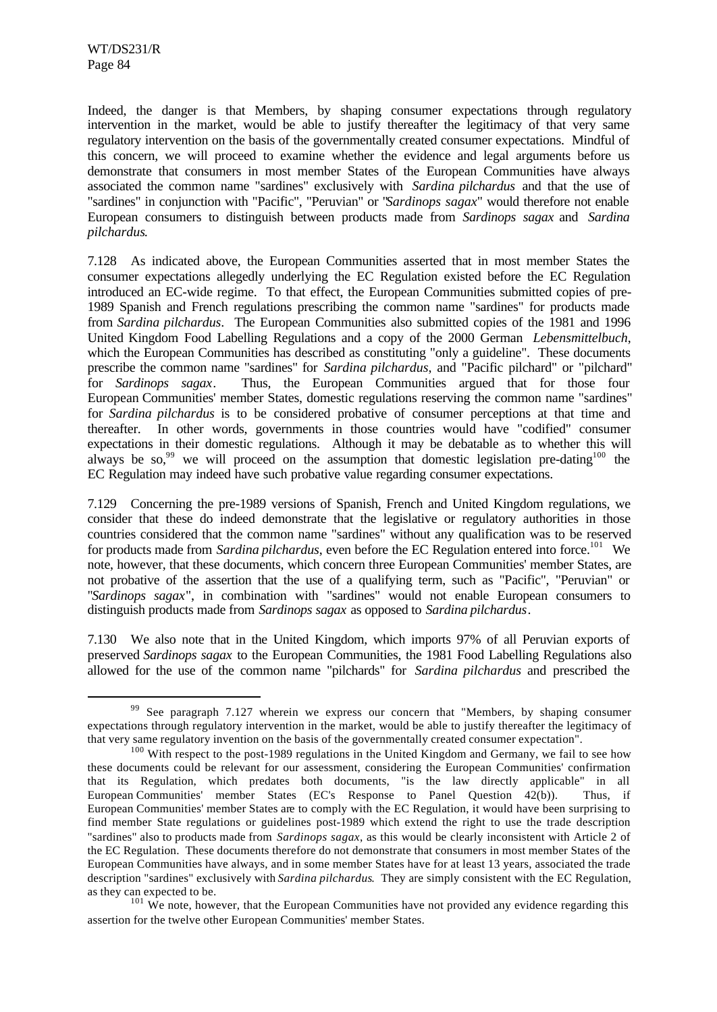l

Indeed, the danger is that Members, by shaping consumer expectations through regulatory intervention in the market, would be able to justify thereafter the legitimacy of that very same regulatory intervention on the basis of the governmentally created consumer expectations. Mindful of this concern, we will proceed to examine whether the evidence and legal arguments before us demonstrate that consumers in most member States of the European Communities have always associated the common name "sardines" exclusively with *Sardina pilchardus* and that the use of "sardines" in conjunction with "Pacific", "Peruvian" or "*Sardinops sagax*" would therefore not enable European consumers to distinguish between products made from *Sardinops sagax* and *Sardina pilchardus*.

7.128 As indicated above, the European Communities asserted that in most member States the consumer expectations allegedly underlying the EC Regulation existed before the EC Regulation introduced an EC-wide regime. To that effect, the European Communities submitted copies of pre-1989 Spanish and French regulations prescribing the common name "sardines" for products made from *Sardina pilchardus*. The European Communities also submitted copies of the 1981 and 1996 United Kingdom Food Labelling Regulations and a copy of the 2000 German *Lebensmittelbuch*, which the European Communities has described as constituting "only a guideline". These documents prescribe the common name "sardines" for *Sardina pilchardus*, and "Pacific pilchard" or "pilchard" for *Sardinops sagax*. Thus, the European Communities argued that for those four European Communities' member States, domestic regulations reserving the common name "sardines" for *Sardina pilchardus* is to be considered probative of consumer perceptions at that time and thereafter. In other words, governments in those countries would have "codified" consumer expectations in their domestic regulations. Although it may be debatable as to whether this will always be so,<sup>99</sup> we will proceed on the assumption that domestic legislation pre-dating<sup>100</sup> the EC Regulation may indeed have such probative value regarding consumer expectations.

7.129 Concerning the pre-1989 versions of Spanish, French and United Kingdom regulations, we consider that these do indeed demonstrate that the legislative or regulatory authorities in those countries considered that the common name "sardines" without any qualification was to be reserved for products made from *Sardina pilchardus*, even before the EC Regulation entered into force.<sup>101</sup> We note, however, that these documents, which concern three European Communities' member States, are not probative of the assertion that the use of a qualifying term, such as "Pacific", "Peruvian" or "*Sardinops sagax*", in combination with "sardines" would not enable European consumers to distinguish products made from *Sardinops sagax* as opposed to *Sardina pilchardus*.

7.130 We also note that in the United Kingdom, which imports 97% of all Peruvian exports of preserved *Sardinops sagax* to the European Communities, the 1981 Food Labelling Regulations also allowed for the use of the common name "pilchards" for *Sardina pilchardus* and prescribed the

<sup>&</sup>lt;sup>99</sup> See paragraph 7.127 wherein we express our concern that "Members, by shaping consumer expectations through regulatory intervention in the market, would be able to justify thereafter the legitimacy of that very same regulatory invention on the basis of the governmentally created consumer expectation".

<sup>&</sup>lt;sup>100</sup> With respect to the post-1989 regulations in the United Kingdom and Germany, we fail to see how these documents could be relevant for our assessment, considering the European Communities' confirmation that its Regulation, which predates both documents, "is the law directly applicable" in all European Communities' member States (EC's Response to Panel Question 42(b)). Thus, if European Communities' member States are to comply with the EC Regulation, it would have been surprising to find member State regulations or guidelines post-1989 which extend the right to use the trade description "sardines" also to products made from *Sardinops sagax*, as this would be clearly inconsistent with Article 2 of the EC Regulation. These documents therefore do not demonstrate that consumers in most member States of the European Communities have always, and in some member States have for at least 13 years, associated the trade description "sardines" exclusively with *Sardina pilchardus*. They are simply consistent with the EC Regulation, as they can expected to be.

 $101$  We note, however, that the European Communities have not provided any evidence regarding this assertion for the twelve other European Communities' member States.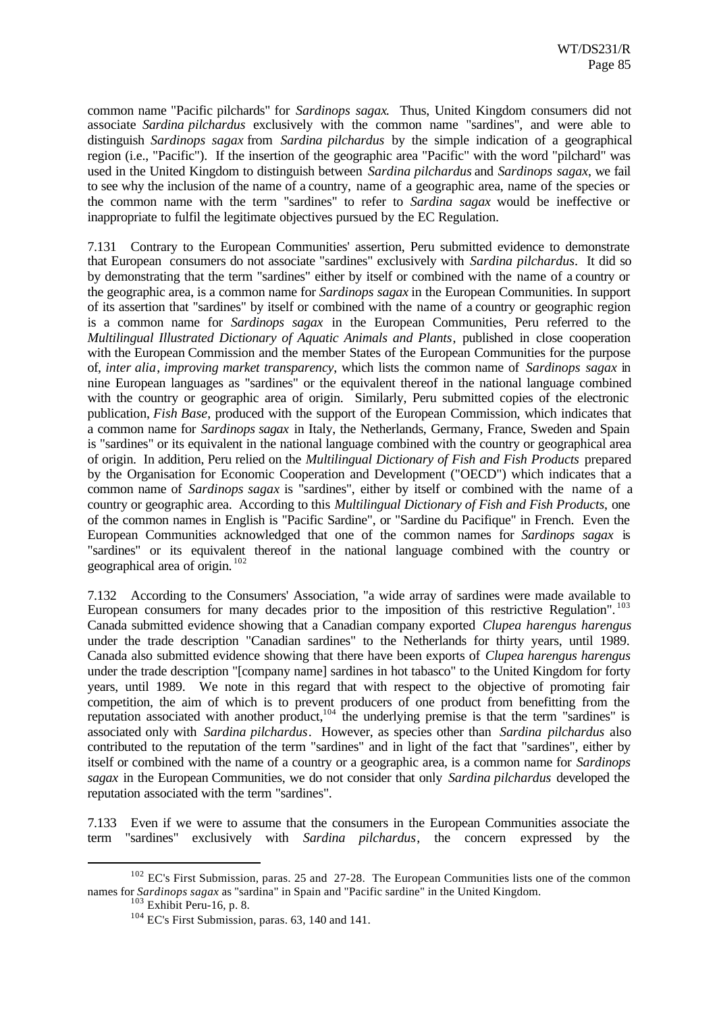common name "Pacific pilchards" for *Sardinops sagax*. Thus, United Kingdom consumers did not associate *Sardina pilchardus* exclusively with the common name "sardines", and were able to distinguish *Sardinops sagax* from *Sardina pilchardus* by the simple indication of a geographical region (i.e., "Pacific"). If the insertion of the geographic area "Pacific" with the word "pilchard" was used in the United Kingdom to distinguish between *Sardina pilchardus* and *Sardinops sagax*, we fail to see why the inclusion of the name of a country, name of a geographic area, name of the species or the common name with the term "sardines" to refer to *Sardina sagax* would be ineffective or inappropriate to fulfil the legitimate objectives pursued by the EC Regulation.

7.131 Contrary to the European Communities' assertion, Peru submitted evidence to demonstrate that European consumers do not associate "sardines" exclusively with *Sardina pilchardus*. It did so by demonstrating that the term "sardines" either by itself or combined with the name of a country or the geographic area, is a common name for *Sardinops sagax* in the European Communities. In support of its assertion that "sardines" by itself or combined with the name of a country or geographic region is a common name for *Sardinops sagax* in the European Communities, Peru referred to the *Multilingual Illustrated Dictionary of Aquatic Animals and Plants*, published in close cooperation with the European Commission and the member States of the European Communities for the purpose of, *inter alia*, *improving market transparency*, which lists the common name of *Sardinops sagax* in nine European languages as "sardines" or the equivalent thereof in the national language combined with the country or geographic area of origin. Similarly, Peru submitted copies of the electronic publication, *Fish Base*, produced with the support of the European Commission, which indicates that a common name for *Sardinops sagax* in Italy, the Netherlands, Germany, France, Sweden and Spain is "sardines" or its equivalent in the national language combined with the country or geographical area of origin. In addition, Peru relied on the *Multilingual Dictionary of Fish and Fish Products* prepared by the Organisation for Economic Cooperation and Development ("OECD") which indicates that a common name of *Sardinops sagax* is "sardines", either by itself or combined with the name of a country or geographic area. According to this *Multilingual Dictionary of Fish and Fish Products*, one of the common names in English is "Pacific Sardine", or "Sardine du Pacifique" in French. Even the European Communities acknowledged that one of the common names for *Sardinops sagax* is "sardines" or its equivalent thereof in the national language combined with the country or geographical area of origin. <sup>102</sup>

7.132 According to the Consumers' Association, "a wide array of sardines were made available to European consumers for many decades prior to the imposition of this restrictive Regulation". <sup>103</sup> Canada submitted evidence showing that a Canadian company exported *Clupea harengus harengus* under the trade description "Canadian sardines" to the Netherlands for thirty years, until 1989. Canada also submitted evidence showing that there have been exports of *Clupea harengus harengus* under the trade description "[company name] sardines in hot tabasco" to the United Kingdom for forty years, until 1989. We note in this regard that with respect to the objective of promoting fair competition, the aim of which is to prevent producers of one product from benefitting from the reputation associated with another product,  $104$  the underlying premise is that the term "sardines" is associated only with *Sardina pilchardus*. However, as species other than *Sardina pilchardus* also contributed to the reputation of the term "sardines" and in light of the fact that "sardines", either by itself or combined with the name of a country or a geographic area, is a common name for *Sardinops sagax* in the European Communities, we do not consider that only *Sardina pilchardus* developed the reputation associated with the term "sardines".

7.133 Even if we were to assume that the consumers in the European Communities associate the term "sardines" exclusively with *Sardina pilchardus*, the concern expressed by the

<sup>&</sup>lt;sup>102</sup> EC's First Submission, paras. 25 and 27-28. The European Communities lists one of the common names for *Sardinops sagax* as "sardina" in Spain and "Pacific sardine" in the United Kingdom.

 $103$  Exhibit Peru-16, p. 8.

<sup>&</sup>lt;sup>104</sup> EC's First Submission, paras. 63, 140 and 141.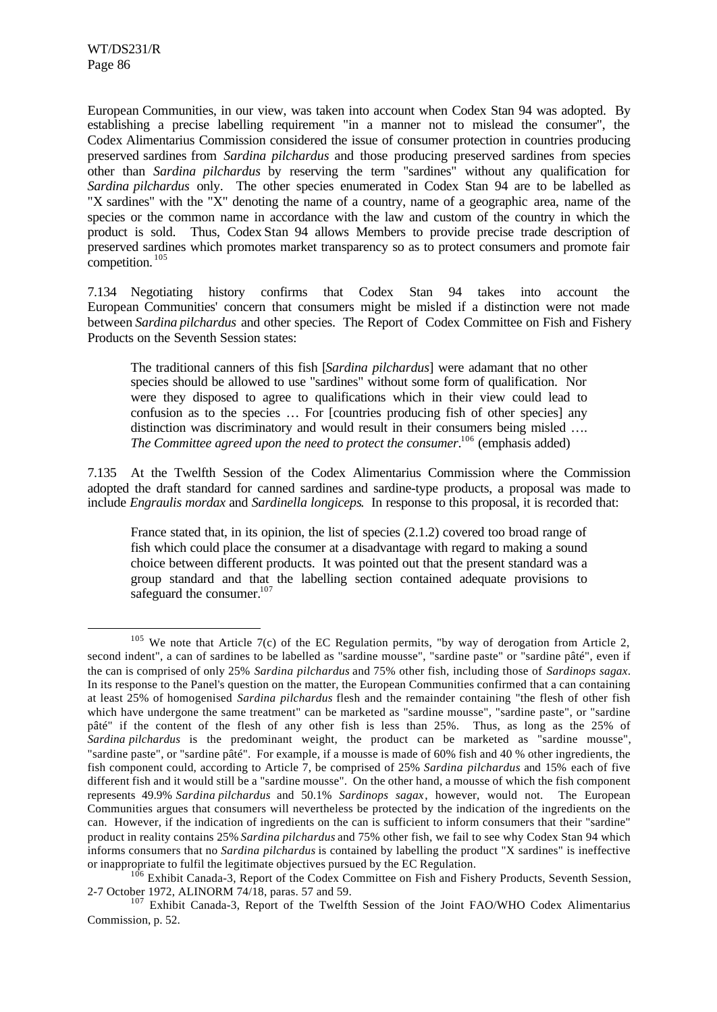l

European Communities, in our view, was taken into account when Codex Stan 94 was adopted. By establishing a precise labelling requirement "in a manner not to mislead the consumer", the Codex Alimentarius Commission considered the issue of consumer protection in countries producing preserved sardines from *Sardina pilchardus* and those producing preserved sardines from species other than *Sardina pilchardus* by reserving the term "sardines" without any qualification for *Sardina pilchardus* only. The other species enumerated in Codex Stan 94 are to be labelled as "X sardines" with the "X" denoting the name of a country, name of a geographic area, name of the species or the common name in accordance with the law and custom of the country in which the product is sold. Thus, Codex Stan 94 allows Members to provide precise trade description of preserved sardines which promotes market transparency so as to protect consumers and promote fair competition. <sup>105</sup>

7.134 Negotiating history confirms that Codex Stan 94 takes into account the European Communities' concern that consumers might be misled if a distinction were not made between *Sardina pilchardus* and other species. The Report of Codex Committee on Fish and Fishery Products on the Seventh Session states:

The traditional canners of this fish [*Sardina pilchardus*] were adamant that no other species should be allowed to use "sardines" without some form of qualification. Nor were they disposed to agree to qualifications which in their view could lead to confusion as to the species … For [countries producing fish of other species] any distinction was discriminatory and would result in their consumers being misled …. The Committee agreed upon the need to protect the consumer.<sup>106</sup> (emphasis added)

7.135 At the Twelfth Session of the Codex Alimentarius Commission where the Commission adopted the draft standard for canned sardines and sardine-type products, a proposal was made to include *Engraulis mordax* and *Sardinella longiceps*. In response to this proposal, it is recorded that:

France stated that, in its opinion, the list of species (2.1.2) covered too broad range of fish which could place the consumer at a disadvantage with regard to making a sound choice between different products. It was pointed out that the present standard was a group standard and that the labelling section contained adequate provisions to safeguard the consumer. $107$ 

 $105$  We note that Article 7(c) of the EC Regulation permits, "by way of derogation from Article 2, second indent", a can of sardines to be labelled as "sardine mousse", "sardine paste" or "sardine pâté", even if the can is comprised of only 25% *Sardina pilchardus* and 75% other fish, including those of *Sardinops sagax*. In its response to the Panel's question on the matter, the European Communities confirmed that a can containing at least 25% of homogenised *Sardina pilchardus* flesh and the remainder containing "the flesh of other fish which have undergone the same treatment" can be marketed as "sardine mousse", "sardine paste", or "sardine pâté" if the content of the flesh of any other fish is less than 25%. Thus, as long as the 25% of *Sardina pilchardus* is the predominant weight, the product can be marketed as "sardine mousse", "sardine paste", or "sardine pâté". For example, if a mousse is made of 60% fish and 40 % other ingredients, the fish component could, according to Article 7, be comprised of 25% *Sardina pilchardus* and 15% each of five different fish and it would still be a "sardine mousse". On the other hand, a mousse of which the fish component represents 49.9% *Sardina pilchardus* and 50.1% *Sardinops sagax*, however, would not. The European Communities argues that consumers will nevertheless be protected by the indication of the ingredients on the can. However, if the indication of ingredients on the can is sufficient to inform consumers that their "sardine" product in reality contains 25% *Sardina pilchardus* and 75% other fish, we fail to see why Codex Stan 94 which informs consumers that no *Sardina pilchardus* is contained by labelling the product "X sardines" is ineffective or inappropriate to fulfil the legitimate objectives pursued by the EC Regulation.

 $106$  Exhibit Canada-3, Report of the Codex Committee on Fish and Fishery Products, Seventh Session, 2-7 October 1972, ALINORM 74/18, paras. 57 and 59.

<sup>&</sup>lt;sup>107</sup> Exhibit Canada-3, Report of the Twelfth Session of the Joint FAO/WHO Codex Alimentarius Commission, p. 52.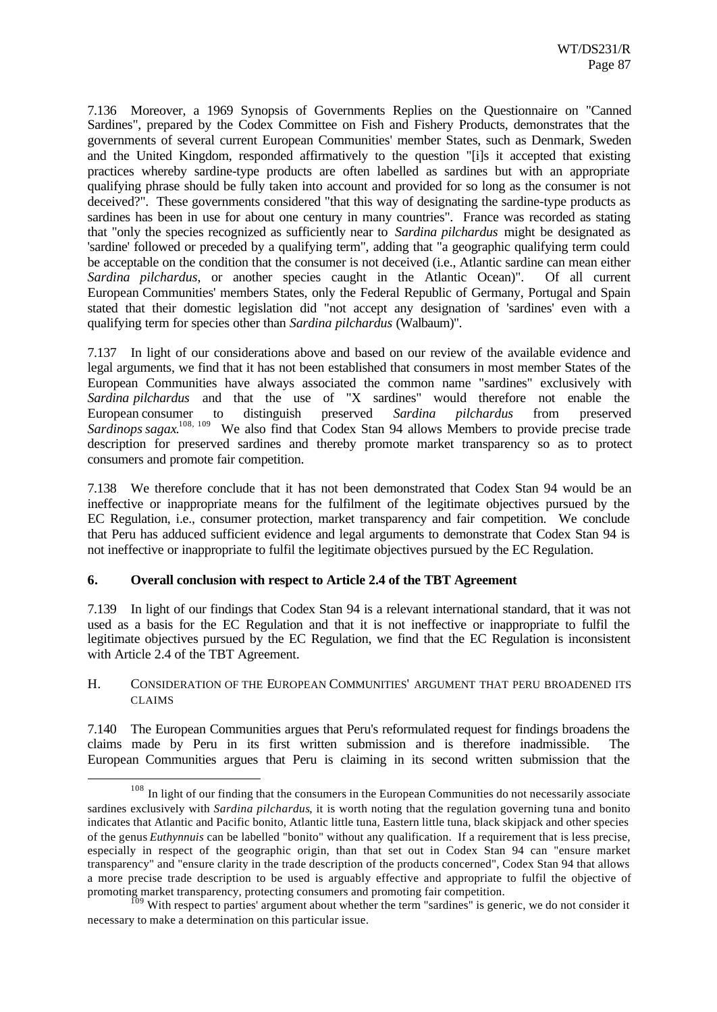7.136 Moreover, a 1969 Synopsis of Governments Replies on the Questionnaire on "Canned Sardines", prepared by the Codex Committee on Fish and Fishery Products, demonstrates that the governments of several current European Communities' member States, such as Denmark, Sweden and the United Kingdom, responded affirmatively to the question "[i]s it accepted that existing practices whereby sardine-type products are often labelled as sardines but with an appropriate qualifying phrase should be fully taken into account and provided for so long as the consumer is not deceived?". These governments considered "that this way of designating the sardine-type products as sardines has been in use for about one century in many countries". France was recorded as stating that "only the species recognized as sufficiently near to *Sardina pilchardus* might be designated as 'sardine' followed or preceded by a qualifying term", adding that "a geographic qualifying term could be acceptable on the condition that the consumer is not deceived (i.e., Atlantic sardine can mean either *Sardina pilchardus*, or another species caught in the Atlantic Ocean)". Of all current European Communities' members States, only the Federal Republic of Germany, Portugal and Spain stated that their domestic legislation did "not accept any designation of 'sardines' even with a qualifying term for species other than *Sardina pilchardus* (Walbaum)".

7.137 In light of our considerations above and based on our review of the available evidence and legal arguments, we find that it has not been established that consumers in most member States of the European Communities have always associated the common name "sardines" exclusively with *Sardina pilchardus* and that the use of "X sardines" would therefore not enable the European consumer to distinguish preserved *Sardina pilchardus* from preserved Sardinops sagax.<sup>108, 109</sup> We also find that Codex Stan 94 allows Members to provide precise trade description for preserved sardines and thereby promote market transparency so as to protect consumers and promote fair competition.

7.138 We therefore conclude that it has not been demonstrated that Codex Stan 94 would be an ineffective or inappropriate means for the fulfilment of the legitimate objectives pursued by the EC Regulation, i.e., consumer protection, market transparency and fair competition. We conclude that Peru has adduced sufficient evidence and legal arguments to demonstrate that Codex Stan 94 is not ineffective or inappropriate to fulfil the legitimate objectives pursued by the EC Regulation.

## **6. Overall conclusion with respect to Article 2.4 of the TBT Agreement**

l

7.139 In light of our findings that Codex Stan 94 is a relevant international standard, that it was not used as a basis for the EC Regulation and that it is not ineffective or inappropriate to fulfil the legitimate objectives pursued by the EC Regulation, we find that the EC Regulation is inconsistent with Article 2.4 of the TBT Agreement.

H. CONSIDERATION OF THE EUROPEAN COMMUNITIES' ARGUMENT THAT PERU BROADENED ITS CLAIMS

7.140 The European Communities argues that Peru's reformulated request for findings broadens the claims made by Peru in its first written submission and is therefore inadmissible. The European Communities argues that Peru is claiming in its second written submission that the

<sup>&</sup>lt;sup>108</sup> In light of our finding that the consumers in the European Communities do not necessarily associate sardines exclusively with *Sardina pilchardus*, it is worth noting that the regulation governing tuna and bonito indicates that Atlantic and Pacific bonito, Atlantic little tuna, Eastern little tuna, black skipjack and other species of the genus *Euthynnuis* can be labelled "bonito" without any qualification. If a requirement that is less precise, especially in respect of the geographic origin, than that set out in Codex Stan 94 can "ensure market transparency" and "ensure clarity in the trade description of the products concerned", Codex Stan 94 that allows a more precise trade description to be used is arguably effective and appropriate to fulfil the objective of promoting market transparency, protecting consumers and promoting fair competition.

<sup>&</sup>lt;sup>109</sup> With respect to parties' argument about whether the term "sardines" is generic, we do not consider it necessary to make a determination on this particular issue.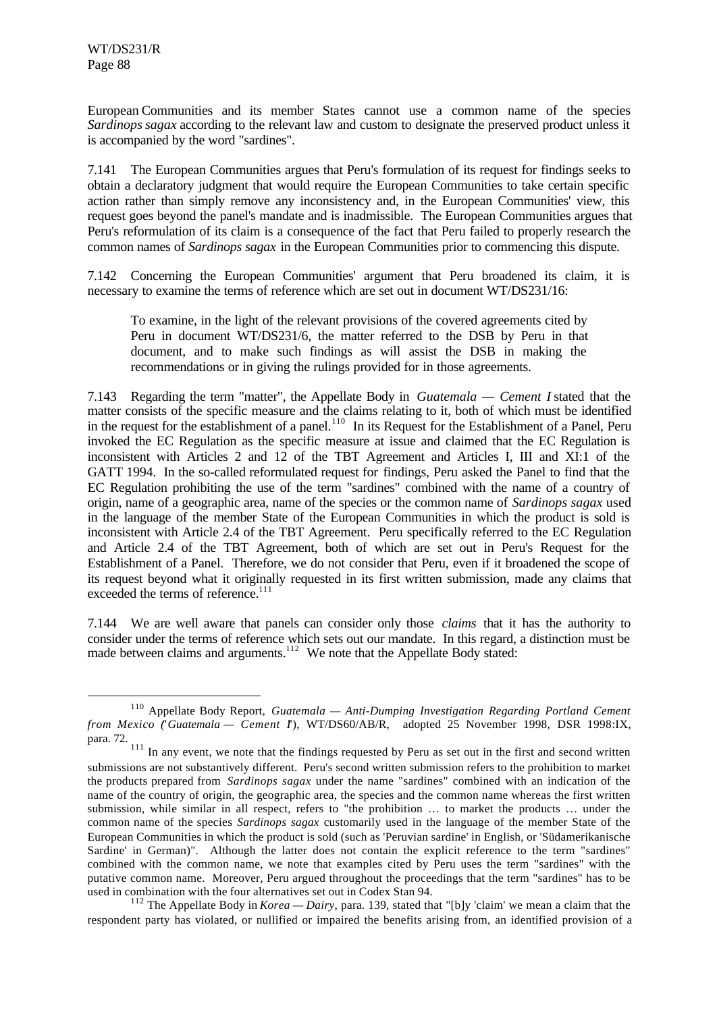l

European Communities and its member States cannot use a common name of the species *Sardinops sagax* according to the relevant law and custom to designate the preserved product unless it is accompanied by the word "sardines".

7.141 The European Communities argues that Peru's formulation of its request for findings seeks to obtain a declaratory judgment that would require the European Communities to take certain specific action rather than simply remove any inconsistency and, in the European Communities' view, this request goes beyond the panel's mandate and is inadmissible. The European Communities argues that Peru's reformulation of its claim is a consequence of the fact that Peru failed to properly research the common names of *Sardinops sagax* in the European Communities prior to commencing this dispute.

7.142 Concerning the European Communities' argument that Peru broadened its claim, it is necessary to examine the terms of reference which are set out in document WT/DS231/16:

To examine, in the light of the relevant provisions of the covered agreements cited by Peru in document WT/DS231/6, the matter referred to the DSB by Peru in that document, and to make such findings as will assist the DSB in making the recommendations or in giving the rulings provided for in those agreements.

7.143 Regarding the term "matter", the Appellate Body in *Guatemala — Cement I* stated that the matter consists of the specific measure and the claims relating to it, both of which must be identified in the request for the establishment of a panel.<sup>110</sup> In its Request for the Establishment of a Panel, Peru invoked the EC Regulation as the specific measure at issue and claimed that the EC Regulation is inconsistent with Articles 2 and 12 of the TBT Agreement and Articles I, III and XI:1 of the GATT 1994. In the so-called reformulated request for findings, Peru asked the Panel to find that the EC Regulation prohibiting the use of the term "sardines" combined with the name of a country of origin, name of a geographic area, name of the species or the common name of *Sardinops sagax* used in the language of the member State of the European Communities in which the product is sold is inconsistent with Article 2.4 of the TBT Agreement. Peru specifically referred to the EC Regulation and Article 2.4 of the TBT Agreement, both of which are set out in Peru's Request for the Establishment of a Panel. Therefore, we do not consider that Peru, even if it broadened the scope of its request beyond what it originally requested in its first written submission, made any claims that exceeded the terms of reference.<sup>111</sup>

7.144 We are well aware that panels can consider only those *claims* that it has the authority to consider under the terms of reference which sets out our mandate. In this regard, a distinction must be made between claims and arguments.<sup>112</sup> We note that the Appellate Body stated:

<sup>112</sup> The Appellate Body in *Korea — Dairy*, para. 139, stated that "[b]y 'claim' we mean a claim that the respondent party has violated, or nullified or impaired the benefits arising from, an identified provision of a

<sup>110</sup> Appellate Body Report, *Guatemala — Anti-Dumping Investigation Regarding Portland Cement from Mexico ("Guatemala — Cement I*"), WT/DS60/AB/R, adopted 25 November 1998, DSR 1998:IX, para. 72.

 $111$  In any event, we note that the findings requested by Peru as set out in the first and second written submissions are not substantively different. Peru's second written submission refers to the prohibition to market the products prepared from *Sardinops sagax* under the name "sardines" combined with an indication of the name of the country of origin, the geographic area, the species and the common name whereas the first written submission, while similar in all respect, refers to "the prohibition … to market the products … under the common name of the species *Sardinops sagax* customarily used in the language of the member State of the European Communities in which the product is sold (such as 'Peruvian sardine' in English, or 'Südamerikanische Sardine' in German)". Although the latter does not contain the explicit reference to the term "sardines" combined with the common name, we note that examples cited by Peru uses the term "sardines" with the putative common name. Moreover, Peru argued throughout the proceedings that the term "sardines" has to be used in combination with the four alternatives set out in Codex Stan 94.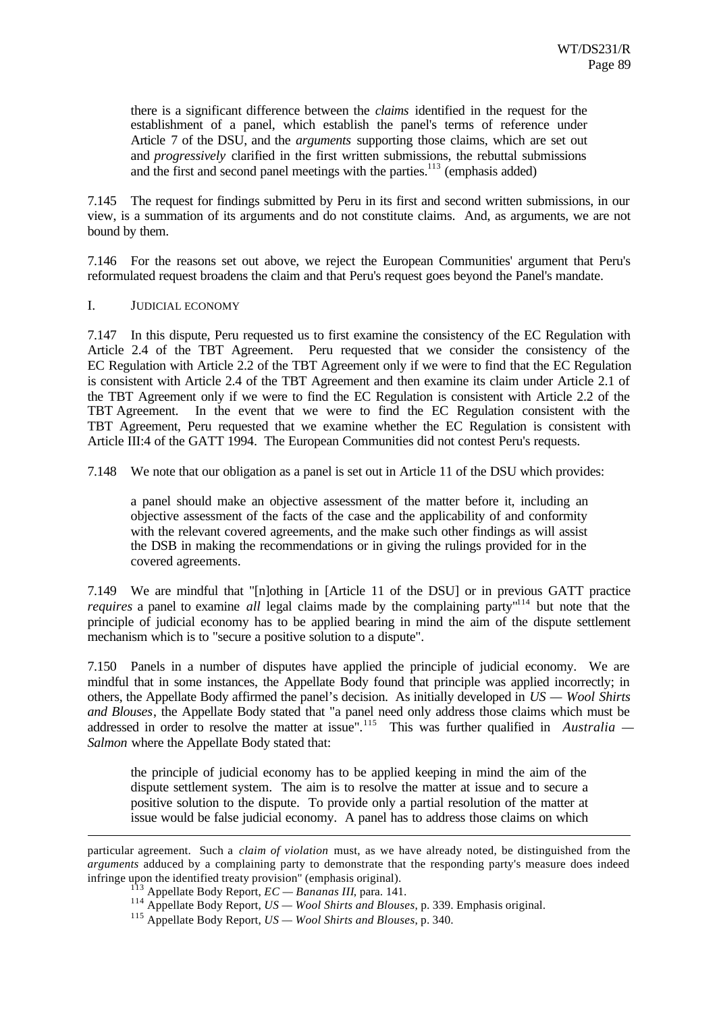there is a significant difference between the *claims* identified in the request for the establishment of a panel, which establish the panel's terms of reference under Article 7 of the DSU, and the *arguments* supporting those claims, which are set out and *progressively* clarified in the first written submissions, the rebuttal submissions and the first and second panel meetings with the parties. $113$  (emphasis added)

7.145 The request for findings submitted by Peru in its first and second written submissions, in our view, is a summation of its arguments and do not constitute claims. And, as arguments, we are not bound by them.

7.146 For the reasons set out above, we reject the European Communities' argument that Peru's reformulated request broadens the claim and that Peru's request goes beyond the Panel's mandate.

#### I. JUDICIAL ECONOMY

l

7.147 In this dispute, Peru requested us to first examine the consistency of the EC Regulation with Article 2.4 of the TBT Agreement. Peru requested that we consider the consistency of the EC Regulation with Article 2.2 of the TBT Agreement only if we were to find that the EC Regulation is consistent with Article 2.4 of the TBT Agreement and then examine its claim under Article 2.1 of the TBT Agreement only if we were to find the EC Regulation is consistent with Article 2.2 of the TBT Agreement. In the event that we were to find the EC Regulation consistent with the TBT Agreement, Peru requested that we examine whether the EC Regulation is consistent with Article III:4 of the GATT 1994. The European Communities did not contest Peru's requests.

7.148 We note that our obligation as a panel is set out in Article 11 of the DSU which provides:

a panel should make an objective assessment of the matter before it, including an objective assessment of the facts of the case and the applicability of and conformity with the relevant covered agreements, and the make such other findings as will assist the DSB in making the recommendations or in giving the rulings provided for in the covered agreements.

7.149 We are mindful that "[n]othing in [Article 11 of the DSU] or in previous GATT practice *requires* a panel to examine *all* legal claims made by the complaining party<sup>"114</sup> but note that the principle of judicial economy has to be applied bearing in mind the aim of the dispute settlement mechanism which is to "secure a positive solution to a dispute".

7.150 Panels in a number of disputes have applied the principle of judicial economy. We are mindful that in some instances, the Appellate Body found that principle was applied incorrectly; in others, the Appellate Body affirmed the panel's decision. As initially developed in *US — Wool Shirts and Blouses*, the Appellate Body stated that "a panel need only address those claims which must be addressed in order to resolve the matter at issue".<sup>115</sup> This was further qualified in *Australia — Salmon* where the Appellate Body stated that:

the principle of judicial economy has to be applied keeping in mind the aim of the dispute settlement system. The aim is to resolve the matter at issue and to secure a positive solution to the dispute. To provide only a partial resolution of the matter at issue would be false judicial economy. A panel has to address those claims on which

particular agreement. Such a *claim of violation* must, as we have already noted, be distinguished from the *arguments* adduced by a complaining party to demonstrate that the responding party's measure does indeed infringe upon the identified treaty provision" (emphasis original).

<sup>113</sup> Appellate Body Report, *EC — Bananas III*, para. 141.

<sup>114</sup> Appellate Body Report, *US — Wool Shirts and Blouses*, p. 339. Emphasis original.

<sup>115</sup> Appellate Body Report, *US — Wool Shirts and Blouses*, p. 340.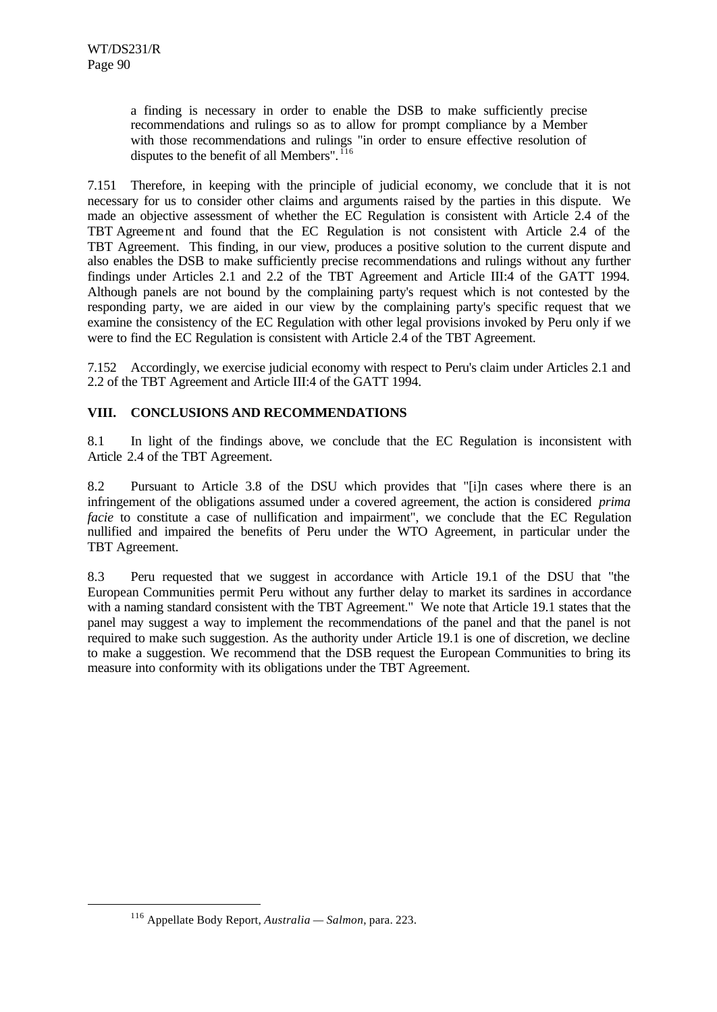a finding is necessary in order to enable the DSB to make sufficiently precise recommendations and rulings so as to allow for prompt compliance by a Member with those recommendations and rulings "in order to ensure effective resolution of disputes to the benefit of all Members".  $^{116}$ 

7.151 Therefore, in keeping with the principle of judicial economy, we conclude that it is not necessary for us to consider other claims and arguments raised by the parties in this dispute. We made an objective assessment of whether the EC Regulation is consistent with Article 2.4 of the TBT Agreement and found that the EC Regulation is not consistent with Article 2.4 of the TBT Agreement. This finding, in our view, produces a positive solution to the current dispute and also enables the DSB to make sufficiently precise recommendations and rulings without any further findings under Articles 2.1 and 2.2 of the TBT Agreement and Article III:4 of the GATT 1994. Although panels are not bound by the complaining party's request which is not contested by the responding party, we are aided in our view by the complaining party's specific request that we examine the consistency of the EC Regulation with other legal provisions invoked by Peru only if we were to find the EC Regulation is consistent with Article 2.4 of the TBT Agreement.

7.152 Accordingly, we exercise judicial economy with respect to Peru's claim under Articles 2.1 and 2.2 of the TBT Agreement and Article III:4 of the GATT 1994.

# **VIII. CONCLUSIONS AND RECOMMENDATIONS**

8.1 In light of the findings above, we conclude that the EC Regulation is inconsistent with Article 2.4 of the TBT Agreement.

8.2 Pursuant to Article 3.8 of the DSU which provides that "[i]n cases where there is an infringement of the obligations assumed under a covered agreement, the action is considered *prima facie* to constitute a case of nullification and impairment", we conclude that the EC Regulation nullified and impaired the benefits of Peru under the WTO Agreement, in particular under the TBT Agreement.

8.3 Peru requested that we suggest in accordance with Article 19.1 of the DSU that "the European Communities permit Peru without any further delay to market its sardines in accordance with a naming standard consistent with the TBT Agreement." We note that Article 19.1 states that the panel may suggest a way to implement the recommendations of the panel and that the panel is not required to make such suggestion. As the authority under Article 19.1 is one of discretion, we decline to make a suggestion. We recommend that the DSB request the European Communities to bring its measure into conformity with its obligations under the TBT Agreement.

<sup>116</sup> Appellate Body Report, *Australia — Salmon*, para. 223.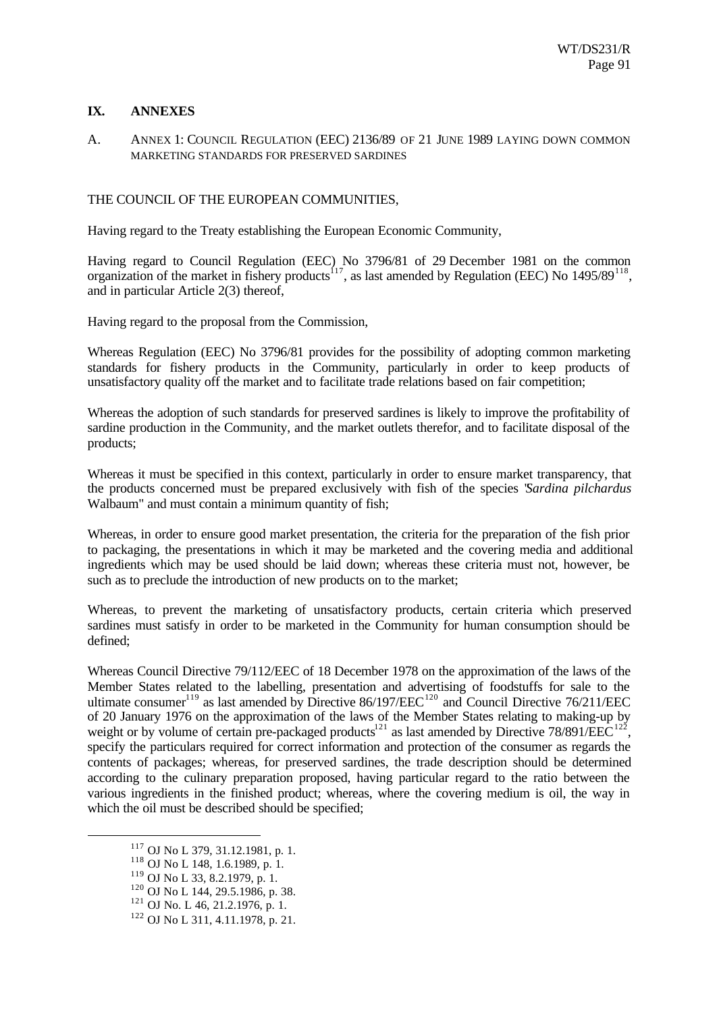# **IX. ANNEXES**

A. ANNEX 1: COUNCIL REGULATION (EEC) 2136/89 OF 21 JUNE 1989 LAYING DOWN COMMON MARKETING STANDARDS FOR PRESERVED SARDINES

## THE COUNCIL OF THE EUROPEAN COMMUNITIES,

Having regard to the Treaty establishing the European Economic Community,

Having regard to Council Regulation (EEC) No 3796/81 of 29 December 1981 on the common organization of the market in fishery products<sup>117</sup>, as last amended by Regulation (EEC) No 1495/89<sup>118</sup>, and in particular Article 2(3) thereof,

Having regard to the proposal from the Commission,

Whereas Regulation (EEC) No 3796/81 provides for the possibility of adopting common marketing standards for fishery products in the Community, particularly in order to keep products of unsatisfactory quality off the market and to facilitate trade relations based on fair competition;

Whereas the adoption of such standards for preserved sardines is likely to improve the profitability of sardine production in the Community, and the market outlets therefor, and to facilitate disposal of the products;

Whereas it must be specified in this context, particularly in order to ensure market transparency, that the products concerned must be prepared exclusively with fish of the species "*Sardina pilchardus* Walbaum" and must contain a minimum quantity of fish;

Whereas, in order to ensure good market presentation, the criteria for the preparation of the fish prior to packaging, the presentations in which it may be marketed and the covering media and additional ingredients which may be used should be laid down; whereas these criteria must not, however, be such as to preclude the introduction of new products on to the market;

Whereas, to prevent the marketing of unsatisfactory products, certain criteria which preserved sardines must satisfy in order to be marketed in the Community for human consumption should be defined;

Whereas Council Directive 79/112/EEC of 18 December 1978 on the approximation of the laws of the Member States related to the labelling, presentation and advertising of foodstuffs for sale to the ultimate consumer<sup>119</sup> as last amended by Directive  $86/197/EEC$ <sup>120</sup> and Council Directive 76/211/EEC of 20 January 1976 on the approximation of the laws of the Member States relating to making-up by weight or by volume of certain pre-packaged products<sup>121</sup> as last amended by Directive 78/891/EEC<sup>122</sup>, specify the particulars required for correct information and protection of the consumer as regards the contents of packages; whereas, for preserved sardines, the trade description should be determined according to the culinary preparation proposed, having particular regard to the ratio between the various ingredients in the finished product; whereas, where the covering medium is oil, the way in which the oil must be described should be specified;

<sup>117</sup> OJ No L 379, 31.12.1981, p. 1.

<sup>118</sup> OJ No L 148, 1.6.1989, p. 1.

<sup>119</sup> OJ No L 33, 8.2.1979, p. 1.

<sup>120</sup> OJ No L 144, 29.5.1986, p. 38.

<sup>121</sup> OJ No. L 46, 21.2.1976, p. 1.

<sup>122</sup> OJ No L 311, 4.11.1978, p. 21.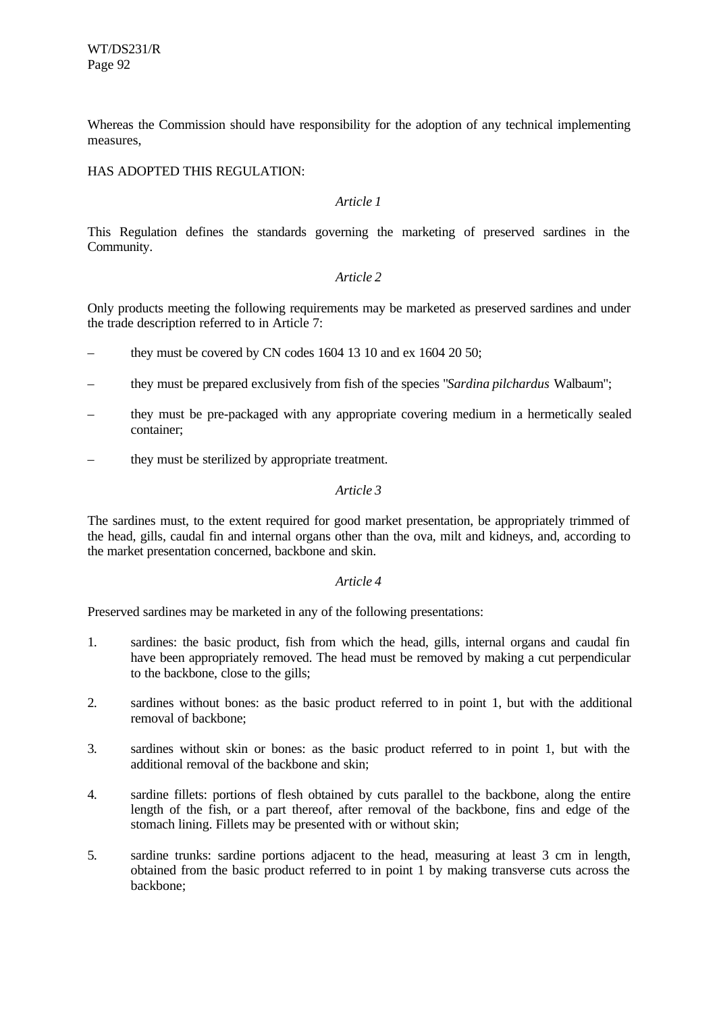WT/DS231/R Page 92

Whereas the Commission should have responsibility for the adoption of any technical implementing measures,

# HAS ADOPTED THIS REGULATION:

#### *Article 1*

This Regulation defines the standards governing the marketing of preserved sardines in the Community.

#### *Article 2*

Only products meeting the following requirements may be marketed as preserved sardines and under the trade description referred to in Article 7:

- they must be covered by CN codes 1604 13 10 and ex 1604 20 50;
- they must be prepared exclusively from fish of the species "*Sardina pilchardus* Walbaum";
- they must be pre-packaged with any appropriate covering medium in a hermetically sealed container;
- they must be sterilized by appropriate treatment.

## *Article 3*

The sardines must, to the extent required for good market presentation, be appropriately trimmed of the head, gills, caudal fin and internal organs other than the ova, milt and kidneys, and, according to the market presentation concerned, backbone and skin.

## *Article 4*

Preserved sardines may be marketed in any of the following presentations:

- 1. sardines: the basic product, fish from which the head, gills, internal organs and caudal fin have been appropriately removed. The head must be removed by making a cut perpendicular to the backbone, close to the gills;
- 2. sardines without bones: as the basic product referred to in point 1, but with the additional removal of backbone;
- 3. sardines without skin or bones: as the basic product referred to in point 1, but with the additional removal of the backbone and skin;
- 4. sardine fillets: portions of flesh obtained by cuts parallel to the backbone, along the entire length of the fish, or a part thereof, after removal of the backbone, fins and edge of the stomach lining. Fillets may be presented with or without skin;
- 5. sardine trunks: sardine portions adjacent to the head, measuring at least 3 cm in length, obtained from the basic product referred to in point 1 by making transverse cuts across the backbone;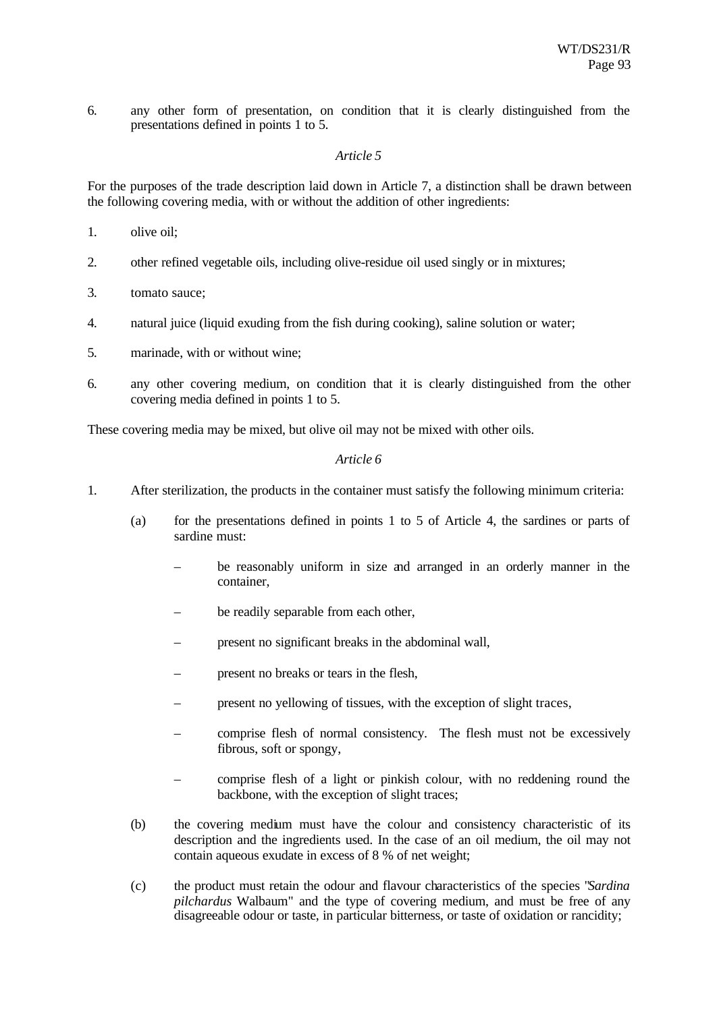6. any other form of presentation, on condition that it is clearly distinguished from the presentations defined in points 1 to 5.

# *Article 5*

For the purposes of the trade description laid down in Article 7, a distinction shall be drawn between the following covering media, with or without the addition of other ingredients:

- 1. olive oil;
- 2. other refined vegetable oils, including olive-residue oil used singly or in mixtures;
- 3. tomato sauce;
- 4. natural juice (liquid exuding from the fish during cooking), saline solution or water;
- 5. marinade, with or without wine;
- 6. any other covering medium, on condition that it is clearly distinguished from the other covering media defined in points 1 to 5.

These covering media may be mixed, but olive oil may not be mixed with other oils.

## *Article 6*

- 1. After sterilization, the products in the container must satisfy the following minimum criteria:
	- (a) for the presentations defined in points 1 to 5 of Article 4, the sardines or parts of sardine must:
		- be reasonably uniform in size and arranged in an orderly manner in the container,
		- be readily separable from each other,
		- present no significant breaks in the abdominal wall,
		- present no breaks or tears in the flesh,
		- present no yellowing of tissues, with the exception of slight traces,
		- comprise flesh of normal consistency. The flesh must not be excessively fibrous, soft or spongy,
		- comprise flesh of a light or pinkish colour, with no reddening round the backbone, with the exception of slight traces;
	- (b) the covering medium must have the colour and consistency characteristic of its description and the ingredients used. In the case of an oil medium, the oil may not contain aqueous exudate in excess of 8 % of net weight;
	- (c) the product must retain the odour and flavour characteristics of the species "*Sardina pilchardus* Walbaum" and the type of covering medium, and must be free of any disagreeable odour or taste, in particular bitterness, or taste of oxidation or rancidity;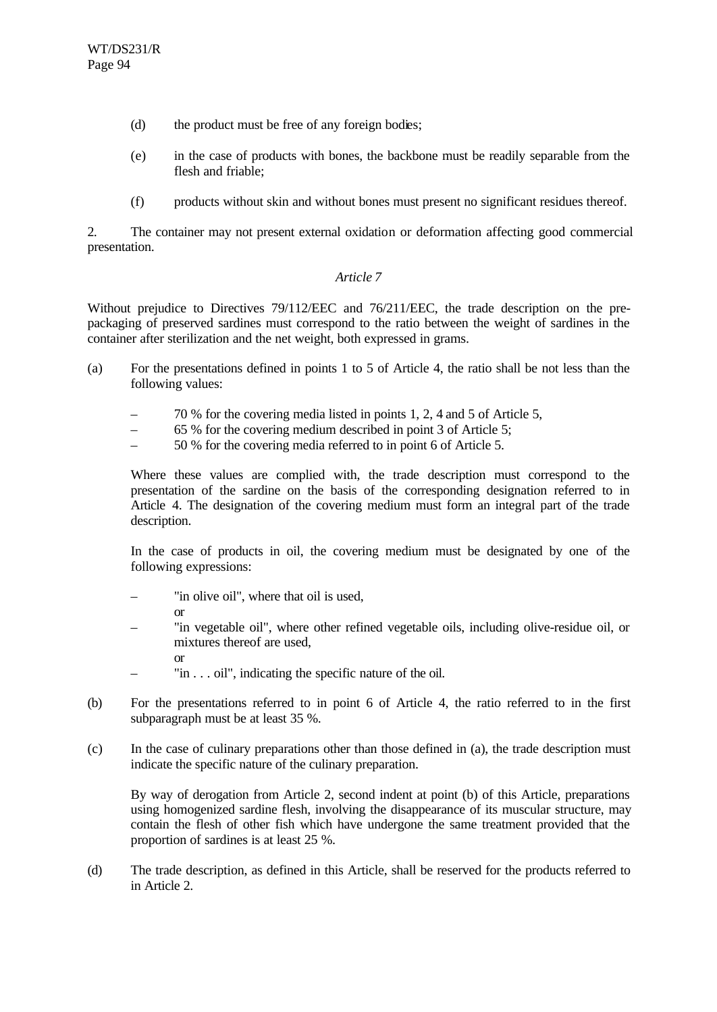- (d) the product must be free of any foreign bodies;
- (e) in the case of products with bones, the backbone must be readily separable from the flesh and friable;
- (f) products without skin and without bones must present no significant residues thereof.

2. The container may not present external oxidation or deformation affecting good commercial presentation.

# *Article 7*

Without prejudice to Directives 79/112/EEC and 76/211/EEC, the trade description on the prepackaging of preserved sardines must correspond to the ratio between the weight of sardines in the container after sterilization and the net weight, both expressed in grams.

- (a) For the presentations defined in points 1 to 5 of Article 4, the ratio shall be not less than the following values:
	- 70 % for the covering media listed in points 1, 2, 4 and 5 of Article 5,
	- 65 % for the covering medium described in point 3 of Article 5;
	- 50 % for the covering media referred to in point 6 of Article 5.

Where these values are complied with, the trade description must correspond to the presentation of the sardine on the basis of the corresponding designation referred to in Article 4. The designation of the covering medium must form an integral part of the trade description.

In the case of products in oil, the covering medium must be designated by one of the following expressions:

- "in olive oil", where that oil is used,
- or
- "in vegetable oil", where other refined vegetable oils, including olive-residue oil, or mixtures thereof are used,
- or
- "in  $\ldots$  oil", indicating the specific nature of the oil.
- (b) For the presentations referred to in point 6 of Article 4, the ratio referred to in the first subparagraph must be at least 35 %.
- (c) In the case of culinary preparations other than those defined in (a), the trade description must indicate the specific nature of the culinary preparation.

By way of derogation from Article 2, second indent at point (b) of this Article, preparations using homogenized sardine flesh, involving the disappearance of its muscular structure, may contain the flesh of other fish which have undergone the same treatment provided that the proportion of sardines is at least 25 %.

(d) The trade description, as defined in this Article, shall be reserved for the products referred to in Article 2.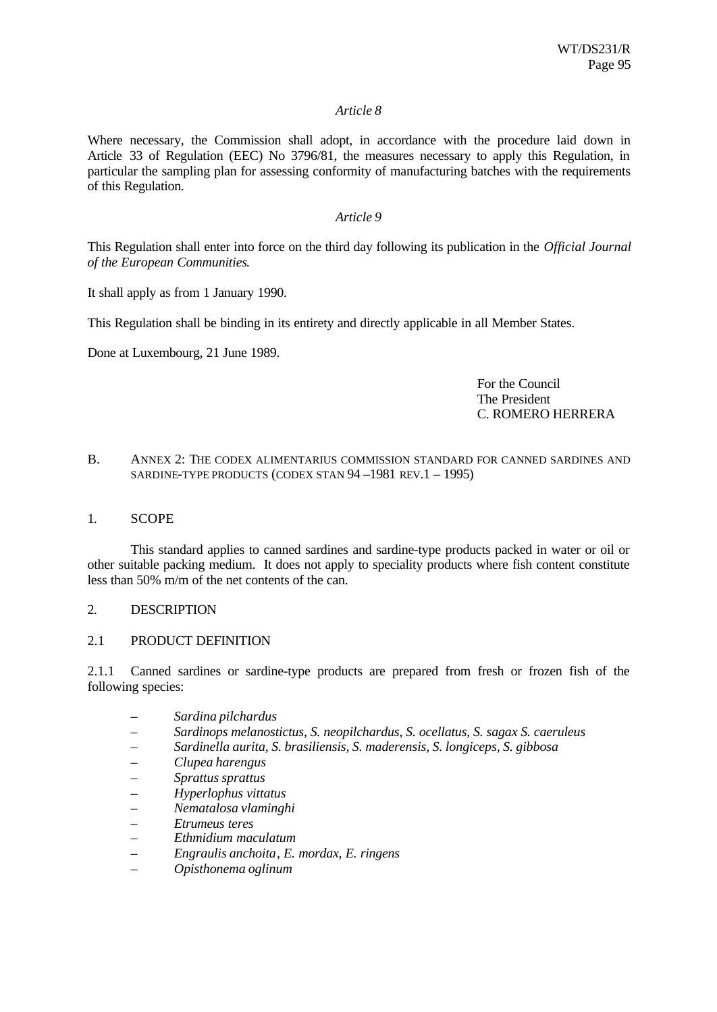#### *Article 8*

Where necessary, the Commission shall adopt, in accordance with the procedure laid down in Article 33 of Regulation (EEC) No 3796/81, the measures necessary to apply this Regulation, in particular the sampling plan for assessing conformity of manufacturing batches with the requirements of this Regulation.

#### *Article 9*

This Regulation shall enter into force on the third day following its publication in the *Official Journal of the European Communities*.

It shall apply as from 1 January 1990.

This Regulation shall be binding in its entirety and directly applicable in all Member States.

Done at Luxembourg, 21 June 1989.

For the Council The President C. ROMERO HERRERA

B. ANNEX 2: THE CODEX ALIMENTARIUS COMMISSION STANDARD FOR CANNED SARDINES AND SARDINE-TYPE PRODUCTS (CODEX STAN 94 –1981 REV.1 – 1995)

#### 1. SCOPE

This standard applies to canned sardines and sardine-type products packed in water or oil or other suitable packing medium. It does not apply to speciality products where fish content constitute less than 50% m/m of the net contents of the can.

## 2. DESCRIPTION

#### 2.1 PRODUCT DEFINITION

2.1.1 Canned sardines or sardine-type products are prepared from fresh or frozen fish of the following species:

- *Sardina pilchardus*
- *Sardinops melanostictus, S. neopilchardus, S. ocellatus, S. sagax S. caeruleus*
- *– Sardinella aurita, S. brasiliensis, S. maderensis, S. longiceps, S. gibbosa*
- *– Clupea harengus*
- *– Sprattus sprattus*
- *– Hyperlophus vittatus*
- *– Nematalosa vlaminghi*
- *– Etrumeus teres*
- *– Ethmidium maculatum*
- *– Engraulis anchoita, E. mordax, E. ringens*
- *– Opisthonema oglinum*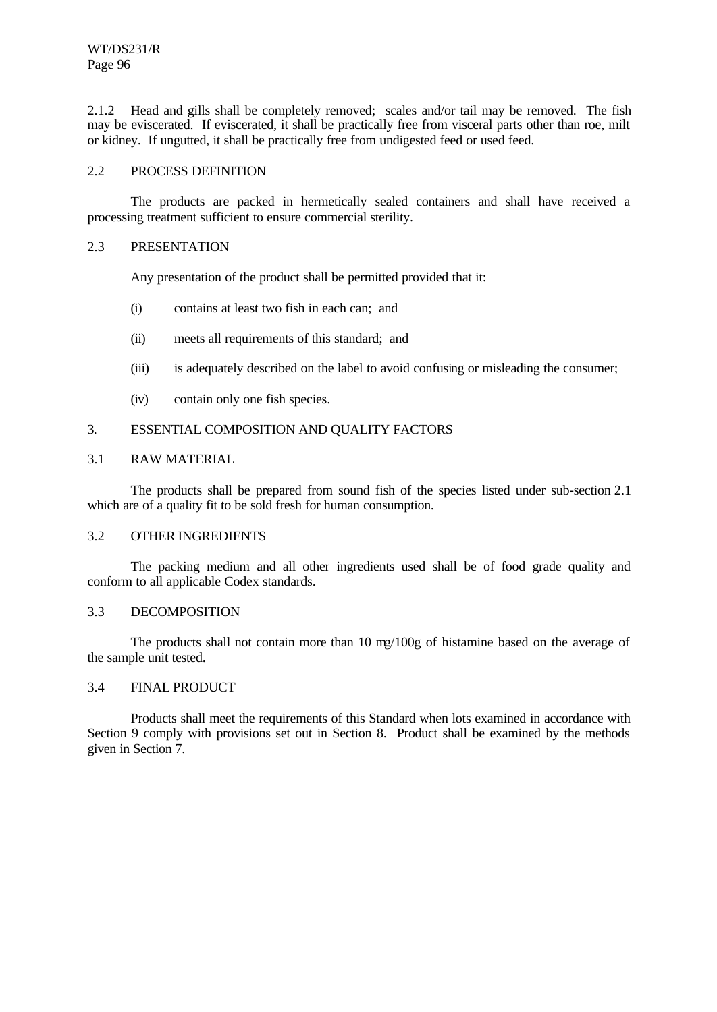2.1.2 Head and gills shall be completely removed; scales and/or tail may be removed. The fish may be eviscerated. If eviscerated, it shall be practically free from visceral parts other than roe, milt or kidney. If ungutted, it shall be practically free from undigested feed or used feed.

## 2.2 PROCESS DEFINITION

The products are packed in hermetically sealed containers and shall have received a processing treatment sufficient to ensure commercial sterility.

#### 2.3 PRESENTATION

Any presentation of the product shall be permitted provided that it:

- (i) contains at least two fish in each can; and
- (ii) meets all requirements of this standard; and
- (iii) is adequately described on the label to avoid confusing or misleading the consumer;
- (iv) contain only one fish species.

# 3. ESSENTIAL COMPOSITION AND QUALITY FACTORS

#### 3.1 RAW MATERIAL

The products shall be prepared from sound fish of the species listed under sub-section 2.1 which are of a quality fit to be sold fresh for human consumption.

## 3.2 OTHER INGREDIENTS

The packing medium and all other ingredients used shall be of food grade quality and conform to all applicable Codex standards.

# 3.3 DECOMPOSITION

The products shall not contain more than 10 mg/100g of histamine based on the average of the sample unit tested.

## 3.4 FINAL PRODUCT

Products shall meet the requirements of this Standard when lots examined in accordance with Section 9 comply with provisions set out in Section 8. Product shall be examined by the methods given in Section 7.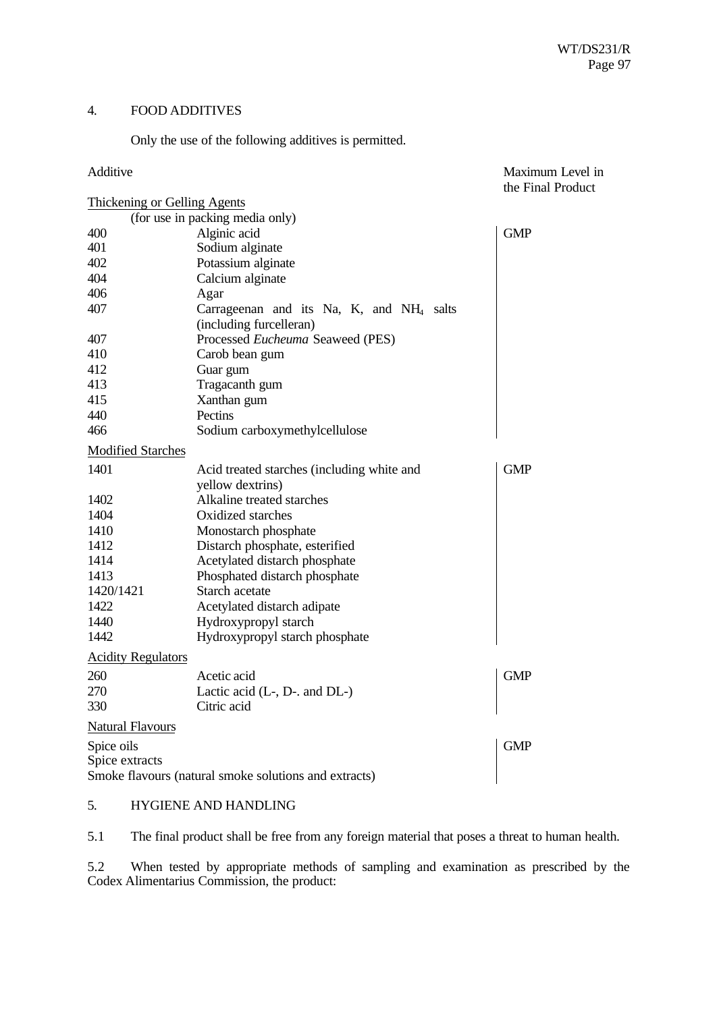## 4. FOOD ADDITIVES

Only the use of the following additives is permitted.

| Additive                            |                                                       | Maximum Level in<br>the Final Product |
|-------------------------------------|-------------------------------------------------------|---------------------------------------|
| <b>Thickening or Gelling Agents</b> |                                                       |                                       |
|                                     | (for use in packing media only)                       |                                       |
| 400                                 | Alginic acid                                          | <b>GMP</b>                            |
| 401                                 | Sodium alginate                                       |                                       |
| 402                                 | Potassium alginate                                    |                                       |
| 404                                 | Calcium alginate                                      |                                       |
| 406                                 | Agar                                                  |                                       |
| 407                                 | Carrageenan and its Na, K, and NH <sub>4</sub> salts  |                                       |
|                                     | (including furcelleran)                               |                                       |
| 407                                 | Processed Eucheuma Seaweed (PES)                      |                                       |
| 410                                 | Carob bean gum                                        |                                       |
| 412                                 | Guar gum                                              |                                       |
| 413                                 | Tragacanth gum                                        |                                       |
| 415                                 | Xanthan gum                                           |                                       |
| 440                                 | Pectins                                               |                                       |
| 466                                 | Sodium carboxymethylcellulose                         |                                       |
| <b>Modified Starches</b>            |                                                       |                                       |
| 1401                                | Acid treated starches (including white and            | <b>GMP</b>                            |
|                                     | yellow dextrins)                                      |                                       |
| 1402                                | Alkaline treated starches                             |                                       |
| 1404                                | Oxidized starches                                     |                                       |
| 1410                                | Monostarch phosphate                                  |                                       |
| 1412                                | Distarch phosphate, esterified                        |                                       |
| 1414                                | Acetylated distarch phosphate                         |                                       |
| 1413                                | Phosphated distarch phosphate                         |                                       |
| 1420/1421                           | Starch acetate                                        |                                       |
| 1422                                | Acetylated distarch adipate                           |                                       |
| 1440                                | Hydroxypropyl starch                                  |                                       |
| 1442                                | Hydroxypropyl starch phosphate                        |                                       |
| <b>Acidity Regulators</b>           |                                                       |                                       |
| 260                                 | Acetic acid                                           | <b>GMP</b>                            |
| 270                                 | Lactic acid $(L-, D-, and DL-)$                       |                                       |
| 330                                 | Citric acid                                           |                                       |
| <b>Natural Flavours</b>             |                                                       |                                       |
|                                     |                                                       |                                       |
| Spice oils                          |                                                       | <b>GMP</b>                            |
| Spice extracts                      |                                                       |                                       |
|                                     | Smoke flavours (natural smoke solutions and extracts) |                                       |

# 5. HYGIENE AND HANDLING

5.1 The final product shall be free from any foreign material that poses a threat to human health.

5.2 When tested by appropriate methods of sampling and examination as prescribed by the Codex Alimentarius Commission, the product: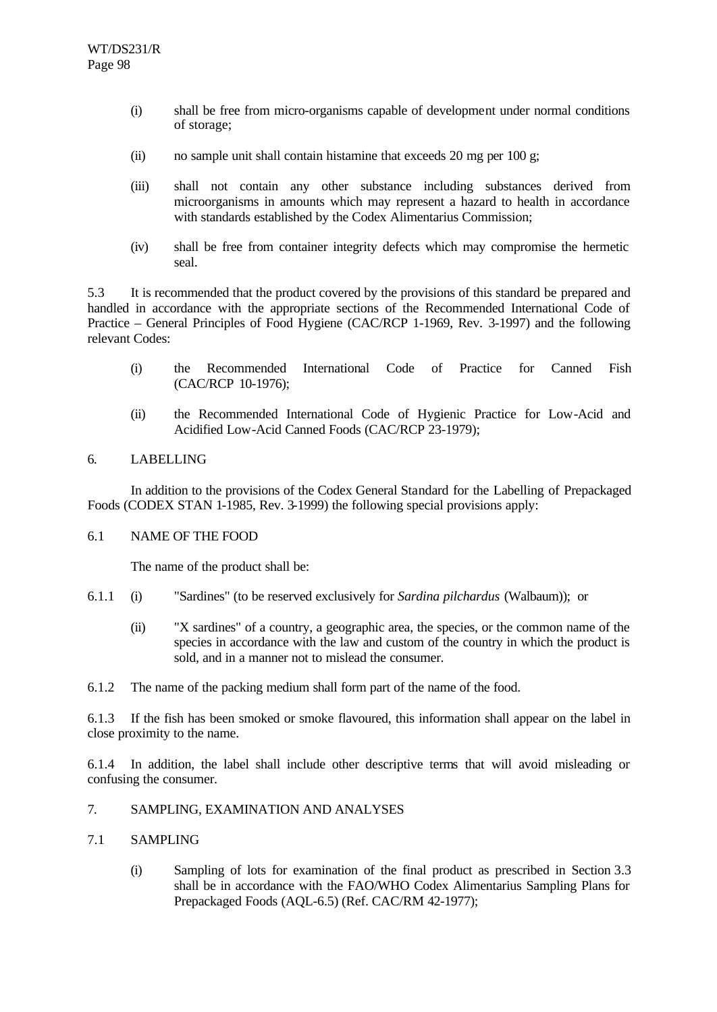- (i) shall be free from micro-organisms capable of development under normal conditions of storage;
- (ii) no sample unit shall contain histamine that exceeds 20 mg per 100 g;
- (iii) shall not contain any other substance including substances derived from microorganisms in amounts which may represent a hazard to health in accordance with standards established by the Codex Alimentarius Commission;
- (iv) shall be free from container integrity defects which may compromise the hermetic seal.

5.3 It is recommended that the product covered by the provisions of this standard be prepared and handled in accordance with the appropriate sections of the Recommended International Code of Practice – General Principles of Food Hygiene (CAC/RCP 1-1969, Rev. 3-1997) and the following relevant Codes:

- (i) the Recommended International Code of Practice for Canned Fish (CAC/RCP 10-1976);
- (ii) the Recommended International Code of Hygienic Practice for Low-Acid and Acidified Low-Acid Canned Foods (CAC/RCP 23-1979);

# 6. LABELLING

In addition to the provisions of the Codex General Standard for the Labelling of Prepackaged Foods (CODEX STAN 1-1985, Rev. 3-1999) the following special provisions apply:

## 6.1 NAME OF THE FOOD

The name of the product shall be:

- 6.1.1 (i) "Sardines" (to be reserved exclusively for *Sardina pilchardus* (Walbaum)); or
	- (ii) "X sardines" of a country, a geographic area, the species, or the common name of the species in accordance with the law and custom of the country in which the product is sold, and in a manner not to mislead the consumer.
- 6.1.2 The name of the packing medium shall form part of the name of the food.

6.1.3 If the fish has been smoked or smoke flavoured, this information shall appear on the label in close proximity to the name.

6.1.4 In addition, the label shall include other descriptive terms that will avoid misleading or confusing the consumer.

- 7. SAMPLING, EXAMINATION AND ANALYSES
- 7.1 SAMPLING
	- (i) Sampling of lots for examination of the final product as prescribed in Section 3.3 shall be in accordance with the FAO/WHO Codex Alimentarius Sampling Plans for Prepackaged Foods (AQL-6.5) (Ref. CAC/RM 42-1977);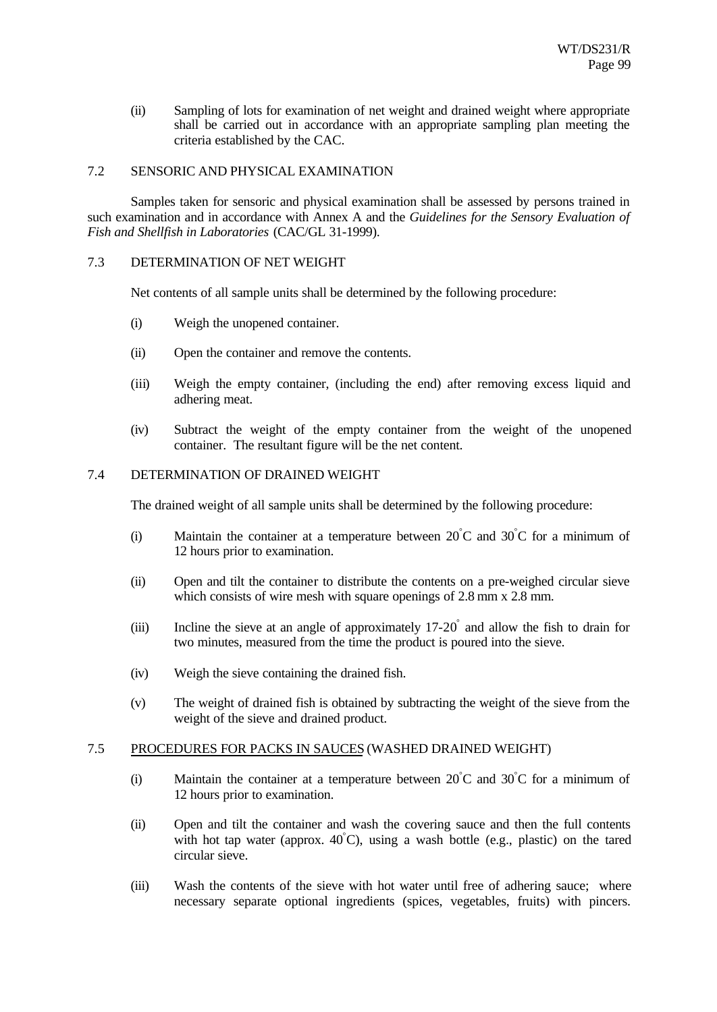(ii) Sampling of lots for examination of net weight and drained weight where appropriate shall be carried out in accordance with an appropriate sampling plan meeting the criteria established by the CAC.

## 7.2 SENSORIC AND PHYSICAL EXAMINATION

Samples taken for sensoric and physical examination shall be assessed by persons trained in such examination and in accordance with Annex A and the *Guidelines for the Sensory Evaluation of Fish and Shellfish in Laboratories* (CAC/GL 31-1999).

## 7.3 DETERMINATION OF NET WEIGHT

Net contents of all sample units shall be determined by the following procedure:

- (i) Weigh the unopened container.
- (ii) Open the container and remove the contents.
- (iii) Weigh the empty container, (including the end) after removing excess liquid and adhering meat.
- (iv) Subtract the weight of the empty container from the weight of the unopened container. The resultant figure will be the net content.

#### 7.4 DETERMINATION OF DRAINED WEIGHT

The drained weight of all sample units shall be determined by the following procedure:

- (i) Maintain the container at a temperature between  $20^{\circ}$ C and  $30^{\circ}$ C for a minimum of 12 hours prior to examination.
- (ii) Open and tilt the container to distribute the contents on a pre-weighed circular sieve which consists of wire mesh with square openings of 2.8 mm x 2.8 mm.
- (iii) Incline the sieve at an angle of approximately 17-20° and allow the fish to drain for two minutes, measured from the time the product is poured into the sieve.
- (iv) Weigh the sieve containing the drained fish.
- (v) The weight of drained fish is obtained by subtracting the weight of the sieve from the weight of the sieve and drained product.

# 7.5 PROCEDURES FOR PACKS IN SAUCES (WASHED DRAINED WEIGHT)

- (i) Maintain the container at a temperature between  $20^{\circ}$ C and  $30^{\circ}$ C for a minimum of 12 hours prior to examination.
- (ii) Open and tilt the container and wash the covering sauce and then the full contents with hot tap water (approx.  $40^{\circ}$ C), using a wash bottle (e.g., plastic) on the tared circular sieve.
- (iii) Wash the contents of the sieve with hot water until free of adhering sauce; where necessary separate optional ingredients (spices, vegetables, fruits) with pincers.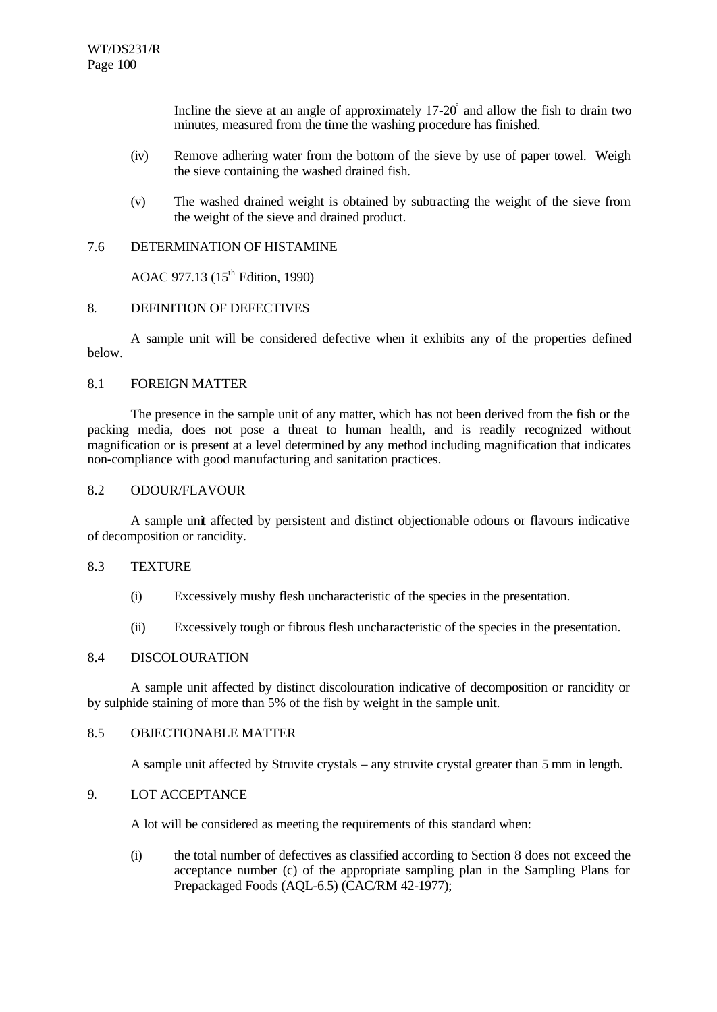Incline the sieve at an angle of approximately 17-20° and allow the fish to drain two minutes, measured from the time the washing procedure has finished.

- (iv) Remove adhering water from the bottom of the sieve by use of paper towel. Weigh the sieve containing the washed drained fish.
- (v) The washed drained weight is obtained by subtracting the weight of the sieve from the weight of the sieve and drained product.

#### 7.6 DETERMINATION OF HISTAMINE

AOAC 977.13 (15th Edition, 1990)

## 8. DEFINITION OF DEFECTIVES

A sample unit will be considered defective when it exhibits any of the properties defined below.

#### 8.1 FOREIGN MATTER

The presence in the sample unit of any matter, which has not been derived from the fish or the packing media, does not pose a threat to human health, and is readily recognized without magnification or is present at a level determined by any method including magnification that indicates non-compliance with good manufacturing and sanitation practices.

# 8.2 ODOUR/FLAVOUR

A sample unit affected by persistent and distinct objectionable odours or flavours indicative of decomposition or rancidity.

#### 8.3 TEXTURE

- (i) Excessively mushy flesh uncharacteristic of the species in the presentation.
- (ii) Excessively tough or fibrous flesh uncharacteristic of the species in the presentation.

## 8.4 DISCOLOURATION

A sample unit affected by distinct discolouration indicative of decomposition or rancidity or by sulphide staining of more than 5% of the fish by weight in the sample unit.

## 8.5 OBJECTIONABLE MATTER

A sample unit affected by Struvite crystals – any struvite crystal greater than 5 mm in length.

#### 9. LOT ACCEPTANCE

A lot will be considered as meeting the requirements of this standard when:

(i) the total number of defectives as classified according to Section 8 does not exceed the acceptance number (c) of the appropriate sampling plan in the Sampling Plans for Prepackaged Foods (AQL-6.5) (CAC/RM 42-1977);